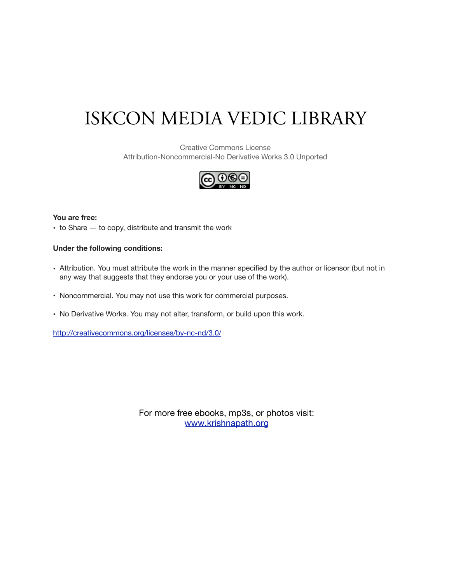# ISKCON MEDIA VEDIC LIBRARY

Creative Commons License Attribution-Noncommercial-No Derivative Works 3.0 Unported



# **You are free:**

• to Share — to copy, distribute and transmit the work

# **Under the following conditions:**

- Attribution. You must attribute the work in the manner specified by the author or licensor (but not in any way that suggests that they endorse you or your use of the work).
- Noncommercial. You may not use this work for commercial purposes.
- No Derivative Works. You may not alter, transform, or build upon this work.

http://creativecommons.org/licenses/by-nc-nd/3.0/

[For more free ebooks, mp3s, or photos visit:](http://www.krishnapath.org) www.krishnapath.org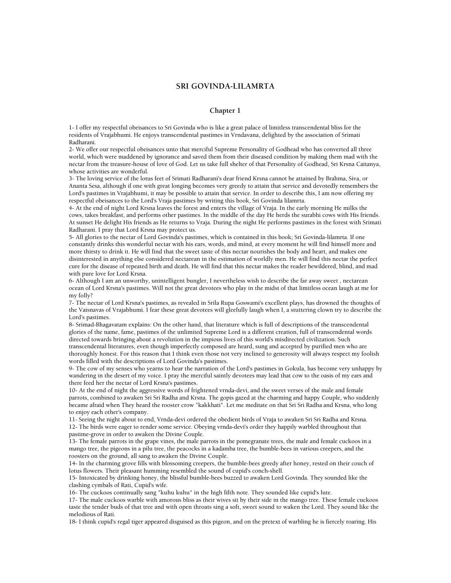# **SRI GOVINDA-LILAMRTA**

#### **Chapter 1**

1- I offer my respectful obeisances to Sri Govinda who is like a great palace of limitless transcendental bliss for the residents of Vrajabhumi. He enjoys transcendental pastimes in Vrndavana, delighted by the association of Srimati Radharani.

2- We offer our respectful obeisances unto that merciful Supreme Personality of Godhead who has converted all three world, which were maddened by ignorance and saved them from their diseased condition by making them mad with the nectar from the treasure-house of love of God. Let us take full shelter of that Personality of Godhead, Sri Krsna Caitanya, whose activities are wonderful.

3- The loving service of the lotus feet of Srimati Radharani's dear friend Krsna cannot be attained by Brahma, Siva, or Ananta Sesa, although if one with great longing becomes very greedy to attain that service and devotedly remembers the Lord's pastimes in Vrajabhumi, it may be possible to attain that service. In order to describe this, I am now offering my respectful obeisances to the Lord's Vraja pastimes by writing this book, Sri Govinda lilamrta.

4- At the end of night Lord Krsna leaves the forest and enters the village of Vraja. In the early morning He milks the cows, takes breakfast, and performs other pastimes. In the middle of the day He herds the surabhi cows with His friends. At sunset He delight His friends as He returns to Vraja. During the night He performs pastimes in the forest with Srimati Radharani. I pray that Lord Krsna may protect us.

5- All glories to the nectar of Lord Govinda's pastimes, which is contained in this book; Sri Govinda-lilamrta. If one constantly drinks this wonderful nectar with his ears, words, and mind, at every moment he will find himself more and more thirsty to drink it. He will find that the sweet taste of this nectar nourishes the body and heart, and makes one disinterested in anything else considered nectarean in the estimation of worldly men. He will find this nectar the perfect cure for the disease of repeated birth and death. He will find that this nectar makes the reader bewildered, blind, and mad with pure love for Lord Krsna.

6- Although I am an unworthy, unintelligent bungler, I nevertheless wish to describe the far away sweet , nectarean ocean of Lord Krsna's pastimes. Will not the great devotees who play in the midst of that limitless ocean laugh at me for my folly?

7- The nectar of Lord Krsna's pastimes, as revealed in Srila Rupa Goswami's excellent plays, has drowned the thoughts of the Vaisnavas of Vrajabhumi. I fear these great devotees will gleefully laugh when I, a stuttering clown try to describe the Lord's pastimes.

8- Srimad-Bhagavatam explains: On the other hand, that literature which is full of descriptions of the transcendental glories of the name, fame, pastimes of the unlimited Supreme Lord is a different creation, full of transcendental words directed towards bringing about a revolution in the impious lives of this world's misdirected civilization. Such transcendental literatures, even though imperfectly composed are heard, sung and accepted by purified men who are thoroughly honest. For this reason that I think even those not very inclined to generosity will always respect my foolish words filled with the descriptions of Lord Govinda's pastimes.

9- The cow of my senses who yearns to hear the narration of the Lord's pastimes in Gokula, has become very unhappy by wandering in the desert of my voice. I pray the merciful saintly devotees may lead that cow to the oasis of my ears and there feed her the nectar of Lord Krsna's pastimes.

10- At the end of night the aggressive words of frightened vrnda-devi, and the sweet verses of the male and female parrots, combined to awaken Sri Sri Radha and Krsna. The gopis gazed at the charming and happy Couple, who suddenly became afraid when They heard the rooster crow "kakkhati". Let me meditate on that Sri Sri Radha and Krsna, who long to enjoy each other's company.

11- Seeing the night about to end, Vrnda-devi ordered the obedient birds of Vraja to awaken Sri Sri Radha and Krsna. 12- The birds were eager to render some service. Obeying vrnda-devi's order they happily warbled throughout that pastime-grove in order to awaken the Divine Couple.

13- The female parrots in the grape vines, the male parrots in the pomegranate trees, the male and female cuckoos in a mango tree, the pigeons in a pilu tree, the peacocks in a kadamba tree, the bumble-bees in various creepers, and the roosters on the ground, all sang to awaken the Divine Couple.

14- In the charming grove fills with blossoming creepers, the bumble-bees greedy after honey, rested on their couch of lotus flowers. Their pleasant humming resembled the sound of cupid's conch-shell.

15- Intoxicated by drinking honey, the blissful bumble-bees buzzed to awaken Lord Govinda. They sounded like the clashing cymbals of Rati, Cupid's wife.

16- The cuckoos continually sang "kuhu kuhu" in the high fifth note. They sounded like cupid's lute.

17- The male cuckoos warble with amorous bliss as their wives sit by their side in the mango tree. These female cuckoos taste the tender buds of that tree and with open throats sing a soft, sweet sound to waken the Lord. They sound like the melodious of Rati.

18- I think cupid's regal tiger appeared disguised as this pigeon, and on the pretext of warbling he is fiercely roaring. His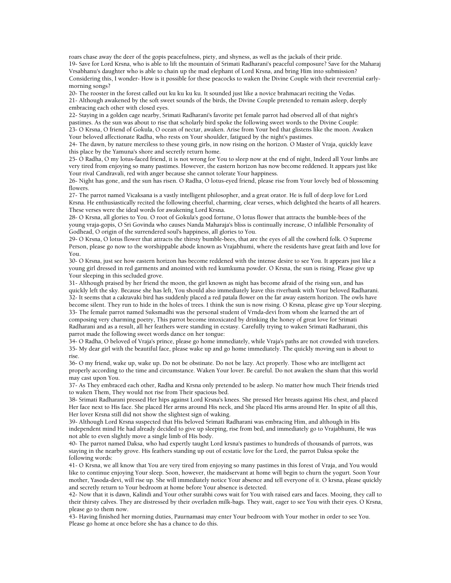roars chase away the deer of the gopis peacefulness, piety, and shyness, as well as the jackals of their pride. 19- Save for Lord Krsna, who is able to lift the mountain of Srimati Radharani's peaceful composure? Save for the Maharaj Vrsabhanu's daughter who is able to chain up the mad elephant of Lord Krsna, and bring Him into submission? Considering this, I wonder- How is it possible for these peacocks to waken the Divine Couple with their reverential earlymorning songs?

20- The rooster in the forest called out ku ku ku ku. It sounded just like a novice brahmacari reciting the Vedas. 21- Although awakened by the soft sweet sounds of the birds, the Divine Couple pretended to remain asleep, deeply embracing each other with closed eyes.

22- Staying in a golden cage nearby, Srimati Radharani's favorite pet female parrot had observed all of that night's pastimes. As the sun was about to rise that scholarly bird spoke the following sweet words to the Divine Couple:

23- O Krsna, O friend of Gokula, O ocean of nectar, awaken. Arise from Your bed that glistens like the moon. Awaken Your beloved affectionate Radha, who rests on Your shoulder, fatigued by the night's pastimes.

24- The dawn, by nature merciless to these young girls, in now rising on the horizon. O Master of Vraja, quickly leave this place by the Yamuna's shore and secretly return home.

25- O Radha, O my lotus-faced friend, it is not wrong for You to sleep now at the end of night, Indeed all Your limbs are very tired from enjoying so many pastimes. However, the eastern horizon has now become reddened. It appears just like Your rival Candravali, red with anger because she cannot tolerate Your happiness.

26- Night has gone, and the sun has risen. O Radha, O lotus-eyed friend, please rise from Your lovely bed of blossoming flowers.

27- The parrot named Vicaksana is a vastly intelligent philosopher, and a great orator. He is full of deep love for Lord Krsna. He enthusiastically recited the following cheerful, charming, clear verses, which delighted the hearts of all hearers. These verses were the ideal words for awakening Lord Krsna.

28- O Krsna, all glories to You. O root of Gokula's good fortune, O lotus flower that attracts the bumble-bees of the young vraja-gopis, O Sri Govinda who causes Nanda Maharaja's bliss is continually increase, O infallible Personality of Godhead, O origin of the surrendered soul's happiness, all glories to You.

29- O Krsna, O lotus flower that attracts the thirsty bumble-bees, that are the eyes of all the cowherd folk. O Supreme Person, please go now to the worshippable abode known as Vrajabhumi, where the residents have great faith and love for You.

30- O Krsna, just see how eastern horizon has become reddened with the intense desire to see You. It appears just like a young girl dressed in red garments and anointed with red kumkuma powder. O Krsna, the sun is rising. Please give up Your sleeping in this secluded grove.

31- Although praised by her friend the moon, the girl known as night has become afraid of the rising sun, and has quickly left the sky. Because she has left, You should also immediately leave this riverbank with Your beloved Radharani. 32- It seems that a cakravaki bird has suddenly placed a red patala flower on the far away eastern horizon. The owls have become silent. They run to hide in the holes of trees. I think the sun is now rising. O Krsna, please give up Your sleeping. 33- The female parrot named Suksmadhi was the personal student of Vrnda-devi from whom she learned the art of composing very charming poetry, This parrot become intoxicated by drinking the honey of great love for Srimati Radharani and as a result, all her feathers were standing in ecstasy. Carefully trying to waken Srimati Radharani, this parrot made the following sweet words dance on her tongue:

34- O Radha, O beloved of Vraja's prince, please go home immediately, while Vraja's paths are not crowded with travelers. 35- My dear girl with the beautiful face, please wake up and go home immediately. The quickly moving sun is about to rise.

36- O my friend, wake up, wake up. Do not be obstinate. Do not be lazy. Act properly. Those who are intelligent act properly according to the time and circumstance. Waken Your lover. Be careful. Do not awaken the sham that this world may cast upon You.

37- As They embraced each other, Radha and Krsna only pretended to be asleep. No matter how much Their friends tried to waken Them, They would not rise from Their spacious bed.

38- Srimati Radharani pressed Her hips against Lord Krsna's knees. She pressed Her breasts against His chest, and placed Her face next to His face. She placed Her arms around His neck, and She placed His arms around Her. In spite of all this, Her lover Krsna still did not show the slightest sign of waking.

39- Although Lord Krsna suspected that His beloved Srimati Radharani was embracing Him, and although in His independent mind He had already decided to give up sleeping, rise from bed, and immediately go to Vrajabhumi, He was not able to even slightly move a single limb of His body.

40- The parrot named Daksa, who had expertly taught Lord krsna's pastimes to hundreds of thousands of parrots, was staying in the nearby grove. His feathers standing up out of ecstatic love for the Lord, the parrot Daksa spoke the following words:

41- O Krsna, we all know that You are very tired from enjoying so many pastimes in this forest of Vraja, and You would like to continue enjoying Your sleep. Soon, however, the maidservant at home will begin to churn the yogurt. Soon Your mother, Yasoda-devi, will rise up. She will immediately notice Your absence and tell everyone of it. O krsna, please quickly and secretly return to Your bedroom at home before Your absence is detected.

42- Now that it is dawn, Kalindi and Your other surabhi cows wait for You with raised ears and faces. Mooing, they call to their thirsty calves. They are distressed by their overladen milk-bags. They wait, eager to see You with their eyes. O Krsna, please go to them now.

43- Having finished her morning duties, Paurnamasi may enter Your bedroom with Your mother in order to see You. Please go home at once before she has a chance to do this.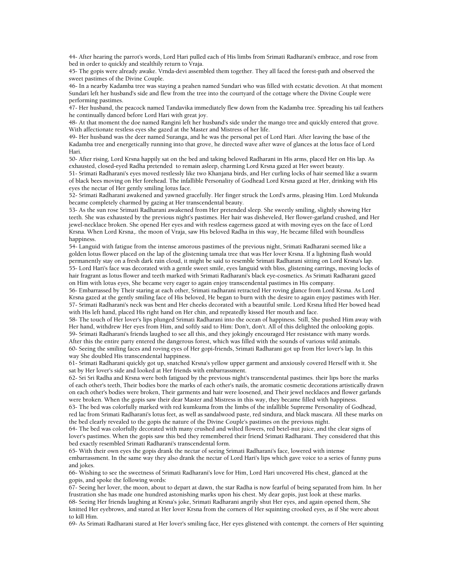44- After hearing the parrot's words, Lord Hari pulled each of His limbs from Srimati Radharani's embrace, and rose from bed in order to quickly and stealthily return to Vraja.

45- The gopis were already awake. Vrnda-devi assembled them together. They all faced the forest-path and observed the sweet pastimes of the Divine Couple.

46- In a nearby Kadamba tree was staying a peahen named Sundari who was filled with ecstatic devotion. At that moment Sundari left her husband's side and flew from the tree into the courtyard of the cottage where the Divine Couple were performing pastimes.

47- Her husband, the peacock named Tandavika immediately flew down from the Kadamba tree. Spreading his tail feathers he continually danced before Lord Hari with great joy.

48- At that moment the doe named Rangini left her husband's side under the mango tree and quickly entered that grove. With affectionate restless eyes she gazed at the Master and Mistress of her life.

49- Her husband was the deer named Suranga, and he was the personal pet of Lord Hari. After leaving the base of the Kadamba tree and energetically running into that grove, he directed wave after wave of glances at the lotus face of Lord Hari.

50- After rising, Lord Krsna happily sat on the bed and taking beloved Radharani in His arms, placed Her on His lap. As exhausted, closed-eyed Radha pretended to remain asleep, charming Lord Krsna gazed at Her sweet beauty.

51- Srimati Radharani's eyes moved restlessly like two Khanjana birds, and Her curling locks of hair seemed like a swarm of black bees moving on Her forehead. The infallible Personality of Godhead Lord Krsna gazed at Her, drinking with His eyes the nectar of Her gently smiling lotus face.

52- Srimati Radharani awakened and yawned gracefully. Her finger struck the Lord's arms, pleasing Him. Lord Mukunda became completely charmed by gazing at Her transcendental beauty.

53- As the sun rose Srimati Radharani awakened from Her pretended sleep. She sweetly smiling, slightly showing Her teeth. She was exhausted by the previous night's pastimes. Her hair was disheveled, Her flower-garland crushed, and Her jewel-necklace broken. She opened Her eyes and with restless eagerness gazed at with moving eyes on the face of Lord Krsna. When Lord Krsna,. the moon of Vraja, saw His beloved Radha in this way, He became filled with boundless happiness.

54- Languid with fatigue from the intense amorous pastimes of the previous night, Srimati Radharani seemed like a golden lotus flower placed on the lap of the glistening tamala tree that was Her lover Krsna. If a lightning flash would permanently stay on a fresh dark rain cloud, it might be said to resemble Srimati Radharani sitting on Lord Krsna's lap. 55- Lord Hari's face was decorated with a gentle sweet smile, eyes languid with bliss, glistening earrings, moving locks of hair fragrant as lotus flower and teeth marked with Srimati Radharani's black eye-cosmetics. As Srimati Radharani gazed on Him with lotus eyes, She became very eager to again enjoy transcendental pastimes in His company.

56- Embarrassed by Their staring at each other, Srimati radharani retracted Her roving glance from Lord Krsna. As Lord Krsna gazed at the gently smiling face of His beloved, He began to burn with the desire to again enjoy pastimes with Her. 57- Srimati Radharani's neck was bent and Her cheeks decorated with a beautiful smile. Lord Krsna lifted Her bowed head with His left hand, placed His right hand on Her chin, and repeatedly kissed Her mouth and face.

58- The touch of Her lover's lips plunged Srimati Radharani into the ocean of happiness. Still, She pushed Him away with Her hand, withdrew Her eyes from Him, and softly said to Him: Don't, don't. All of this delighted the onlooking gopis. 59- Srimati Radharani's friends laughed to see all this, and they jokingly encouraged Her resistance with many words.

After this the entire party entered the dangerous forest, which was filled with the sounds of various wild animals. 60- Seeing the smiling faces and roving eyes of Her gopi-friends, Srimati Radharani got up from Her lover's lap. In this way She doubled His transcendental happiness.

61- Srimati Radharani quickly got up, snatched Krsna's yellow upper garment and anxiously covered Herself with it. She sat by Her lover's side and looked at Her friends with embarrassment.

62- Sri Sri Radha and Krsna were both fatigued by the previous night's transcendental pastimes. their lips bore the marks of each other's teeth, Their bodies bore the marks of each other's nails, the aromatic cosmetic decorations artistically drawn on each other's bodies were broken, Their garments and hair were loosened, and Their jewel necklaces and flower garlands were broken. When the gopis saw their dear Master and Mistress in this way, they became filled with happiness.

63- The bed was colorfully marked with red kumkuma from the limbs of the infallible Supreme Personality of Godhead, red lac from Srimati Radharani's lotus feet, as well as sandalwood paste, red sindura, and black mascara. All these marks on the bed clearly revealed to the gopis the nature of the Divine Couple's pastimes on the previous night.

64- The bed was colorfully decorated with many crushed and wilted flowers, red betel-nut juice, and the clear signs of lover's pastimes. When the gopis saw this bed they remembered their friend Srimati Radharani. They considered that this bed exactly resembled Srimati Radharani's transcendental form.

65- With their own eyes the gopis drank the nectar of seeing Srimati Radharani's face, lowered with intense embarrassment. In the same way they also drank the nectar of Lord Hari's lips which gave voice to a series of funny puns and jokes.

66- Wishing to see the sweetness of Srimati Radharani's love for Him, Lord Hari uncovered His chest, glanced at the gopis, and spoke the following words:

67- Seeing her lover, the moon, about to depart at dawn, the star Radha is now fearful of being separated from him. In her frustration she has made one hundred astonishing marks upon his chest. My dear gopis, just look at these marks. 68- Seeing Her friends laughing at Krsna's joke, Srimati Radharani angrily shut Her eyes, and again opened them, She knitted Her eyebrows, and stared at Her lover Krsna from the corners of Her squinting crooked eyes, as if She were about to kill Him.

69- As Srimati Radharani stared at Her lover's smiling face, Her eyes glistened with contempt. the corners of Her squinting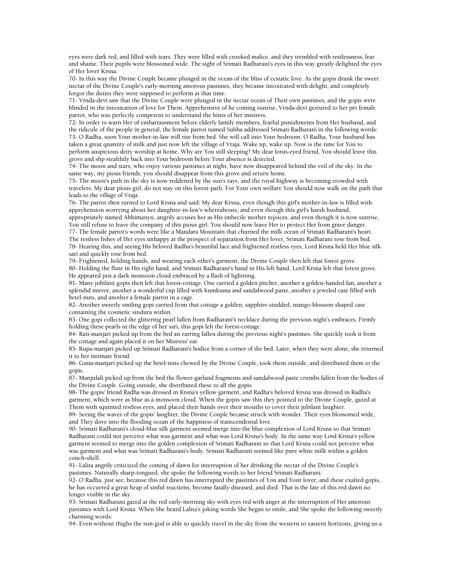eyes were dark red, and filled with tears. They were filled with crooked malice, and they trembled with restlessness, fear and shame. Their pupils were blossomed wide. The sight of Srimati Radharani's eyes in this way greatly delighted the eyes of Her lover Krsna.

70- In this way the Divine Couple became plunged in the ocean of the bliss of ecstatic love. As the gopis drank the sweet nectar of the Divine Couple's early-morning amorous pastimes, they became intoxicated with delight, and completely forgot the duties they were supposed to perform at that time.

71- Vrnda-devi saw that the Divine Couple were plunged in the nectar ocean of Their own pastimes, and the gopis were blinded in the intoxication of love for Them. Apprehensive of he coming sunrise, Vrnda-devi gestured to her pet female parrot, who was perfectly competent to understand the hints of her mistress.

72- In order to warn Her of embarrassment before elderly family members, fearful punishments from Her husband, and the ridicule of the people in general, the female parrot named Subha addressed Srimati Radharani in the following words: 73- O Radha, soon Your mother-in-law will rise from bed. She will call into Your bedroom: O Radha, Your husband has taken a great quantity of milk and just now left the village of Vraja. Wake up, wake up. Now is the time for You to perform auspicious deity worship at home. Why are You still sleeping? My dear lotus-eyed friend, You should leave this grove and slip stealthily back into Your bedroom before Your absence is detected.

74- The moon and stars, who enjoy various pastimes at night, have now disappeared behind the veil of the sky. In the same way, my pious friends, you should disappear from this grove and return home.

75- The moon's path in the sky is now reddened by the sun's rays, and the royal highway is becoming crowded with travelers. My dear pious girl, do not stay on this forest-path. For Your own welfare You should now walk on the path that leads to the village of Vraja.

76- The parrot then turned to Lord Krsna and said: My dear Krsna, even though this girl's mother-in-law is filled with apprehension worrying about her daughter-in-law's whereabouts, and even though this girl's harsh husband, appropriately named Abhimanyu, angrily accuses her as His imbecile mother rejoices. and even though it is now sunrise,

You still refuse to leave the company of this pious girl. You should now leave Her to protect Her from grave danger. 77- The female parrot's words were like a Mandara Mountain that churned the milk ocean of Srimati Radharani's heart. The restless fishes of Her eyes unhappy at the prospect of separation from Her lover, Srimati Radharani rose from bed. 78- Hearing this, and seeing His beloved Radha's beautiful face and frightened restless eyes, Lord Krsna held Her blue silk sari and quickly rose from bed.

79- Frightened, holding hands, and wearing each other's garment, the Divine Couple then left that forest grove.

80- Holding the flute in His right hand, and Srimati Radharani's hand in His left hand, Lord Krsna left that forest grove. He appeared just a dark monsoon cloud embraced by a flash of lightning.

81- Many jubilant gopis then left that forest-cottage. One carried a golden pitcher, another a golden-handed fan, another a splendid mirror, another a wonderful cup filled with kumkuma and sandalwood paste, another a jeweled case filled with betel-nuts, and another a female parrot in a cage.

82- Another sweetly smiling gopi carried from that cottage a golden, sapphire-studded, mango-blossom shaped case containing the cosmetic sindura within.

83- One gopi collected the glittering pearl fallen from Radharani's necklace during the previous night's embraces. Firmly holding these pearls in the edge of her sari, this gopi left the forest-cottage.

84- Rati-manjari picked up from the bed an earring fallen during the previous night's pastimes. She quickly took it from the cottage and again placed it on her Mistress' ear.

85- Rupa-manjari picked up Srimati Radharani's bodice from a corner of the bed. Later, when they were alone, she returned it to her intimate friend.

86- Guna-manjari picked up the betel-nuts chewed by the Divine Couple, took them outside, and distributed them to the gopis.

87- Manjulali picked up from the bed the flower-garland fragments and sandalwood paste crumbs fallen from the bodies of the Divine Couple. Going outside, she distributed these to all the gopis.

88- The gopis' friend Radha was dressed in Krsna's yellow garment, and Radha's beloved Krsna was dressed in Radha's garment, which were as blue as a monsoon cloud. When the gopis saw this they pointed to the Divine Couple, gazed at Them with squinted restless eyes, and placed their hands over their mouths to cover their jubilant laughter.

89- Seeing the waves of the gopis' laughter, the Divine Couple became struck with wonder. Their eyes blossomed wide, and They dove into the flooding ocean of the happiness of transcendental love.

90- Srimati Radharani's cloud-blue silk garment seemed merge into the blue complexion of Lord Krsna so that Srimati Radharani could not perceive what was garment and what was Lord Krsna's body. In the same way Lord Krsna's yellow garment seemed to merge into the golden complexion of Srimati Radharani so that Lord Krsna could not perceive what was garment and what was Srimati Radharani's body. Srimati Radharani seemed like pure white milk within a golden conch-shell.

91- Lalita angrily criticized the coming of dawn for interruption of her drinking the nectar of the Divine Couple's pastimes. Naturally sharp-tongued, she spoke the following words to her friend Srimati Radharani:

92- O Radha, just see; because this red dawn has interrupted the pastimes of You and Your lover, and these exalted gopis, he has occurred a great heap of sinful reactions, become fatally diseased, and died. That is the fate of this red dawn no longer visible in the sky.

93- Srimati Radharani gazed at the red early-morning sky with eyes red with anger at the interruption of Her amorous pastimes with Lord Krsna. When She heard Lalita's joking words She began to smile, and She spoke the following sweetly charming words:

94- Even without thighs the sun-god is able to quickly travel in the sky from the western to eastern horizons, giving us a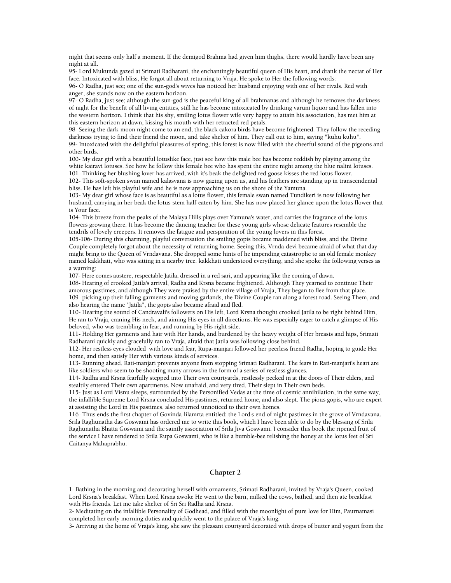night that seems only half a moment. If the demigod Brahma had given him thighs, there would hardly have been any night at all.

95- Lord Mukunda gazed at Srimati Radharani, the enchantingly beautiful queen of His heart, and drank the nectar of Her face. Intoxicated with bliss, He forgot all about returning to Vraja. He spoke to Her the following words:

96- O Radha, just see; one of the sun-god's wives has noticed her husband enjoying with one of her rivals. Red with anger, she stands now on the eastern horizon.

97- O Radha, just see; although the sun-god is the peaceful king of all brahmanas and although he removes the darkness of night for the benefit of all living entities, still he has become intoxicated by drinking varuni liquor and has fallen into the western horizon. I think that his shy, smiling lotus flower wife very happy to attain his association, has met him at this eastern horizon at dawn, kissing his mouth with her retracted red petals.

98- Seeing the dark-moon night come to an end, the black cakora birds have become frightened. They follow the receding darkness trying to find their friend the moon, and take shelter of him. They call out to him, saying "kuhu kuhu". 99- Intoxicated with the delightful pleasures of spring, this forest is now filled with the cheerful sound of the pigeons and other birds.

100- My dear girl with a beautiful lotuslike face, just see how this male bee has become reddish by playing among the white kairavi lotuses. See how he follow this female bee who has spent the entire night among the blue nalini lotuses.

101- Thinking her blushing lover has arrived, with it's beak the delighted red goose kisses the red lotus flower.

102- This soft-spoken swan named kalasvana is now gazing upon us, and his feathers are standing up in transcendental bliss. He has left his playful wife and he is now approaching us on the shore of the Yamuna.

103- My dear girl whose face is as beautiful as a lotus flower, this female swan named Tundikeri is now following her husband, carrying in her beak the lotus-stem half-eaten by him. She has now placed her glance upon the lotus flower that is Your face.

104- This breeze from the peaks of the Malaya Hills plays over Yamuna's water, and carries the fragrance of the lotus flowers growing there. It has become the dancing teacher for these young girls whose delicate features resemble the tendrils of lovely creepers. It removes the fatigue and perspiration of the young lovers in this forest.

105-106- During this charming, playful conversation the smiling gopis became maddened with bliss, and the Divine Couple completely forgot about the necessity of returning home. Seeing this, Vrnda-devi became afraid of what that day might bring to the Queen of Vrndavana. She dropped some hints of he impending catastrophe to an old female monkey named kakkhati, who was sitting in a nearby tree. kakkhati understood everything, and she spoke the following verses as a warning:

107- Here comes austere, respectable Jatila, dressed in a red sari, and appearing like the coming of dawn.

108- Hearing of crooked Jatila's arrival, Radha and Krsna became frightened. Although They yearned to continue Their amorous pastimes, and although They were praised by the entire village of Vraja, They began to flee from that place. 109- picking up their falling garments and moving garlands, the Divine Couple ran along a forest road. Seeing Them, and also hearing the name "Jatila", the gopis also became afraid and fled.

110- Hearing the sound of Candravali's followers on His left, Lord Krsna thought crooked Jatila to be right behind Him, He ran to Vraja, craning His neck, and aiming His eyes in all directions. He was especially eager to catch a glimpse of His beloved, who was trembling in fear, and running by His right side.

111- Holding Her garments and hair with Her hands, and burdened by the heavy weight of Her breasts and hips, Srimati Radharani quickly and gracefully ran to Vraja, afraid that Jatila was following close behind.

112- Her restless eyes clouded with love and fear, Rupa-manjari followed her peerless friend Radha, hoping to guide Her home, and then satisfy Her with various kinds of services.

113- Running ahead, Rati-manjari prevents anyone from stopping Srimati Radharani. The fears in Rati-manjari's heart are like soldiers who seem to be shooting many arrows in the form of a series of restless glances.

114- Radha and Krsna fearfully stepped into Their own courtyards, restlessly peeked in at the doors of Their elders, and stealtily entered Their own apartments. Now unafraid, and very tired, Their slept in Their own beds.

115- Just as Lord Visnu sleeps, surrounded by the Personified Vedas at the time of cosmic annihilation, in the same way, the infallible Supreme Lord Krsna concluded His pastimes, returned home, and also slept. The pious gopis, who are expert at assisting the Lord in His pastimes, also returned unnoticed to their own homes.

116- Thus ends the first chapter of Govinda-lilamrta entitled: the Lord's end of night pastimes in the grove of Vrndavana. Srila Raghunatha das Goswami has ordered me to write this book, which I have been able to do by the blessing of Srila Raghunatha Bhatta Goswami and the saintly association of Srila Jiva Goswami. I consider this book the ripened fruit of the service I have rendered to Srila Rupa Goswami, who is like a bumble-bee relishing the honey at the lotus feet of Sri Caitanya Mahaprabhu.

# **Chapter 2**

1- Bathing in the morning and decorating herself with ornaments, Srimati Radharani, invited by Vraja's Queen, cooked Lord Krsna's breakfast. When Lord Krsna awoke He went to the barn, milked the cows, bathed, and then ate breakfast with His friends. Let me take shelter of Sri Sri Radha and Krsna.

2- Meditating on the infallible Personality of Godhead, and filled with the moonlight of pure love for Him, Paurnamasi completed her early morning duties and quickly went to the palace of Vraja's king.

3- Arriving at the home of Vraja's king, she saw the pleasant courtyard decorated with drops of butter and yogurt from the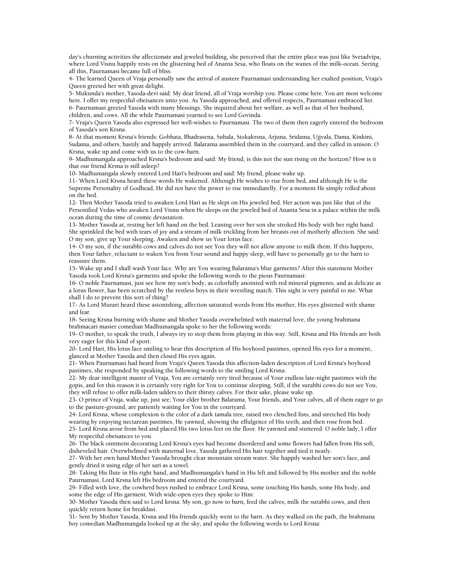day's churning activities the affectionate and jeweled building, she perceived that the entire place was just like Svetadvipa, where Lord Visnu happily rests on the glistening bed of Ananta Sesa, who floats on the wanes of the milk-ocean. Seeing all this, Paurnamasi became full of bliss.

4- The learned Queen of Vraja personally saw the arrival of austere Paurnamasi understanding her exalted position, Vraja's Queen greeted her with great delight.

5- Mukunda's mother, Yasoda-devi said: My dear friend, all of Vraja worship you. Please come here. You are most welcome here. I offer my respectful obeisances unto you. As Yasoda approached, and offered respects, Paurnamasi embraced her. 6- Paurnamasi greeted Yasoda with many blessings. She inquired about her welfare, as well as that of her husband, children, and cows. All the while Paurnamasi yearned to see Lord Govinda.

7- Vraja's Queen Yasoda also expressed her well-wishes to Paurnamasi. The two of them then eagerly entered the bedroom of Yasoda's son Krsna.

8- At that moment Krsna's friends: Gobhata, Bhadrasena, Subala, Stokakrsna, Arjuna, Sridama, Ujjvala, Dama, Kinkini, Sudama, and others, hastily and happily arrived. Balarama assembled them in the courtyard, and they called in unison: O Krsna, wake up and come with us to the cow-barn.

9- Madhumangala approached Krsna's bedroom and said: My friend, is this not the sun rising on the horizon? How is it that our friend Krsna is still asleep?

10- Madhumangala slowly entered Lord Hari's bedroom and said: My friend, please wake up.

11- When Lord Krsna heard these words He wakened. Although He wishes to rise from bed, and although He is the Supreme Personality of Godhead, He did not have the power to rise immediatelly. For a moment He simply rolled about on the bed.

12- Then Mother Yasoda tried to awaken Lord Hari as He slept on His jeweled bed. Her action was just like that of the Personified Vedas who awaken Lord Visnu when He sleeps on the jeweled bed of Ananta Sesa in a palace within the milk ocean during the time of cosmic devastation.

13- Mother Yasoda at, resting her left hand on the bed. Leaning over her son she stroked His body with her right hand. She sprinkled the bed with tears of joy and a stream of milk trickling from her breasts out of motherly affection. She said: O my son, give up Your sleeping. Awaken and show us Your lotus face.

14- O my son, if the surabhi cows and calves do not see You they will not allow anyone to milk them. If this happens, then Your father, reluctant to waken You from Your sound and happy sleep, will have to personally go to the barn to reassure them.

15- Wake up and I shall wash Your face. Why are You wearing Balarama's blue garments? After this statement Mother Yasoda took Lord Krsna's garments and spoke the following words to the pious Paurnamasi:

16- O noble Paurnamasi, just see how my son's body, as colorfully anointed with red mineral pigments, and as delicate as a lotus flower, has been scratched by the restless boys in their wrestling match. This sight is very painful to me. What shall I do to prevent this sort of thing?

17- As Lord Murari heard these astonishing, affection saturated words from His mother, His eyes glistened with shame and fear.

18- Seeing Krsna burning with shame and Mother Yasoda overwhelmed with maternal love, the young brahmana brahmacari master comedian Madhumangala spoke to her the following words:

19- O mother, to speak the truth, I always try to stop them from playing in this way. Still, Krsna and His friends are both very eager for this kind of sport.

20- Lord Hari, His lotus face smiling to hear this description of His boyhood pastimes, opened His eyes for a moment, glanced at Mother Yasoda and then closed His eyes again.

21- When Paurnamasi had heard from Vraja's Queen Yasoda this affection-laden description of Lord Krsna's boyhood pastimes, she responded by speaking the following words to the smiling Lord Krsna:

22- My dear intelligent master of Vraja, You are certainly very tired because of Your endless late-night pastimes with the gopis, and for this reason it is certainly very right for You to continue sleeping. Still, if the surabhi cows do not see You, they will refuse to offer milk-laden udders to their thirsty calves. For their sake, please wake up.

23- O prince of Vraja, wake up, just see; Your elder brother Balarama, Your friends, and Your calves, all of them eager to go to the pasture-ground, are patiently waiting for You in the courtyard.

24- Lord Krsna, whose complexion is the color of a dark tamala tree, raised two clenched fists, and stretched His body wearing by enjoying nectarean pastimes, He yawned, showing the effulgence of His teeth, and then rose from bed.

25- Lord Krsna arose from bed and placed His two lotus feet on the floor. He yawned and stuttered: O noble lady, I offer My respectful obeisances to you.

26- The black ointment decorating Lord Krsna's eyes had become disordered and some flowers had fallen from His soft, disheveled hair. Overwhelmed with maternal love, Yasoda gathered His hair together and tied it neatly.

27- With her own hand Mother Yasoda brought clear mountain stream water. She happily washed her son's face, and gently dried it using edge of her sari as a towel.

28- Taking His flute in His right hand, and Madhumangala's hand in His left and followed by His mother and the noble Paurnamasi, Lord Krsna left His bedroom and entered the courtyard.

29- Filled with love, the cowherd boys rushed to embrace Lord Krsna, some touching His hands, some His body, and some the edge of His garment. With wide-open eyes they spoke to Him:

30- Mother Yasoda then said to Lord krsna: My son, go now to barn, feed the calves, milk the surabhi cows, and then quickly return home for breakfast.

31- Sent by Mother Yasoda, Krsna and His friends quickly went to the barn. As they walked on the path, the brahmana boy comedian Madhumangala looked up at the sky, and spoke the following words to Lord Krsna: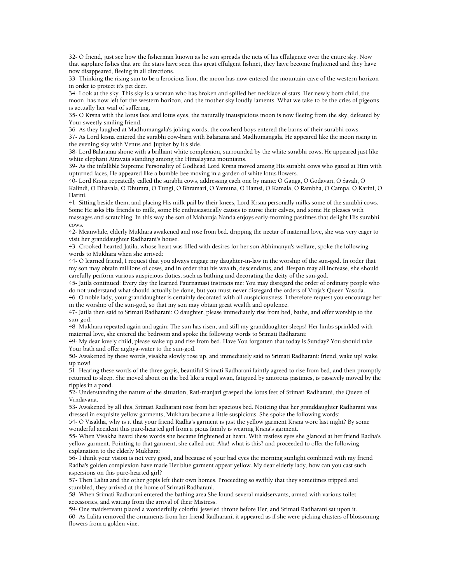32- O friend, just see how the fisherman known as he sun spreads the nets of his effulgence over the entire sky. Now that sapphire fishes that are the stars have seen this great effulgent fishnet, they have become frightened and they have now disappeared, fleeing in all directions.

33- Thinking the rising sun to be a ferocious lion, the moon has now entered the mountain-cave of the western horizon in order to protect it's pet deer.

34- Look at the sky. This sky is a woman who has broken and spilled her necklace of stars. Her newly born child, the moon, has now left for the western horizon, and the mother sky loudly laments. What we take to be the cries of pigeons is actually her wail of suffering.

35- O Krsna with the lotus face and lotus eyes, the naturally inauspicious moon is now fleeing from the sky, defeated by Your sweetly smiling friend.

36- As they laughed at Madhumangala's joking words, the cowherd boys entered the barns of their surabhi cows.

37- As Lord krsna entered the surabhi cow-barn with Balarama and Madhumangala, He appeared like the moon rising in the evening sky with Venus and Jupiter by it's side.

38- Lord Balarama shone with a brilliant white complexion, surrounded by the white surabhi cows, He appeared just like white elephant Airavata standing among the Himalayana mountains.

39- As the infallible Supreme Personality of Godhead Lord Krsna moved among His surabhi cows who gazed at Him with upturned faces, He appeared like a bumble-bee moving in a garden of white lotus flowers.

40- Lord Krsna repeatedly called the surabhi cows, addressing each one by name: O Ganga, O Godavari, O Savali, O Kalindi, O Dhavala, O Dhumra, O Tungi, O Bhramari, O Yamuna, O Hamsi, O Kamala, O Rambha, O Campa, O Karini, O Harini.

41- Sitting beside them, and placing His milk-pail by their knees, Lord Krsna personally milks some of the surabhi cows. Some He asks His friends to milk, some He enthusiastically causes to nurse their calves, and some He pleases with massages and scratching. In this way the son of Maharaja Nanda enjoys early-morning pastimes that delight His surabhi cows.

42- Meanwhile, elderly Mukhara awakened and rose from bed. dripping the nectar of maternal love, she was very eager to visit her granddaughter Radharani's house.

43- Crooked-hearted Jatila, whose heart was filled with desires for her son Abhimanyu's welfare, spoke the following words to Mukhara when she arrived:

44- O learned friend, I request that you always engage my daughter-in-law in the worship of the sun-god. In order that my son may obtain millions of cows, and in order that his wealth, descendants, and lifespan may all increase, she should carefully perform various auspicious duties, such as bathing and decorating the deity of the sun-god.

45- Jatila continued: Every day the learned Paurnamasi instructs me: You may disregard the order of ordinary people who do not understand what should actually be done, but you must never disregard the orders of Vraja's Queen Yasoda.

46- O noble lady, your granddaughter is certainly decorated with all auspiciousness. I therefore request you encourage her in the worship of the sun-god, so that my son may obtain great wealth and opulence.

47- Jatila then said to Srimati Radharani: O daughter, please immediately rise from bed, bathe, and offer worship to the sun-god.

48- Mukhara repeated again and again: The sun has risen, and still my granddaughter sleeps! Her limbs sprinkled with maternal love, she entered the bedroom and spoke the following words to Srimati Radharani:

49- My dear lovely child, please wake up and rise from bed. Have You forgotten that today is Sunday? You should take Your bath and offer arghya-water to the sun-god.

50- Awakened by these words, visakha slowly rose up, and immediately said to Srimati Radharani: friend, wake up! wake up now!

51- Hearing these words of the three gopis, beautiful Srimati Radharani faintly agreed to rise from bed, and then promptly returned to sleep. She moved about on the bed like a regal swan, fatigued by amorous pastimes, is passively moved by the ripples in a pond.

52- Understanding the nature of the situation, Rati-manjari grasped the lotus feet of Srimati Radharani, the Queen of Vrndavana.

53- Awakened by all this, Srimati Radharani rose from her spacious bed. Noticing that her granddaughter Radharani was dressed in exquisite yellow garments, Mukhara became a little suspicious. She spoke the following words:

54- O Visakha, why is it that your friend Radha's garment is just the yellow garment Krsna wore last night? By some wonderful accident this pure-hearted girl from a pious family is wearing Krsna's garment.

55- When Visakha heard these words she became frightened at heart. With restless eyes she glanced at her friend Radha's yellow garment. Pointing to that garment, she called out: Aha! what is this? and proceeded to offer the following explanation to the elderly Mukhara:

56- I think your vision is not very good, and because of your bad eyes the morning sunlight combined with my friend Radha's golden complexion have made Her blue garment appear yellow. My dear elderly lady, how can you cast such aspersions on this pure-hearted girl?

57- Then Lalita and the other gopis left their own homes. Proceeding so swiftly that they sometimes tripped and stumbled, they arrived at the home of Srimati Radharani.

58- When Srimati Radharani entered the bathing area She found several maidservants, armed with various toilet accessories, and waiting from the arrival of their Mistress.

59- One maidservant placed a wonderfully colorful jeweled throne before Her, and Srimati Radharani sat upon it. 60- As Lalita removed the ornaments from her friend Radharani, it appeared as if she were picking clusters of blossoming flowers from a golden vine.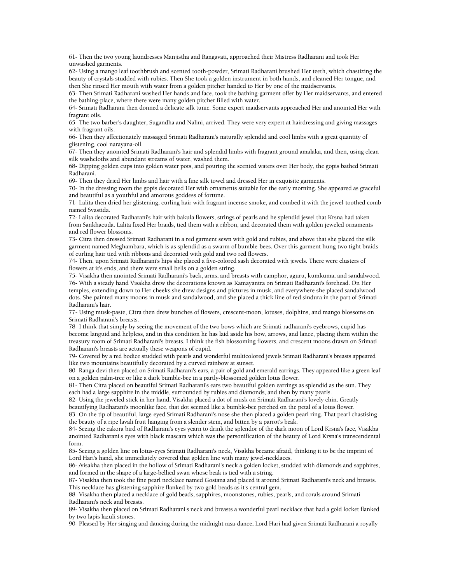61- Then the two young laundresses Manjistha and Rangavati, approached their Mistress Radharani and took Her unwashed garments.

62- Using a mango leaf toothbrush and scented tooth-powder, Srimati Radharani brushed Her teeth, which chastizing the beauty of crystals studded with rubies. Then She took a golden instrument in both hands, and cleaned Her tongue, and then She rinsed Her mouth with water from a golden pitcher handed to Her by one of the maidservants.

63- Then Srimati Radharani washed Her hands and face, took the bathing-garment offer by Her maidservants, and entered the bathing-place, where there were many golden pitcher filled with water.

64- Srimati Radharani then donned a delicate silk tunic. Some expert maidservants approached Her and anointed Her with fragrant oils.

65- The two barber's daughter, Sugandha and Nalini, arrived. They were very expert at hairdressing and giving massages with fragrant oils.

66- Then they affectionately massaged Srimati Radharani's naturally splendid and cool limbs with a great quantity of glistening, cool narayana-oil.

67- Then they anointed Srimati Radharani's hair and splendid limbs with fragrant ground amalaka, and then, using clean silk washcloths and abundant streams of water, washed them.

68- Dipping golden cups into golden water pots, and pouring the scented waters over Her body, the gopis bathed Srimati Radharani.

69- Then they dried Her limbs and hair with a fine silk towel and dressed Her in exquisite garments.

70- In the dressing room the gopis decorated Her with ornaments suitable for the early morning. She appeared as graceful and beautiful as a youthful and amorous goddess of fortune.

71- Lalita then dried her glistening, curling hair with fragrant incense smoke, and combed it with the jewel-toothed comb named Svastida.

72- Lalita decorated Radharani's hair with bakula flowers, strings of pearls and he splendid jewel that Krsna had taken from Sankhacuda. Lalita fixed Her braids, tied them with a ribbon, and decorated them with golden jeweled ornaments and red flower blossoms.

73- Citra then dressed Srimati Radharani in a red garment sewn with gold and rubies, and above that she placed the silk garment named Meghambara, which is as splendid as a swarm of bumble-bees. Over this garment hung two tight braids of curling hair tied with ribbons and decorated with gold and two red flowers.

74- Then, upon Srimati Radharani's hips she placed a five-colored sash decorated with jewels. There were clusters of flowers at it's ends, and there were small bells on a golden string.

75- Visakha then anointed Srimati Radharani's back, arms, and breasts with camphor, aguru, kumkuma, and sandalwood. 76- With a steady hand Visakha drew the decorations known as Kamayantra on Srimati Radharani's forehead. On Her temples, extending down to Her cheeks she drew designs and pictures in musk, and everywhere she placed sandalwood dots. She painted many moons in musk and sandalwood, and she placed a thick line of red sindura in the part of Srimati Radharani's hair.

77- Using musk-paste, Citra then drew bunches of flowers, crescent-moon, lotuses, dolphins, and mango blossoms on Srimati Radharani's breasts.

78- I think that simply by seeing the movement of the two bows which are Srimati radharani's eyebrows, cupid has become languid and helpless, and in this condition he has laid aside his bow, arrows, and lance, placing them within the treasury room of Srimati Radharani's breasts. I think the fish blossoming flowers, and crescent moons drawn on Srimati Radharani's breasts are actually these weapons of cupid.

79- Covered by a red bodice studded with pearls and wonderful multicolored jewels Srimati Radharani's breasts appeared like two mountains beautifully decorated by a curved rainbow at sunset.

80- Ranga-devi then placed on Srimati Radharani's ears, a pair of gold and emerald earrings. They appeared like a green leaf on a golden palm-tree or like a dark bumble-bee in a partly-blossomed golden lotus flower.

81- Then Citra placed on beautiful Srimati Radharani's ears two beautiful golden earrings as splendid as the sun. They each had a large sapphire in the middle, surrounded by rubies and diamonds, and then by many pearls.

82- Using the jeweled stick in her hand, Visakha placed a dot of musk on Srimati Radharani's lovely chin. Greatly beautifying Radharani's moonlike face, that dot seemed like a bumble-bee perched on the petal of a lotus flower.

83- On the tip of beautiful, large-eyed Srimati Radharani's nose she then placed a golden pearl ring. That pearl chastising the beauty of a ripe lavali fruit hanging from a slender stem, and bitten by a parrot's beak.

84- Seeing the cakora bird of Radharani's eyes yearn to drink the splendor of the dark moon of Lord Krsna's face, Visakha anointed Radharani's eyes with black mascara which was the personification of the beauty of Lord Krsna's transcendental form.

85- Seeing a golden line on lotus-eyes Srimati Radharani's neck, Visakha became afraid, thinking it to be the imprint of Lord Hari's hand, she immediately covered that golden line with many jewel-necklaces.

86- /visakha then placed in the hollow of Srimati Radharani's neck a golden locket, studded with diamonds and sapphires, and formed in the shape of a large-bellied swan whose beak is tied with a string.

87- Visakha then took the fine pearl necklace named Gostana and placed it around Srimati Radharani's neck and breasts. This necklace has glistening sapphire flanked by two gold beads as it's central gem.

88- Visakha then placed a necklace of gold beads, sapphires, moonstones, rubies, pearls, and corals around Srimati Radharani's neck and breasts.

89- Visakha then placed on Srimati Radharani's neck and breasts a wonderful pearl necklace that had a gold locket flanked by two lapis lazuli stones.

90- Pleased by Her singing and dancing during the midnight rasa-dance, Lord Hari had given Srimati Radharani a royally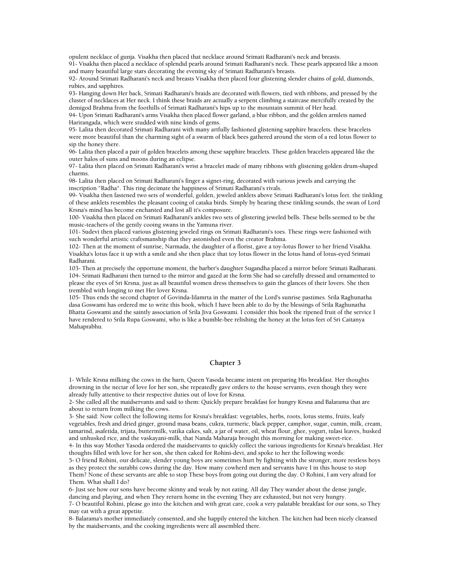opulent necklace of gunja. Visakha then placed that necklace around Srimati Radharani's neck and breasts.

91- Visakha then placed a necklace of splendid pearls around Srimati Radharani's neck. These pearls appeared like a moon and many beautiful large stars decorating the evening sky of Srimati Radharani's breasts.

92- Around Srimati Radharani's neck and breasts Visakha then placed four glistening slender chains of gold, diamonds, rubies, and sapphires.

93- Hanging down Her back, Srimati Radharani's braids are decorated with flowers, tied with ribbons, and pressed by the cluster of necklaces at Her neck. I think these braids are actually a serpent climbing a staircase mercifully created by the demigod Brahma from the foothills of Srimati Radharani's hips up to the mountain summit of Her head.

94- Upon Srimati Radharani's arms Visakha then placed flower garland, a blue ribbon, and the golden armlets named Harirangada, which were studded with nine kinds of gems.

95- Lalita then decorated Srimati Radharani with many artfully fashioned glistening sapphire bracelets. these bracelets were more beautiful than the charming sight of a swarm of black bees gathered around the stem of a red lotus flower to sip the honey there.

96- Lalita then placed a pair of golden bracelets among these sapphire bracelets. These golden bracelets appeared like the outer halos of suns and moons during an eclipse.

97- Lalita then placed on Srimati Radharani's wrist a bracelet made of many ribbons with glistening golden drum-shaped charms.

98- Lalita then placed on Srimati Radharani's finger a signet-ring, decorated with various jewels and carrying the inscription "Radha". This ring decimate the happiness of Srimati Radharani's rivals.

99- Visakha then fastened two sets of wonderful, golden, jeweled anklets above Srimati Radharani's lotus feet. the tinkling of these anklets resembles the pleasant cooing of cataka birds. Simply by hearing these tinkling sounds, the swan of Lord Krsna's mind has become enchanted and lost all it's composure.

100- Visakha then placed on Srimati Radharani's ankles two sets of glistering jeweled bells. These bells seemed to be the music-teachers of the gently cooing swans in the Yamuna river.

101- Sudevi then placed various glistening jeweled rings on Srimati Radharani's toes. These rings were fashioned with such wonderful artistic craftsmanship that they astonished even the creator Brahma.

102- Then at the moment of sunrise, Narmada, the daughter of a florist, gave a toy-lotus flower to her friend Visakha. Visakha's lotus face it up with a smile and she then place that toy lotus flower in the lotus hand of lotus-eyed Srimati Radharani.

103- Then at precisely the opportune moment, the barber's daughter Sugandha placed a mirror before Srimati Radharani. 104- Srimati Radharani then turned to the mirror and gazed at the form She had so carefully dressed and ornamented to please the eyes of Sri Krsna, just as all beautiful women dress themselves to gain the glances of their lovers. She then trembled with longing to met Her lover Krsna.

105- Thus ends the second chapter of Govinda-lilamrta in the matter of the Lord's sunrise pastimes. Srila Raghunatha dasa Goswami has ordered me to write this book, which I have been able to do by the blessings of Srila Raghunatha Bhatta Goswami and the saintly association of Srila Jiva Goswami. I consider this book the ripened fruit of the service I have rendered to Srila Rupa Goswami, who is like a bumble-bee relishing the honey at the lotus feet of Sri Caitanya Mahaprabhu.

# **Chapter 3**

1- While Krsna milking the cows in the barn, Queen Yasoda became intent on preparing His breakfast. Her thoughts drowning in the nectar of love for her son, she repeatedly gave orders to the house servants, even though they were already fully attentive to their respective duties out of love for Krsna.

2- She called all the maidservants and said to them: Quickly prepare breakfast for hungry Krsna and Balarama that are about to return from milking the cows.

3- She said: Now collect the following items for Krsna's breakfast: vegetables, herbs, roots, lotus stems, fruits, leafy vegetables, fresh and dried ginger, ground masa beans, cukra, turmeric, black pepper, camphor, sugar, cumin, milk, cream, tamarind, asafetida, trijata, buttermilk, vatika cakes, salt, a jar of water, oil, wheat flour, ghee, yogurt, tulasi leaves, husked and unhusked rice, and the vaskayani-milk, that Nanda Maharaja brought this morning for making sweet-rice.

4- In this way Mother Yasoda ordered the maidservants to quickly collect the various ingredients for Krsna's breakfast. Her thoughts filled with love for her son, she then caked for Rohini-devi, and spoke to her the following words:

5- O friend Rohini, our delicate, slender young boys are sometimes hurt by fighting with the stronger, more restless boys as they protect the surabhi cows during the day. How many cowherd men and servants have I in this house to stop

Them? None of these servants are able to stop These boys from going out during the day. O Rohini, I am very afraid for Them. What shall I do?

6- Just see how our sons have become skinny and weak by not eating. All day They wander about the dense jungle, dancing and playing, and when They return home in the evening They are exhausted, but not very hungry.

7- O beautiful Rohini, please go into the kitchen and with great care, cook a very palatable breakfast for our sons, so They may eat with a great appetite.

8- Balarama's mother immediately consented, and she happily entered the kitchen. The kitchen had been nicely cleansed by the maidservants, and the cooking ingredients were all assembled there.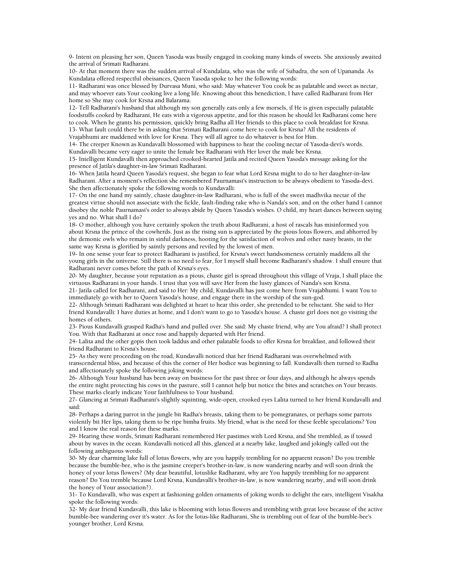9- Intent on pleasing her son, Queen Yasoda was busily engaged in cooking many kinds of sweets. She anxiously awaited the arrival of Srimati Radharani.

10- At that moment there was the sudden arrival of Kundalata, who was the wife of Subadra, the son of Upananda. As Kundalata offered respectful obeisances, Queen Yasoda spoke to her the following words:

11- Radharani was once blessed by Durvasa Muni, who said: May whatever You cook be as palatable and sweet as nectar, and may whoever eats Your cooking live a long life. Knowing about this benediction, I have called Radharani from Her home so She may cook for Krsna and Balarama.

12- Tell Radharani's husband that although my son generally eats only a few morsels, if He is given especially palatable foodstuffs cooked by Radharani, He eats with a vigorous appetite, and for this reason he should let Radharani come here to cook. When he grants his permission, quickly bring Radha all Her friends to this place to cook breakfast for Krsna. 13- What fault could there be in asking that Srimati Radharani come here to cook for Krsna? All the residents of Vrajabhumi are maddened with love for Krsna. They will all agree to do whatever is best for Him.

14- The creeper Known as Kundavalli blossomed with happiness to hear the cooling nectar of Yasoda-devi's words. Kundavalli became very eager to unite the female bee Radharani with Her lover the male bee Krsna.

15- Intelligent Kundavalli then approached crooked-hearted Jatila and recited Queen Yasoda's message asking for the presence of Jatila's daughter-in-law Srimati Radharani.

16- When Jatila heard Queen Yasoda's request, she began to fear what Lord Krsna might to do to her daughter-in-law Radharani. After a moment's reflection she remembered Paurnamasi's instruction to be always obedient to Yasoda-devi. She then affectionately spoke the following words to Kundavalli:

17- On the one hand my saintly, chaste daughter-in-law Radharani, who is full of the sweet madhvika nectar of the greatest virtue should not associate with the fickle, fault-finding rake who is Nanda's son, and on the other hand I cannot disobey the noble Paurnamasi's order to always abide by Queen Yasoda's wishes. O child, my heart dances between saying yes and no. What shall I do?

18- O mother, although you have certainly spoken the truth about Radharani, a host of rascals has misinformed you about Krsna the prince of the cowherds. Just as the rising sun is appreciated by the pious lotus flowers, and abhorred by the demonic owls who remain in sinful darkness, hooting for the satisfaction of wolves and other nasty beasts, in the same way Krsna is glorified by saintly persons and reviled by the lowest of men.

19- In one sense your fear to protect Radharani is justified, for Krsna's sweet handsomeness certainly maddens all the young girls in the universe. Still there is no need to fear, for I myself shall become Radharani's shadow. I shall ensure that Radharani never comes before the path of Krsna's eyes.

20- My daughter, because your reputation as a pious, chaste girl is spread throughout this village of Vraja, I shall place the virtuous Radharani in your hands. I trust that you will save Her from the lusty glances of Nanda's son Krsna.

21- Jatila called for Radharani, and said to Her: My child, Kundavalli has just come here from Vrajabhumi. I want You to immediately go with her to Queen Yasoda's house, and engage there in the worship of the sun-god.

22- Although Srimati Radharani was delighted at heart to hear this order, she pretended to be reluctant. She said to Her friend Kundavalli: I have duties at home, and I don't want to go to Yasoda's house. A chaste girl does not go visiting the homes of others.

23- Pious Kundavalli grasped Radha's hand and pulled over. She said: My chaste friend, why are You afraid? I shall protect You. With that Radharani at once rose and happily departed with Her friend.

24- Lalita and the other gopis then took laddus and other palatable foods to offer Krsna for breakfast, and followed their friend Radharani to Krsna's house.

25- As they were proceeding on the road, Kundavalli noticed that her friend Radharani was overwhelmed with transcendental bliss, and because of this the corner of Her bodice was beginning to fall. Kundavalli then turned to Radha and affectionately spoke the following joking words:

26- Although Your husband has been away on business for the past three or four days, and although he always spends the entire night protecting his cows in the pasture, still I cannot help but notice the bites and scratches on Your breasts. These marks clearly indicate Your faithfulness to Your husband.

27- Glancing at Srimati Radharani's slightly squinting, wide-open, crooked eyes Lalita turned to her friend Kundavalli and said:

28- Perhaps a daring parrot in the jungle bit Radha's breasts, taking them to be pomegranates, or perhaps some parrots violently bit Her lips, taking them to be ripe bimba fruits. My friend, what is the need for these feeble speculations? You and I know the real reason for these marks.

29- Hearing these words, Srimati Radharani remembered Her pastimes with Lord Krsna, and She trembled, as if tossed about by waves in the ocean. Kundavalli noticed all this, glanced at a nearby lake, laughed and jokingly called out the following ambiguous words:

30- My dear charming lake full of lotus flowers, why are you happily trembling for no apparent reason? Do you tremble because the bumble-bee, who is the jasmine creeper's brother-in-law, is now wandering nearby and will soon drink the honey of your lotus flowers? (My dear beautiful, lotuslike Radharani, why are You happily trembling for no apparent reason? Do You tremble because Lord Krsna, Kundavalli's brother-in-law, is now wandering nearby, and will soon drink the honey of Your association?).

31- To Kundavalli, who was expert at fashioning golden ornaments of joking words to delight the ears, intelligent Visakha spoke the following words:

32- My dear friend Kundavalli, this lake is blooming with lotus flowers and trembling with great love because of the active bumble-bee wandering over it's water. As for the lotus-like Radharani, She is trembling out of fear of the bumble-bee's younger brother, Lord Krsna.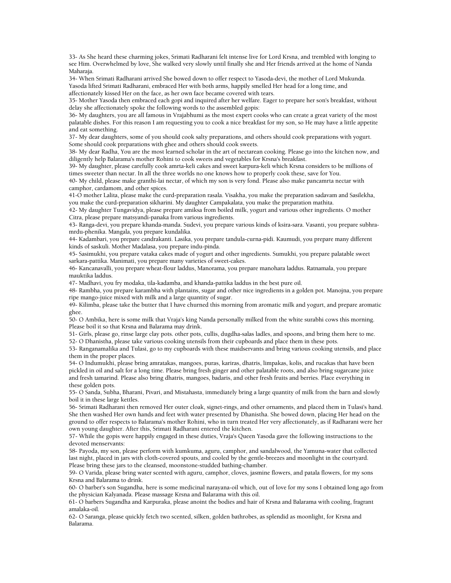33- As She heard these charming jokes, Srimati Radharani felt intense live for Lord Krsna, and trembled with longing to see Him. Overwhelmed by love, She walked very slowly until finally she and Her friends arrived at the home of Nanda Maharaja.

34- When Srimati Radharani arrived She bowed down to offer respect to Yasoda-devi, the mother of Lord Mukunda. Yasoda lifted Srimati Radharani, embraced Her with both arms, happily smelled Her head for a long time, and affectionately kissed Her on the face, as her own face became covered with tears.

35- Mother Yasoda then embraced each gopi and inquired after her welfare. Eager to prepare her son's breakfast, without delay she affectionately spoke the following words to the assembled gopis:

36- My daughters, you are all famous in Vrajabhumi as the most expert cooks who can create a great variety of the most palatable dishes. For this reason I am requesting you to cook a nice breakfast for my son, so He may have a little appetite and eat something.

37- My dear daughters, some of you should cook salty preparations, and others should cook preparations with yogurt. Some should cook preparations with ghee and others should cook sweets.

38- My dear Radha, You are the most learned scholar in the art of nectarean cooking. Please go into the kitchen now, and diligently help Balarama's mother Rohini to cook sweets and vegetables for Krsna's breakfast.

39- My daughter, please carefully cook amrta-keli cakes and sweet karpura-keli which Krsna considers to be millions of times sweeter than nectar. In all the three worlds no one knows how to properly cook these, save for You.

40- My child, please make granthi-lai nectar, of which my son is very fond. Please also make pancamrta nectar with camphor, cardamom, and other spices.

41-O mother Lalita, please make the curd-preparation rasala. Visakha, you make the preparation sadavam and Sasilekha, you make the curd-preparation sikharini. My daughter Campakalata, you make the preparation mathita.

42- My daughter Tungavidya, please prepare amiksa from boiled milk, yogurt and various other ingredients. O mother Citra, please prepare matsyandi-panaka from various ingredients.

43- Ranga-devi, you prepare khanda-manda. Sudevi, you prepare various kinds of ksira-sara. Vasanti, you prepare subhramrdu-phenika. Mangala, you prepare kundalika.

44- Kadambari, you prepare candrakanti. Lasika, you prepare tandula-curna-pidi. Kaumudi, you prepare many different kinds of saskuli. Mother Madalasa, you prepare indu-pinda.

45- Sasimukhi, you prepare vataka cakes made of yogurt and other ingredients. Sumukhi, you prepare palatable sweet sarkara-pattika. Manimati, you prepare many varieties of sweet-cakes.

46- Kancanavalli, you prepare wheat-flour laddus, Manorama, you prepare manohara laddus. Ratnamala, you prepare mauktika laddus.

47- Madhavi, you fry modaka, tila-kadamba, and khanda-pattika laddus in the best pure oil.

48- Rambha, you prepare karambha with plantains, sugar and other nice ingredients in a golden pot. Manojna, you prepare ripe mango-juice mixed with milk and a large quantity of sugar.

49- Kilimba, please take the butter that I have churned this morning from aromatic milk and yogurt, and prepare aromatic ghee.

50- O Ambika, here is some milk that Vraja's king Nanda personally milked from the white surabhi cows this morning. Please boil it so that Krsna and Balarama may drink.

51- Girls, please go, rinse large clay pots. other pots, cullis, dugdha-salas ladles, and spoons, and bring them here to me. 52- O Dhanistha, please take various cooking utensils from their cupboards and place them in these pots.

53- Ranganamalika and Tulasi, go to my cupboards with these maidservants and bring various cooking utensils, and place them in the proper places.

54- O Indumukhi, please bring amratakas, mangoes, puras, kariras, dhatris, limpakas, kolis, and rucakas that have been pickled in oil and salt for a long time. Please bring fresh ginger and other palatable roots, and also bring sugarcane juice and fresh tamarind. Please also bring dhatris, mangoes, badaris, and other fresh fruits and berries. Place everything in these golden pots.

55- O Sanda, Subha, Bharani, Pivari, and Mistahasta, immediately bring a large quantity of milk from the barn and slowly boil it in these large kettles.

56- Srimati Radharani then removed Her outer cloak, signet-rings, and other ornaments, and placed them in Tulasi's hand. She then washed Her own hands and feet with water presented by Dhanistha. She bowed down, placing Her head on the ground to offer respects to Balarama's mother Rohini, who in turn treated Her very affectionately, as if Radharani were her own young daughter. After this, Srimati Radharani entered the kitchen.

57- While the gopis were happily engaged in these duties, Vraja's Queen Yasoda gave the following instructions to the devoted menservants:

58- Payoda, my son, please perform with kumkuma, aguru, camphor, and sandalwood, the Yamuna-water that collected last night, placed in jars with cloth-covered spouts, and cooled by the gentle-breezes and moonlight in the courtyard. Please bring these jars to the cleansed, moonstone-studded bathing-chamber.

59- O Varida, please bring water scented with aguru, camphor, cloves, jasmine flowers, and patala flowers, for my sons Krsna and Balarama to drink.

60- O barber's son Sugandha, here is some medicinal narayana-oil which, out of love for my sons I obtained long ago from the physician Kalyanada. Please massage Krsna and Balarama with this oil.

61- O barbers Sugandha and Karpuraka, please anoint the bodies and hair of Krsna and Balarama with cooling, fragrant amalaka-oil.

62- O Saranga, please quickly fetch two scented, silken, golden bathrobes, as splendid as moonlight, for Krsna and Balarama.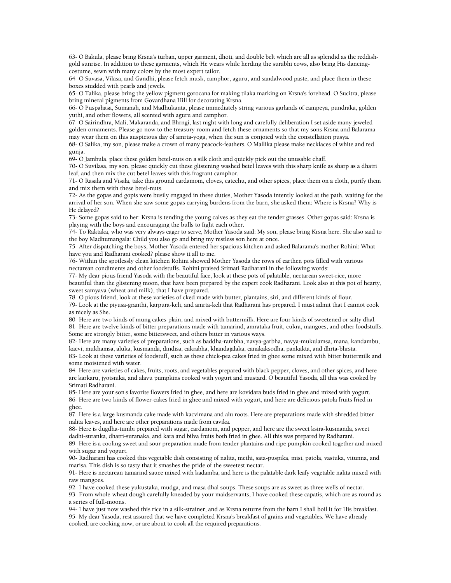63- O Bakula, please bring Krsna's turban, upper garment, dhoti, and double belt which are all as splendid as the reddishgold sunrise. In addition to these garments, which He wears while herding the surabhi cows, also bring His dancingcostume, sewn with many colors by the most expert tailor.

64- O Suvasa, Vilasa, and Gandhi, please fetch musk, camphor, aguru, and sandalwood paste, and place them in these boxes studded with pearls and jewels.

65- O Talika, please bring the yellow pigment gorocana for making tilaka marking on Krsna's forehead. O Sucitra, please bring mineral pigments from Govardhana Hill for decorating Krsna.

66- O Puspahasa, Sumanah, and Madhukanta, please immediately string various garlands of campeya, pundraka, golden yuthi, and other flowers, all scented with aguru and camphor.

67- O Sairindhra, Mali, Makaranda, and Bhrngi, last night with long and carefully deliberation I set aside many jeweled golden ornaments. Please go now to the treasury room and fetch these ornaments so that my sons Krsna and Balarama may wear them on this auspicious day of amrta-yoga, when the sun is conjoied with the constellation pusya.

68- O Salika, my son, please make a crown of many peacock-feathers. O Mallika please make necklaces of white and red gunja.

69- O Jambula, place these golden betel-nuts on a silk cloth and quickly pick out the unusable chaff.

70- O Suvilasa, my son, please quickly cut these glistening washed betel leaves with this sharp knife as sharp as a dhatri leaf, and then mix the cut betel leaves with this fragrant camphor.

71- O Rasala and Visala, take this ground cardamom, cloves, catechu, and other spices, place them on a cloth, purify them and mix them with these betel-nuts.

72- As the gopas and gopis were busily engaged in these duties, Mother Yasoda intently looked at the path, waiting for the arrival of her son. When she saw some gopas carrying burdens from the barn, she asked them: Where is Krsna? Why is He delayed?

73- Some gopas said to her: Krsna is tending the young calves as they eat the tender grasses. Other gopas said: Krsna is playing with the boys and encouraging the bulls to fight each other.

74- To Raktaka, who was very always eager to serve, Mother Yasoda said: My son, please bring Krsna here. She also said to the boy Madhumangala: Child you also go and bring my restless son here at once.

75- After dispatching the boys, Mother Yasoda entered her spacious kitchen and asked Balarama's mother Rohini: What have you and Radharani cooked? please show it all to me.

76- Within the spotlessly clean kitchen Rohini showed Mother Yasoda the rows of earthen pots filled with various nectarean condiments and other foodstuffs. Rohini praised Srimati Radharani in the following words:

77- My dear pious friend Yasoda with the beautiful face, look at these pots of palatable, nectarean sweet-rice, more beautiful than the glistening moon, that have been prepared by the expert cook Radharani. Look also at this pot of hearty, sweet samyava (wheat and milk), that I have prepared.

78- O pious friend, look at these varieties of cked made with butter, plantains, siri, and different kinds of flour.

79- Look at the piyusa-granthi, karpura-keli, and amrta-keli that Radharani has prepared. I must admit that I cannot cook as nicely as She.

80- Here are two kinds of mung cakes-plain, and mixed with buttermilk. Here are four kinds of sweetened or salty dhal. 81- Here are twelve kinds of bitter preparations made with tamarind, amrataka fruit, cukra, mangoes, and other foodstuffs. Some are strongly bitter, some bittersweet, and others bitter in various ways.

82- Here are many varieties of preparations, such as baddha-rambha, navya-garbha, navya-mukulamsa, mana, kandambu, kacvi, mukhamsa, aluka, kusmanda, dindisa, cakrabha, khandajalaka, canakaksodha, pankakta, and dhrta-bhrsta.

83- Look at these varieties of foodstuff, such as these chick-pea cakes fried in ghee some mixed with bitter buttermilk and some moistened with water.

84- Here are varieties of cakes, fruits, roots, and vegetables prepared with black pepper, cloves, and other spices, and here are karkaru, jyotsnika, and alavu pumpkins cooked with yogurt and mustard. O beautiful Yasoda, all this was cooked by Srimati Radharani.

85- Here are your son's favorite flowers fried in ghee, and here are kovidara buds fried in ghee and mixed with yogurt. 86- Here are two kinds of flower-cakes fried in ghee and mixed with yogurt, and here are delicious patola fruits fried in ghee.

87- Here is a large kusmanda cake made with kacvimana and alu roots. Here are preparations made with shredded bitter nalita leaves, and here are other preparations made from cavika.

88- Here is dugdha-tumbi prepared with sugar, cardamom, and pepper, and here are the sweet ksira-kusmanda, sweet dadhi-suranka, dhatri-suranaka, and kara and bilva fruits both fried in ghee. All this was prepared by Radharani. 89- Here is a cooling sweet and sour preparation made from tender plantains and ripe pumpkin cooked together and mixed

with sugar and yogurt.

90- Radharani has cooked this vegetable dish consisting of nalita, methi, sata-puspika, misi, patola, vastuka, vitunna, and marisa. This dish is so tasty that it smashes the pride of the sweetest nectar.

91- Here is nectarean tamarind sauce mixed with kadamba, and here is the palatable dark leafy vegetable nalita mixed with raw mangoes.

92- I have cooked these yukustaka, mudga, and masa dhal soups. These soups are as sweet as three wells of nectar.

93- From whole-wheat dough carefully kneaded by your maidservants, I have cooked these capatis, which are as round as a series of full-moons.

94- I have just now washed this rice in a silk-strainer, and as Krsna returns from the barn I shall boil it for His breakfast. 95- My dear Yasoda, rest assured that we have completed Krsna's breakfast of grains and vegetables. We have already cooked, are cooking now, or are about to cook all the required preparations.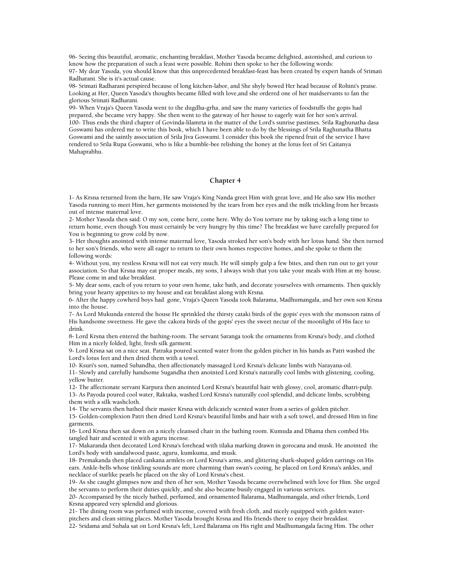96- Seeing this beautiful, aromatic, enchanting breakfast, Mother Yasoda became delighted, astonished, and curious to know how the preparation of such a feast were possible. Rohini then spoke to her the following words: 97- My dear Yasoda, you should know that this unprecedented breakfast-feast has been created by expert hands of Srimati Radharani. She is it's actual cause.

98- Srimati Radharani perspired because of long kitchen-labor, and She shyly bowed Her head because of Rohini's praise. Looking at Her, Queen Yasoda's thoughts became filled with love,and she ordered one of her maidservants to fan the glorious Srimati Radharani.

99- When Vraja's Queen Yasoda went to the dugdha-grha, and saw the many varieties of foodstuffs the gopis had prepared, she became very happy. She then went to the gateway of her house to eagerly wait for her son's arrival. 100- Thus ends the third chapter of Govinda-lilamrta in the matter of the Lord's sunrise pastimes. Srila Raghunatha dasa Goswami has ordered me to write this book, which I have been able to do by the blessings of Srila Raghunatha Bhatta Goswami and the saintly association of Srila Jiva Goswami. I consider this book the ripened fruit of the service I have rendered to Srila Rupa Goswami, who is like a bumble-bee relishing the honey at the lotus feet of Sri Caitanya Mahaprabhu.

#### **Chapter 4**

1- As Krsna returned from the barn, He saw Vraja's King Nanda greet Him with great love, and He also saw His mother Yasoda running to meet Him, her garments moistened by the tears from her eyes and the milk trickling from her breasts out of intense maternal love.

2- Mother Yasoda then said: O my son, come here, come here. Why do You torture me by taking such a long time to return home, even though You must certainly be very hungry by this time? The breakfast we have carefully prepared for You is beginning to grow cold by now.

3- Her thoughts anointed with intense maternal love, Yasoda stroked her son's body with her lotus hand. She then turned to her son's friends, who were all eager to return to their own homes respective homes, and she spoke to them the following words:

4- Without you, my restless Krsna will not eat very much. He will simply gulp a few bites, and then run out to get your association. So that Krsna may eat proper meals, my sons, I always wish that you take your meals with Him at my house. Please come in and take breakfast.

5- My dear sons, each of you return to your own home, take bath, and decorate yourselves with ornaments. Then quickly bring your hearty appetites to my house and eat breakfast along with Krsna.

6- After the happy cowherd boys had gone, Vraja's Queen Yasoda took Balarama, Madhumangala, and her own son Krsna into the house.

7- As Lord Mukunda entered the house He sprinkled the thirsty cataki birds of the gopis' eyes with the monsoon rains of His handsome sweetness. He gave the cakora birds of the gopis' eyes the sweet nectar of the moonlight of His face to drink.

8- Lord Krsna then entered the bathing-room. The servant Saranga took the ornaments from Krsna's body, and clothed Him in a nicely folded, light, fresh silk garment.

9- Lord Krsna sat on a nice seat. Patraka poured scented water from the golden pitcher in his hands as Patri washed the Lord's lotus feet and then dried them with a towel.

10- Ksuri's son, named Subandha, then affectionately massaged Lord Krsna's delicate limbs with Narayana-oil.

11- Slowly and carefully handsome Sugandha then anointed Lord Krsna's naturally cool limbs with glistening, cooling, yellow butter.

12- The affectionate servant Karpura then anointed Lord Krsna's beautiful hair with glossy, cool, aromatic dhatri-pulp. 13- As Payoda poured cool water, Raktaka, washed Lord Krsna's naturally cool splendid, and delicate limbs, scrubbing them with a silk washcloth.

14- The servants then bathed their master Krsna with delicately scented water from a series of golden pitcher.

15- Golden-complexion Patri then dried Lord Krsna's beautiful limbs and hair with a soft towel, and dressed Him in fine garments.

16- Lord Krsna then sat down on a nicely cleansed chair in the bathing room. Kumuda and Dhama then combed His tangled hair and scented it with aguru incense.

17- Makaranda then decorated Lord Krsna's forehead with tilaka marking drawn in gorocana and musk. He anointed the Lord's body with sandalwood paste, aguru, kumkuma, and musk.

18- Premakanda then placed cankana armlets on Lord Krsna's arms, and glittering shark-shaped golden earrings on His ears. Ankle-bells whose tinkling sounds are more charming than swan's cooing, he placed on Lord Krsna's ankles, and necklace of starlike pearls he placed on the sky of Lord Krsna's chest.

19- As she caught glimpses now and then of her son, Mother Yasoda became overwhelmed with love for Him. She urged the servants to perform their duties quickly, and she also became busily engaged in various services.

20- Accompanied by the nicely bathed, perfumed, and ornamented Balarama, Madhumangala, and other friends, Lord Krsna appeared very splendid and glorious.

21- The dining room was perfumed with incense, covered with fresh cloth, and nicely equipped with golden waterpitchers and clean sitting places. Mother Yasoda brought Krsna and His friends there to enjoy their breakfast.

22- Sridama and Subala sat on Lord Krsna's left, Lord Balarama on His right and Madhumangala facing Him. The other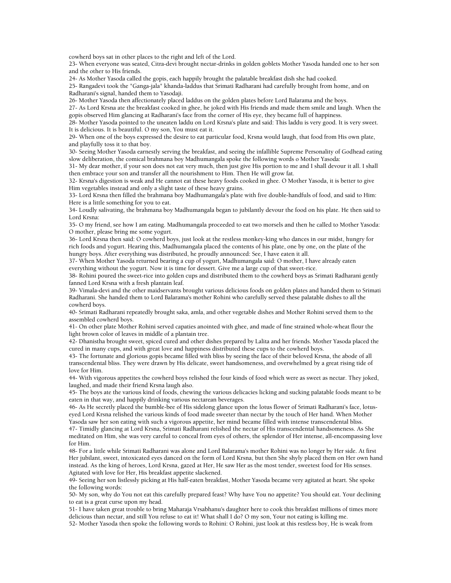cowherd boys sat in other places to the right and left of the Lord.

23- When everyone was seated, Citra-devi brought nectar-drinks in golden goblets Mother Yasoda handed one to her son and the other to His friends.

24- As Mother Yasoda called the gopis, each happily brought the palatable breakfast dish she had cooked.

25- Rangadevi took the "Ganga-jala" khanda-laddus that Srimati Radharani had carefully brought from home, and on Radharani's signal, handed them to Yasodaji.

26- Mother Yasoda then affectionately placed laddus on the golden plates before Lord Balarama and the boys.

27- As Lord Krsna ate the breakfast cooked in ghee, he joked with His friends and made them smile and laugh. When the gopis observed Him glancing at Radharani's face from the corner of His eye, they became full of happiness.

28- Mother Yasoda pointed to the uneaten laddu on Lord Krsna's plate and said: This laddu is very good. It is very sweet. It is delicious. It is beautiful. O my son, You must eat it.

29- When one of the boys expressed the desire to eat particular food, Krsna would laugh, that food from His own plate, and playfully toss it to that boy.

30- Seeing Mother Yasoda earnestly serving the breakfast, and seeing the infallible Supreme Personality of Godhead eating slow deliberation, the comical brahmana boy Madhumangala spoke the following words o Mother Yasoda:

31- My dear mother, if your son does not eat very much, then just give His portion to me and I shall devour it all. I shall then embrace your son and transfer all the nourishment to Him. Then He will grow fat.

32- Krsna's digestion is weak and He cannot eat these heavy foods cooked in ghee. O Mother Yasoda, it is better to give Him vegetables instead and only a slight taste of these heavy grains.

33- Lord Krsna then filled the brahmana boy Madhumangala's plate with five double-handfuls of food, and said to Him: Here is a little something for you to eat.

34- Loudly salivating, the brahmana boy Madhumangala began to jubilantly devour the food on his plate. He then said to Lord Krsna:

35- O my friend, see how I am eating. Madhumangala proceeded to eat two morsels and then he called to Mother Yasoda: O mother, please bring me some yogurt.

36- Lord Krsna then said: O cowherd boys, just look at the restless monkey-king who dances in our midst, hungry for rich foods and yogurt. Hearing this, Madhumangala placed the contents of his plate, one by one, on the plate of the hungry boys. After everything was distributed, he proudly announced: See, I have eaten it all.

37- When Mother Yasoda returned bearing a cup of yogurt, Madhumangala said: O mother, I have already eaten everything without the yogurt. Now it is time for dessert. Give me a large cup of that sweet-rice.

38- Rohini poured the sweet-rice into golden cups and distributed them to the cowherd boys as Srimati Radharani gently fanned Lord Krsna with a fresh plantain leaf.

39- Vimala-devi and the other maidservants brought various delicious foods on golden plates and handed them to Srimati Radharani. She handed them to Lord Balarama's mother Rohini who carefully served these palatable dishes to all the cowherd boys.

40- Srimati Radharani repeatedly brought saka, amla, and other vegetable dishes and Mother Rohini served them to the assembled cowherd boys.

41- On other plate Mother Rohini served capaties anointed with ghee, and made of fine strained whole-wheat flour the light brown color of leaves in middle of a plantain tree.

42- Dhanistha brought sweet, spiced cured and other dishes prepared by Lalita and her friends. Mother Yasoda placed the cured in many cups, and with great love and happiness distributed these cups to the cowherd boys.

43- The fortunate and glorious gopis became filled with bliss by seeing the face of their beloved Krsna, the abode of all transcendental bliss. They were drawn by His delicate, sweet handsomeness, and overwhelmed by a great rising tide of love for Him.

44- With vigorous appetites the cowherd boys relished the four kinds of food which were as sweet as nectar. They joked, laughed, and made their friend Krsna laugh also.

45- The boys ate the various kind of foods, chewing the various delicacies licking and sucking palatable foods meant to be eaten in that way, and happily drinking various nectarean beverages.

46- As He secretly placed the bumble-bee of His sidelong glance upon the lotus flower of Srimati Radharani's face, lotuseyed Lord Krsna relished the various kinds of food made sweeter than nectar by the touch of Her hand. When Mother Yasoda saw her son eating with such a vigorous appetite, her mind became filled with intense transcendental bliss.

47- Timidly glancing at Lord Krsna, Srimati Radharani relished the nectar of His transcendental handsomeness. As She meditated on Him, she was very careful to conceal from eyes of others, the splendor of Her intense, all-encompassing love for Him.

48- For a little while Srimati Radharani was alone and Lord Balarama's mother Rohini was no longer by Her side. At first Her jubilant, sweet, intoxicated eyes danced on the form of Lord Krsna, but then She shyly placed them on Her own hand instead. As the king of heroes, Lord Krsna, gazed at Her, He saw Her as the most tender, sweetest food for His senses. Agitated with love for Her, His breakfast appetite slackened.

49- Seeing her son listlessly picking at His half-eaten breakfast, Mother Yasoda became very agitated at heart. She spoke the following words:

50- My son, why do You not eat this carefully prepared feast? Why have You no appetite? You should eat. Your declining to eat is a great curse upon my head.

51- I have taken great trouble to bring Maharaja Vrsabhanu's daughter here to cook this breakfast millions of times more delicious than nectar, and still You refuse to eat it! What shall I do? O my son, Your not eating is killing me.

52- Mother Yasoda then spoke the following words to Rohini: O Rohini, just look at this restless boy, He is weak from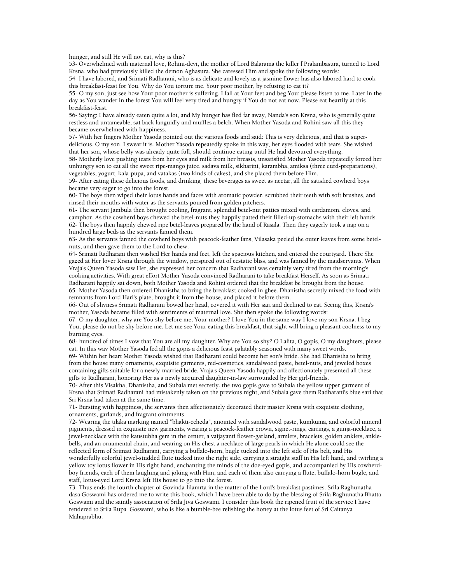hunger, and still He will not eat, why is this?

53- Overwhelmed with maternal love, Rohini-devi, the mother of Lord Balarama the killer f Pralambasura, turned to Lord Krsna, who had previously killed the demon Aghasura. She caressed Him and spoke the following words:

54- I have labored, and Srimati Radharani, who is as delicate and lovely as a jasmine flower has also labored hard to cook this breakfast-feast for You. Why do You torture me, Your poor mother, by refusing to eat it?

55- O my son, just see how Your poor mother is suffering. I fall at Your feet and beg You: please listen to me. Later in the day as You wander in the forest You will feel very tired and hungry if You do not eat now. Please eat heartily at this breakfast-feast.

56- Saying: I have already eaten quite a lot, and My hunger has fled far away, Nanda's son Krsna, who is generally quite restless and untameable, sat back languidly and muffles a belch. When Mother Yasoda and Rohini saw all this they became overwhelmed with happiness.

57- With her fingers Mother Yasoda pointed out the various foods and said: This is very delicious, and that is superdelicious. O my son, I swear it is. Mother Yasoda repeatedly spoke in this way, her eyes flooded with tears. She wished that her son, whose belly was already quite full, should continue eating until He had devoured everything.

58- Motherly love pushing tears from her eyes and milk from her breasts, unsatisfied Mother Yasoda repeatedly forced her unhungry son to eat all the sweet ripe-mango juice, sadava milk, sikharini, karambha, amiksa (three curd-preparations), vegetables, yogurt, kala-pupa, and vatakas (two kinds of cakes), and she placed them before Him.

59- After eating these delicious foods, and drinking these beverages as sweet as nectar, all the satisfied cowherd boys became very eager to go into the forest.

60- The boys then wiped their lotus hands and faces with aromatic powder, scrubbed their teeth with soft brushes, and rinsed their mouths with water as the servants poured from golden pitchers.

61- The servant Jambula then brought cooling, fragrant, splendid betel-nut patties mixed with cardamom, cloves, and camphor. As the cowherd boys chewed the betel-nuts they happily patted their filled-up stomachs with their left hands. 62- The boys then happily chewed ripe betel-leaves prepared by the hand of Rasala. Then they eagerly took a nap on a hundred large beds as the servants fanned them.

63- As the servants fanned the cowherd boys with peacock-feather fans, Vilasaka peeled the outer leaves from some betelnuts, and then gave them to the Lord to chew.

64- Srimati Radharani then washed Her hands and feet, left the spacious kitchen, and entered the courtyard. There She gazed at Her lover Krsna through the window, perspired out of ecstatic bliss, and was fanned by the maidservants. When Vraja's Queen Yasoda saw Her, she expressed her concern that Radharani was certainly very tired from the morning's cooking activities. With great effort Mother Yasoda convinced Radharani to take breakfast Herself. As soon as Srimati Radharani happily sat down, both Mother Yasoda and Rohini ordered that the breakfast be brought from the house. 65- Mother Yasoda then ordered Dhanistha to bring the breakfast cooked in ghee. Dhanistha secretly mixed the food with remnants from Lord Hari's plate, brought it from the house, and placed it before them.

66- Out of shyness Srimati Radharani bowed her head, covered it with Her sari and declined to eat. Seeing this, Krsna's mother, Yasoda became filled with sentiments of maternal love. She then spoke the following words:

67- O my daughter, why are You shy before me, Your mother? I love You in the same way I love my son Krsna. I beg You, please do not be shy before me. Let me see Your eating this breakfast, that sight will bring a pleasant coolness to my burning eyes.

68- hundred of times I vow that You are all my daughter. Why are You so shy? O Lalita, O gopis, O my daughters, please eat. In this way Mother Yasoda fed all the gopis a delicious feast palatably seasoned with many sweet words.

69- Within her heart Mother Yasoda wished that Radharani could become her son's bride. She had Dhanistha to bring from the house many ornaments, exquisite garments, red-cosmetics, sandalwood paste, betel-nuts, and jeweled boxes containing gifts suitable for a newly-married bride. Vraja's Queen Yasoda happily and affectionately presented all these gifts to Radharani, honoring Her as a newly acquired daughter-in-law surrounded by Her girl-friends.

70- After this Visakha, Dhanistha, and Subala met secretly. the two gopis gave to Subala the yellow upper garment of Krsna that Srimati Radharani had mistakenly taken on the previous night, and Subala gave them Radharani's blue sari that Sri Krsna had taken at the same time.

71- Bursting with happiness, the servants then affectionately decorated their master Krsna with exquisite clothing, ornaments, garlands, and fragrant ointments.

72- Wearing the tilaka marking named "bhakti-ccheda", anointed with sandalwood paste, kumkuma, and colorful mineral pigments, dressed in exquisite new garments, wearing a peacock-feather crown, signet-rings, earrings, a gunja-necklace, a jewel-necklace with the kaustubha gem in the center, a vaijayanti flower-garland, armlets, bracelets, golden anklets, anklebells, and an ornamental chain, and wearing on His chest a necklace of large pearls in which He alone could see the reflected form of Srimati Radharani, carrying a buffalo-horn, bugle tucked into the left side of His belt, and His wonderfully colorful jewel-studded flute tucked into the right side, carrying a straight staff in His left hand, and twirling a yellow toy lotus flower in His right hand, enchanting the minds of the doe-eyed gopis, and accompanied by His cowherdboy friends, each of them laughing and joking with Him, and each of them also carrying a flute, buffalo-horn bugle, and staff, lotus-eyed Lord Krsna left His house to go into the forest.

73- Thus ends the fourth chapter of Govinda-lilamrta in the matter of the Lord's breakfast pastimes. Srila Raghunatha dasa Goswami has ordered me to write this book, which I have been able to do by the blessing of Srila Raghunatha Bhatta Goswami and the saintly association of Srila Jiva Goswami. I consider this book the ripened fruit of the service I have rendered to Srila Rupa Goswami, who is like a bumble-bee relishing the honey at the lotus feet of Sri Caitanya Mahaprabhu.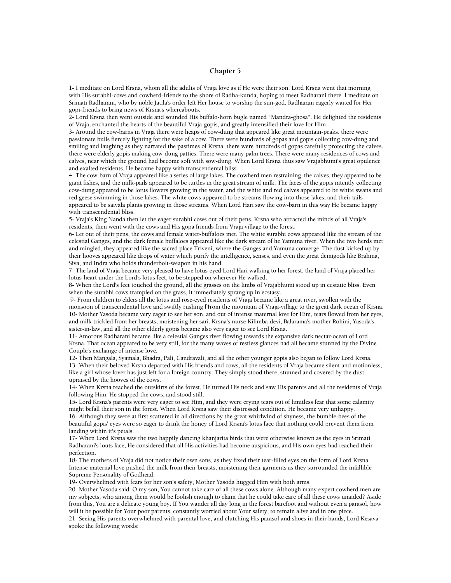#### **Chapter 5**

1- I meditate on Lord Krsna, whom all the adults of Vraja love as if He were their son. Lord Krsna went that morning with His surabhi-cows and cowherd-friends to the shore of Radha-kunda, hoping to meet Radharani there. I meditate on Srimati Radharani, who by noble Jatila's order left Her house to worship the sun-god. Radharani eagerly waited for Her gopi-friends to bring news of Krsna's whereabouts.

2- Lord Krsna then went outside and sounded His buffalo-horn bugle named "Mandra-ghosa". He delighted the residents of Vraja, enchanted the hearts of the beautiful Vraja-gopis, and greatly intensified their love for Him.

3- Around the cow-barns in Vraja there were heaps of cow-dung that appeared like great mountain-peaks. there were passionate bulls fiercely fighting for the sake of a cow. There were hundreds of gopas and gopis collecting cow-dung and smiling and laughing as they narrated the pastimes of Krsna. there were hundreds of gopas carefully protecting the calves. there were elderly gopis making cow-dung patties. There were many palm trees. There were many residences of cows and calves, near which the ground had become soft with sow-dung. When Lord Krsna thus saw Vrajabhumi's great opulence and exalted residents, He became happy with transcendental bliss.

4- The cow-barn of Vraja appeared like a series of large lakes. The cowherd men restraining the calves, they appeared to be giant fishes, and the milk-pails appeared to be turtles in the great stream of milk. The faces of the gopis intently collecting cow-dung appeared to be lotus flowers growing in the water, and the white and red calves appeared to be white swans and red geese swimming in those lakes. The white cows appeared to be streams flowing into those lakes, and their tails appeared to be saivala plants growing in those streams. When Lord Hari saw the cow-barn in this way He became happy with transcendental bliss.

5- Vraja's King Nanda then let the eager surabhi cows out of their pens. Krsna who attracted the minds of all Vraja's residents, then went with the cows and His gopa friends from Vraja village to the forest.

6- Let out of their pens, the cows and female water-buffaloes met. The white surabhi cows appeared like the stream of the celestial Ganges, and the dark female buffaloes appeared like the dark stream of he Yamuna river. When the two herds met and mingled, they appeared like the sacred place Triveni, where the Ganges and Yamuna converge. The dust kicked up by their hooves appeared like drops of water which purify the intelligence, senses, and even the great demigods like Brahma, Siva, and Indra who holds thunderbolt-weapon in his hand.

7- The land of Vraja became very pleased to have lotus-eyed Lord Hari walking to her forest. the land of Vraja placed her lotus-heart under the Lord's lotus feet, to be stepped on wherever He walked.

8- When the Lord's feet touched the ground, all the grasses on the limbs of Vrajabhumi stood up in ecstatic bliss. Even when the surabhi cows trampled on the grass, it immediately sprang up in ecstasy.

 9- From children to elders all the lotus and rose-eyed residents of Vraja became like a great river, swollen with the monsoon of transcendental love and swiftly rushing f4rom the mountain of Vraja-village to the great dark ocean of Krsna. 10- Mother Yasoda became very eager to see her son, and out of intense maternal love for Him, tears flowed from her eyes, and milk trickled from her breasts, moistening her sari. Krsna's nurse Kilimba-devi, Balarama's mother Rohini, Yasoda's sister-in-law, and all the other elderly gopis became also very eager to see Lord Krsna.

11- Amorous Radharani became like a celestial Ganges river flowing towards the expansive dark nectar-ocean of Lord Krsna. That ocean appeared to be very still, for the many waves of restless glances had all became stunned by the Divine Couple's exchange of intense love.

12- Then Mangala, Syamala, Bhadra, Pali, Candravali, and all the other younger gopis also began to follow Lord Krsna. 13- When their beloved Krsna departed with His friends and cows, all the residents of Vraja became silent and motionless, like a girl whose lover has just left for a foreign country. They simply stood there, stunned and covered by the dust upraised by the hooves of the cows.

14- When Krsna reached the outskirts of the forest, He turned His neck and saw His parents and all the residents of Vraja following Him. He stopped the cows, and stood still.

15- Lord Krsna's parents were very eager to see Him, and they were crying tears out of limitless fear that some calamity might befall their son in the forest. When Lord Krsna saw their distressed condition, He became very unhappy.

16- Although they were at first scattered in all directions by the great whirlwind of shyness, the bumble-bees of the beautiful gopis' eyes were so eager to drink the honey of Lord Krsna's lotus face that nothing could prevent them from landing within it's petals.

17- When Lord Krsna saw the two happily dancing khanjarita birds that were otherwise known as the eyes in Srimati Radharani's louts face, He considered that all His activities had become auspicious, and His own eyes had reached their perfection.

18- The mothers of Vraja did not notice their own sons, as they fixed their tear-filled eyes on the form of Lord Krsna. Intense maternal love pushed the milk from their breasts, moistening their garments as they surrounded the infallible Supreme Personality of Godhead.

19- Overwhelmed with fears for her son's safety, Mother Yasoda hugged Him with both arms.

20- Mother Yasoda said: O my son, You cannot take care of all these cows alone. Although many expert cowherd men are my subjects, who among them would be foolish enough to claim that he could take care of all these cows unaided? Aside from this, You are a delicate young boy. If You wander all day long in the forest barefoot and without even a parasol, how will it be possible for Your poor parents, constantly worried about Your safety, to remain alive and in one piece.

21- Seeing His parents overwhelmed with parental love, and clutching His parasol and shoes in their hands, Lord Kesava spoke the following words: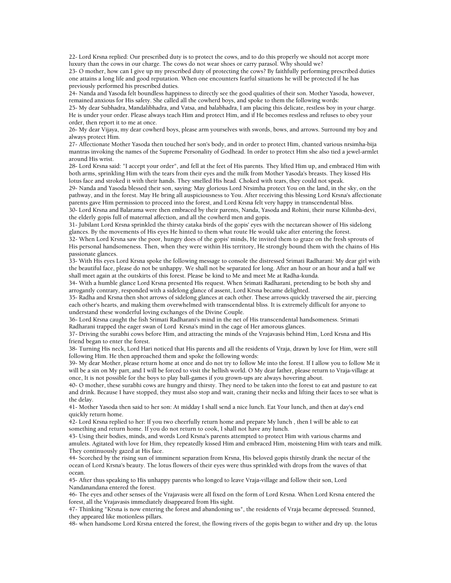22- Lord Krsna replied: Our prescribed duty is to protect the cows, and to do this properly we should not accept more luxury than the cows in our charge. The cows do not wear shoes or carry parasol. Why should we?

23- O mother, how can I give up my prescribed duty of protecting the cows? By faithfully performing prescribed duties one attains a long life and good reputation. When one encounters fearful situations he will be protected if he has previously performed his prescribed duties.

24- Nanda and Yasoda felt boundless happiness to directly see the good qualities of their son. Mother Yasoda, however, remained anxious for His safety. She called all the cowherd boys, and spoke to them the following words:

25- My dear Subhadra, Mandalibhadra, and Vatsa, and balabhadra, I am placing this delicate, restless boy in your charge. He is under your order. Please always teach Him and protect Him, and if He becomes restless and refuses to obey your order, then report it to me at once.

26- My dear Vijaya, my dear cowherd boys, please arm yourselves with swords, bows, and arrows. Surround my boy and always protect Him.

27- Affectionate Mother Yasoda then touched her son's body, and in order to protect Him, chanted various nrsimha-bija mantras invoking the names of the Supreme Personality of Godhead. In order to protect Him she also tied a jewel-armlet around His wrist.

28- Lord Krsna said: "I accept your order", and fell at the feet of His parents. They lifted Him up, and embraced Him with both arms, sprinkling Him with the tears from their eyes and the milk from Mother Yasoda's breasts. They kissed His lotus face and stroked it with their hands. They smelled His head. Choked with tears, they could not speak.

29- Nanda and Yasoda blessed their son, saying: May glorious Lord Nrsimha protect You on the land, in the sky, on the pathway, and in the forest. May He bring all auspiciousness to You. After receiving this blessing Lord Krsna's affectionate parents gave Him permission to proceed into the forest, and Lord Krsna felt very happy in transcendental bliss.

30- Lord Krsna and Balarama were then embraced by their parents, Nanda, Yasoda and Rohini, their nurse Kilimba-devi, the elderly gopis full of maternal affection, and all the cowherd men and gopis.

31- Jubilant Lord Krsna sprinkled the thirsty cataka birds of the gopis' eyes with the nectarean shower of His sidelong glances. By the movements of His eyes He hinted to them what route He would take after entering the forest.

32- When Lord Krsna saw the poor, hungry does of the gopis' minds, He invited them to graze on the fresh sprouts of His personal handsomeness. Then, when they were within His territory, He strongly bound them with the chains of His passionate glances.

33- With His eyes Lord Krsna spoke the following message to console the distressed Srimati Radharani: My dear girl with the beautiful face, please do not be unhappy. We shall not be separated for long. After an hour or an hour and a half we shall meet again at the outskirts of this forest. Please be kind to Me and meet Me at Radha-kunda.

34- With a humble glance Lord Krsna presented His request. When Srimati Radharani, pretending to be both shy and arrogantly contrary, responded with a sidelong glance of assent, Lord Krsna became delighted.

35- Radha and Krsna then shot arrows of sidelong glances at each other. These arrows quickly traversed the air, piercing each other's hearts, and making them overwhelmed with transcendental bliss. It is extremely difficult for anyone to understand these wonderful loving exchanges of the Divine Couple.

36- Lord Krsna caught the fish Srimati Radharani's mind in the net of His transcendental handsomeness. Srimati Radharani trapped the eager swan of Lord Krsna's mind in the cage of Her amorous glances.

37- Driving the surabhi cows before Him, and attracting the minds of the Vrajavasis behind Him, Lord Krsna and His friend began to enter the forest.

38- Turning His neck, Lord Hari noticed that His parents and all the residents of Vraja, drawn by love for Him, were still following Him. He then approached them and spoke the following words:

39- My dear Mother, please return home at once and do not try to follow Me into the forest. If I allow you to follow Me it will be a sin on My part, and I will be forced to visit the hellish world. O My dear father, please return to Vraja-village at once, It is not possible for the boys to play ball-games if you grown-ups are always hovering about.

40- O mother, these surabhi cows are hungry and thirsty. They need to be taken into the forest to eat and pasture to eat and drink. Because I have stopped, they must also stop and wait, craning their necks and lifting their faces to see what is the delay.

41- Mother Yasoda then said to her son: At midday I shall send a nice lunch. Eat Your lunch, and then at day's end quickly return home.

42- Lord Krsna replied to her: If you two cheerfully return home and prepare My lunch , then I will be able to eat something and return home. If you do not return to cook, I shall not have any lunch.

43- Using their bodies, minds, and words Lord Krsna's parents attempted to protect Him with various charms and amulets. Agitated with love for Him, they repeatedly kissed Him and embraced Him, moistening Him with tears and milk. They continuously gazed at His face.

44- Scorched by the rising sun of imminent separation from Krsna, His beloved gopis thirstily drank the nectar of the ocean of Lord Krsna's beauty. The lotus flowers of their eyes were thus sprinkled with drops from the waves of that ocean.

45- After thus speaking to His unhappy parents who longed to leave Vraja-village and follow their son, Lord Nandanandana entered the forest.

46- The eyes and other senses of the Vrajavasis were all fixed on the form of Lord Krsna. When Lord Krsna entered the forest, all the Vrajavasis immediately disappeared from His sight.

47- Thinking "Krsna is now entering the forest and abandoning us", the residents of Vraja became depressed. Stunned, they appeared like motionless pillars.

48- when handsome Lord Krsna entered the forest, the flowing rivers of the gopis began to wither and dry up. the lotus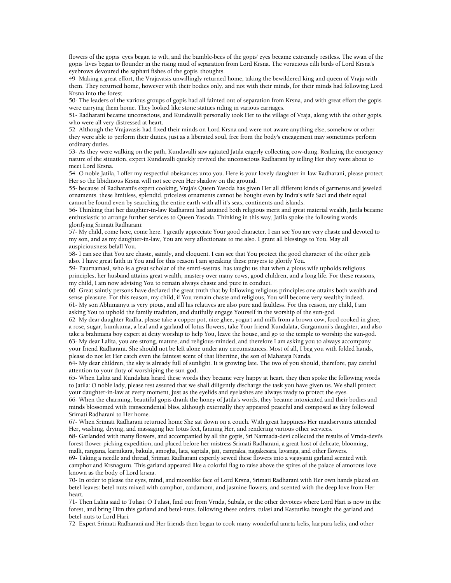flowers of the gopis' eyes began to wilt, and the bumble-bees of the gopis' eyes became extremely restless. The swan of the gopis' lives began to flounder in the rising mud of separation from Lord Krsna. The voracious cilli birds of Lord Krsna's eyebrows devoured the saphari fishes of the gopis' thoughts.

49- Making a great effort, the Vrajavasis unwillingly returned home, taking the bewildered king and queen of Vraja with them. They returned home, however with their bodies only, and not with their minds, for their minds had following Lord Krsna into the forest.

50- The leaders of the various groups of gopis had all fainted out of separation from Krsna, and with great effort the gopis were carrying them home. They looked like stone statues riding in various carriages.

51- Radharani became unconscious, and Kundavalli personally took Her to the village of Vraja, along with the other gopis, who were all very distressed at heart.

52- Although the Vrajavasis had fixed their minds on Lord Krsna and were not aware anything else, somehow or other they were able to perform their duties, just as a liberated soul, free from the body's encagement may sometimes perform ordinary duties.

53- As they were walking on the path, Kundavalli saw agitated Jatila eagerly collecting cow-dung. Realizing the emergency nature of the situation, expert Kundavalli quickly revived the unconscious Radharani by telling Her they were about to meet Lord Krsna.

54- O noble Jatila, I offer my respectful obeisances unto you. Here is your lovely daughter-in-law Radharani, please protect Her so the libidinous Krsna will not see even Her shadow on the ground.

55- because of Radharani's expert cooking, Vraja's Queen Yasoda has given Her all different kinds of garments and jeweled ornaments. these limitless, splendid, priceless ornaments cannot be bought even by Indra's wife Saci and their equal cannot be found even by searching the entire earth with all it's seas, continents and islands.

56- Thinking that her daughter-in-law Radharani had attained both religious merit and great material wealth, Jatila became enthusiastic to arrange further services to Queen Yasoda. Thinking in this way, Jatila spoke the following words glorifying Srimati Radharani:

57- My child, come here, come here. I greatly appreciate Your good character. I can see You are very chaste and devoted to my son, and as my daughter-in-law, You are very affectionate to me also. I grant all blessings to You. May all auspiciousness befall You.

58- I can see that You are chaste, saintly, and eloquent. I can see that You protect the good character of the other girls also. I have great faith in You and for this reason I am speaking these prayers to glorify You.

59- Paurnamasi, who is a great scholar of the smrti-sastras, has taught us that when a pious wife upholds religious principles, her husband attains great wealth, mastery over many cows, good children, and a long life. For these reasons, my child, I am now advising You to remain always chaste and pure in conduct.

60- Great saintly persons have declared the great truth that by following religious principles one attains both wealth and sense-pleasure. For this reason, my child, if You remain chaste and religious, You will become very wealthy indeed. 61- My son Abhimanyu is very pious, and all his relatives are also pure and faultless. For this reason, my child, I am asking You to uphold the family tradition, and dutifully engage Yourself in the worship of the sun-god.

62- My dear daughter Radha, please take a copper pot, nice ghee, yogurt and milk from a brown cow, food cooked in ghee, a rose, sugar, kumkuma, a leaf and a garland of lotus flowers, take Your friend Kundalata, Gargamuni's daughter, and also take a brahmana boy expert at deity worship to help You, leave the house, and go to the temple to worship the sun-god. 63- My dear Lalita, you are strong, mature, and religious-minded, and therefore I am asking you to always accompany your friend Radharani. She should not be left alone under any circumstances. Most of all, I beg you with folded hands, please do not let Her catch even the faintest scent of that libertine, the son of Maharaja Nanda.

64- My dear children, the sky is already full of sunlight. It is growing late. The two of you should, therefore, pay careful attention to your duty of worshiping the sun-god.

65- When Lalita and Kundalata heard these words they became very happy at heart. they then spoke the following words to Jatila: O noble lady, please rest assured that we shall diligently discharge the task you have given us. We shall protect your daughter-in-law at every moment, just as the eyelids and eyelashes are always ready to protect the eyes.

66- When the charming, beautiful gopis drank the honey of Jatila's words, they became intoxicated and their bodies and minds blossomed with transcendental bliss, although externally they appeared peaceful and composed as they followed Srimati Radharani to Her home.

67- When Srimati Radharani returned home She sat down on a couch. With great happiness Her maidservants attended Her, washing, drying, and massaging her lotus feet, fanning Her, and rendering various other services.

68- Garlanded with many flowers, and accompanied by all the gopis, Sri Narmada-devi collected the results of Vrnda-devi's forest-flower-picking expedition, and placed before her mistress Srimati Radharani, a great host of delicate, blooming, malli, rangana, karnikara, bakula, amogha, lata, saptala, jati, campaka, nagakesara, lavanga, and other flowers.

69- Taking a needle and thread, Srimati Radharani expertly sewed these flowers into a vajayanti garland scented with camphor and Krsnaguru. This garland appeared like a colorful flag to raise above the spires of the palace of amorous love known as the body of Lord krsna.

70- In order to please the eyes, mind, and moonlike face of Lord Krsna, Srimati Radharani with Her own hands placed on betel-leaves: betel-nuts mixed with camphor, cardamom, and jasmine flowers, and scented with the deep love from Her heart.

71- Then Lalita said to Tulasi: O Tulasi, find out from Vrnda, Subala, or the other devotees where Lord Hari is now in the forest, and bring Him this garland and betel-nuts. following these orders, tulasi and Kasturika brought the garland and betel-nuts to Lord Hari.

72- Expert Srimati Radharani and Her friends then began to cook many wonderful amrta-kelis, karpura-kelis, and other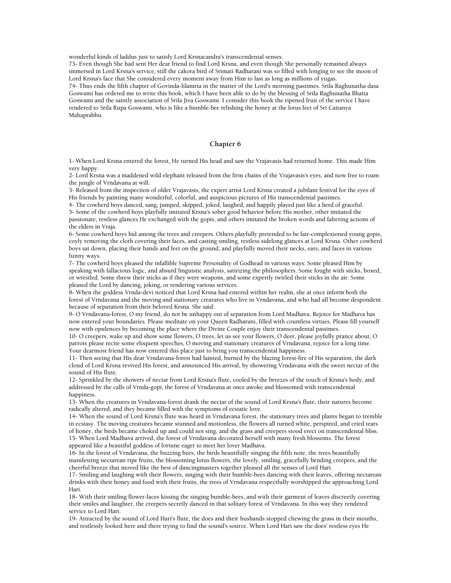wonderful kinds of laddus just to satisfy Lord Krsnacandra's transcendental senses.

73- Even though She had sent Her dear friend to find Lord Krsna, and even though She personally remained always immersed in Lord Krsna's service, still the cakora bird of Srimati Radharani was so filled with longing to see the moon of Lord Krsna's face that She considered every moment away from Him to last as long as millions of yugas. 74- Thus ends the fifth chapter of Govinda-lilamrta in the matter of the Lord's morning pastimes. Srila Raghunatha dasa Goswami has ordered me to write this book, which I have been able to do by the blessing of Srila Raghunatha Bhatta Goswami and the saintly association of Srila Jiva Goswami. I consider this book the ripened fruit of the service I have rendered to Srila Rupa Goswami, who is like a bumble-bee relishing the honey at the lotus feet of Sri Caitanya Mahaprabhu.

#### **Chapter 6**

1- When Lord Krsna entered the forest, He turned His head and saw the Vrajavasis had returned home. This made Him very happy.

2- Lord Krsna was a maddened wild elephant released from the firm chains of the Vrajavasis's eyes, and now free to roam the jungle of Vrndavana at will.

3- Released from the inspection of older Vrajavasis, the expert artist Lord Krsna created a jubilant festival for the eyes of His friends by painting many wonderful, colorful, and auspicious pictures of His transcendental pastimes.

4- The cowherd boys danced, sang, jumped, skipped, joked, laughed, and happily played just like a herd of graceful.

5- Some of the cowherd boys playfully imitated Krsna's sober good behavior before His mother, other imitated the passionate, restless glances He exchanged with the gopis, and others imitated the broken words and faltering actions of the elders in Vraja.

6- Some cowherd boys hid among the trees and creepers. Others playfully pretended to be fair-complexioned young gopis, coyly removing the cloth covering their faces, and casting smiling, restless sidelong glances at Lord Krsna. Other cowherd boys sat down, placing their hands and feet on the ground, and playfully moved their necks, ears, and faces in various funny ways.

7- The cowherd boys pleased the infallible Supreme Personality of Godhead in various ways: Some pleased Him by speaking with fallacious logic, and absurd linguistic analysis, satirizing the philosophers. Some fought with sticks, boxed, or wrestled. Some threw their sticks as if they were weapons, and some expertly twirled their sticks in the air. Some pleased the Lord by dancing, joking, or rendering various services.

8- When the goddess Vrnda-devi noticed that Lord Krsna had entered within her realm, she at once inform both the forest of Vrndavana and the moving and stationary creatures who live in Vrndavana, and who had all become despondent because of separation from their beloved Krsna. She said:

9- O Vrndavana-forest, O my friend, do not be unhappy out of separation from Lord Madhava. Rejoice for Madhava has now entered your boundaries. Please meditate on your Queen Radharani, filled with countless virtues. Please fill yourself now with opulences by becoming the place where the Divine Couple enjoy their transcendental pastimes.

10- O creepers, wake up and show some flowers, O trees, let us see your flowers, O deer, please joyfully prance about, O parrots please recite some eloquent speeches, O moving and stationary creatures of Vrndavana, rejoice for a long time. Your dearmost friend has now entered this place just to bring you transcendental happiness.

11- Then seeing that His dear Vrndavana-forest had fainted, burned by the blazing forest-fire of His separation, the dark cloud of Lord Krsna revived His forest, and announced His arrival, by showering Vrndavana with the sweet nectar of the sound of His flute.

12- Sprinkled by the showers of nectar from Lord Krsna's flute, cooled by the breezes of the touch of Krsna's body, and addressed by the calls of Vrnda-gopi, the forest of Vrndavana at once awoke and blossomed with transcendental happiness.

13- When the creatures in Vrndavana-forest drank the nectar of the sound of Lord Krsna's flute, their natures become radically altered, and they became filled with the symptoms of ecstatic love.

14- When the sound of Lord Krsna's flute was heard in Vrndavana forest, the stationary trees and plants began to tremble in ecstasy. The moving creatures became stunned and motionless, the flowers all turned white, perspired, and cried tears of honey, the birds became choked up and could not sing, and the grass and creepers stood erect on transcendental bliss. 15- When Lord Madhava arrived, the forest of Vrndavana decorated herself with many fresh blossoms. The forest appeared like a beautiful goddess of fortune eager to meet her lover Madhava.

16- In the forest of Vrndavana, the buzzing bees, the birds beautifully singing the fifth note, the trees beautifully manifesting nectarean ripe fruits, the blossoming lotus flowers, the lovely, smiling, gracefully bending creepers, and the cheerful breeze that moved like the best of dancingmasters together pleased all the senses of Lord Hari.

17- Smiling and laughing with their flowers, singing with their bumble-bees dancing with their leaves, offering nectarean drinks with their honey and food with their fruits, the trees of Vrndavana respectfully worshipped the approaching Lord Hari.

18- With their smiling flower-faces kissing the singing bumble-bees, and with their garment of leaves discreetly covering their smiles and laughter, the creepers secretly danced in that solitary forest of Vrndavana. In this way they rendered service to Lord Hari.

19- Attracted by the sound of Lord Hari's flute, the does and their husbands stopped chewing the grass in their mouths, and restlessly looked here and there trying to find the sound's source. When Lord Hari saw the does' restless eyes He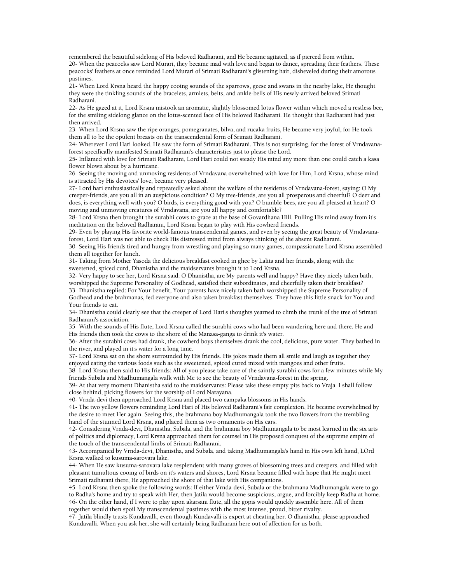remembered the beautiful sidelong of His beloved Radharani, and He became agitated, as if pierced from within. 20- When the peacocks saw Lord Murari, they became mad with love and began to dance, spreading their feathers. These peacocks' feathers at once reminded Lord Murari of Srimati Radharani's glistening hair, disheveled during their amorous pastimes.

21- When Lord Krsna heard the happy cooing sounds of the sparrows, geese and swans in the nearby lake, He thought they were the tinkling sounds of the bracelets, armlets, belts, and ankle-bells of His newly-arrived beloved Srimati Radharani.

22- As He gazed at it, Lord Krsna mistook an aromatic, slightly blossomed lotus flower within which moved a restless bee, for the smiling sidelong glance on the lotus-scented face of His beloved Radharani. He thought that Radharani had just then arrived.

23- When Lord Krsna saw the ripe oranges, pomegranates, bilva, and rucaka fruits, He became very joyful, for He took them all to be the opulent breasts on the transcendental form of Srimati Radharani.

24- Wherever Lord Hari looked, He saw the form of Srimati Radharani. This is not surprising, for the forest of Vrndavanaforest specifically manifested Srimati Radharani's characteristics just to please the Lord.

25- Inflamed with love for Srimati Radharani, Lord Hari could not steady His mind any more than one could catch a kasa flower blown about by a hurricane.

26- Seeing the moving and unmoving residents of Vrndavana overwhelmed with love for Him, Lord Krsna, whose mind is attracted by His devotees' love, became very pleased.

27- Lord hari enthusiastically and repeatedly asked about the welfare of the residents of Vrndavana-forest, saying: O My creeper-friends, are you all in an auspicious condition? O My tree-friends, are you all prosperous and cheerful? O deer and does, is everything well with you? O birds, is everything good with you? O bumble-bees, are you all pleased at heart? O moving and unmoving creatures of Vrndavana, are you all happy and comfortable?

28- Lord Krsna then brought the surabhi cows to graze at the base of Govardhana Hill. Pulling His mind away from it's meditation on the beloved Radharani, Lord Krsna began to play with His cowherd friends.

29- Even by playing His favorite world-famous transcendental games, and even by seeing the great beauty of Vrndavanaforest, Lord Hari was not able to check His distressed mind from always thinking of the absent Radharani.

30- Seeing His friends tired and hungry from wrestling and playing so many games, compassionate Lord Krsna assembled them all together for lunch.

31- Taking from Mother Yasoda the delicious breakfast cooked in ghee by Lalita and her friends, along with the sweetened, spiced curd, Dhanistha and the maidservants brought it to Lord Krsna.

32- Very happy to see her, Lord Krsna said: O Dhanistha, are My parents well and happy? Have they nicely taken bath, worshipped the Supreme Personality of Godhead, satisfied their subordinates, and cheerfully taken their breakfast?

33- Dhanistha replied: For Your benefit, Your parents have nicely taken bath worshipped the Supreme Personality of Godhead and the brahmanas, fed everyone and also taken breakfast themselves. They have this little snack for You and Your friends to eat.

34- Dhanistha could clearly see that the creeper of Lord Hari's thoughts yearned to climb the trunk of the tree of Srimati Radharani's association.

35- With the sounds of His flute, Lord Krsna called the surabhi cows who had been wandering here and there. He and His friends then took the cows to the shore of the Manasa-ganga to drink it's water.

36- After the surabhi cows had drank, the cowherd boys themselves drank the cool, delicious, pure water. They bathed in the river, and played in it's water for a long time.

37- Lord Krsna sat on the shore surrounded by His friends. His jokes made them all smile and laugh as together they enjoyed eating the various foods such as the sweetened, spiced cured mixed with mangoes and other fruits.

38- Lord Krsna then said to His friends: All of you please take care of the saintly surabhi cows for a few minutes while My friends Subala and Madhumangala walk with Me to see the beauty of Vrndavana-forest in the spring.

39- At that very moment Dhanistha said to the maidservants: Please take these empty pits back to Vraja. I shall follow close behind, picking flowers for the worship of Lord Narayana.

40- Vrnda-devi then approached Lord Krsna and placed two campaka blossoms in His hands.

41- The two yellow flowers reminding Lord Hari of His beloved Radharani's fair complexion, He became overwhelmed by the desire to meet Her again. Seeing this, the brahmana boy Madhumangala took the two flowers from the trembling hand of the stunned Lord Krsna, and placed them as two ornaments on His ears.

42- Considering Vrnda-devi, Dhanistha, Subala, and the brahmana boy Madhumangala to be most learned in the six arts of politics and diplomacy, Lord Krsna approached them for counsel in His proposed conquest of the supreme empire of the touch of the transcendental limbs of Srimati Radharani.

43- Accompanied by Vrnda-devi, Dhanistha, and Subala, and taking Madhumangala's hand in His own left hand, LOrd Krsna walked to kusuma-sarovara lake.

44- When He saw kusuma-sarovara lake resplendent with many groves of blossoming trees and creepers, and filled with pleasant tumultous cooing of birds on it's waters and shores, Lord Krsna became filled with hope that He might meet Srimati radharani there, He approached the shore of that lake with His companions.

45- Lord Krsna then spoke the following words: If either Vrnda-devi, Subala or the brahmana Madhumangala were to go to Radha's home and try to speak with Her, then Jatila would become suspicious, argue, and forcibly keep Radha at home. 46- On the other hand, if I were to play upon akarsani flute, all the gopis would quickly assemble here. All of them together would then spoil My transcendental pastimes with the most intense, proud, bitter rivalry.

47- Jatila blindly trusts Kundavalli, even though Kundavalli is expert at cheating her. O dhanistha, please approached Kundavalli. When you ask her, she will certainly bring Radharani here out of affection for us both.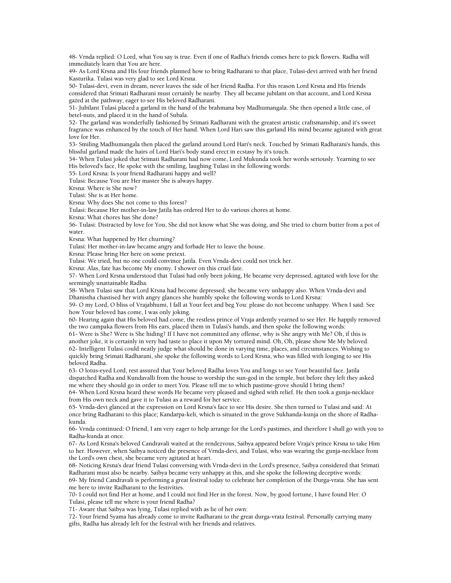48- Vrnda replied: O Lord, what You say is true. Even if one of Radha's friends comes here to pick flowers. Radha will immediately learn that You are here.

49- As Lord Krsna and His four friends planned how to bring Radharani to that place, Tulasi-devi arrived with her friend Kasturika. Tulasi was very glad to see Lord Krsna.

50- Tulasi-devi, even in dream, never leaves the side of her friend Radha. For this reason Lord Krsna and His friends considered that Srimati Radharani must certainly be nearby. They all became jubilant on that account, and Lord Krsna gazed at the pathway, eager to see His beloved Radharani.

51- Jubilant Tulasi placed a garland in the hand of the brahmana boy Madhumangala. She then opened a little case, of betel-nuts, and placed it in the hand of Subala.

52- The garland was wonderfully fashioned by Srimati Radharani with the greatest artistic craftsmanship, and it's sweet fragrance was enhanced by the touch of Her hand. When Lord Hari saw this garland His mind became agitated with great love for Her.

53- Smiling Madhumangala then placed the garland around Lord Hari's neck. Touched by Srimati Radharani's hands, this blissful garland made the hairs of Lord Hari's body stand erect in ecstasy by it's touch.

54- When Tulasi joked that Srimati Radharani had now come, Lord Mukunda took her words seriously. Yearning to see His beloved's face, He spoke with the smiling, laughing Tulasi in the following words:

55- Lord Krsna: Is your friend Radharani happy and well?

Tulasi: Because You are Her master She is always happy.

Krsna: Where is She now?

Tulasi: She is at Her home.

Krsna: Why does She not come to this forest?

Tulasi: Because Her mother-in-law Jatila has ordered Her to do various chores at home.

Krsna: What chores has She done?

56- Tulasi: Distracted by love for You, She did not know what She was doing, and She tried to churn butter from a pot of water.

Krsna: What happened by Her churning?

Tulasi: Her mother-in-law became angry and forbade Her to leave the house.

Krsna: Please bring Her here on some pretext.

Tulasi: We tried, but no one could convince Jatila. Even Vrnda-devi could not trick her.

Krsna: Alas, fate has become My enemy. I shower on this cruel fate.

57- When Lord Krsna understood that Tulasi had only been joking, He became very depressed, agitated with love for the seemingly unattainable Radha.

58- When Tulasi saw that Lord Krsna had become depressed, she became very unhappy also. When Vrnda-devi and Dhanistha chastised her with angry glances she humbly spoke the following words to Lord Krsna:

59- O my Lord, O bliss of Vrajabhumi, I fall at Your feet and beg You: please do not become unhappy. When I said: See how Your beloved has come, I was only joking.

60- Hearing again that His beloved had come, the restless prince of Vraja ardently yearned to see Her. He happily removed the two campaka flowers from His ears, placed them in Tulasi's hands, and then spoke the following words:

61- Were is She? Were is She hiding? If I have not committed any offense, why is She angry with Me? Oh, if this is another joke, it is certainly in very bad taste to place it upon My tortured mind. Oh, Oh, please show Me My beloved. 62- Intelligent Tulasi could neatly judge what should be done in varying time, places, and circumstances. Wishing to quickly bring Srimati Radharani, she spoke the following words to Lord Krsna, who was filled with longing to see His beloved Radha.

63- O lotus-eyed Lord, rest assured that Your beloved Radha loves You and longs to see Your beautiful face. Jatila dispatched Radha and Kundavalli from the house to worship the sun-god in the temple, but before they left they asked me where they should go in order to meet You. Please tell me to which pastime-grove should I bring them?

64- When Lord Krsna heard these words He became very pleased and sighed with relief. He then took a gunja-necklace from His own neck and gave it to Tulasi as a reward for her service.

65- Vrnda-devi glanced at the expression on Lord Krsna's face to see His desire. She then turned to Tulasi and said: At once bring Radharani to this place; Kandarpa-keli, which is situated in the grove Sukhanda-kunja on the shore of Radhakunda.

66- Vrnda continued: O friend, I am very eager to help arrange for the Lord's pastimes, and therefore I shall go with you to Radha-kunda at once.

67- As Lord Krsna's beloved Candravali waited at the rendezvous, Saibya appeared before Vraja's prince Krsna to take Him to her. However, when Saibya noticed the presence of Vrnda-devi, and Tulasi, who was wearing the gunja-necklace from the Lord's own chest, she became very agitated at heart.

68- Noticing Krsna's dear friend Tulasi conversing with Vrnda-devi in the Lord's presence, Saibya considered that Srimati Radharani must also be nearby. Saibya became very unhappy at this, and she spoke the following deceptive words:

69- My friend Candravali is performing a great festival today to celebrate her completion of the Durga-vrata. She has sent me here to invite Radharani to the festivities.

70- I could not find Her at home, and I could not find Her in the forest. Now, by good fortune, I have found Her. O Tulasi, please tell me where is your friend Radha?

71- Aware that Saibya was lying, Tulasi replied with as lie of her own:

72- Your friend Syama has already come to invite Radharani to the great durga-vrata festival. Personally carrying many gifts, Radha has already left for the festival with her friends and relatives.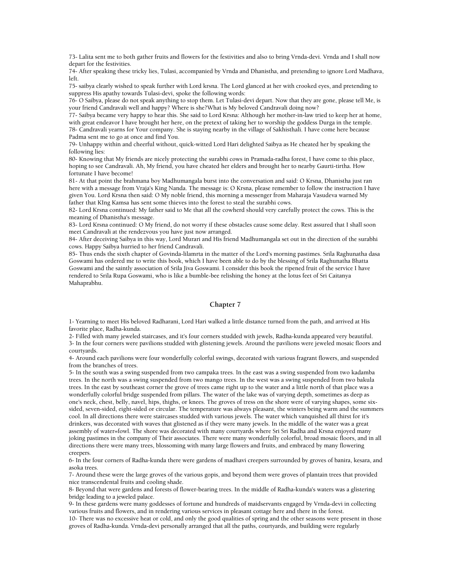73- Lalita sent me to both gather fruits and flowers for the festivities and also to bring Vrnda-devi. Vrnda and I shall now depart for the festivities.

74- After speaking these tricky lies, Tulasi, accompanied by Vrnda and Dhanistha, and pretending to ignore Lord Madhava, left.

75- saibya clearly wished to speak further with Lord krsna. The Lord glanced at her with crooked eyes, and pretending to suppress His apathy towards Tulasi-devi, spoke the following words:

76- O Saibya, please do not speak anything to stop them. Let Tulasi-devi depart. Now that they are gone, please tell Me, is your friend Candravali well and happy? Where is she?What is My beloved Candravali doing now?

77- Saibya became very happy to hear this. She said to Lord Krsna: Although her mother-in-law tried to keep her at home, with great endeavor I have brought her here, on the pretext of taking her to worship the goddess Durga in the temple. 78- Candravali yearns for Your company. She is staying nearby in the village of Sakhisthali. I have come here because Padma sent me to go at once and find You.

79- Unhappy within and cheerful without, quick-witted Lord Hari delighted Saibya as He cheated her by speaking the following lies:

80- Knowing that My friends are nicely protecting the surabhi cows in Pramada-radha forest, I have come to this place, hoping to see Candravali. Ah, My friend, you have cheated her elders and brought her to nearby Gaurti-tirtha. How fortunate I have become!

81- At that point the brahmana boy Madhumangala burst into the conversation and said: O Krsna, Dhanistha just ran here with a message from Vraja's King Nanda. The message is: O Krsna, please remember to follow the instruction I have given You. Lord Krsna then said: O My noble friend, this morning a messenger from Maharaja Vasudeva warned My father that KIng Kamsa has sent some thieves into the forest to steal the surabhi cows.

82- Lord Krsna continued: My father said to Me that all the cowherd should very carefully protect the cows. This is the meaning of Dhanistha's message.

83- Lord Krsna continued: O My friend, do not worry if these obstacles cause some delay. Rest assured that I shall soon meet Candravali at the rendezvous you have just now arranged.

84- After deceiving Saibya in this way, Lord Murari and His friend Madhumangala set out in the direction of the surabhi cows. Happy Saibya hurried to her friend Candravali.

85- Thus ends the sixth chapter of Govinda-lilamrta in the matter of the Lord's morning pastimes. Srila Raghunatha dasa Goswami has ordered me to write this book, which I have been able to do by the blessing of Srila Raghunatha Bhatta Goswami and the saintly association of Srila Jiva Goswami. I consider this book the ripened fruit of the service I have rendered to Srila Rupa Goswami, who is like a bumble-bee relishing the honey at the lotus feet of Sri Caitanya Mahaprabhu.

## **Chapter 7**

1- Yearning to meet His beloved Radharani, Lord Hari walked a little distance turned from the path, and arrived at His favorite place, Radha-kunda.

2- Filled with many jeweled staircases, and it's four corners studded with jewels, Radha-kunda appeared very beautiful. 3- In the four corners were pavilions studded with glistening jewels. Around the pavilions were jeweled mosaic floors and courtyards.

4- Around each pavilions were four wonderfully colorful swings, decorated with various fragrant flowers, and suspended from the branches of trees.

5- In the south was a swing suspended from two campaka trees. In the east was a swing suspended from two kadamba trees. In the north was a swing suspended from two mango trees. In the west was a swing suspended from two bakula trees. In the east by southeast corner the grove of trees came right up to the water and a little north of that place was a wonderfully colorful bridge suspended from pillars. The water of the lake was of varying depth, sometimes as deep as one's neck, chest, belly, navel, hips, thighs, or knees. The groves of tress on the shore were of varying shapes, some sixsided, seven-sided, eight-sided or circular. The temperature was always pleasant, the winters being warm and the summers cool. In all directions there were staircases studded with various jewels. The water which vanquished all thirst for it's drinkers, was decorated with waves that glistened as if they were many jewels. In the middle of the water was a great assembly of water=fowl. The shore was decorated with many courtyards where Sri Sri Radha and Krsna enjoyed many joking pastimes in the company of Their associates. There were many wonderfully colorful, broad mosaic floors, and in all directions there were many trees, blossoming with many large flowers and fruits, and embraced by many flowering creepers.

6- In the four corners of Radha-kunda there were gardens of madhavi creepers surrounded by groves of banira, kesara, and asoka trees.

7- Around these were the large groves of the various gopis, and beyond them were groves of plantain trees that provided nice transcendental fruits and cooling shade.

8- Beyond that were gardens and forests of flower-bearing trees. In the middle of Radha-kunda's waters was a glistering bridge leading to a jeweled palace.

9- In these gardens were many goddesses of fortune and hundreds of maidservants engaged by Vrnda-devi in collecting various fruits and flowers, and in rendering various services in pleasant cottage here and there in the forest.

10- There was no excessive heat or cold, and only the good qualities of spring and the other seasons were present in those groves of Radha-kunda. Vrnda-devi personally arranged that all the paths, courtyards, and building were regularly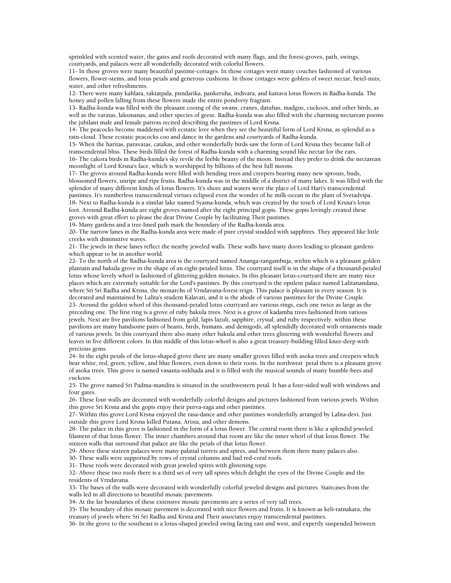sprinkled with scented water, the gates and roofs decorated with many flags, and the forest-groves, path, swings, courtyards, and palaces were all wonderfully decorated with colorful flowers.

11- In those groves were many beautiful pastime-cottages. In those cottages were many couches fashioned of various flowers, flower-stems, and lotus petals and generous cushions. In those cottages were goblets of sweet nectar, betel-nuts, water, and other refreshments.

12- There were many kahlara, raktatpala, pundarika, pankeruha, indivara, and kairava lotus flowers in Radha-kunda. The honey and pollen falling from these flowers made the entire pondvery fragrant.

13- Radha-kunda was filled with the pleasant cooing of the swans, cranes, datuhas, madgus, cuckoos, and other birds, as well as the varatas, laksmanas, and other species of geese. Radha-kunda was also filled with the charming nectarean poems the jubilant male and female parrots recited describing the pastimes of Lord Krsna.

14- The peacocks become maddened with ecstatic love when they see the beautiful form of Lord Krsna, as splendid as a rain-cloud. These ecstatic peacocks coo and dance in the gardens and courtyards of Radha-kunda.

15- When the haritas, paravatas, catakas, and other wonderfully birds saw the form of Lord Krsna they became full of transcendental bliss. These birds filled the forest of Radha-kunda with a charming sound like nectar for the ears. 16- The cakora birds in Radha-kunda's sky revile the feeble beauty of the moon. Instead they prefer to drink the nectarean moonlight of Lord Krsna's face, which is worshipped by billions of the best full moons.

17- The groves around Radha-kunda were filled with bending trees and creepers bearing many new sprouts, buds, blossomed flowers, unripe and ripe fruits. Radha-kunda was in the middle of a district of many lakes. It was filled with the splendor of many different kinds of lotus flowers. It's shore and waters were the place of Lord Hari's transcendental pastimes. It's numberless transcendental virtues eclipsed even the wonder of he milk-ocean in the plant of Svetadvipa. 18- Next to Radha-kunda is a similar lake named Syama-kunda, which was created by the touch of Lord Krsna's lotus foot. Around Radha-kunda are eight groves named after the eight principal gopis. These gopis lovingly created these groves with great effort to please the dear Divine Couple by facilitating Their pastimes.

19- Many gardens and a tree-lined path mark the boundary of the Radha-kunda area.

20- The narrow lanes in the Radha-kunda area were made of pure crystal studded with sapphires. They appeared like little creeks with diminutive waves.

21- The jewels in these lanes reflect the nearby jeweled walls. These walls have many doors leading to pleasant gardens which appear to be in another world.

22- To the north of the Radha-kunda area is the courtyard named Ananga-rangambuja, within which is a pleasant golden plantain and bakula grove in the shape of an eight-petaled lotus. The courtyard itself is in the shape of a thousand-petaled lotus whose lovely whorl is fashioned of glittering golden mosaics. In this pleasant lotus-courtyard there are many nice places which are extremely suitable for the Lord's pastimes. By this courtyard is the opulent palace named Lalitanandana, where Sri Sri Radha and Krsna, the monarchs of Vrndavana-forest reign. This palace is pleasant in every season. It is decorated and maintained by Lalita's student Kalavati, and it is the abode of various pastimes for the Divine Couple. 23- Around the golden whorl of this thousand-petaled lotus courtyard are various rings, each one twice as large as the preceding one. The first ring is a grove of ruby bakula trees. Next is a grove of kadamba trees fashioned from various jewels. Next are five pavilions fashioned from gold, lapis lazuli, sapphire, crystal, and ruby respectively. within these pavilions are many handsome pairs of beasts, birds, humans, and demigods, all splendidly decorated with ornaments made of various jewels. In this courtyard there also many other bakula and other trees glistering with wonderful flowers and leaves in five different colors. In this middle of this lotus-whorl is also a great treasury-building filled knee-deep with precious gems.

24- In the eight petals of the lotus-shaped grove there are many smaller groves filled with asoka trees and creepers which bear white, red, green, yellow, and blue flowers, even down to their roots. In the northwest petal there is a pleasant grove of asoka trees. This grove is named vasanta-sukhada and it is filled with the musical sounds of many bumble-bees and cuckoos.

25- The grove named Sri Padma-mandira is situated in the southwestern petal. It has a four-sided wall with windows and four gates.

26- These four walls are decorated with wonderfully colorful designs and pictures fashioned from various jewels. Within this grove Sri Krsna and the gopis enjoy their purva-raga and other pastimes.

27- Within this grove Lord Krsna enjoyed the rasa-dance and other pastimes wonderfully arranged by Lalita-devi. Just outside this grove Lord Krsna killed Putana, Arista, and other demons.

28- The palace in this grove is fashioned in the form of a lotus flower. The central room there is like a splendid jeweled filament of that lotus flower. The inner chambers around that room are like the inner whorl of that lotus flower. The sixteen walls that surround that palace are like the petals of that lotus flower.

29- Above these sixteen palaces were many palatial turrets and spires, and between them there many palaces also.

30- These walls were supported by rows of crystal columns and had red-coral roofs.

31- These roofs were decorated with great jeweled spires with glistening tops.

32- Above these two roofs there is a third set of very tall spires which delight the eyes of the Divine Couple and the residents of Vrndavana.

33- The bases of the walls were decorated with wonderfully colorful jeweled designs and pictures. Staircases from the walls led in all directions to beautiful mosaic pavements.

34- At the far boundaries of these extensive mosaic pavements are a series of very tall trees.

35- The boundary of this mosaic pavement is decorated with nice flowers and fruits. It is known as keli-ratnakara, the treasury of jewels where Sri Sri Radha and Krsna and Their associates enjoy transcendental pastimes.

36- In the grove to the southeast is a lotus-shaped jeweled swing facing east and west, and expertly suspended between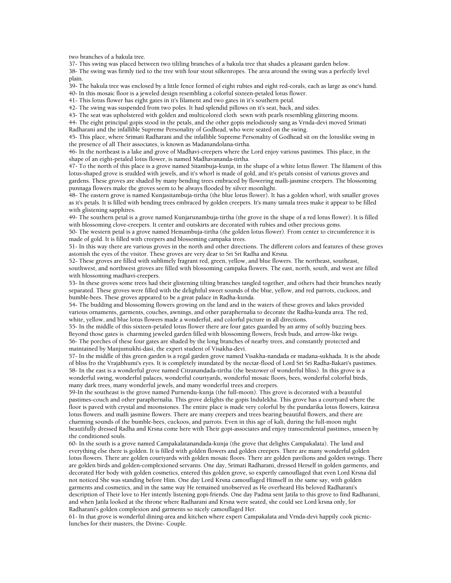two branches of a bakula tree.

37- This swing was placed between two tiltling branches of a bakula tree that shades a pleasant garden below.

38- The swing was firmly tied to the tree with four stout silkenropes. The area around the swing was a perfectly level plain.

39- The bakula tree was enclosed by a little fence formed of eight rubies and eight red-corals, each as large as one's hand. 40- In this mosaic floor is a jeweled design resembling a colorful sixteen-petaled lotus flower.

41- This lotus flower has eight gates in it's filament and two gates in it's southern petal.

42- The swing was suspended from two poles. It had splendid pillows on it's seat, back, and sides.

43- The seat was upholstered with golden and multicolored cloth sewn with pearls resembling glittering moons.

44- The eight principal gopis stood in the petals, and the other gopis melodiously sang as Vrnda-devi moved Srimati Radharani and the infallible Supreme Personality of Godhead, who were seated on the swing.

45- This place, where Srimati Radharani and the infallible Supreme Personality of Godhead sit on the lotuslike swing in the presence of all Their associates, is known as Madanandolana-tirtha.

46- In the northeast is a lake and grove of Madhavi-creepers where the Lord enjoy various pastimes. This place, in the shape of an eight-petaled lotus flower, is named Madhavananda-tirtha.

47- To the north of this place is a grove named Sitambuja-kunja, in the shape of a white lotus flower. The filament of this lotus-shaped grove is studded with jewels, and it's whorl is made of gold, and it's petals consist of various groves and gardens. These groves are shaded by many bending trees embraced by flowering malli-jasmine creepers. The blossoming punnaga flowers make the groves seem to be always flooded by silver moonlight.

48- The eastern grove is named Kunjasitambuja-tirtha (the blue lotus flower). It has a golden whorl, with smaller groves as it's petals. It is filled with bending trees embraced by golden creepers. It's many tamala trees make it appear to be filled with glistening sapphires.

49- The southern petal is a grove named Kunjarunambuja-tirtha (the grove in the shape of a red lotus flower). It is filled with blossoming clove-creepers. It center and outskirts are decorated with rubies and other precious gems.

50- The western petal is a grove named Hemambuja-tirtha (the golden lotus flower). From center to circumference it is made of gold. It is filled with creepers and blossoming campaka trees.

51- In this way there are various groves in the north and other directions. The different colors and features of these groves astonish the eyes of the visitor. These groves are very dear to Sri Sri Radha and Krsna.

52- These groves are filled with sublimely fragrant red, green, yellow, and blue flowers. The northeast, southeast, southwest, and northwest groves are filled with blossoming campaka flowers. The east, north, south, and west are filled with blossoming madhavi-creepers.

53- In these groves some trees had their glistening tilting branches tangled together, and others had their branches neatly separated. These groves were filled with the delightful sweet sounds of the blue, yellow, and red parrots, cuckoos, and bumble-bees. These groves appeared to be a great palace in Radha-kunda.

54- The budding and blossoming flowers growing on the land and in the waters of these groves and lakes provided various ornaments, garments, couches, awnings, and other paraphernalia to decorate the Radha-kunda area. The red, white, yellow, and blue lotus flowers made a wonderful, and colorful picture in all directions.

55- In the middle of this sixteen-petaled lotus flower there are four gates guarded by an army of softly buzzing bees. Beyond those gates is charming jeweled garden filled with blossoming flowers, fresh buds, and arrow-like twigs. 56- The porches of these four gates are shaded by the long branches of nearby trees, and constantly protected and maintained by Manjumukhi-dasi, the expert student of Visakha-devi.

57- In the middle of this green garden is a regal garden grove named Visakha-nandada or madana-sukhada. It is the abode of bliss fro the Vrajabhumi's eyes. It is completely inundated by the nectar-flood of Lord Sri Sri Radha-Bakari's pastimes. 58- In the east is a wonderful grove named Citranandada-tirtha (the bestower of wonderful bliss). In this grove is a wonderful swing, wonderful palaces, wonderful courtyards, wonderful mosaic floors, bees, wonderful colorful birds, many dark trees, many wonderful jewels, and many wonderful trees and creepers.

59-In the southeast is the grove named Purnendu-kunja (the full-moon). This grove is decorated with a beautiful pastimes-couch and other paraphernalia. This grove delights the gopis Indulekha. This grove has a courtyard where the floor is paved with crystal and moonstones. The entire place is made very colorful by the pundarika lotus flowers, kairava lotus flowers. and malli jasmine flowers. There are many creepers and trees bearing beautiful flowers, and there are charming sounds of the bumble-bees, cuckoos, and parrots. Even in this age of kali, during the full-moon night beautifully dressed Radha and Krsna come here with Their gopi-associates and enjoy transcendental pastimes, unseen by the conditioned souls.

60- In the south is a grove named Campakalatanandada-kunja (the grove that delights Campakalata). The land and everything else there is golden. It is filled with golden flowers and golden creepers. There are many wonderful golden lotus flowers. There are golden courtyards with golden mosaic floors. There are golden pavilions and golden swings. There are golden birds and golden-complexioned servants. One day, Srimati Radharani, dressed Herself in golden garments, and decorated Her body with golden cosmetics, entered this golden grove, so expertly camouflaged that even Lord Krsna did not noticed She was standing before Him. One day Lord Krsna camouflaged Himself in the same say, with golden garments and cosmetics, and in the same way He remained unobserved as He overheard His beloved Radharani's description of Their love to Her intently listening gopi-friends. One day Padma sent Jatila to this grove to find Radharani, and when Jatila looked at the throne where Radharani and Krsna were seated, she could see Lord krsna only, for Radharani's golden complexion and garments so nicely camouflaged Her.

61- In that grove is wonderful dining-area and kitchen where expert Campakalata and Vrnda-devi happily cook picniclunches for their masters, the Divine- Couple.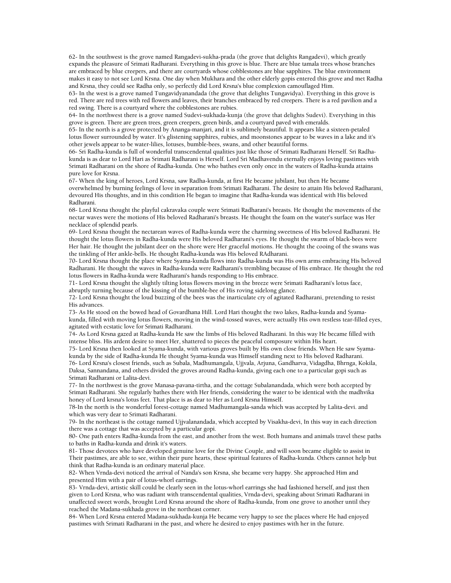62- In the southwest is the grove named Rangadevi-sukha-prada (the grove that delights Rangadevi), which greatly expands the pleasure of Srimati Radharani. Everything in this grove is blue. There are blue tamala trees whose branches are embraced by blue creepers, and there are courtyards whose cobblestones are blue sapphires. The blue environment makes it easy to not see Lord Krsna. One day when Mukhara and the other elderly gopis entered this grove and met Radha and Krsna, they could see Radha only, so perfectly did Lord Krsna's blue complexion camouflaged Him.

63- In the west is a grove named Tungavidyanandada (the grove that delights Tungavidya). Everything in this grove is red. There are red trees with red flowers and leaves, their branches embraced by red creepers. There is a red pavilion and a red swing. There is a courtyard where the cobblestones are rubies.

64- In the northwest there is a grove named Sudevi-sukhada-kunja (the grove that delights Sudevi). Everything in this grove is green. There are green trees, green creepers, green birds, and a courtyard paved with emeralds.

65- In the north is a grove protected by Ananga-manjari, and it is sublimely beautiful. It appears like a sixteen-petaled lotus flower surrounded by water. It's glistening sapphires, rubies, and moonstones appear to be waves in a lake and it's other jewels appear to be water-lilies, lotuses, bumble-bees, swans, and other beautiful forms.

66- Sri Radha-kunda is full of wonderful transcendental qualities just like those of Srimati Radharani Herself. Sri Radhakunda is as dear to Lord Hari as Srimati Radharani is Herself. Lord Sri Madhavendu eternally enjoys loving pastimes with Srimati Radharani on the shore of Radha-kunda. One who bathes even only once in the waters of Radha-kunda attains pure love for Krsna.

67- When the king of heroes, Lord Krsna, saw Radha-kunda, at first He became jubilant, but then He became overwhelmed by burning feelings of love in separation from Srimati Radharani. The desire to attain His beloved Radharani, devoured His thoughts, and in this condition He began to imagine that Radha-kunda was identical with His beloved Radharani.

68- Lord Krsna thought the playful cakravaka couple were Srimati Radharani's breasts. He thought the movements of the nectar waves were the motions of His beloved Radharani's breasts. He thought the foam on the water's surface was Her necklace of splendid pearls.

69- Lord Krsna thought the nectarean waves of Radha-kunda were the charming sweetness of His beloved Radharani. He thought the lotus flowers in Radha-kunda were His beloved Radharani's eyes. He thought the swarm of black-bees were Her hair. He thought the jubilant deer on the shore were Her graceful motions. He thought the cooing of the swans was the tinkling of Her ankle-bells. He thought Radha-kunda was His beloved RAdharani.

70- Lord Krsna thought the place where Syama-kunda flows into Radha-kunda was His own arms embracing His beloved Radharani. He thought the waves in Radha-kunda were Radharani's trembling because of His embrace. He thought the red lotus flowers in Radha-kunda were Radharani's hands responding to His embrace.

71- Lord Krsna thought the slightly tilting lotus flowers moving in the breeze were Srimati Radharani's lotus face, abruptly turning because of the kissing of the bumble-bee of His roving sidelong glance.

72- Lord Krsna thought the loud buzzing of the bees was the inarticulate cry of agitated Radharani, pretending to resist His advances.

73- As He stood on the bowed head of Govardhana Hill. Lord Hari thought the two lakes, Radha-kunda and Syamakunda, filled with moving lotus flowers, moving in the wind-tossed waves, were actually His own restless tear-filled eyes, agitated with ecstatic love for Srimati Radharani.

74- As Lord Krsna gazed at Radha-kunda He saw the limbs of His beloved Radharani. In this way He became filled with intense bliss. His ardent desire to meet Her, shattered to pieces the peaceful composure within His heart.

75- Lord Krsna then looked at Syama-kunda, with various groves built by His own close friends. When He saw Syamakunda by the side of Radha-kunda He thought Syama-kunda was Himself standing next to His beloved Radharani.

76- Lord Krsna's closest friends, such as Subala, Madhumangala, Ujjvala, Arjuna, Gandharva, Vidagdha, Bhrnga, Kokila, Daksa, Sannandana, and others divided the groves around Radha-kunda, giving each one to a particular gopi such as Srimati Radharani or Lalita-devi.

77- In the northwest is the grove Manasa-pavana-tirtha, and the cottage Subalanandada, which were both accepted by Srimati Radharani. She regularly bathes there with Her friends, considering the water to be identical with the madhvika honey of Lord krsna's lotus feet. That place is as dear to Her as Lord Krsna Himself.

78-In the north is the wonderful forest-cottage named Madhumangala-sanda which was accepted by Lalita-devi. and which was very dear to Srimati Radharani.

79- In the northeast is the cottage named Ujjvalanandada, which accepted by Visakha-devi, In this way in each direction there was a cottage that was accepted by a particular gopi.

80- One path enters Radha-kunda from the east, and another from the west. Both humans and animals travel these paths to baths in Radha-kunda and drink it's waters.

81- Those devotees who have developed genuine love for the Divine Couple, and will soon became eligible to assist in Their pastimes, are able to see, within their pure hearts, these spiritual features of Radha-kunda. Others cannot help but think that Radha-kunda is an ordinary material place.

82- When Vrnda-devi noticed the arrival of Nanda's son Krsna, she became very happy. She approached Him and presented Him with a pair of lotus-whorl earrings.

83- Vrnda-devi, artistic skill could be clearly seen in the lotus-whorl earrings she had fashioned herself, and just then given to Lord Krsna, who was radiant with transcendental qualities, Vrnda-devi, speaking about Srimati Radharani in unaffected sweet words, brought Lord Krsna around the shore of Radha-kunda, from one grove to another until they reached the Madana-sukhada grove in the northeast corner.

84- When Lord Krsna entered Madana-sukhada-kunja He became very happy to see the places where He had enjoyed pastimes with Srimati Radharani in the past, and where he desired to enjoy pastimes with her in the future.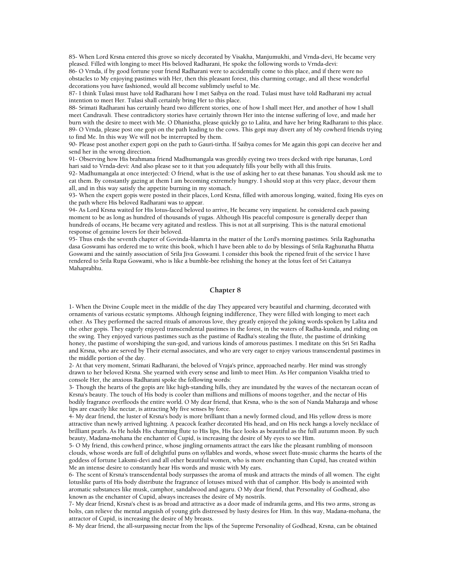85- When Lord Krsna entered this grove so nicely decorated by Visakha, Manjumukhi, and Vrnda-devi, He became very pleased. Filled with longing to meet His beloved Radharani, He spoke the following words to Vrnda-devi:

86- O Vrnda, if by good fortune your friend Radharani were to accidentally come to this place, and if there were no obstacles to My enjoying pastimes with Her, then this pleasant forest, this charming cottage, and all these wonderful decorations you have fashioned, would all become sublimely useful to Me.

87- I think Tulasi must have told Radharani how I met Saibya on the road. Tulasi must have told Radharani my actual intention to meet Her. Tulasi shall certainly bring Her to this place.

88- Srimati Radharani has certainly heard two different stories, one of how I shall meet Her, and another of how I shall meet Candravali. These contradictory stories have certainly thrown Her into the intense suffering of love, and made her burn with the desire to meet with Me. O Dhanistha, please quickly go to Lalita, and have her bring Radharani to this place. 89- O Vrnda, please post one gopi on the path leading to the cows. This gopi may divert any of My cowherd friends trying to find Me. In this way We will not be interrupted by them.

90- Please post another expert gopi on the path to Gauri-tirtha. If Saibya comes for Me again this gopi can deceive her and send her in the wrong direction.

91- Observing how His brahmana friend Madhumangala was greedily eyeing two trees decked with ripe bananas, Lord hari said to Vrnda-devi: And also please see to it that you adequately fills your belly with all this fruits.

92- Madhumangala at once interjected: O friend, what is the use of asking her to eat these bananas. You should ask me to eat them. By constantly gazing at them I am becoming extremely hungry. I should stop at this very place, devour them all, and in this way satisfy the appetite burning in my stomach.

93- When the expert gopis were posted in their places, Lord Krsna, filled with amorous longing, waited, fixing His eyes on the path where His beloved Radharani was to appear.

94- As Lord Krsna waited for His lotus-faced beloved to arrive, He became very impatient. he considered each passing moment to be as long as hundred of thousands of yugas. Although His peaceful composure is generally deeper than hundreds of oceans, He became very agitated and restless. This is not at all surprising. This is the natural emotional response of genuine lovers for their beloved.

95- Thus ends the seventh chapter of Govinda-lilamrta in the matter of the Lord's morning pastimes. Srila Raghunatha dasa Goswami has ordered me to write this book, which I have been able to do by blessings of Srila Raghunatha Bhatta Goswami and the saintly association of Srila Jiva Goswami. I consider this book the ripened fruit of the service I have rendered to Srila Rupa Goswami, who is like a bumble-bee relishing the honey at the lotus feet of Sri Caitanya Mahaprabhu.

## **Chapter 8**

1- When the Divine Couple meet in the middle of the day They appeared very beautiful and charming, decorated with ornaments of various ecstatic symptoms. Although feigning indifference, They were filled with longing to meet each other. As They performed the sacred rituals of amorous love, they greatly enjoyed the joking words spoken by Lalita and the other gopis. They eagerly enjoyed transcendental pastimes in the forest, in the waters of Radha-kunda, and riding on the swing. They enjoyed various pastimes such as the pastime of Radha's stealing the flute, the pastime of drinking honey, the pastime of worshiping the sun-god, and various kinds of amorous pastimes. I meditate on this Sri Sri Radha and Krsna, who are served by Their eternal associates, and who are very eager to enjoy various transcendental pastimes in the middle portion of the day.

2- At that very moment, Srimati Radharani, the beloved of Vraja's prince, approached nearby. Her mind was strongly drawn to her beloved Krsna. She yearned with every sense and limb to meet Him. As Her companion Visakha tried to console Her, the anxious Radharani spoke the following words:

3- Though the hearts of the gopis are like high-standing hills, they are inundated by the waves of the nectarean ocean of Krsna's beauty. The touch of His body is cooler than millions and millions of moons together, and the nectar of His bodily fragrance overfloods the entire world. O My dear friend, that Krsna, who is the son of Nanda Maharaja and whose lips are exactly like nectar, is attracting My five senses by force.

4- My dear friend, the luster of Krsna's body is more brilliant than a newly formed cloud, and His yellow dress is more attractive than newly arrived lightning. A peacock feather decorated His head, and on His neck hangs a lovely necklace of brilliant pearls. As He holds His charming flute to His lips, His face looks as beautiful as the full autumn moon. By such beauty, Madana-mohana the enchanter of Cupid, is increasing the desire of My eyes to see Him.

5- O My friend, this cowherd prince, whose jingling ornaments attract the ears like the pleasant rumbling of monsoon clouds, whose words are full of delightful puns on syllables and words, whose sweet flute-music charms the hearts of the goddess of fortune Laksmi-devi and all other beautiful women, who is more enchanting than Cupid, has created within Me an intense desire to constantly hear His words and music with My ears.

6- The scent of Krsna's transcendental body surpasses the aroma of musk and attracts the minds of all women. The eight lotuslike parts of His body distribute the fragrance of lotuses mixed with that of camphor. His body is anointed with aromatic substances like musk, camphor, sandalwood and aguru. O My dear friend, that Personality of Godhead, also known as the enchanter of Cupid, always increases the desire of My nostrils.

7- My dear friend, Krsna's chest is as broad and attractive as a door made of indranila gems, and His two arms, strong as bolts, can relieve the mental anguish of young girls distressed by lusty desires for Him. In this way, Madana-mohana, the attractor of Cupid, is increasing the desire of My breasts.

8- My dear friend, the all-surpassing nectar from the lips of the Supreme Personality of Godhead, Krsna, can be obtained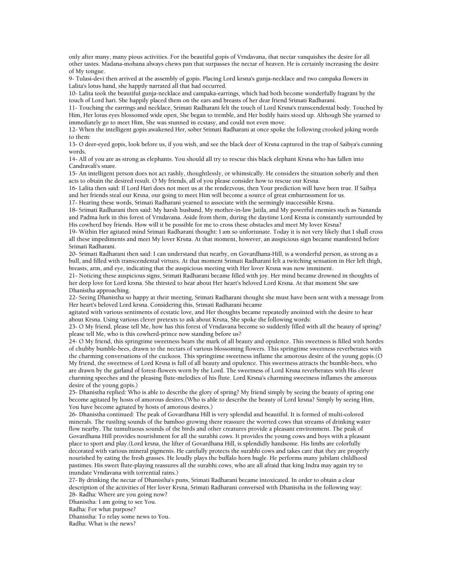only after many, many pious activities. For the beautiful gopis of Vrndavana, that nectar vanquishes the desire for all other tastes. Madana-mohana always chews pan that surpasses the nectar of heaven. He is certainly increasing the desire of My tongue.

9- Tulasi-devi then arrived at the assembly of gopis. Placing Lord krsna's gunja-necklace and two campaka flowers in Lalita's lotus hand, she happily narrated all that had occurred.

10- Lalita took the beautiful gunja-necklace and campaka-earrings, which had both become wonderfully fragrant by the touch of Lord hari. She happily placed them on the ears and breasts of her dear friend Srimati Radharani.

11- Touching the earrings and necklace, Srimati Radharani felt the touch of Lord Krsna's transcendental body. Touched by Him, Her lotus eyes blossomed wide open, She began to tremble, and Her bodily hairs stood up. Although She yearned to immediately go to meet Him, She was stunned in ecstasy, and could not even move.

12- When the intelligent gopis awakened Her, sober Srimati Radharani at once spoke the following crooked joking words to them:

13- O deer-eyed gopis, look before us, if you wish, and see the black deer of Krsna captured in the trap of Saibya's cunning words.

14- All of you are as strong as elephants. You should all try to rescue this black elephant Krsna who has fallen into Candravali's snare.

15- An intelligent person does not act rashly, thoughtlessly, or whimsically. He considers the situation soberly and then acts to obtain the desired result. O My friends, all of you please consider how to rescue our Krsna.

16- Lalita then said: If Lord Hari does not meet us at the rendezvous, then Your prediction will have been true. If Saibya and her friends steal our Krsna, our going to meet Him will become a source of great embarrassment for us.

17- Hearing these words, Srimati Radharani yearned to associate with the seemingly inaccessible Krsna.

18- Srimati Radharani then said: My harsh husband, My mother-in-law Jatila, and My powerful enemies such as Nananda and Padma lurk in this forest of Vrndavana. Aside from them, during the daytime Lord Krsna is constantly surrounded by His cowherd boy friends. How will it be possible for me to cross these obstacles and meet My lover Krsna?

19- Within Her agitated mind Srimati Radharani thought: I am so unfortunate. Today it is not very likely that I shall cross all these impediments and meet My lover Krsna. At that moment, however, an auspicious sign became manifested before Srimati Radharani.

20- Srimati Radharani then said: I can understand that nearby, on Govardhana-Hill, is a wonderful person, as strong as a bull, and filled with transcendental virtues. At that moment Srimati Radharani felt a twitching sensation in Her left thigh, breasts, arm, and eye, indicating that the auspicious meeting with Her lover Krsna was now imminent.

21- Noticing these auspicious signs, Srimati Radharani became filled with joy. Her mind became drowned in thoughts of her deep love for Lord krsna. She thirsted to hear about Her heart's beloved Lord Krsna. At that moment She saw Dhanistha approaching.

22- Seeing Dhanistha so happy at their meeting, Srimati Radharani thought she must have been sent with a message from Her heart's beloved Lord krsna. Considering this, Srimati Radharani became

agitated with various sentiments of ecstatic love, and Her thoughts became repeatedly anointed with the desire to hear about Krsna. Using various clever pretexts to ask about Krsna, She spoke the following words:

23- O My friend, please tell Me, how has this forest of Vrndavana become so suddenly filled with all the beauty of spring? please tell Me, who is this cowherd-prince now standing before us?

24- O My friend, this springtime sweetness bears the mark of all beauty and opulence. This sweetness is filled with hordes of chubby bumble-bees, drawn to the nectars of various blossoming flowers. This springtime sweetness reverberates with the charming conversations of the cuckoos. This springtime sweetness inflame the amorous desire of the young gopis.(O My friend, the sweetness of Lord Krsna is full of all beauty and opulence. This sweetness attracts the bumble-bees, who are drawn by the garland of forest-flowers worn by the Lord. The sweetness of Lord Krsna reverberates with His clever charming speeches and the pleasing flute-melodies of his flute. Lord Krsna's charming sweetness inflames the amorous desire of the young gopis.)

25- Dhanistha replied: Who is able to describe the glory of spring? My friend simply by seeing the beauty of spring one become agitated by hosts of amorous desires.(Who is able to describe the beauty of Lord krsna? Simply by seeing Him, You have become agitated by hosts of amorous desires.)

26- Dhanistha continued: The peak of Govardhana Hill is very splendid and beautiful. It is formed of multi-colored minerals. The rustling sounds of the bamboo growing there reassure the worried cows that streams of drinking water flow nearby. The tumultuous sounds of the birds and other creatures provide a pleasant environment. The peak of Govardhana Hill provides nourishment for all the surabhi cows. It provides the young cows and boys with a pleasant place to sport and play.(Lord krsna, the lifter of Govardhana Hill, is splendidly handsome. His limbs are colorfully decorated with various mineral pigments. He carefully protects the surabhi cows and takes care that they are properly nourished by eating the fresh grasses. He loudly plays the buffalo horn bugle. He performs many jubilant childhood pastimes. His sweet flute-playing reassures all the surabhi cows, who are all afraid that king Indra may again try to inundate Vrndavana with torrential rains.)

27- By drinking the nectar of Dhanistha's puns, Srimati Radharani became intoxicated. In order to obtain a clear description of the activities of Her lover Krsna, Srimati Radharani conversed with Dhanistha in the following way: 28- Radha: Where are you going now?

Dhanistha: I am going to see You.

Radha: For what purpose?

Dhanistha: To relay some news to You.

Radha: What is the news?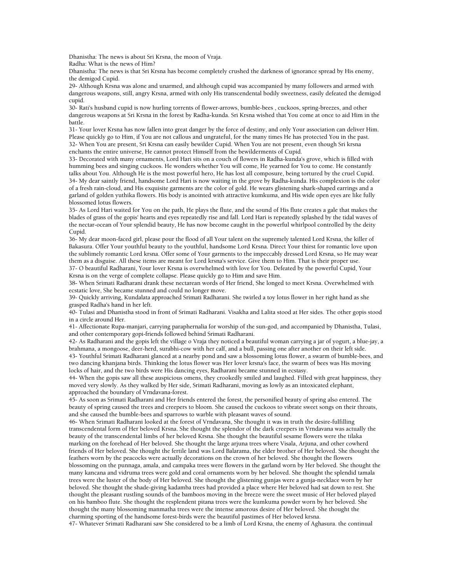Dhanistha: The news is about Sri Krsna, the moon of Vraja.

Radha: What is the news of Him?

Dhanistha: The news is that Sri Krsna has become completely crushed the darkness of ignorance spread by His enemy, the demigod Cupid.

29- Although Krsna was alone and unarmed, and although cupid was accompanied by many followers and armed with dangerous weapons, still, angry Krsna, armed with only His transcendental bodily sweetness, easily defeated the demigod cupid.

30- Rati's husband cupid is now hurling torrents of flower-arrows, bumble-bees , cuckoos, spring-breezes, and other dangerous weapons at Sri Krsna in the forest by Radha-kunda. Sri Krsna wished that You come at once to aid Him in the battle.

31- Your lover Krsna has now fallen into great danger by the force of destiny, and only Your association can deliver Him. Please quickly go to Him, if You are not callous and ungrateful, for the many times He has protected You in the past. 32- When You are present, Sri Krsna can easily bewilder Cupid. When You are not present, even though Sri krsna enchants the entire universe, He cannot protect Himself from the bewilderments of Cupid.

33- Decorated with many ornaments, Lord Hari sits on a couch of flowers in Radha-kunda's grove, which is filled with humming bees and singing cuckoos. He wonders whether You will come, He yearned for You to come. He constantly talks about You. Although He is the most powerful hero, He has lost all composure, being tortured by the cruel Cupid. 34- My dear saintly friend, handsome Lord Hari is now waiting in the grove by Radha-kunda. His complexion is the color of a fresh rain-cloud, and His exquisite garments are the color of gold. He wears glistening shark-shaped earrings and a garland of golden yuthika flowers. His body is anointed with attractive kumkuma, and His wide open eyes are like fully blossomed lotus flowers.

35- As Lord Hari waited for You on the path, He plays the flute, and the sound of His flute creates a gale that makes the blades of grass of the gopis' hearts and eyes repeatedly rise and fall. Lord Hari is repeatedly splashed by the tidal waves of the nectar-ocean of Your splendid beauty, He has now become caught in the powerful whirlpool controlled by the deity Cupid.

36- My dear moon-faced girl, please pour the flood of all Your talent on the supremely talented Lord Krsna, the killer of Bakasura. Offer Your youthful beauty to the youthful, handsome Lord Krsna. Direct Your thirst for romantic love upon the sublimely romantic Lord krsna. Offer some of Your garments to the impeccably dressed Lord Krsna, so He may wear them as a disguise. All these items are meant for Lord krsna's service. Give them to Him. That is their proper use.

37- O beautiful Radharani, Your lover Krsna is overwhelmed with love for You. Defeated by the powerful Cupid, Your Krsna is on the verge of complete collapse. Please quickly go to Him and save Him.

38- When Srimati Radharani drank these nectarean words of Her friend, She longed to meet Krsna. Overwhelmed with ecstatic love, She became stunned and could no longer move.

39- Quickly arriving, Kundalata approached Srimati Radharani. She twirled a toy lotus flower in her right hand as she grasped Radha's hand in her left.

40- Tulasi and Dhanistha stood in front of Srimati Radharani. Visakha and Lalita stood at Her sides. The other gopis stood in a circle around Her.

41- Affectionate Rupa-manjari, carrying paraphernalia for worship of the sun-god, and accompanied by Dhanistha, Tulasi, and other contemporary gopi-friends followed behind Srimati Radharani.

42- As Radharani and the gopis left the village o Vraja they noticed a beautiful woman carrying a jar of yogurt, a blue-jay, a brahmana, a mongoose, deer-herd, surabhi-cow with her calf, and a bull, passing one after another on their left side. 43- Youthful Srimati Radharani glanced at a nearby pond and saw a blossoming lotus flower, a swarm of bumble-bees, and

two dancing khanjana birds. Thinking the lotus flower was Her lover krsna's face, the swarm of bees was His moving locks of hair, and the two birds were His dancing eyes, Radharani became stunned in ecstasy.

44- When the gopis saw all these auspicious omens, they crookedly smiled and laughed. Filled with great happiness, they moved very slowly. As they walked by Her side, Srimati Radharani, moving as lowly as an intoxicated elephant, approached the boundary of Vrndavana-forest.

45- As soon as Srimati Radharani and Her friends entered the forest, the personified beauty of spring also entered. The beauty of spring caused the trees and creepers to bloom. She caused the cuckoos to vibrate sweet songs on their throats, and she caused the bumble-bees and sparrows to warble with pleasant waves of sound.

46- When Srimati Radharani looked at the forest of Vrndavana, She thought it was in truth the desire-fulfilling transcendental form of Her beloved Krsna. She thought the splendor of the dark creepers in Vrndavana was actually the beauty of the transcendental limbs of her beloved Krsna. She thought the beautiful sesame flowers were the tilaka marking on the forehead of Her beloved. She thought the large arjuna trees where Visala, Arjuna, and other cowherd friends of Her beloved. She thought the fertile land was Lord Balarama, the elder brother of Her beloved. She thought the feathers worn by the peacocks were actually decorations on the crown of her beloved. She thought the flowers

blossoming on the punnaga, amala, and campaka trees were flowers in the garland worn by Her beloved. She thought the many kancana and vidruma trees were gold and coral ornaments worn by her beloved. She thought the splendid tamala trees were the luster of the body of Her beloved. She thought the glistening gunjas were a gunja-necklace worn by her beloved. She thought the shade-giving kadamba trees had provided a place where Her beloved had sat down to rest. She thought the pleasant rustling sounds of the bamboos moving in the breeze were the sweet music of Her beloved played on his bamboo flute. She thought the resplendent pitana trees were the kumkuma powder worn by her beloved. She thought the many blossoming manmatha trees were the intense amorous desire of Her beloved. She thought the charming sporting of the handsome forest-birds were the beautiful pastimes of Her beloved krsna.

47- Whatever Srimati Radharani saw She considered to be a limb of Lord Krsna, the enemy of Aghasura. the continual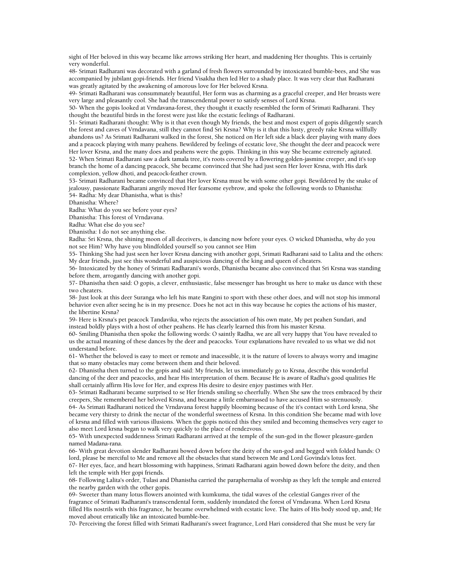sight of Her beloved in this way became like arrows striking Her heart, and maddening Her thoughts. This is certainly very wonderful.

48- Srimati Radharani was decorated with a garland of fresh flowers surrounded by intoxicated bumble-bees, and She was accompanied by jubilant gopi-friends. Her friend Visakha then led Her to a shady place. It was very clear that Radharani was greatly agitated by the awakening of amorous love for Her beloved Krsna.

49- Srimati Radharani was consummately beautiful, Her form was as charming as a graceful creeper, and Her breasts were very large and pleasantly cool. She had the transcendental power to satisfy senses of Lord Krsna.

50- When the gopis looked at Vrndavana-forest, they thought it exactly resembled the form of Srimati Radharani. They thought the beautiful birds in the forest were just like the ecstatic feelings of Radharani.

51- Srimati Radharani thought: Why is it that even though My friends, the best and most expert of gopis diligently search the forest and caves of Vrndavana, still they cannot find Sri Krsna? Why is it that this lusty, greedy rake Krsna willfully abandons us? As Srimati Radharani walked in the forest, She noticed on Her left side a black deer playing with many does and a peacock playing with many peahens. Bewildered by feelings of ecstatic love, She thought the deer and peacock were Her lover Krsna, and the many does and peahens were the gopis. Thinking in this way She became extremely agitated. 52- When Srimati Radharani saw a dark tamala tree, it's roots covered by a flowering golden-jasmine creeper, and it's top branch the home of a dancing peacock, She became convinced that She had just seen Her lover Krsna, with His dark complexion, yellow dhoti, and peacock-feather crown.

53- Srimati Radharani became convinced that Her lover Krsna must be with some other gopi. Bewildered by the snake of jealousy, passionate Radharani angrily moved Her fearsome eyebrow, and spoke the following words to Dhanistha: 54- Radha: My dear Dhanistha, what is this?

Dhanistha: Where?

Radha: What do you see before your eyes?

Dhanistha: This forest of Vrndavana.

Radha: What else do you see?

Dhanistha: I do not see anything else.

Radha: Sri Krsna, the shining moon of all deceivers, is dancing now before your eyes. O wicked Dhanistha, why do you not see Him? Why have you blindfolded yourself so you cannot see Him

55- Thinking She had just seen her lover Krsna dancing with another gopi, Srimati Radharani said to Lalita and the others: My dear friends, just see this wonderful and auspicious dancing of the king and queen of cheaters.

56- Intoxicated by the honey of Srimati Radharani's words, Dhanistha became also convinced that Sri Krsna was standing before them, arrogantly dancing with another gopi.

57- Dhanistha then said: O gopis, a clever, enthusiastic, false messenger has brought us here to make us dance with these two cheaters.

58- Just look at this deer Suranga who left his mate Rangini to sport with these other does, and will not stop his immoral behavior even after seeing he is in my presence. Does he not act in this way because he copies the actions of his master, the libertine Krsna?

59- Here is Krsna's pet peacock Tandavika, who rejects the association of his own mate, My pet peahen Sundari, and instead boldly plays with a host of other peahens. He has clearly learned this from his master Krsna.

60- Smiling Dhanistha then spoke the following words: O saintly Radha, we are all very happy that You have revealed to us the actual meaning of these dances by the deer and peacocks. Your explanations have revealed to us what we did not understand before.

61- Whether the beloved is easy to meet or remote and inacessible, it is the nature of lovers to always worry and imagine that so many obstacles may come between them and their beloved.

62- Dhanistha then turned to the gopis and said: My friends, let us immediately go to Krsna, describe this wonderful dancing of the deer and peacocks, and hear His interpretation of them. Because He is aware of Radha's good qualities He shall certainly affirm His love for Her, and express His desire to desire enjoy pastimes with Her.

63- Srimati Radharani became surprised to se Her friends smiling so cheerfully. When She saw the trees embraced by their creepers, She remembered her beloved Krsna, and became a little embarrassed to have accused Him so strenuously.

64- As Srimati Radharani noticed the Vrndavana forest happily blooming because of the it's contact with Lord krsna, She became very thirsty to drink the nectar of the wonderful sweetness of Krsna. In this condition She became mad with love of krsna and filled with various illusions. When the gopis noticed this they smiled and becoming themselves very eager to also meet Lord krsna began to walk very quickly to the place of rendezvous.

65- With unexpected suddenness Srimati Radharani arrived at the temple of the sun-god in the flower pleasure-garden named Madana-rana.

66- With great devotion slender Radharani bowed down before the deity of the sun-god and begged with folded hands: O lord, please be merciful to Me and remove all the obstacles that stand between Me and Lord Govinda's lotus feet.

67- Her eyes, face, and heart blossoming with happiness, Srimati Radharani again bowed down before the deity, and then left the temple with Her gopi friends.

68- Following Lalita's order, Tulasi and Dhanistha carried the paraphernalia of worship as they left the temple and entered the nearby garden with the other gopis.

69- Sweeter than many lotus flowers anointed with kumkuma, the tidal waves of the celestial Ganges river of the fragrance of Srimati Radharani's transcendental form, suddenly inundated the forest of Vrndavana. When Lord Krsna filled His nostrils with this fragrance, he became overwhelmed with ecstatic love. The hairs of His body stood up, and; He moved about erratically like an intoxicated bumble-bee.

70- Perceiving the forest filled with Srimati Radharani's sweet fragrance, Lord Hari considered that She must be very far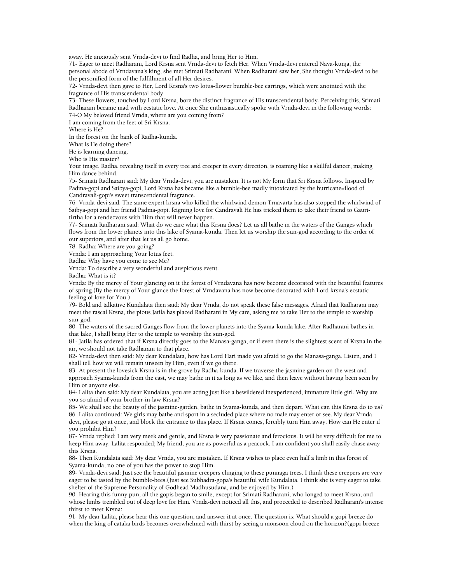away. He anxiously sent Vrnda-devi to find Radha, and bring Her to Him.

71- Eager to meet Radharani, Lord Krsna sent Vrnda-devi to fetch Her. When Vrnda-devi entered Nava-kunja, the personal abode of Vrndavana's king, she met Srimati Radharani. When Radharani saw her, She thought Vrnda-devi to be the personified form of the fulfillment of all Her desires.

72- Vrnda-devi then gave to Her, Lord Krsna's two lotus-flower bumble-bee earrings, which were anointed with the fragrance of His transcendental body.

73- These flowers, touched by Lord Krsna, bore the distinct fragrance of His transcendental body. Perceiving this, Srimati Radharani became mad with ecstatic love. At once She enthusiastically spoke with Vrnda-devi in the following words: 74-O My beloved friend Vrnda, where are you coming from?

I am coming from the feet of Sri Krsna.

Where is He?

In the forest on the bank of Radha-kunda.

What is He doing there?

He is learning dancing.

Who is His master?

Your image, Radha, revealing itself in every tree and creeper in every direction, is roaming like a skillful dancer, making Him dance behind.

75- Srimati Radharani said: My dear Vrnda-devi, you are mistaken. It is not My form that Sri Krsna follows. Inspired by Padma-gopi and Saibya-gopi, Lord Krsna has became like a bumble-bee madly intoxicated by the hurricane=flood of Candravali-gopi's sweet transcendental fragrance.

76- Vrnda-devi said: The same expert krsna who killed the whirlwind demon Trnavarta has also stopped the whirlwind of Saibya-gopi and her friend Padma-gopi. feigning love for Candravali He has tricked them to take their friend to Gauritirtha for a rendezvous with Him that will never happen.

77- Srimati Radharani said: What do we care what this Krsna does? Let us all bathe in the waters of the Ganges which flows from the lower planets into this lake of Syama-kunda. Then let us worship the sun-god according to the order of our superiors, and after that let us all go home.

78- Radha: Where are you going?

Vrnda: I am approaching Your lotus feet.

Radha: Why have you come to see Me?

Vrnda: To describe a very wonderful and auspicious event.

Radha: What is it?

Vrnda: By the mercy of Your glancing on it the forest of Vrndavana has now become decorated with the beautiful features of spring.(By the mercy of Your glance the forest of Vrndavana has now become decorated with Lord krsna's ecstatic feeling of love for You.)

79- Bold and talkative Kundalata then said: My dear Vrnda, do not speak these false messages. Afraid that Radharani may meet the rascal Krsna, the pious Jatila has placed Radharani in My care, asking me to take Her to the temple to worship sun-god.

80- The waters of the sacred Ganges flow from the lower planets into the Syama-kunda lake. After Radharani bathes in that lake, I shall bring Her to the temple to worship the sun-god.

81- Jatila has ordered that if Krsna directly goes to the Manasa-ganga, or if even there is the slightest scent of Krsna in the air, we should not take Radharani to that place.

82- Vrnda-devi then said: My dear Kundalata, how has Lord Hari made you afraid to go the Manasa-ganga. Listen, and I shall tell how we will remain unseen by Him, even if we go there.

83- At present the lovesick Krsna is in the grove by Radha-kunda. If we traverse the jasmine garden on the west and approach Syama-kunda from the east, we may bathe in it as long as we like, and then leave without having been seen by Him or anyone else.

84- Lalita then said: My dear Kundalata, you are acting just like a bewildered inexperienced, immature little girl. Why are you so afraid of your brother-in-law Krsna?

85- We shall see the beauty of the jasmine-garden, bathe in Syama-kunda, and then depart. What can this Krsna do to us? 86- Lalita continued: We girls may bathe and sport in a secluded place where no male may enter or see. My dear Vrndadevi, please go at once, and block the entrance to this place. If Krsna comes, forcibly turn Him away. How can He enter if you prohibit Him?

87- Vrnda replied: I am very meek and gentle, and Krsna is very passionate and ferocious. It will be very difficult for me to keep Him away. Lalita responded; My friend, you are as powerful as a peacock. I am confident you shall easily chase away this Krsna.

88- Then Kundalata said: My dear Vrnda, you are mistaken. If Krsna wishes to place even half a limb in this forest of Syama-kunda, no one of you has the power to stop Him.

89- Vrnda-devi said: Just see the beautiful jasmine creepers clinging to these punnaga trees. I think these creepers are very eager to be tasted by the bumble-bees.(Just see Subhadra-gopa's beautiful wife Kundalata. I think she is very eager to take shelter of the Supreme Personality of Godhead Madhusudana, and be enjoyed by Him.)

90- Hearing this funny pun, all the gopis began to smile, except for Srimati Radharani, who longed to meet Krsna, and whose limbs trembled out of deep love for Him. Vrnda-devi noticed all this, and proceeded to described Radharani's intense thirst to meet Krsna:

91- My dear Lalita, please hear this one question, and answer it at once. The question is: What should a gopi-breeze do when the king of cataka birds becomes overwhelmed with thirst by seeing a monsoon cloud on the horizon?(gopi-breeze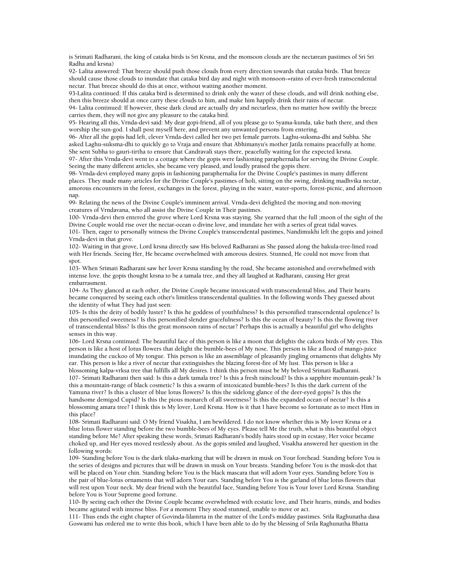is Srimati Radharani, the king of cataka birds is Sri Krsna, and the monsoon clouds are the nectarean pastimes of Sri Sri Radha and krsna)

92- Lalita answered: That breeze should push those clouds from every direction towards that cataka birds. That breeze should cause those clouds to inundate that cataka bird day and night with monsoon-=rains of ever-fresh transcendental nectar. That breeze should do this at once, without waiting another moment.

93-Lalita continued: If this cataka bird is determined to drink only the water of these clouds, and will drink nothing else, then this breeze should at once carry these clouds to him, and make him happily drink their rains of nectar.

94- Lalita continued: If however, these dark cloud are actually dry and nectarless, then no matter how swiftly the breeze carries them, they will not give any pleasure to the cataka bird.

95- Hearing all this, Vrnda-devi said: My dear gopi-friend, all of you please go to Syama-kunda, take bath there, and then worship the sun-god. I shall post myself here, and prevent any unwanted persons from entering.

96- After all the gopis had left, clever Vrnda-devi called her two pet female parrots. Laghu-suksma-dhi and Subha. She asked Laghu-suksma-dhi to quickly go to Vraja and ensure that Abhimanyu's mother Jatila remains peacefully at home. She sent Subha to gauri-tirtha to ensure that Candravali stays there, peacefully waiting for the expected krsna.

97- After this Vrnda-devi went to a cottage where the gopis were fashioning paraphernalia for serving the Divine Couple. Seeing the many different articles, she became very pleased, and loudly praised the gopis there.

98- Vrnda-devi employed many gopis in fashioning paraphernalia for the Divine Couple's pastimes in many different places. They made many articles for the Divine Couple's pastimes of holi, sitting on the swing, drinking madhvika nectar, amorous encounters in the forest, exchanges in the forest, playing in the water, water-sports, forest-picnic, and afternoon nap.

99- Relating the news of the Divine Couple's imminent arrival. Vrnda-devi delighted the moving and non-moving creatures of Vrndavana, who all assist the Divine Couple in Their pastimes.

100- Vrnda-devi then entered the grove where Lord Krsna was staying. She yearned that the full ;moon of the sight of the Divine Couple would rise over the nectar-ocean o divine love, and inundate her with a series of great tidal waves.

101- Then, eager to personally witness the Divine Couple's transcendental pastimes, Nandimukhi left the gopis and joined Vrnda-devi in that grove.

102- Waiting in that grove, Lord krsna directly saw His beloved Radharani as She passed along the bakula-tree-lined road with Her friends. Seeing Her, He became overwhelmed with amorous desires. Stunned, He could not move from that spot.

103- When Srimati Radharani saw her lover Krsna standing by the road, She became astonished and overwhelmed with intense love. the gopis thought krsna to be a tamala tree, and they all laughed at Radharani, causing Her great embarrasment.

104- As They glanced at each other, the Divine Couple became intoxicated with transcendental bliss, and Their hearts became conquered by seeing each other's limitless transcendental qualities. In the following words They guessed about the identity of what They had just seen:

105- Is this the deity of bodily luster? Is this he goddess of youthfulness? Is this personified transcendental opulence? Is this personified sweetness? Is this personified slender gracefulness? Is this the ocean of beauty? Is this the flowing river of transcendental bliss? Is this the great monsoon rains of nectar? Perhaps this is actually a beautiful girl who delights senses in this way.

106- Lord Krsna continued: The beautiful face of this person is like a moon that delights the cakora birds of My eyes. This person is like a host of lotus flowers that delight the bumble-bees of My nose. This person is like a flood of mango-juice inundating the cuckoo of My tongue. This person is like an assemblage of pleasantly jingling ornaments that delights My ear. This person is like a river of nectar that extinguishes the blazing forest-fire of My lust. This person is like a blossoming kalpa-vrksa tree that fulfills all My desires. I think this person must be My beloved Srimati Radharani.

107- Srimati Radharani then said: Is this a dark tamala tree? Is this a fresh raincloud? Is this a sapphire mountain-peak? Is this a mountain-range of black cosmetic? Is this a swarm of intoxicated bumble-bees? Is this the dark current of the Yamuna river? Is this a cluster of blue lotus flowers? Is this the sidelong glance of the deer-eyed gopis? Is this the handsome demigod Cupid? Is this the pious monarch of all sweetness? Is this the expanded ocean of nectar? Is this a blossoming amara tree? I think this is My lover, Lord Krsna. How is it that I have become so fortunate as to meet Him in this place?

108- Srimati Radharani said: O My friend Visakha, I am bewildered. I do not know whether this is My lover Krsna or a blue lotus flower standing before the two bumble-bees of My eyes. Please tell Me the truth, what is this beautiful object standing before Me? After speaking these words, Srimati Radharani's bodily hairs stood up in ecstasy, Her voice became choked up, and Her eyes moved restlessly about. As the gopis smiled and laughed, Visakha answered her question in the following words:

109- Standing before You is the dark tilaka-marking that will be drawn in musk on Your forehead. Standing before You is the series of designs and pictures that will be drawn in musk on Your breasts. Standing before You is the musk-dot that will be placed on Your chin. Standing before You is the black mascara that will adorn Your eyes. Standing before You is the pair of blue-lotus ornaments that will adorn Your ears. Standing before You is the garland of blue lotus flowers that will rest upon Your neck. My dear friend with the beautiful face, Standing before You is Your lover Lord Krsna. Standing before You is Your Supreme good fortune.

110- By seeing each other the Divine Couple became overwhelmed with ecstatic love, and Their hearts, minds, and bodies became agitated with intense bliss. For a moment They stood stunned, unable to move or act.

111- Thus ends the eight chapter of Govinda-lilamrta in the matter of the Lord's midday pastimes. Srila Raghunatha dasa Goswami has ordered me to write this book, which I have been able to do by the blessing of Srila Raghunatha Bhatta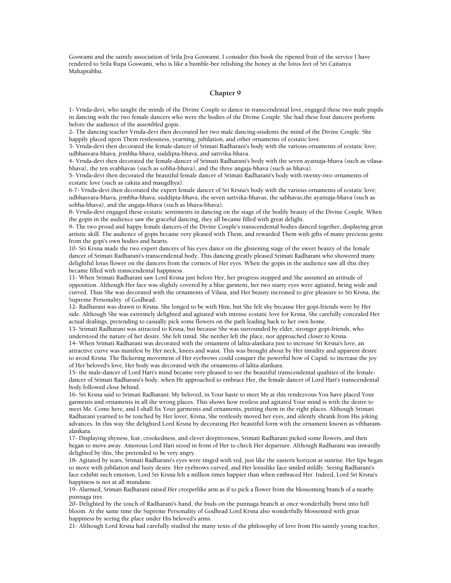Goswami and the saintly association of Srila Jiva Goswami. I consider this book the ripened fruit of the service I have rendered to Srila Rupa Goswami, who is like a bumble-bee relishing the honey at the lotus feet of Sri Caitanya Mahaprabhu.

## **Chapter 9**

1- Vrnda-devi, who taught the minds of the Divine Couple to dance in transcendental love, engaged these two male pupils in dancing with the two female dancers who were the bodies of the Divine Couple. She had these four dancers perform before the audience of the assembled gopis.

2- The dancing teacher Vrnda-devi then decorated her two male dancing-students the mind of the Divine Couple. She happily placed upon Them restlessness, yearning, jubilation, and other ornaments of ecstatic love.

3- Vrnda-devi then decorated the female-dancer of Srimati Radharani's body with the various ornaments of ecstatic love; udbhasvara-bhava, jrmbha-bhava, suddipta-bhava, and sattvika-bhava.

4- Vrnda-devi then decorated the female-dancer of Srimati Radharani's body with the seven ayatnaja-bhava (such as vilasabhava), the ten svabhavas (such as sobha-bhava), and the three angaja-bhava (such as bhava).

5- Vrnda-devi then decorated the beautiful female dancer of Srimati Radharani's body with twenty-two ornaments of ecstatic love (such as cakita and maugdhya).

6-7- Vrnda-devi then decorated the expert female dancer of Sri Krsna's body with the various ornaments of ecstatic love; udbhasvara-bhava, jrmbha-bhava, suddipta-bhava, the seven sattvika-bhavas, the sabhavas,the ayatnaja-bhava (such as sobha-bhava), and the angaja-bhava (such as bhava-bhava).

8- Vrnda-devi engaged these ecstatic sentiments in dancing on the stage of the bodily beauty of the Divine Couple. When the gopis in the audience saw the graceful dancing, they all became filled with great delight.

9- The two proud and happy female dancers of the Divine Couple's transcendental bodies danced together, displaying great artistic skill. The audience of gopis became very pleased with Them, and rewarded Them with gifts of many precious gems from the gopi's own bodies and hearts.

10- Sri Krsna made the two expert dancers of his eyes dance on the glistening stage of the sweet beauty of the female dancer of Srimati Radharani's transcendental body. This dancing greatly pleased Srimati Radharani who showered many delightful lotus flower on the dancers from the corners of Her eyes. When the gopis in the audience saw all this they became filled with transcendental happiness.

11- When Srimati Radharani saw Lord Krsna just before Her, her progress stopped and She assumed an attitude of opposition. Although Her face was slightly covered by a blue garment, her two starry eyes were agitated, being wide and curved. Thus She was decorated with the ornaments of Vilasa, and Her beauty increased to give pleasure to Sri Krsna, the Supreme Personality of Godhead.

12- Radharani was drawn to Krsna. She longed to be with Him, but She felt shy because Her gopi-friends were by Her side. Although She was extremely delighted and agitated with intense ecstatic love for Krsna, She carefully concealed Her actual dealings, pretending to casually pick some flowers on the path leading back to her own home.

13- Srimati Radharani was attracted to Krsna, but because She was surrounded by elder, stronger gopi-friends, who understood the nature of her desire. She felt timid. She neither left the place, nor approached closer to Krsna.

14- When Srimati Radharani was decorated with the ornament of lalita-alankara just to increase Sri Krsna's love, an attractive curve was manifest by Her neck, knees and waist. This was brought about by Her timidity and apparent desire to avoid Krsna. The flickering movement of Her eyebrows could conquer the powerful bow of Cupid. to increase the joy of Her beloved's love, Her body was decorated with the ornaments of lalita-alankara.

15- the male-dancer of Lord Hari's mind became very pleased to see the beautiful transcendental qualities of the femaledancer of Srimati Radharani's body. when He approached to embrace Her, the female dancer of Lord Hari's transcendental body followed close behind.

16- Sri Krsna said to Srimati Radharani: My beloved, in Your haste to meet Me at this rendezvous You have placed Your garments and ornaments in all the wrong places. This shows how restless and agitated Your mind is with the desire to meet Me. Come here, and I shall fix Your garments and ornaments, putting them in the right places. Although Srimati Radharani yearned to be touched by Her lover, Krsna, She restlessly moved her eyes, and silently shrank from His joking advances. In this way She delighted Lord Krsna by decorating Her beautiful form with the ornament known as vibharamalankara.

17- Displaying shyness, fear, crookedness, and clever deeptiveness, Srimati Radharani picked some flowers, and then began to move away. Amorous Lord Hari stood in front of Her to check Her departure. Although Radharani was inwardly delighted by this, She pretended to be very angry.

18- Agitated by tears, Srimati Radharani's eyes were tinged with red, just like the eastern horizon at sunrise. Her lips began to move with jubilation and lusty desire. Her eyebrows curved, and Her lotuslike face smiled mildly. Seeing Radharani's face exhibit such emotion, Lord Sri Krsna felt a million times happier than when embraced Her. Indeed, Lord Sri Krsna's happiness is not at all mundane.

19- Alarmed, Srimati Radharani raised Her creeperlike arm as if to pick a flower from the blossoming branch of a nearby punnaga tree.

20- Delighted by the touch of Radharani's hand, the buds on the punnaga branch at once wonderfully burst into full bloom. At the same time the Supreme Personality of Godhead Lord Krsna also wonderfully blossomed with great happiness by seeing the place under His beloved's arms.

21- Although Lord Krsna had carefully studied the many texts of the philosophy of love from His saintly young teacher,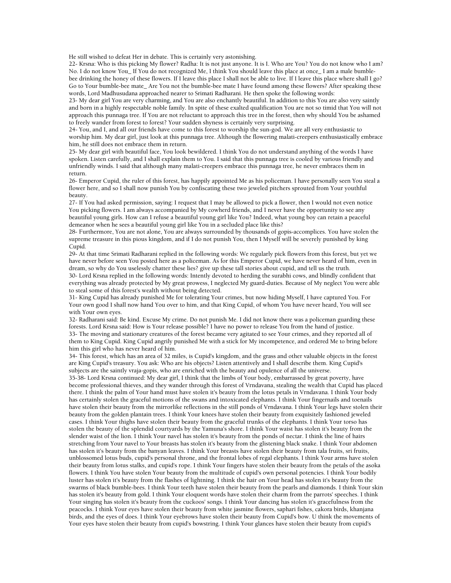He still wished to defeat Her in debate. This is certainly very astonishing.

22- Krsna: Who is this picking My flower? Radha: It is not just anyone. It is I. Who are You? You do not know who I am? No. I do not know You\_ If You do not recognized Me, I think You should leave this place at once\_ I am a male bumblebee drinking the honey of these flowers. If I leave this place I shall not be able to live. If I leave this place where shall I go? Go to Your bumble-bee mate\_ Are You not the bumble-bee mate I have found among these flowers? After speaking these words, Lord Madhusudana approached nearer to Srimati Radharani. He then spoke the following words:

23- My dear girl You are very charming, and You are also enchantly beautiful. In addition to this You are also very saintly and born in a highly respectable noble family. In spite of these exalted qualification You are not so timid that You will not approach this punnaga tree. If You are not reluctant to approach this tree in the forest, then why should You be ashamed to freely wander from forest to forest? Your sudden shyness is certainly very surprising.

24- You, and I, and all our friends have come to this forest to worship the sun-god. We are all very enthusiastic to worship him. My dear girl, just look at this punnaga tree. Although the flowering malati-creepers enthusiastically embrace him, he still does not embrace them in return.

25- My dear girl with beautiful face, You look bewildered. I think You do not understand anything of the words I have spoken. Listen carefully, and I shall explain them to You. I said that this punnaga tree is cooled by various friendly and unfriendly winds. I said that although many malati-creepers embrace this punnaga tree, he never embraces them in return.

26- Emperor Cupid, the ruler of this forest, has happily appointed Me as his policeman. I have personally seen You steal a flower here, and so I shall now punish You by confiscating these two jeweled pitchers sprouted from Your youthful beauty.

27- If You had asked permission, saying: I request that I may be allowed to pick a flower, then I would not even notice You picking flowers. I am always accompanied by My cowherd friends, and I never have the opportunity to see any beautiful young girls. How can I refuse a beautiful young girl like You? Indeed, what young boy can retain a peaceful demeanor when he sees a beautiful young girl like You in a secluded place like this?

28- Furthermore, You are not alone, You are always surrounded by thousands of gopis-accomplices. You have stolen the supreme treasure in this pious kingdom, and if I do not punish You, then I Myself will be severely punished by king Cupid.

29- At that time Srimati Radharani replied in the following words: We regularly pick flowers from this forest, but yet we have never before seen You posted here as a policeman. As for this Emperor Cupid, we have never heard of him, even in dream, so why do You uselessly chatter these lies? give up these tall stories about cupid, and tell us the truth. 30- Lord Krsna replied in the following words: Intently devoted to herding the surabhi cows, and blindly confident that everything was already protected by My great prowess, I neglected My guard-duties. Because of My neglect You were able to steal some of this forest's wealth without being detected.

31- King Cupid has already punished Me for tolerating Your crimes, but now hiding Myself, I have captured You. For Your own good I shall now hand You over to him, and that King Cupid, of whom You have never heard, You will see with Your own eyes.

32- Radharani said: Be kind. Excuse My crime. Do not punish Me. I did not know there was a policeman guarding these forests. Lord Krsna said: How is Your release possible? I have no power to release You from the hand of justice. 33- The moving and stationary creatures of the forest became very agitated to see Your crimes, and they reported all of them to King Cupid. King Cupid angrily punished Me with a stick for My incompetence, and ordered Me to bring before him this girl who has never heard of him.

34- This forest, which has an area of 32 miles, is Cupid's kingdom, and the grass and other valuable objects in the forest are King Cupid's treasury. You ask: Who are his objects? Listen attentively and I shall describe them. King Cupid's subjects are the saintly vraja-gopis, who are enriched with the beauty and opulence of all the universe.

35-38- Lord Krsna continued: My dear girl, I think that the limbs of Your body, embarrassed by great poverty, have become professional thieves, and they wander through this forest of Vrndavana, stealing the wealth that Cupid has placed there. I think the palm of Your hand must have stolen it's beauty from the lotus petals in Vrndavana. I think Your body has certainly stolen the graceful motions of the swans and intoxicated elephants. I think Your fingernails and toenails have stolen their beauty from the mirrorlike reflections in the still ponds of Vrndavana. I think Your legs have stolen their beauty from the golden plantain trees. I think Your knees have stolen their beauty from exquisitely fashioned jeweled cases. I think Your thighs have stolen their beauty from the graceful trunks of the elephants. I think Your torso has stolen the beauty of the splendid courtyards by the Yamuna's shore. I think Your waist has stolen it's beauty from the slender waist of the lion. I think Your navel has stolen it's beauty from the ponds of nectar. I think the line of hairs stretching from Your navel to Your breasts has stolen it's beauty from the glistening black snake. I think Your abdomen has stolen it's beauty from the banyan leaves. I think Your breasts have stolen their beauty from tala fruits, sri fruits, unblossomed lotus buds, cupid's personal throne, and the frontal lobes of regal elephants. I think Your arms have stolen their beauty from lotus stalks, and cupid's rope. I think Your fingers have stolen their beauty from the petals of the asoka flowers. I think You have stolen Your beauty from the multitude of cupid's own personal potencies. I think Your bodily luster has stolen it's beauty from the flashes of lightning. I think the hair on Your head has stolen it's beauty from the swarms of black bumble-bees. I think Your teeth have stolen their beauty from the pearls and diamonds. I think Your skin has stolen it's beauty from gold. I think Your eloquent words have stolen their charm from the parrots' speeches. I think Your singing has stolen it's beauty from the cuckoos' songs. I think Your dancing has stolen it's gracefulness from the peacocks. I think Your eyes have stolen their beauty from white jasmine flowers, saphari fishes, cakora birds, khanjana birds, and the eyes of does. I think Your eyebrows have stolen their beauty from Cupid's bow. U think the movements of Your eyes have stolen their beauty from cupid's bowstring. I think Your glances have stolen their beauty from cupid's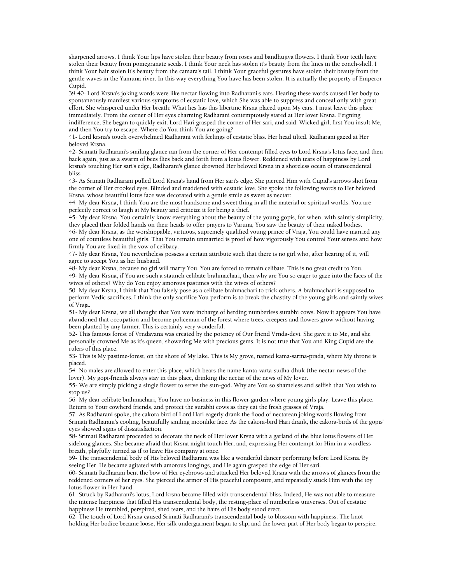sharpened arrows. I think Your lips have stolen their beauty from roses and bandhujiva flowers. I think Your teeth have stolen their beauty from pomegranate seeds. I think Your neck has stolen it's beauty from the lines in the conch-shell. I think Your hair stolen it's beauty from the camara's tail. I think Your graceful gestures have stolen their beauty from the gentle waves in the Yamuna river. In this way everything You have has been stolen. It is actually the property of Emperor Cupid.

39-40- Lord Krsna's joking words were like nectar flowing into Radharani's ears. Hearing these words caused Her body to spontaneously manifest various symptoms of ecstatic love, which She was able to suppress and conceal only with great effort. She whispered under Her breath: What lies has this libertine Krsna placed upon My ears. I must leave this place immediately. From the corner of Her eyes charming Radharani contemptously stared at Her lover Krsna. Feigning indifference, She began to quickly exit. Lord Hari grasped the corner of Her sari, and said: Wicked girl, first You insult Me, and then You try to escape. Where do You think You are going?

41- Lord krsna's touch overwhelmed Radharani with feelings of ecstatic bliss. Her head tilted, Radharani gazed at Her beloved Krsna.

42- Srimati Radharani's smiling glance ran from the corner of Her contempt filled eyes to Lord Krsna's lotus face, and then back again, just as a swarm of bees flies back and forth from a lotus flower. Reddened with tears of happiness by Lord krsna's touching Her sari's edge, Radharani's glance drowned Her beloved Krsna in a shoreless ocean of transcendental bliss.

43- As Srimati Radharani pulled Lord Krsna's hand from Her sari's edge, She pierced Him with Cupid's arrows shot from the corner of Her crooked eyes. Blinded and maddened with ecstatic love, She spoke the following words to Her beloved Krsna, whose beautiful lotus face was decorated with a gentle smile as sweet as nectar:

44- My dear Krsna, I think You are the most handsome and sweet thing in all the material or spiritual worlds. You are perfectly correct to laugh at My beauty and criticize it for being a thief.

45- My dear Krsna, You certainly know everything about the beauty of the young gopis, for when, with saintly simplicity, they placed their folded hands on their heads to offer prayers to Varuna, You saw the beauty of their naked bodies.

46- My dear Krsna, as the worshippable, virtuous, supremely qualified young prince of Vraja, You could have married any one of countless beautiful girls. That You remain unmarried is proof of how vigorously You control Your senses and how firmly You are fixed in the vow of celibacy.

47- My dear Krsna, You nevertheless possess a certain attribute such that there is no girl who, after hearing of it, will agree to accept You as her husband.

48- My dear Krsna, because no girl will marry You, You are forced to remain celibate. This is no great credit to You. 49- My dear Krsna, if You are such a staunch celibate brahmachari, then why are You so eager to gaze into the faces of the wives of others? Why do You enjoy amorous pastimes with the wives of others?

50- My dear Krsna, I think that You falsely pose as a celibate brahmachari to trick others. A brahmachari is supposed to perform Vedic sacrifices. I think the only sacrifice You perform is to break the chastity of the young girls and saintly wives of Vraja.

51- My dear Krsna, we all thought that You were incharge of herding numberless surabhi cows. Now it appears You have abandoned that occupation and become policeman of the forest where trees, creepers and flowers grow without having been planted by any farmer. This is certainly very wonderful.

52- This famous forest of Vrndavana was created by the potency of Our friend Vrnda-devi. She gave it to Me, and she personally crowned Me as it's queen, showering Me with precious gems. It is not true that You and King Cupid are the rulers of this place.

53- This is My pastime-forest, on the shore of My lake. This is My grove, named kama-sarma-prada, where My throne is placed.

54- No males are allowed to enter this place, which bears the name kanta-varta-sudha-dhuk (the nectar-news of the lover). My gopi-friends always stay in this place, drinking the nectar of the news of My lover.

55- We are simply picking a single flower to serve the sun-god. Why are You so shameless and selfish that You wish to stop us?

56- My dear celibate brahmachari, You have no business in this flower-garden where young girls play. Leave this place. Return to Your cowherd friends, and protect the surabhi cows as they eat the fresh grasses of Vraja.

57- As Radharani spoke, the cakora bird of Lord Hari eagerly drank the flood of nectarean joking words flowing from Srimati Radharani's cooling, beautifully smiling moonlike face. As the cakora-bird Hari drank, the cakora-birds of the gopis' eyes showed signs of dissatisfaction.

58- Srimati Radharani proceeded to decorate the neck of Her lover Krsna with a garland of the blue lotus flowers of Her sidelong glances. She became afraid that Krsna might touch Her, and, expressing Her contempt for Him in a wordless breath, playfully turned as if to leave His company at once.

59- The transcendental body of His beloved Radharani was like a wonderful dancer performing before Lord Krsna. By seeing Her, He became agitated with amorous longings, and He again grasped the edge of Her sari.

60- Srimati Radharani bent the bow of Her eyebrows and attacked Her beloved Krsna with the arrows of glances from the reddened corners of her eyes. She pierced the armor of His peaceful composure, and repeatedly stuck Him with the toy lotus flower in Her hand.

61- Struck by Radharani's lotus, Lord krsna became filled with transcendental bliss. Indeed, He was not able to measure the intense happiness that filled His transcendental body, the resting-place of numberless universes. Out of ecstatic happiness He trembled, perspired, shed tears, and the hairs of His body stood erect.

62- The touch of Lord Krsna caused Srimati Radharani's transcendental body to blossom with happiness. The knot holding Her bodice became loose, Her silk undergarment began to slip, and the lower part of Her body began to perspire.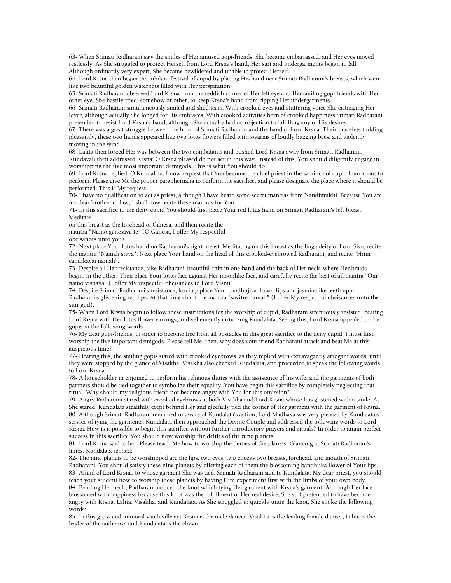63- When Srimati Radharani saw the smiles of Her amused gopi-friends, She became embarrassed, and Her eyes moved restlessly. As She struggled to protect Herself from Lord Krsna's hand, Her sari and undergarments began to fall. Although ordinarily very expert, She became bewildered and unable to protect Herself.

64- Lord Krsna then began the jubilant festival of cupid by placing His hand near Srimati Radharani's breasts, which were like two beautiful golden waterpots filled with Her perspiration.

65- Srimati Radharani observed Lord Krsna from the reddish corner of Her left eye and Her smiling gopi-friends with Her other eye. She hastily tried, somehow or other, to keep Krsna's hand from ripping Her undergarments.

66- Srimati Radharani simultaneously smiled and shed tears. With crooked eyes and stuttering voice She criticizing Her lover, although actually She longed for His embraces. With crooked activities born of crooked happiness Srimati Radharani pretended to resist Lord Krsna's hand, although She actually had no objection to fulfilling any of His desires.

67- There was a great struggle between the hand of Srimati Radharani and the hand of Lord Krsna. Their bracelets tinkling pleasantly, these two hands appeared like two lotus flowers filled with swarms of loudly buzzing bees, and violently moving in the wind.

68- Lalita then forced Her way between the two combatants and pushed Lord Krsna away from Srimati Radharani. Kundavali then addressed Krsna: O Krsna pleased do not act in this way. Instead of this, You should diligently engage in worshipping the five most important demigods. This is what You should do.

69- Lord Krsna replied: O Kundalata, I now request that You become the chief priest in the sacrifice of cupid I am about to perform. Please give Me the proper paraphernalia to perform the sacrifice, and please designate the place where it should be performed. This is My request.

70- I have no qualification to act as priest, although I have heard some secret mantras from Nandimukhi. Because You are my dear brother-in-law, I shall now recite these mantras for You.

71- In this sacrifice to the deity cupid You should first place Your red lotus hand on Srimati Radharani's left breast. Meditate

on this breast as the forehead of Ganesa, and then recite the

mantra "Namo ganesaya te" (O Ganesa, I offer My respectful

obeisances unto you).

72- Next place Your lotus hand on Radharani's right breast. Meditating on this breast as the linga deity of Lord Siva, recite the mantra "Namah sivya". Next place Your hand on the head of this crooked-eyebrowed Radharani, and recite "Hrim candikayai namah".

73- Despite all Her resistance, take Radharani' beautiful chin in one hand and the back of Her neck, where Her braids begin, in the other. Then place Your lotus face against Her moonlike face, and carefully recite the best of all mantra "Om namo visnava" (I offer My respectful obeisances to Lord Visnu).

74- Despite Srimati Radharani's resistance, forcibly place Your bandhujiva flower lips and jasminelike teeth upon Radharani's glistening red lips. At that time chant the mantra "savitre namah" (I offer My respectful obeisances unto the sun-god).

75- When Lord Krsna began to follow these instructions for the worship of cupid, Radharani strenuously resisted, beating Lord Krsna with Her lotus flower earrings, and vehemently criticizing Kundalata. Seeing this, Lord Krsna appealed to the gopis in the following words:

76- My dear gopi-friends, in order to become free from all obstacles in this great sacrifice to the deity cupid, I must first worship the five important demigods. Please tell Me, then, why does your friend Radharani attack and beat Me at this auspicious time?

77- Hearing this, the smiling gopis stared with crooked eyebrows, as they replied with extravagantly arrogant words, until they were stopped by the glance of Visakha. Visakha also checked Kundalata, and proceeded to speak the following words to Lord Krsna:

78- A householder in enjoined to perform his religious duties with the assistance of his wife, and the garments of both partners should be tied together to symbolize their equality. You have begin this sacrifice by completely neglecting that ritual. Why should my religious friend not become angry with You for this omission?

79- Angry Radharani stared with crooked eyebrows at both Visakha and Lord Krsna whose lips glistened with a smile. As She stared, Kundalata stealthily crept behind Her and gleefully tied the corner of Her garment with the garment of Krsna. 80- Although Srimati Radharani remained unaware of Kundalata's action, Lord Madhava was very pleased by Kundalata's service of tying the garments. Kundalata then approached the Divine Couple and addressed the following words to Lord Krsna: How is it possible to begin this sacrifice without further introductory prayers and rituals? In order to attain perfect success in this sacrifice You should now worship the deities of the nine planets.

81- Lord Krsna said to her: Please teach Me how to worship the deities of the planets. Glancing at Srimati Radharani's limbs, Kundalata replied:

82- The nine planets to be worshipped are the lips, two eyes, two cheeks two breasts, forehead, and mouth of Srimati Radharani. You should satisfy these nine planets by offering each of them the blossoming bandhuka flower of Your lips. 83- Afraid of Lord Krsna, to whose garment She was tied, Srimati Radharani said to Kundalata: My dear priest, you should teach your student how to worship these planets by having Him experiment first with the limbs of your own body. 84- Bending Her neck, Radharani noticed the knot which tying Her garment with Krsna's garment. Although Her face blossomed with happiness because this knot was the fulfillment of Her real desire, She still pretended to have become angry with Krsna, Lalita, Visakha, and Kundalata. As She struggled to quickly untie the knot, She spoke the following words:

85- In this gross and immoral vaudeville act Krsna is the male dancer. Visakha is the leading female dancer, Lalita is the leader of the audience, and Kundalata is the clown.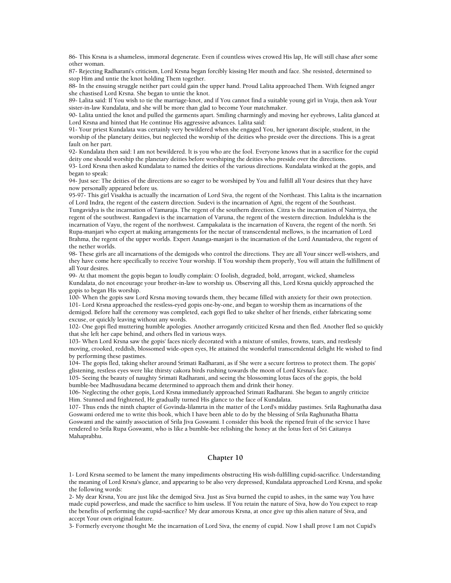86- This Krsna is a shameless, immoral degenerate. Even if countless wives crowed His lap, He will still chase after some other woman.

87- Rejecting Radharani's criticism, Lord Krsna began forcibly kissing Her mouth and face. She resisted, determined to stop Him and untie the knot holding Them together.

88- In the ensuing struggle neither part could gain the upper hand. Proud Lalita approached Them. With feigned anger she chastised Lord Krsna. She began to untie the knot.

89- Lalita said: If You wish to tie the marriage-knot, and if You cannot find a suitable young girl in Vraja, then ask Your sister-in-law Kundalata, and she will be more than glad to become Your matchmaker.

90- Lalita untied the knot and pulled the garments apart. Smiling charmingly and moving her eyebrows, Lalita glanced at Lord Krsna and hinted that He continue His aggressive advances. Lalita said:

91- Your priest Kundalata was certainly very bewildered when she engaged You, her ignorant disciple, student, in the worship of the planetary deities, but neglected the worship of the deities who preside over the directions. This is a great fault on her part.

92- Kundalata then said: I am not bewildered. It is you who are the fool. Everyone knows that in a sacrifice for the cupid deity one should worship the planetary deities before worshiping the deities who preside over the directions.

93- Lord Krsna then asked Kundalata to named the deities of the various directions. Kundalata winked at the gopis, and began to speak:

94- Just see: The deities of the directions are so eager to be worshiped by You and fulfill all Your desires that they have now personally appeared before us.

95-97- This girl Visakha is actually the incarnation of Lord Siva, the regent of the Northeast. This Lalita is the incarnation of Lord Indra, the regent of the eastern direction. Sudevi is the incarnation of Agni, the regent of the Southeast.

Tungavidya is the incarnation of Yamaraja. The regent of the southern direction. Citra is the incarnation of Nairrtya, the regent of the southwest. Rangadevi is the incarnation of Varuna, the regent of the western direction. Indulekha is the incarnation of Vayu, the regent of the northwest. Campakalata is the incarnation of Kuvera, the regent of the north. Sri Rupa-manjari who expert at making arrangements for the nectar of transcendental mellows, is the incarnation of Lord Brahma, the regent of the upper worlds. Expert Ananga-manjari is the incarnation of the Lord Anantadeva, the regent of the nether worlds.

98- These girls are all incarnations of the demigods who control the directions. They are all Your sincer well-wishers, and they have come here specifically to receive Your worship. If You worship them properly, You will attain the fulfillment of all Your desires.

99- At that moment the gopis began to loudly complain: O foolish, degraded, bold, arrogant, wicked, shameless Kundalata, do not encourage your brother-in-law to worship us. Observing all this, Lord Krsna quickly approached the gopis to began His worship.

100- When the gopis saw Lord Krsna moving towards them, they became filled with anxiety for their own protection. 101- Lord Krsna approached the restless-eyed gopis one-by-one, and began to worship them as incarnations of the demigod. Before half the ceremony was completed, each gopi fled to take shelter of her friends, either fabricating some excuse, or quickly leaving without any words.

102- One gopi fled muttering humble apologies. Another arrogantly criticized Krsna and then fled. Another fled so quickly that she left her cape behind, and others fled in various ways.

103- When Lord Krsna saw the gopis' faces nicely decorated with a mixture of smiles, frowns, tears, and restlessly moving, crooked, reddish, blossomed wide-open eyes, He attained the wonderful transcendental delight He wished to find by performing these pastimes.

104- The gopis fled, taking shelter around Srimati Radharani, as if She were a secure fortress to protect them. The gopis' glistening, restless eyes were like thirsty cakora birds rushing towards the moon of Lord Krsna's face.

105- Seeing the beauty of naughty Srimati Radharani, and seeing the blossoming lotus faces of the gopis, the bold bumble-bee Madhusudana became determined to approach them and drink their honey.

106- Neglecting the other gopis, Lord Krsna immediately approached Srimati Radharani. She began to angrily criticize Him. Stunned and frightened, He gradually turned His glance to the face of Kundalata.

107- Thus ends the ninth chapter of Govinda-lilamrta in the matter of the Lord's midday pastimes. Srila Raghunatha dasa Goswami ordered me to write this book, which I have been able to do by the blessing of Srila Raghunatha Bhatta Goswami and the saintly association of Srila Jiva Goswami. I consider this book the ripened fruit of the service I have rendered to Srila Rupa Goswami, who is like a bumble-bee relishing the honey at the lotus feet of Sri Caitanya Mahaprabhu.

# **Chapter 10**

1- Lord Krsna seemed to be lament the many impediments obstructing His wish-fulfilling cupid-sacrifice. Understanding the meaning of Lord Krsna's glance, and appearing to be also very depressed, Kundalata approached Lord Krsna, and spoke the following words:

2- My dear Krsna, You are just like the demigod Siva. Just as Siva burned the cupid to ashes, in the same way You have made cupid powerless, and made the sacrifice to him useless. If You retain the nature of Siva, how do You expect to reap the benefits of performing the cupid-sacrifice? My dear amorous Krsna, at once give up this alien nature of Siva, and accept Your own original feature.

3- Formerly everyone thought Me the incarnation of Lord Siva, the enemy of cupid. Now I shall prove I am not Cupid's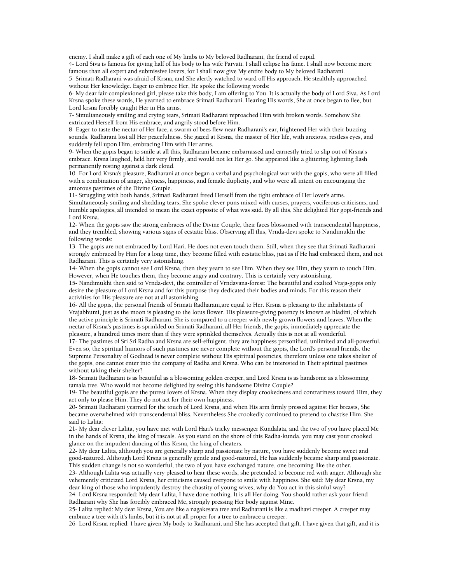enemy. I shall make a gift of each one of My limbs to My beloved Radharani, the friend of cupid.

4- Lord Siva is famous for giving half of his body to his wife Parvati. I shall eclipse his fame. I shall now become more famous than all expert and submissive lovers, for I shall now give My entire body to My beloved Radharani.

5- Srimati Radharani was afraid of Krsna, and She alertly watched to ward off His approach. He stealthily approached without Her knowledge. Eager to embrace Her, He spoke the following words:

6- My dear fair-complexioned girl, please take this body, I am offering to You. It is actually the body of Lord Siva. As Lord Krsna spoke these words, He yearned to embrace Srimati Radharani. Hearing His words, She at once began to flee, but Lord krsna forcibly caught Her in His arms.

7- Simultaneously smiling and crying tears, Srimati Radharani reproached Him with broken words. Somehow She extricated Herself from His embrace, and angrily stood before Him.

8- Eager to taste the nectar of Her face, a swarm of bees flew near Radharani's ear, frightened Her with their buzzing sounds. Radharani lost all Her peacefulness. She gazed at Krsna, the master of Her life, with anxious, restless eyes, and suddenly fell upon Him, embracing Him with Her arms.

9- When the gopis began to smile at all this, Radharani became embarrassed and earnestly tried to slip out of Krsna's embrace. Krsna laughed, held her very firmly, and would not let Her go. She appeared like a glittering lightning flash permanently resting against a dark cloud.

10- For Lord Krsna's pleasure, Radharani at once began a verbal and psychological war with the gopis, who were all filled with a combination of anger, shyness, happiness, and female duplicity, and who were all intent on encouraging the amorous pastimes of the Divine Couple.

11- Struggling with both hands, Srimati Radharani freed Herself from the tight embrace of Her lover's arms. Simultaneously smiling and shedding tears, She spoke clever puns mixed with curses, prayers, vociferous criticisms, and humble apologies, all intended to mean the exact opposite of what was said. By all this, She delighted Her gopi-friends and Lord Krsna.

12- When the gopis saw the strong embraces of the Divine Couple, their faces blossomed with transcendental happiness, and they trembled, showing various signs of ecstatic bliss. Observing all this, Vrnda-devi spoke to Nandimukhi the following words:

13- The gopis are not embraced by Lord Hari. He does not even touch them. Still, when they see that Srimati Radharani strongly embraced by Him for a long time, they become filled with ecstatic bliss, just as if He had embraced them, and not Radharani. This is certainly very astonishing.

14- When the gopis cannot see Lord Krsna, then they yearn to see Him. When they see Him, they yearn to touch Him. However, when He touches them, they become angry and contrary. This is certainly very astonishing.

15- Nandimukhi then said to Vrnda-devi, the controller of Vrndavana-forest: The beautiful and exalted Vraja-gopis only desire the pleasure of Lord Krsna and for this purpose they dedicated their bodies and minds. For this reason their activities for His pleasure are not at all astonishing.

16- All the gopis, the personal friends of Srimati Radharani,are equal to Her. Krsna is pleasing to the inhabitants of Vrajabhumi, just as the moon is pleasing to the lotus flower. His pleasure-giving potency is known as hladini, of which the active principle is Srimati Radharani. She is compared to a creeper with newly grown flowers and leaves. When the nectar of Krsna's pastimes is sprinkled on Srimati Radharani, all Her friends, the gopis, immediately appreciate the pleasure, a hundred times more than if they were sprinkled themselves. Actually this is not at all wonderful.

17- The pastimes of Sri Sri Radha and Krsna are self-effulgent. they are happiness personified, unlimited and all-powerful. Even so, the spiritual humors of such pastimes are never complete without the gopis, the Lord's personal friends. the Supreme Personality of Godhead is never complete without His spiritual potencies, therefore unless one takes shelter of the gopis, one cannot enter into the company of Radha and Krsna. Who can be interested in Their spiritual pastimes without taking their shelter?

18- Srimati Radharani is as beautiful as a blossoming golden creeper, and Lord Krsna is as handsome as a blossoming tamala tree. Who would not become delighted by seeing this handsome Divine Couple?

19- The beautiful gopis are the purest lovers of Krsna. When they display crookedness and contrariness toward Him, they act only to please Him. They do not act for their own happiness.

20- Srimati Radharani yearned for the touch of Lord Krsna, and when His arm firmly pressed against Her breasts, She became overwhelmed with transcendental bliss. Nevertheless She crookedly continued to pretend to chastise Him. She said to Lalita:

21- My dear clever Lalita, you have met with Lord Hari's tricky messenger Kundalata, and the two of you have placed Me in the hands of Krsna, the king of rascals. As you stand on the shore of this Radha-kunda, you may cast your crooked glance on the impudent dancing of this Krsna, the king of cheaters.

22- My dear Lalita, although you are generally sharp and passionate by nature, you have suddenly become sweet and good-natured. Although Lord Krsna is generally gentle and good-natured, He has suddenly became sharp and passionate. This sudden change is not so wonderful, the two of you have exchanged nature, one becoming like the other.

23- Although Lalita was actually very pleased to hear these words, she pretended to become red with anger. Although she vehemently criticized Lord Krsna, her criticisms caused everyone to smile with happiness. She said: My dear Krsna, my dear king of those who impudently destroy the chastity of young wives, why do You act in this sinful way?

24- Lord Krsna responded: My dear Lalita, I have done nothing. It is all Her doing. You should rather ask your friend Radharani why She has forcibly embraced Me, strongly pressing Her body against Mine.

25- Lalita replied: My dear Krsna, You are like a nagakesara tree and Radharani is like a madhavi creeper. A creeper may embrace a tree with it's limbs, but it is not at all proper for a tree to embrace a creeper.

26- Lord Krsna replied: I have given My body to Radharani, and She has accepted that gift. I have given that gift, and it is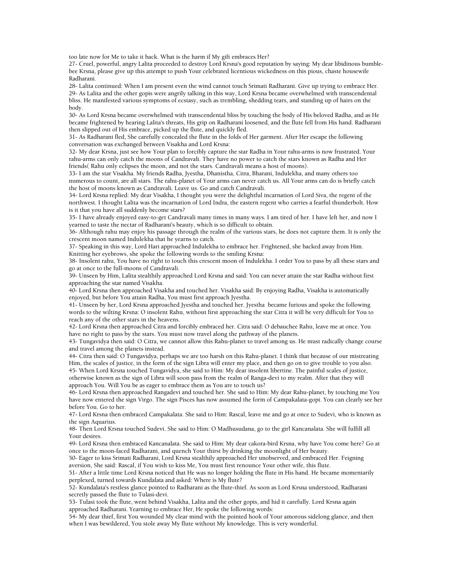too late now for Me to take it back. What is the harm if My gift embraces Her?

27- Cruel, powerful, angry Lalita proceeded to destroy Lord Krsna's good reputation by saying: My dear libidinous bumblebee Krsna, please give up this attempt to push Your celebrated licentious wickedness on this pious, chaste housewife Radharani.

28- Lalita continued: When I am present even the wind cannot touch Srimati Radharani. Give up trying to embrace Her. 29- As Lalita and the other gopis were angrily talking in this way, Lord Krsna became overwhelmed with transcendental bliss. He manifested various symptoms of ecstasy, such as trembling, shedding tears, and standing up of hairs on the body.

30- As Lord Krsna became overwhelmed with transcendental bliss by touching the body of His beloved Radha, and as He became frightened by hearing Lalita's threats, His grip on Radharani loosened, and the flute fell from His hand. Radharani then slipped out of His embrace, picked up the flute, and quickly fled.

31- As Radharani fled, She carefully concealed the flute in the folds of Her garment. After Her escape the following conversation was exchanged between Visakha and Lord Krsna:

32- My dear Krsna, just see how Your plan to forcibly capture the star Radha in Your rahu-arms is now frustrated. Your rahu-arms can only catch the moons of Candravali. They have no power to catch the stars known as Radha and Her friends( Rahu only eclipses the moon, and not the stars. Candravali means a host of moons).

33- I am the star Visakha. My friends Radha, Jyestha, Dhanistha, Citra, Bharani, Indulekha, and many others too numerous to count, are all stars. The rahu-planet of Your arms can never catch us. All Your arms can do is briefly catch the host of moons known as Candravali. Leave us. Go and catch Candravali.

34- Lord Krsna replied: My dear Visakha, I thought you were the delightful incarnation of Lord Siva, the regent of the northwest. I thought Lalita was the incarnation of Lord Indra, the eastern regent who carries a fearful thunderbolt. How is it that you have all suddenly become stars?

35- I have already enjoyed easy-to-get Candravali many times in many ways. I am tired of her. I have left her, and now I yearned to taste the nectar of Radharani's beauty, which is so difficult to obtain.

36- Although rahu may enjoy his passage through the realm of the various stars, he does not capture them. It is only the crescent moon named Indulekha that he yearns to catch.

37- Speaking in this way, Lord Hari approached Indulekha to embrace her. Frightened, she backed away from Him. Knitting her eyebrows, she spoke the following words to the smiling Krsna:

38- Insolent rahu, You have no right to touch this crescent moon of Indulekha. I order You to pass by all these stars and go at once to the full-moons of Candravali.

39- Unseen by Him, Lalita stealthily approached Lord Krsna and said: You can never attain the star Radha without first approaching the star named Visakha.

40- Lord Krsna then approached Visakha and touched her. Visakha said: By enjoying Radha, Visakha is automatically enjoyed, but before You attain Radha, You must first approach Jyestha.

41- Unseen by her, Lord Krsna approached Jyestha and touched her. Jyestha became furious and spoke the following words to the wilting Krsna: O insolent Rahu, without first approaching the star Citra it will be very difficult for You to reach any of the other stars in the heavens.

42- Lord Krsna then approached Citra and forcibly embraced her. Citra said: O debauchee Rahu, leave me at once. You have no right to pass by the stars. You must now travel along the pathway of the planets.

43- Tungavidya then said: O Citra, we cannot allow this Rahu-planet to travel among us. He must radically change course and travel among the planets instead.

44- Citra then said: O Tungavidya, perhaps we are too harsh on this Rahu-planet. I think that because of our mistreating Him, the scales of justice, in the form of the sign Libra will enter my place, and then go on to give trouble to you also. 45- When Lord Krsna touched Tungavidya, she said to Him: My dear insolent libertine. The painful scales of justice, otherwise known as the sign of Libra will soon pass from the realm of Ranga-devi to my realm. After that they will approach You. Will You be as eager to embrace them as You are to touch us?

46- Lord Krsna then approached Rangadevi and touched her. She said to Him: My dear Rahu-planet, by touching me You have now entered the sign Virgo. The sign Pisces has now assumed the form of Campakalata-gopi. You can clearly see her before You. Go to her.

47- Lord Krsna then embraced Campakalata. She said to Him: Rascal, leave me and go at once to Sudevi, who is known as the sign Aquarius.

48- Then Lord Krsna touched Sudevi. She said to Him: O Madhusudana, go to the girl Kancanalata. She will fulfill all Your desires.

49- Lord Krsna then embraced Kancanalata. She said to Him: My dear cakora-bird Krsna, why have You come here? Go at once to the moon-faced Radharani, and quench Your thirst by drinking the moonlight of Her beauty.

50- Eager to kiss Srimati Radharani, Lord Krsna stealthily approached Her unobserved, and embraced Her. Feigning aversion, She said: Rascal, if You wish to kiss Me, You must first renounce Your other wife, this flute.

51- After a little time Lord Krsna noticed that He was no longer holding the flute in His hand. He became momentarily perplexed, turned towards Kundalata and asked: Where is My flute?

52- Kundalata's restless glance pointed to Radharani as the flute-thief. As soon as Lord Krsna understood, Radharani secretly passed the flute to Tulasi-devi.

53- Tulasi took the flute, went behind Visakha, Lalita and the other gopis, and hid it carefully. Lord Krsna again approached Radharani. Yearning to embrace Her, He spoke the following words:

54- My dear thief, first You wounded My clear mind with the pointed hook of Your amorous sidelong glance, and then when I was bewildered, You stole away My flute without My knowledge. This is very wonderful.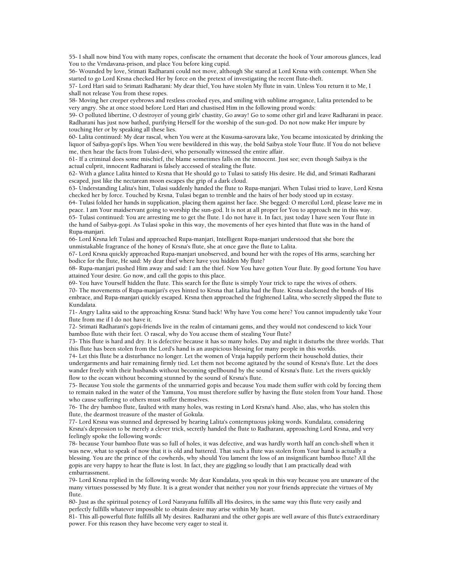55- I shall now bind You with many ropes, confiscate the ornament that decorate the hook of Your amorous glances, lead You to the Vrndavana-prison, and place You before king cupid.

56- Wounded by love, Srimati Radharani could not move, although She stared at Lord Krsna with contempt. When She started to go Lord Krsna checked Her by force on the pretext of investigating the recent flute-theft.

57- Lord Hari said to Srimati Radharani: My dear thief, You have stolen My flute in vain. Unless You return it to Me, I shall not release You from these ropes.

58- Moving her creeper eyebrows and restless crooked eyes, and smiling with sublime arrogance, Lalita pretended to be very angry. She at once stood before Lord Hari and chastised Him in the following proud words:

59- O polluted libertine, O destroyer of young girls' chastity, Go away! Go to some other girl and leave Radharani in peace. Radharani has just now bathed, purifying Herself for the worship of the sun-god. Do not now make Her impure by touching Her or by speaking all these lies.

60- Lalita continued: My dear rascal, when You were at the Kusuma-sarovara lake, You became intoxicated by drinking the liquor of Saibya-gopi's lips. When You were bewildered in this way, the bold Saibya stole Your flute. If You do not believe me, then hear the facts from Tulasi-devi, who personally witnessed the entire affair.

61- If a criminal does some mischief, the blame sometimes falls on the innocent. Just see; even though Saibya is the actual culprit, innocent Radharani is falsely accessed of stealing the flute.

62- With a glance Lalita hinted to Krsna that He should go to Tulasi to satisfy His desire. He did, and Srimati Radharani escaped, just like the nectarean moon escapes the grip of a dark cloud.

63- Understanding Lalita's hint, Tulasi suddenly handed the flute to Rupa-manjari. When Tulasi tried to leave, Lord Krsna checked her by force. Touched by Krsna, Tulasi began to tremble and the hairs of her body stood up in ecstasy.

64- Tulasi folded her hands in supplication, placing them against her face. She begged: O merciful Lord, please leave me in peace. I am Your maidservant going to worship the sun-god. It is not at all proper for You to approach me in this way. 65- Tulasi continued: You are arresting me to get the flute. I do not have it. In fact, just today I have seen Your flute in the hand of Saibya-gopi. As Tulasi spoke in this way, the movements of her eyes hinted that flute was in the hand of Rupa-manjari.

66- Lord Krsna left Tulasi and approached Rupa-manjari, Intelligent Rupa-manjari understood that she bore the unmistakable fragrance of the honey of Krsna's flute, she at once gave the flute to Lalita.

67- Lord Krsna quickly approached Rupa-manjari unobserved, and bound her with the ropes of His arms, searching her bodice for the flute, He said: My dear thief where have you hidden My flute?

68- Rupa-manjari pushed Him away and said: I am the thief. Now You have gotten Your flute. By good fortune You have attained Your desire. Go now, and call the gopis to this place.

69- You have Yourself hidden the flute. This search for the flute is simply Your trick to rape the wives of others.

70- The movements of Rupa-manjari's eyes hinted to Krsna that Lalita had the flute. Krsna slackened the bonds of His embrace, and Rupa-manjari quickly escaped. Krsna then approached the frightened Lalita, who secretly slipped the flute to Kundalata.

71- Angry Lalita said to the approaching Krsna: Stand back! Why have You come here? You cannot impudently take Your flute from me if I do not have it.

72- Srimati Radharani's gopi-friends live in the realm of cintamani gems, and they would not condescend to kick Your bamboo flute with their feet. O rascal, why do You accuse them of stealing Your flute?

73- This flute is hard and dry. It is defective because it has so many holes. Day and night it disturbs the three worlds. That this flute has been stolen from the Lord's hand is an auspicious blessing for many people in this worlds.

74- Let this flute be a disturbance no longer. Let the women of Vraja happily perform their household duties, their undergarments and hair remaining firmly tied. Let them not become agitated by the sound of Krsna's flute. Let the does wander freely with their husbands without becoming spellbound by the sound of Krsna's flute. Let the rivers quickly flow to the ocean without becoming stunned by the sound of Krsna's flute.

75- Because You stole the garments of the unmarried gopis and because You made them suffer with cold by forcing them to remain naked in the water of the Yamuna, You must therefore suffer by having the flute stolen from Your hand. Those who cause suffering to others must suffer themselves.

76- The dry bamboo flute, faulted with many holes, was resting in Lord Krsna's hand. Also, alas, who has stolen this flute, the dearmost treasure of the master of Gokula.

77- Lord Krsna was stunned and depressed by hearing Lalita's contemptuous joking words. Kundalata, considering Krsna's depression to be merely a clever trick, secretly handed the flute to Radharani, approaching Lord Krsna, and very feelingly spoke the following words:

78- because Your bamboo flute was so full of holes, it was defective, and was hardly worth half an conch-shell when it was new, what to speak of now that it is old and battered. That such a flute was stolen from Your hand is actually a blessing. You are the prince of the cowherds, why should You lament the loss of an insignificant bamboo flute? All the gopis are very happy to hear the flute is lost. In fact, they are giggling so loudly that I am practically dead with embarrassment.

79- Lord Krsna replied in the following words: My dear Kundalata, you speak in this way because you are unaware of the many virtues possessed by My flute. It is a great wonder that neither you nor your friends appreciate the virtues of My flute.

80- Just as the spiritual potency of Lord Narayana fulfills all His desires, in the same way this flute very easily and perfectly fulfills whatever impossible to obtain desire may arise within My heart.

81- This all-powerful flute fulfills all My desires. Radharani and the other gopis are well aware of this flute's extraordinary power. For this reason they have become very eager to steal it.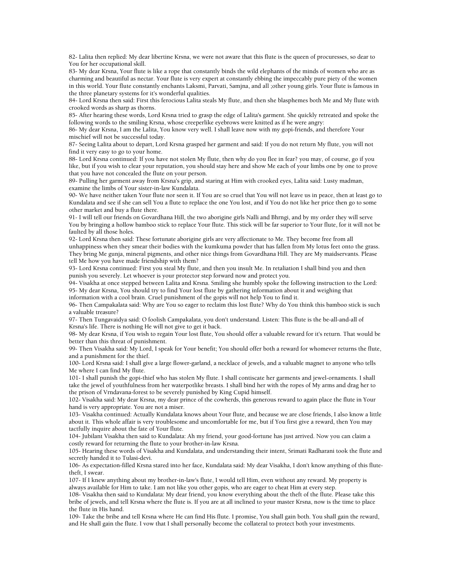82- Lalita then replied: My dear libertine Krsna, we were not aware that this flute is the queen of procuresses, so dear to You for her occupational skill.

83- My dear Krsna, Your flute is like a rope that constantly binds the wild elephants of the minds of women who are as charming and beautiful as nectar. Your flute is very expert at constantly ebbing the impeccably pure piety of the women in this world. Your flute constantly enchants Laksmi, Parvati, Samjna, and all ;other young girls. Your flute is famous in the three planetary systems for it's wonderful qualities.

84- Lord Krsna then said: First this ferocious Lalita steals My flute, and then she blasphemes both Me and My flute with crooked words as sharp as thorns.

85- After hearing these words, Lord Krsna tried to grasp the edge of Lalita's garment. She quickly retreated and spoke the following words to the smiling Krsna, whose creeperlike eyebrows were knitted as if he were angry:

86- My dear Krsna, I am the Lalita, You know very well. I shall leave now with my gopi-friends, and therefore Your mischief will not be successful today.

87- Seeing Lalita about to depart, Lord Krsna grasped her garment and said: If you do not return My flute, you will not find it very easy to go to your home.

88- Lord Krsna continued: If you have not stolen My flute, then why do you flee in fear? you may, of course, go if you like, but if you wish to clear your reputation, you should stay here and show Me each of your limbs one by one to prove that you have not concealed the flute on your person.

89- Pulling her garment away from Krsna's grip, and staring at Him with crooked eyes, Lalita said: Lusty madman, examine the limbs of Your sister-in-law Kundalata.

90- We have neither taken Your flute nor seen it. If You are so cruel that You will not leave us in peace, then at least go to Kundalata and see if she can sell You a flute to replace the one You lost, and if You do not like her price then go to some other market and buy a flute there.

91- I will tell our friends on Govardhana Hill, the two aborigine girls Nalli and Bhrngi, and by my order they will serve You by bringing a hollow bamboo stick to replace Your flute. This stick will be far superior to Your flute, for it will not be faulted by all those holes.

92- Lord Krsna then said: These fortunate aborigine girls are very affectionate to Me. They become free from all unhappiness when they smear their bodies with the kumkuma powder that has fallen from My lotus feet onto the grass. They bring Me gunja, mineral pigments, and other nice things from Govardhana Hill. They are My maidservants. Please tell Me how you have made friendship with them?

93- Lord Krsna continued: First you steal My flute, and then you insult Me. In retaliation I shall bind you and then punish you severely. Let whoever is your protector step forward now and protect you.

94- Visakha at once stepped between Lalita and Krsna. Smiling she humbly spoke the following instruction to the Lord: 95- My dear Krsna, You should try to find Your lost flute by gathering information about it and weighing that information with a cool brain. Cruel punishment of the gopis will not help You to find it.

96- Then Campakalata said: Why are You so eager to reclaim this lost flute? Why do You think this bamboo stick is such

a valuable treasure?

97- Then Tungavaidya said: O foolish Campakalata, you don't understand. Listen: This flute is the be-all-and-all of Krsna's life. There is nothing He will not give to get it back.

98- My dear Krsna, if You wish to regain Your lost flute, You should offer a valuable reward for it's return. That would be better than this threat of punishment.

99- Then Visakha said: My Lord, I speak for Your benefit; You should offer both a reward for whomever returns the flute, and a punishment for the thief.

100- Lord Krsna said: I shall give a large flower-garland, a necklace of jewels, and a valuable magnet to anyone who tells Me where I can find My flute.

101- I shall punish the gopi-thief who has stolen My flute. I shall contiscate her garments and jewel-ornaments. I shall take the jewel of youthfulness from her waterpotlike breasts. I shall bind her with the ropes of My arms and drag her to the prison of Vrndavana-forest to be severely punished by King Cupid himself.

102- Visakha said: My dear Krsna, my dear prince of the cowherds, this generous reward to again place the flute in Your hand is very appropriate. You are not a miser.

103- Visakha continued: Actually Kundalata knows about Your flute, and because we are close friends, I also know a little about it. This whole affair is very troublesome and uncomfortable for me, but if You first give a reward, then You may tactfully inquire about the fate of Your flute.

104- Jubilant Visakha then said to Kundalata: Ah my friend, your good-fortune has just arrived. Now you can claim a costly reward for returning the flute to your brother-in-law Krsna.

105- Hearing these words of Visakha and Kundalata, and understanding their intent, Srimati Radharani took the flute and secretly handed it to Tulasi-devi.

106- As expectation-filled Krsna stared into her face, Kundalata said: My dear Visakha, I don't know anything of this flutetheft, I swear.

107- If I knew anything about my brother-in-law's flute, I would tell Him, even without any reward. My property is always available for Him to take. I am not like you other gopis, who are eager to cheat Him at every step.

108- Visakha then said to Kundalata: My dear friend, you know everything about the theft of the flute. Please take this bribe of jewels, and tell Krsna where the flute is. If you are at all inclined to your master Krsna, now is the time to place the flute in His hand.

109- Take the bribe and tell Krsna where He can find His flute. I promise, You shall gain both. You shall gain the reward, and He shall gain the flute. I vow that I shall personally become the collateral to protect both your investments.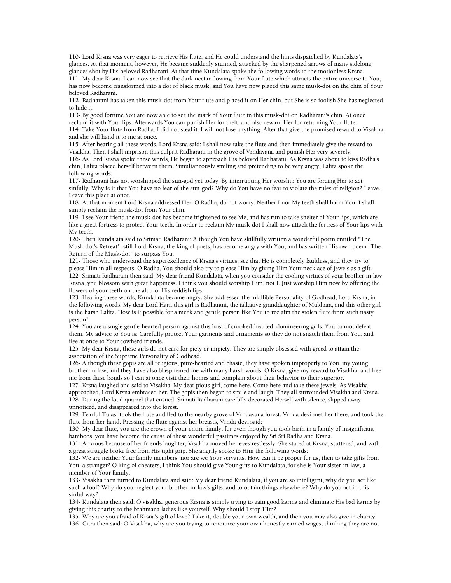110- Lord Krsna was very eager to retrieve His flute, and He could understand the hints dispatched by Kundalata's glances. At that moment, however, He became suddenly stunned, attacked by the sharpened arrows of many sidelong glances shot by His beloved Radharani. At that time Kundalata spoke the following words to the motionless Krsna. 111- My dear Krsna. I can now see that the dark nectar flowing from Your flute which attracts the entire universe to You, has now become transformed into a dot of black musk, and You have now placed this same musk-dot on the chin of Your beloved Radharani.

112- Radharani has taken this musk-dot from Your flute and placed it on Her chin, but She is so foolish She has neglected to hide it.

113- By good fortune You are now able to see the mark of Your flute in this musk-dot on Radharani's chin. At once reclaim it with Your lips. Afterwards You can punish Her for theft, and also reward Her for returning Your flute. 114- Take Your flute from Radha. I did not steal it. I will not lose anything. After that give the promised reward to Visakha and she will hand it to me at once.

115- After hearing all these words, Lord Krsna said: I shall now take the flute and then immediately give the reward to Visakha. Then I shall imprison this culprit Radharani in the grove of Vrndavana and punish Her very severely. 116- As Lord Krsna spoke these words, He began to approach His beloved Radharani. As Krsna was about to kiss Radha's

chin, Lalita placed herself between them. Simultaneously smiling and pretending to be very angry, Lalita spoke the following words:

117- Radharani has not worshipped the sun-god yet today. By interrupting Her worship You are forcing Her to act sinfully. Why is it that You have no fear of the sun-god? Why do You have no fear to violate the rules of religion? Leave. Leave this place at once.

118- At that moment Lord Krsna addressed Her: O Radha, do not worry. Neither I nor My teeth shall harm You. I shall simply reclaim the musk-dot from Your chin.

119- I see Your friend the musk-dot has become frightened to see Me, and has run to take shelter of Your lips, which are like a great fortress to protect Your teeth. In order to reclaim My musk-dot I shall now attack the fortress of Your lips with My teeth.

120- Then Kundalata said to Srimati Radharani: Although You have skillfully written a wonderful poem entitled "The Musk-dot's Retreat", still Lord Krsna, the king of poets, has become angry with You, and has written His own poem "The Return of the Musk-dot" to surpass You.

121- Those who understand the superexellence of Krsna's virtues, see that He is completely faultless, and they try to please Him in all respects. O Radha, You should also try to please Him by giving Him Your necklace of jewels as a gift. 122- Srimati Radharani then said: My dear friend Kundalata, when you consider the cooling virtues of your brother-in-law Krsna, you blossom with great happiness. I think you should worship Him, not I. Just worship Him now by offering the flowers of your teeth on the altar of His reddish lips.

123- Hearing these words, Kundalata became angry. She addressed the infallible Personality of Godhead, Lord Krsna, in the following words: My dear Lord Hari, this girl is Radharani, the talkative granddaughter of Mukhara, and this other girl is the harsh Lalita. How is it possible for a meek and gentle person like You to reclaim the stolen flute from such nasty person?

124- You are a single gentle-hearted person against this host of crooked-hearted, domineering girls. You cannot defeat them. My advice to You is: Carefully protect Your garments and ornaments so they do not snatch them from You, and flee at once to Your cowherd friends.

125- My dear Krsna, these girls do not care for piety or impiety. They are simply obsessed with greed to attain the association of the Supreme Personality of Godhead.

126- Although these gopis are all religious, pure-hearted and chaste, they have spoken improperly to You, my young brother-in-law, and they have also blasphemed me with many harsh words. O Krsna, give my reward to Visakha, and free me from these bonds so I can at once visit their homes and complain about their behavior to their superior.

127- Krsna laughed and said to Visakha: My dear pious girl, come here. Come here and take these jewels. As Visakha approached, Lord Krsna embraced her. The gopis then began to smile and laugh. They all surrounded Visakha and Krsna. 128- During the loud quarrel that ensued, Srimati Radharani carefully decorated Herself with silence, slipped away unnoticed, and disappeared into the forest.

129- Fearful Tulasi took the flute and fled to the nearby grove of Vrndavana forest. Vrnda-devi met her there, and took the flute from her hand. Pressing the flute against her breasts, Vrnda-devi said:

130- My dear flute, you are the crown of your entire family, for even though you took birth in a family of insignificant bamboos, you have become the cause of these wonderful pastimes enjoyed by Sri Sri Radha and Krsna.

131- Anxious because of her friends laughter, Visakha moved her eyes restlessly. She stared at Krsna, stuttered, and with a great struggle broke free from His tight grip. She angrily spoke to Him the following words:

132- We are neither Your family members, nor are we Your servants. How can it be proper for us, then to take gifts from You, a stranger? O king of cheaters, I think You should give Your gifts to Kundalata, for she is Your sister-in-law, a member of Your family.

133- Visakha then turned to Kundalata and said: My dear friend Kundalata, if you are so intelligent, why do you act like such a fool? Why do you neglect your brother-in-law's gifts, and to obtain things elsewhere? Why do you act in this sinful way?

134- Kundalata then said: O visakha, generous Krsna is simply trying to gain good karma and eliminate His bad karma by giving this charity to the brahmana ladies like yourself. Why should I stop Him?

135- Why are you afraid of Krsna's gift of love? Take it, double your own wealth, and then you may also give in charity. 136- Citra then said: O Visakha, why are you trying to renounce your own honestly earned wages, thinking they are not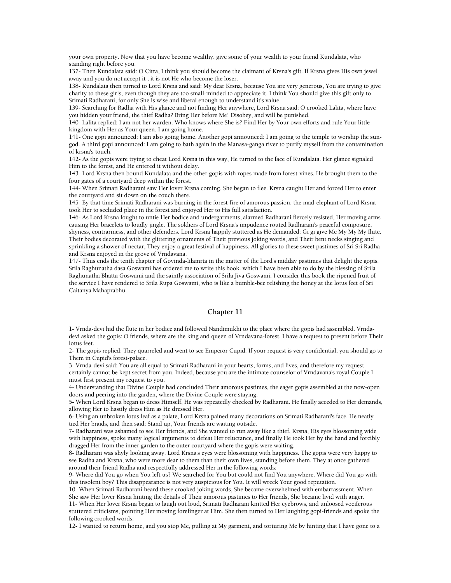your own property. Now that you have become wealthy, give some of your wealth to your friend Kundalata, who standing right before you.

137- Then Kundalata said: O Citra, I think you should become the claimant of Krsna's gift. If Krsna gives His own jewel away and you do not accept it , it is not He who become the loser.

138- Kundalata then turned to Lord Krsna and said: My dear Krsna, because You are very generous, You are trying to give charity to these girls, even though they are too small-minded to appreciate it. I think You should give this gift only to Srimati Radharani, for only She is wise and liberal enough to understand it's value.

139- Searching for Radha with His glance and not finding Her anywhere, Lord Krsna said: O crooked Lalita, where have you hidden your friend, the thief Radha? Bring Her before Me! Disobey, and will be punished.

140- Lalita replied: I am not her warden. Who knows where She is? Find Her by Your own efforts and rule Your little kingdom with Her as Your queen. I am going home.

141- One gopi announced: I am also going home. Another gopi announced: I am going to the temple to worship the sungod. A third gopi announced: I am going to bath again in the Manasa-ganga river to purify myself from the contamination of krsna's touch.

142- As the gopis were trying to cheat Lord Krsna in this way, He turned to the face of Kundalata. Her glance signaled Him to the forest, and He entered it without delay.

143- Lord Krsna then bound Kundalata and the other gopis with ropes made from forest-vines. He brought them to the four gates of a courtyard deep within the forest.

144- When Srimati Radharani saw Her lover Krsna coming, She began to flee. Krsna caught Her and forced Her to enter the courtyard and sit down on the couch there.

145- By that time Srimati Radharani was burning in the forest-fire of amorous passion. the mad-elephant of Lord Krsna took Her to secluded place in the forest and enjoyed Her to His full satisfaction.

146- As Lord Krsna fought to untie Her bodice and undergarments, alarmed Radharani fiercely resisted, Her moving arms causing Her bracelets to loudly jingle. The soldiers of Lord Krsna's impudence routed Radharani's peaceful composure, shyness, contrariness, and other defenders. Lord Krsna happily stuttered as He demanded: Gi gi give Me My My My flute. Their bodies decorated with the glittering ornaments of Their previous joking words, and Their bent necks singing and sprinkling a shower of nectar, They enjoy a great festival of happiness. All glories to these sweet pastimes of Sri Sri Radha and Krsna enjoyed in the grove of Vrndavana.

147- Thus ends the tenth chapter of Govinda-lilamrta in the matter of the Lord's midday pastimes that delight the gopis. Srila Raghunatha dasa Goswami has ordered me to write this book. which I have been able to do by the blessing of Srila Raghunatha Bhatta Goswami and the saintly association of Srila Jiva Goswami. I consider this book the ripened fruit of the service I have rendered to Srila Rupa Goswami, who is like a bumble-bee relishing the honey at the lotus feet of Sri Caitanya Mahaprabhu.

### **Chapter 11**

1- Vrnda-devi hid the flute in her bodice and followed Nandimukhi to the place where the gopis had assembled. Vrndadevi asked the gopis: O friends, where are the king and queen of Vrndavana-forest. I have a request to present before Their lotus feet.

2- The gopis replied: They quarreled and went to see Emperor Cupid. If your request is very confidential, you should go to Them in Cupid's forest-palace.

3- Vrnda-devi said: You are all equal to Srimati Radharani in your hearts, forms, and lives, and therefore my request certainly cannot be kept secret from you. Indeed, because you are the intimate counselor of Vrndavana's royal Couple I must first present my request to you.

4- Understanding that Divine Couple had concluded Their amorous pastimes, the eager gopis assembled at the now-open doors and peering into the garden, where the Divine Couple were staying.

5- When Lord Krsna began to dress Himself, He was repeatedly checked by Radharani. He finally acceded to Her demands, allowing Her to hastily dress Him as He dressed Her.

6- Using an unbroken lotus leaf as a palate, Lord Krsna pained many decorations on Srimati Radharani's face. He neatly tied Her braids, and then said: Stand up, Your friends are waiting outside.

7- Radharani was ashamed to see Her friends, and She wanted to run away like a thief. Krsna, His eyes blossoming wide with happiness, spoke many logical arguments to defeat Her reluctance, and finally He took Her by the hand and forcibly dragged Her from the inner garden to the outer courtyard where the gopis were waiting.

8- Radharani was shyly looking away. Lord Krsna's eyes were blossoming with happiness. The gopis were very happy to see Radha and Krsna, who were more dear to them than their own lives, standing before them. They at once gathered around their friend Radha and respectfully addressed Her in the following words:

9- Where did You go when You left us? We searched for You but could not find You anywhere. Where did You go with this insolent boy? This disappearance is not very auspicious for You. It will wreck Your good reputation.

10- When Srimati Radharani heard these crooked joking words, She became overwhelmed with embarrassment. When She saw Her lover Krsna hinting the details of Their amorous pastimes to Her friends, She became livid with anger.

11- When Her lover Krsna began to laugh out loud, Srimati Radharani knitted Her eyebrows, and unloosed vociferous stuttered criticisms, pointing Her moving forefinger at Him. She then turned to Her laughing gopi-friends and spoke the following crooked words:

12- I wanted to return home, and you stop Me, pulling at My garment, and torturing Me by hinting that I have gone to a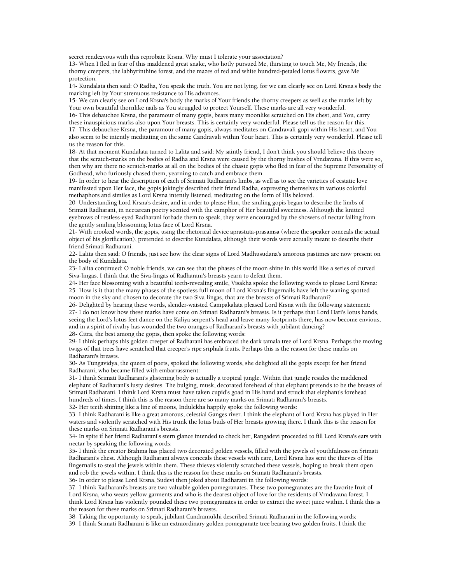secret rendezvous with this reprobate Krsna. Why must I tolerate your association?

13- When I fled in fear of this maddened great snake, who hotly pursued Me, thirsting to touch Me, My friends, the thorny creepers, the labhyrinthine forest, and the mazes of red and white hundred-petaled lotus flowers, gave Me protection.

14- Kundalata then said: O Radha, You speak the truth. You are not lying, for we can clearly see on Lord Krsna's body the marking left by Your strenuous resistance to His advances.

15- We can clearly see on Lord Krsna's body the marks of Your friends the thorny creepers as well as the marks left by Your own beautiful thornlike nails as You struggled to protect Yourself. These marks are all very wonderful.

16- This debauchee Krsna, the paramour of many gopis, bears many moonlike scratched on His chest, and You, carry these inauspicious marks also upon Your breasts. This is certainly very wonderful. Please tell us the reason for this. 17- This debauchee Krsna, the paramour of many gopis, always meditates on Candravali-gopi within His heart, and You also seem to be intently meditating on the same Candravali within Your heart. This is certainly very wonderful. Please tell us the reason for this.

18- At that moment Kundalata turned to Lalita and said: My saintly friend, I don't think you should believe this theory that the scratch-marks on the bodies of Radha and Krsna were caused by the thorny bushes of Vrndavana. If this were so, then why are there no scratch-marks at all on the bodies of the chaste gopis who fled in fear of the Supreme Personality of Godhead, who furiously chased them, yearning to catch and embrace them.

19- In order to hear the description of each of Srimati Radharani's limbs, as well as to see the varieties of ecstatic love manifested upon Her face, the gopis jokingly described their friend Radha, expressing themselves in various colorful methaphors and similes as Lord Krsna intently listened, meditating on the form of His beloved.

20- Understanding Lord Krsna's desire, and in order to please Him, the smiling gopis began to describe the limbs of Srimati Radharani, in nectarean poetry scented with the camphor of Her beautiful sweetness. Although the knitted eyebrows of restless-eyed Radharani forbade them to speak, they were encouraged by the showers of nectar falling from the gently smiling blossoming lotus face of Lord Krsna.

21- With crooked words, the gopis, using the rhetorical device aprastuta-prasamsa (where the speaker conceals the actual object of his glorification), pretended to describe Kundalata, although their words were actually meant to describe their friend Srimati Radharani.

22- Lalita then said: O friends, just see how the clear signs of Lord Madhusudana's amorous pastimes are now present on the body of Kundalata.

23- Lalita continued: O noble friends, we can see that the phases of the moon shine in this world like a series of curved Siva-lingas. I think that the Siva-lingas of Radharani's breasts yearn to defeat them.

24- Her face blossoming with a beautiful teeth-revealing smile, Visakha spoke the following words to please Lord Krsna: 25- How is it that the many phases of the spotless full moon of Lord Krsna's fingernails have left the waning spotted moon in the sky and chosen to decorate the two Siva-lingas, that are the breasts of Srimati Radharani?

26- Delighted by hearing these words, slender-waisted Campakalata pleased Lord Krsna with the following statement: 27- I do not know how these marks have come on Srimati Radharani's breasts. Is it perhaps that Lord Hari's lotus hands, seeing the Lord's lotus feet dance on the Kaliya serpent's head and leave many footprints there, has now become envious, and in a spirit of rivalry has wounded the two oranges of Radharani's breasts with jubilant dancing? 28- Citra, the best among the gopis, then spoke the following words:

29- I think perhaps this golden creeper of Radharani has embraced the dark tamala tree of Lord Krsna. Perhaps the moving twigs of that trees have scratched that creeper's ripe sriphala fruits. Perhaps this is the reason for these marks on Radharani's breasts.

30- As Tungavidya, the queen of poets, spoked the following words, she delighted all the gopis except for her friend Radharani, who became filled with embarrassment:

31- I think Srimati Radharani's glistening body is actually a tropical jungle. Within that jungle resides the maddened elephant of Radharani's lusty desires. The bulging, musk, decorated forehead of that elephant pretends to be the breasts of Srimati Radharani. I think Lord Krsna must have taken cupid's goad in His hand and struck that elephant's forehead hundreds of times. I think this is the reason there are so many marks on Srimati Radharani's breasts.

32- Her teeth shining like a line of moons, Indulekha happily spoke the following words:

33- I think Radharani is like a great amorous, celestial Ganges river. I think the elephant of Lord Krsna has played in Her waters and violently scratched with His trunk the lotus buds of Her breasts growing there. I think this is the reason for these marks on Srimati Radharani's breasts.

34- In spite if her friend Radharani's stern glance intended to check her, Rangadevi proceeded to fill Lord Krsna's ears with nectar by speaking the following words:

35- I think the creator Brahma has placed two decorated golden vessels, filled with the jewels of youthfulness on Srimati Radharani's chest. Although Radharani always conceals these vessels with care, Lord Krsna has sent the thieves of His fingernails to steal the jewels within them. These thieves violently scratched these vessels, hoping to break them open and rob the jewels within. I think this is the reason for these marks on Srimati Radharani's breasts. 36- In order to please Lord Krsna, Sudevi then joked about Radharani in the following words:

37- I think Radharani's breasts are two valuable golden pomegranates. These two pomegranates are the favorite fruit of Lord Krsna, who wears yellow garments and who is the dearest object of love for the residents of Vrndavana forest. I think Lord Krsna has violently pounded these two pomegranates in order to extract the sweet juice within. I think this is the reason for these marks on Srimati Radharani's breasts.

38- Taking the opportunity to speak, jubilant Candramukhi described Srimati Radharani in the following words:

39- I think Srimati Radharani is like an extraordinary golden pomegranate tree bearing two golden fruits. I think the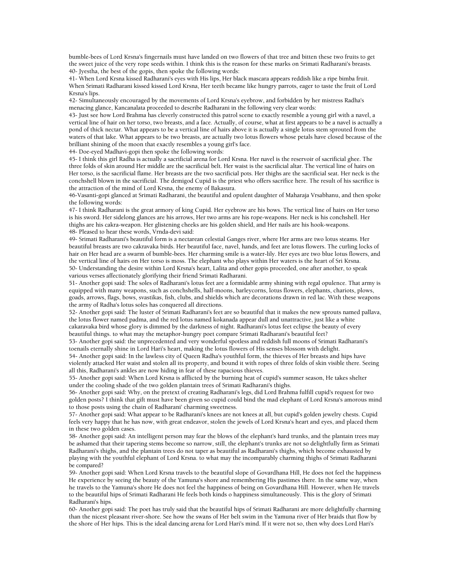bumble-bees of Lord Krsna's fingernails must have landed on two flowers of that tree and bitten these two fruits to get the sweet juice of the very rope seeds within. I think this is the reason for these marks on Srimati Radharani's breasts. 40- Jyestha, the best of the gopis, then spoke the following words:

41- When Lord Krsna kissed Radharani's eyes with His lips, Her black mascara appears reddish like a ripe bimba fruit. When Srimati Radharani kissed kissed Lord Krsna, Her teeth became like hungry parrots, eager to taste the fruit of Lord Krsna's lips.

42- Simultaneously encouraged by the movements of Lord Krsna's eyebrow, and forbidden by her mistress Radha's menacing glance, Kancanalata proceeded to describe Radharani in the following very clear words:

43- Just see how Lord Brahma has cleverly constructed this patrol scene to exactly resemble a young girl with a navel, a vertical line of hair on her torso, two breasts, and a face. Actually, of course, what at first appears to be a navel is actually a pond of thick nectar. What appears to be a vertical line of hairs above it is actually a single lotus stem sprouted from the waters of that lake. What appears to be two breasts, are actually two lotus flowers whose petals have closed because of the brilliant shining of the moon that exactly resembles a young girl's face.

44- Doe-eyed Madhavi-gopi then spoke the following words:

45- I think this girl Radha is actually a sacrificial arena for Lord Krsna. Her navel is the reservoir of sacrificial ghee. The three folds of skin around Her middle are the sacrificial belt. Her waist is the sacrificial altar. The vertical line of hairs on Her torso, is the sacrificial flame. Her breasts are the two sacrificial pots. Her thighs are the sacrificial seat. Her neck is the conchshell blown in the sacrificial. The demigod Cupid is the priest who offers sacrifice here. The result of his sacrifice is the attraction of the mind of Lord Krsna, the enemy of Bakasura.

46-Vasanti-gopi glanced at Srimati Radharani, the beautiful and opulent daughter of Maharaja Vrsabhanu, and then spoke the following words:

47- I think Radharani is the great armory of king Cupid. Her eyebrow are his bows. The vertical line of hairs on Her torso is his sword. Her sidelong glances are his arrows, Her two arms are his rope-weapons. Her neck is his conchshell. Her thighs are his cakra-weapon. Her glistening cheeks are his golden shield, and Her nails are his hook-weapons. 48- Pleased to hear these words, Vrnda-devi said:

49- Srimati Radharani's beautiful form is a nectarean celestial Ganges river, where Her arms are two lotus steams. Her beautiful breasts are two cakravaka birds. Her beautiful face, navel, hands, and feet are lotus flowers. The curling locks of hair on Her head are a swarm of bumble-bees. Her charming smile is a water-lily. Her eyes are two blue lotus flowers, and the vertical line of hairs on Her torso is moss. The elephant who plays within Her waters is the heart of Sri Krsna. 50- Understanding the desire within Lord Krsna's heart, Lalita and other gopis proceeded, one after another, to speak various verses affectionately glorifying their friend Srimati Radharani.

51- Another gopi said: The soles of Radharani's lotus feet are a formidable army shining with regal opulence. That army is equipped with many weapons, such as conchshells, half-moons, barleycorns, lotus flowers, elephants, chariots, plows, goads, arrows, flags, bows, svastikas, fish, clubs, and shields which are decorations drawn in red lac. With these weapons the army of Radha's lotus soles has conquered all directions.

52- Another gopi said: The luster of Srimati Radharani's feet are so beautiful that it makes the new sprouts named pallava, the lotus flower named padma, and the red lotus named kokanada appear dull and unattractive, just like a white cakaravaka bird whose glory is dimmed by the darkness of night. Radharani's lotus feet eclipse the beauty of every beautiful things. to what may the metaphor-hungry poet compare Srimati Radharani's beautiful feet?

53- Another gopi said: the unprecedented and very wonderful spotless and reddish full moons of Srimati Radharani's toenails eternally shine in Lord Hari's heart, making the lotus flowers of His senses blossom with delight.

54- Another gopi said: In the lawless city of Queen Radha's youthful form, the thieves of Her breasts and hips have violently attacked Her waist and stolen all its property, and bound it with ropes of three folds of skin visible there. Seeing all this, Radharani's ankles are now hiding in fear of these rapacious thieves.

55- Another gopi said: When Lord Krsna is afflicted by the burning heat of cupid's summer season, He takes shelter under the cooling shade of the two golden plantain trees of Srimati Radharani's thighs.

56- Another gopi said: Why, on the pretext of creating Radharani's legs, did Lord Brahma fulfill cupid's request for two golden posts? I think that gift must have been given so cupid could bind the mad elephant of Lord Krsna's amorous mind to those posts using the chain of Radharani' charming sweetness.

57- Another gopi said: What appear to be Radharani's knees are not knees at all, but cupid's golden jewelry chests. Cupid feels very happy that he has now, with great endeavor, stolen the jewels of Lord Krsna's heart and eyes, and placed them in these two golden cases.

58- Another gopi said: An intelligent person may fear the blows of the elephant's hard trunks, and the plantain trees may be ashamed that their tapering stems become so narrow, still, the elephant's trunks are not so delightfully firm as Srimati Radharani's thighs, and the plantain trees do not taper as beautiful as Radharani's thighs, which become exhausted by playing with the youthful elephant of Lord Krsna. to what may the incomparably charming thighs of Srimati Radharani be compared?

59- Another gopi said: When Lord Krsna travels to the beautiful slope of Govardhana Hill, He does not feel the happiness He experience by seeing the beauty of the Yamuna's shore and remembering His pastimes there. In the same way, when he travels to the Yamuna's shore He does not feel the happiness of being on Govardhana Hill. However, when He travels to the beautiful hips of Srimati Radharani He feels both kinds o happiness simultaneously. This is the glory of Srimati Radharani's hips.

60- Another gopi said: The poet has truly said that the beautiful hips of Srimati Radharani are more delightfully charming than the nicest pleasant river-shore. See how the swans of Her belt swim in the Yamuna river of Her braids that flow by the shore of Her hips. This is the ideal dancing arena for Lord Hari's mind. If it were not so, then why does Lord Hari's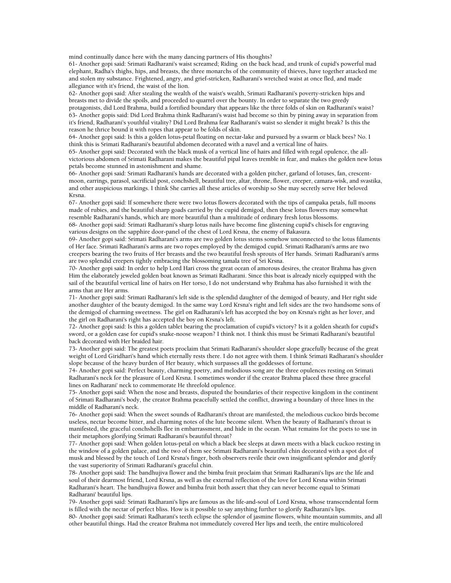mind continually dance here with the many dancing partners of His thoughts?

61- Another gopi said: Srimati Radharani's waist screamed; Riding on the back head, and trunk of cupid's powerful mad elephant, Radha's thighs, hips, and breasts, the three monarchs of the community of thieves, have together attacked me and stolen my substance. Frightened, angry, and grief-stricken, Radharani's wretched waist at once fled, and made allegiance with it's friend, the waist of the lion.

62- Another gopi said: After stealing the wealth of the waist's wealth, Srimati Radharani's poverty-stricken hips and breasts met to divide the spoils, and proceeded to quarrel over the bounty. In order to separate the two greedy protagonists, did Lord Brahma, build a fortified boundary that appears like the three folds of skin on Radharani's waist? 63- Another gopis said: Did Lord Brahma think Radharani's waist had become so thin by pining away in separation from it's friend, Radharani's youthful vitality? Did Lord Brahma fear Radharani's waist so slender it might break? Is this the reason he thrice bound it with ropes that appear to be folds of skin.

64- Another gopi said: Is this a golden lotus-petal floating on nectar-lake and pursued by a swarm or black bees? No. I think this is Srimati Radharani's beautiful abdomen decorated with a navel and a vertical line of hairs.

65- Another gopi said: Decorated with the black musk of a vertical line of hairs and filled with regal opulence, the allvictorious abdomen of Srimati Radharani makes the beautiful pipal leaves tremble in fear, and makes the golden new lotus petals become stunned in astonishment and shame.

66- Another gopi said: Srimati Radharani's hands are decorated with a golden pitcher, garland of lotuses, fan, crescentmoon, earrings, parasol, sacrificial post, conchshell, beautiful tree, altar, throne, flower, creeper, camara-wisk, and svastika, and other auspicious markings. I think She carries all these articles of worship so She may secretly serve Her beloved Krsna.

67- Another gopi said: If somewhere there were two lotus flowers decorated with the tips of campaka petals, full moons made of rubies, and the beautiful sharp goads carried by the cupid demigod, then these lotus flowers may somewhat resemble Radharani's hands, which are more beautiful than a multitude of ordinary fresh lotus blossoms.

68- Another gopi said: Srimati Radharani's sharp lotus nails have become fine glistening cupid's chisels for engraving various designs on the sapphire door-panel of the chest of Lord Krsna, the enemy of Bakasura.

69- Another gopi said: Srimati Radharani's arms are two golden lotus stems somehow unconnected to the lotus filaments of Her face. Srimati Radharani's arms are two ropes employed by the demigod cupid. Srimati Radharani's arms are two creepers bearing the two fruits of Her breasts and the two beautiful fresh sprouts of Her hands. Srimati Radharani's arms are two splendid creepers tightly embracing the blossoming tamala tree of Sri Krsna.

70- Another gopi said: In order to help Lord Hari cross the great ocean of amorous desires, the creator Brahma has given Him the elaborately jeweled golden boat known as Srimati Radharani. Since this boat is already nicely equipped with the sail of the beautiful vertical line of hairs on Her torso, I do not understand why Brahma has also furnished it with the arms that are Her arms.

71- Another gopi said: Srimati Radharani's left side is the splendid daughter of the demigod of beauty, and Her right side another daughter of the beauty demigod. In the same way Lord Krsna's right and left sides are the two handsome sons of the demigod of charming sweetness. The girl on Radharani's left has accepted the boy on Krsna's right as her lover, and the girl on Radharani's right has accepted the boy on Krsna's left.

72- Another gopi said: Is this a golden tablet bearing the proclamation of cupid's victory? Is it a golden sheath for cupid's sword, or a golden case for cupid's snake-noose weapon? I think not. I think this must be Srimati Radharani's beautiful back decorated with Her braided hair.

73- Another gopi said: The greatest poets proclaim that Srimati Radharani's shoulder slope gracefully because of the great weight of Lord Giridhari's hand which eternally rests there. I do not agree with them. I think Srimati Radharani's shoulder slope because of the heavy burden of Her beauty, which surpasses all the goddesses of fortune.

74- Another gopi said: Perfect beauty, charming poetry, and melodious song are the three opulences resting on Srimati Radharani's neck for the pleasure of Lord Krsna. I sometimes wonder if the creator Brahma placed these three graceful lines on Radharani' neck to commemorate He threefold opulence.

75- Another gopi said: When the nose and breasts, disputed the boundaries of their respective kingdom in the continent of Srimati Radharani's body, the creator Brahma peacefully settled the conflict, drawing a boundary of three lines in the middle of Radharani's neck.

76- Another gopi said: When the sweet sounds of Radharani's throat are manifested, the melodious cuckoo birds become useless, nectar become bitter, and charming notes of the lute become silent. When the beauty of Radharani's throat is manifested, the graceful conchshells flee in embarrassment, and hide in the ocean. What remains for the poets to use in their metaphors glorifying Srimati Radharani's beautiful throat?

77- Another gopi said: When golden lotus-petal on which a black bee sleeps at dawn meets with a black cuckoo resting in the window of a golden palace, and the two of them see Srimati Radharani's beautiful chin decorated with a spot dot of musk and blessed by the touch of Lord Krsna's finger, both observers revile their own insignificant splendor and glorify the vast superiority of Srimati Radharani's graceful chin.

78- Another gopi said: The bandhujiva flower and the bimba fruit proclaim that Srimati Radharani's lips are the life and soul of their dearmost friend, Lord Krsna, as well as the external reflection of the love for Lord Krsna within Srimati Radharani's heart. The bandhujiva flower and bimba fruit both assert that they can never become equal to Srimati Radharani' beautiful lips.

79- Another gopi said: Srimati Radharani's lips are famous as the life-and-soul of Lord Krsna, whose transcendental form is filled with the nectar of perfect bliss. How is it possible to say anything further to glorify Radharani's lips. 80- Another gopi said: Srimati Radharani's teeth eclipse the splendor of jasmine flowers, white mountain summits, and all other beautiful things. Had the creator Brahma not immediately covered Her lips and teeth, the entire multicolored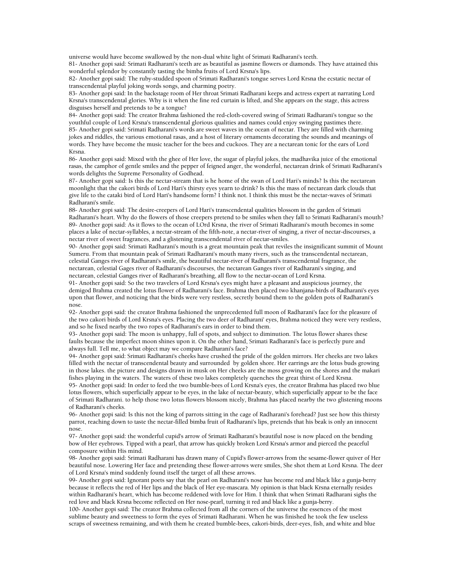universe would have become swallowed by the non-dual white light of Srimati Radharani's teeth.

81- Another gopi said: Srimati Radharani's teeth are as beautiful as jasmine flowers or diamonds. They have attained this wonderful splendor by constantly tasting the bimba fruits of Lord Krsna's lips.

82- Another gopi said: The ruby-studded spoon of Srimati Radharani's tongue serves Lord Krsna the ecstatic nectar of transcendental playful joking words songs, and charming poetry.

83- Another gopi said: In the backstage room of Her throat Srimati Radharani keeps and actress expert at narrating Lord Krsna's transcendental glories. Why is it when the fine red curtain is lifted, and She appears on the stage, this actress disguises herself and pretends to be a tongue?

84- Another gopi said: The creator Brahma fashioned the red-cloth-covered swing of Srimati Radharani's tongue so the youthful couple of Lord Krsna's transcendental glorious qualities and names could enjoy swinging pastimes there. 85- Another gopi said: Srimati Radharani's words are sweet waves in the ocean of nectar. They are filled with charming jokes and riddles, the various emotional rasas, and a host of literary ornaments decorating the sounds and meanings of words. They have become the music teacher for the bees and cuckoos. They are a nectarean tonic for the ears of Lord Krsna.

86- Another gopi said: Mixed with the ghee of Her love, the sugar of playful jokes, the madhavika juice of the emotional rasas, the camphor of gentle smiles and the pepper of feigned anger, the wonderful, nectarean drink of Srimati Radharani's words delights the Supreme Personality of Godhead.

87- Another gopi said: Is this the nectar-stream that is he home of the swan of Lord Hari's minds? Is this the nectarean moonlight that the cakori birds of Lord Hari's thirsty eyes yearn to drink? Is this the mass of nectarean dark clouds that give life to the cataki bird of Lord Hari's handsome form? I think not. I think this must be the nectar-waves of Srimati Radharani's smile.

88- Another gopi said: The desire-creepers of Lord Hari's transcendental qualities blossom in the garden of Srimati Radharani's heart. Why do the flowers of those creepers pretend to be smiles when they fall to Srimati Radharani's mouth? 89- Another gopi said: As it flows to the ocean of LOrd Krsna, the river of Srimati Radharani's mouth becomes in some places a lake of nectar-syllables, a nectar-stream of the fifth-note, a nectar-river of singing, a river of nectar-discourses, a nectar river of sweet fragrances, and a glistening transcendental river of nectar-smiles.

90- Another gopi said: Srimati Radharani's mouth is a great mountain peak that reviles the insignificant summit of Mount Sumeru. From that mountain peak of Srimati Radharani's mouth many rivers, such as the transcendental nectarean, celestial Ganges river of Radharani's smile, the beautiful nectar-river of Radharani's transcendental fragrance, the nectarean, celestial Gages river of Radharani's discourses, the nectarean Ganges river of Radharani's singing, and nectarean, celestial Ganges river of Radharani's breathing, all flow to the nectar-ocean of Lord Krsna.

91- Another gopi said: So the two travelers of Lord Krsna's eyes might have a pleasant and auspicious journey, the demigod Brahma created the lotus flower of Radharani's face. Brahma then placed two khanjana-birds of Radharani's eyes upon that flower, and noticing that the birds were very restless, secretly bound them to the golden pots of Radharani's nose.

92- Another gopi said: the creator Brahma fashioned the unprecedented full moon of Radharani's face for the pleasure of the two cakori birds of Lord Krsna's eyes. Placing the two deer of Radharani' eyes, Brahma noticed they were very restless, and so he fixed nearby the two ropes of Radharani's ears in order to bind them.

93- Another gopi said: The moon is unhappy, full of spots, and subject to diminution. The lotus flower shares these faults because the imperfect moon shines upon it. On the other hand, Srimati Radharani's face is perfectly pure and always full. Tell me, to what object may we compare Radharani's face?

94- Another gopi said: Srimati Radharani's cheeks have crushed the pride of the golden mirrors. Her cheeks are two lakes filled with the nectar of transcendental beauty and surrounded by golden shore. Her earrings are the lotus buds growing in those lakes. the picture and designs drawn in musk on Her cheeks are the moss growing on the shores and the makari fishes playing in the waters. The waters of these two lakes completely quenches the great thirst of Lord Krsna.

95- Another gopi said: In order to feed the two bumble-bees of Lord Krsna's eyes, the creator Brahma has placed two blue lotus flowers, which superficially appear to be eyes, in the lake of nectar-beauty, which superficially appear to be the face of Srimati Radharani. to help those two lotus flowers blossom nicely, Brahma has placed nearby the two glistening moons of Radharani's cheeks.

96- Another gopi said: Is this not the king of parrots sitting in the cage of Radharani's forehead? Just see how this thirsty parrot, reaching down to taste the nectar-filled bimba fruit of Radharani's lips, pretends that his beak is only an innocent nose.

97- Another gopi said: the wonderful cupid's arrow of Srimati Radharani's beautiful nose is now placed on the bending bow of Her eyebrows. Tipped with a pearl, that arrow has quickly broken Lord Krsna's armor and pierced the peaceful composure within His mind.

98- Another gopi said: Srimati Radharani has drawn many of Cupid's flower-arrows from the sesame-flower quiver of Her beautiful nose. Lowering Her face and pretending these flower-arrows were smiles, She shot them at Lord Krsna. The deer of Lord Krsna's mind suddenly found itself the target of all these arrows.

99- Another gopi said: Ignorant poets say that the pearl on Radharani's nose has become red and black like a gunja-berry because it reflects the red of Her lips and the black of Her eye-mascara. My opinion is that black Krsna eternally resides within Radharani's heart, which has become reddened with love for Him. I think that when Srimati Radharani sighs the red love and black Krsna become reflected on Her nose-pearl, turning it red and black like a gunja-berry.

100- Another gopi said: The creator Brahma collected from all the corners of the universe the essences of the most sublime beauty and sweetness to form the eyes of Srimati Radharani. When he was finished he took the few useless scraps of sweetness remaining, and with them he created bumble-bees, cakori-birds, deer-eyes, fish, and white and blue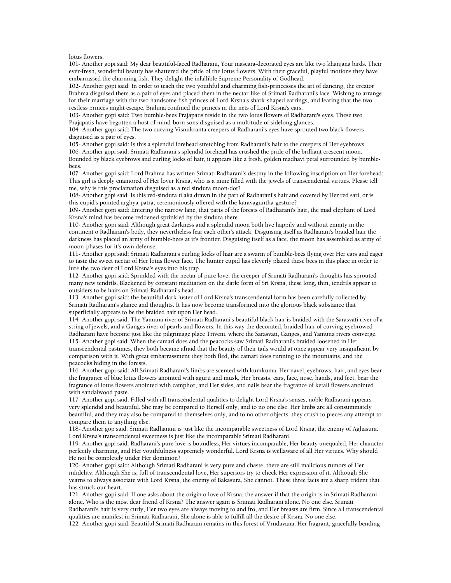lotus flowers.

101- Another gopi said: My dear beautiful-faced Radharani, Your mascara-decorated eyes are like two khanjana birds. Their ever-fresh, wonderful beauty has shattered the pride of the lotus flowers. With their graceful, playful motions they have embarrassed the charming fish. They delight the infallible Supreme Personality of Godhead.

102- Another gopi said: In order to teach the two youthful and charming fish-princesses the art of dancing, the creator Brahma disguised them as a pair of eyes and placed them in the nectar-like of Srimati Radharani's face. Wishing to arrange for their marriage with the two handsome fish princes of Lord Krsna's shark-shaped earrings, and fearing that the two restless princes might escape, Brahma confined the princes in the nets of Lord Krsna's ears.

103- Another gopi said: Two bumble-bees Prajapatis reside in the two lotus flowers of Radharani's eyes. These two Prajapatis have begotten a host of mind-born sons disguised as a multitude of sidelong glances.

104- Another gopi said: The two curving Visnukranta creepers of Radharani's eyes have sprouted two black flowers disguised as a pair of eyes.

105- Another gopi said: Is this a splendid forehead stretching from Radharani's hair to the creepers of Her eyebrows. 106- Another gopi said: Srimati Radharani's splendid forehead has crushed the pride of the brilliant crescent moon. Bounded by black eyebrows and curling locks of hair, it appears like a fresh, golden madhavi petal surrounded by bumblebees.

107- Another gopi said: Lord Brahma has written Srimati Radharani's destiny in the following inscription on Her forehead: This girl is deeply enamored of Her lover Krsna, who is a mine filled with the jewels of transcendental virtues. Please tell me, why is this proclamation disguised as a red sindura moon-dot?

108- Another gopi said: Is this red-sindura tilaka drawn in the part of Radharani's hair and covered by Her red sari, or is this cupid's pointed arghya-patra, ceremoniously offered with the karavaguntha-gesture?

109- Another gopi said: Entering the narrow lane, that parts of the forests of Radharani's hair, the mad elephant of Lord Krsna's mind has become reddened sprinkled by the sindura there.

110- Another gopi said: Although great darkness and a splendid moon both live happily and without enmity in the continent o Radharani's body, they nevertheless fear each other's attack. Disguising itself as Radharani's braided hair the darkness has placed an army of bumble-bees at it's frontier. Disguising itself as a face, the moon has assembled as army of moon-phases for it's own defense.

111- Another gopi said: Srimati Radharani's curling locks of hair are a swarm of bumble-bees flying over Her ears and eager to taste the sweet nectar of Her lotus flower face. The hunter cupid has cleverly placed these bees in this place in order to lure the two deer of Lord Krsna's eyes into his trap.

112- Another gopi said: Sprinkled with the nectar of pure love, the creeper of Srimati Radharani's thoughts has sprouted many new tendrils. Blackened by constant meditation on the dark; form of Sri Krsna, these long, thin, tendrils appear to outsiders to be hairs on Srimati Radharani's head.

113- Another gopi said: the beautiful dark luster of Lord Krsna's transcendental form has been carefully collected by Srimati Radharani's glance and thoughts. It has now become transformed into the glorious black substance that superficially appears to be the braided hair upon Her head.

114- Another gopi said: The Yamuna river of Srimati Radharani's beautiful black hair is braided with the Sarasvati river of a string of jewels, and a Ganges river of pearls and flowers. In this way the decorated, braided hair of curving-eyebrowed Radharani have become just like the pilgrimage place Triveni, where the Sarasvati, Ganges, and Yamuna rivers converge. 115- Another gopi said: When the camari does and the peacocks saw Srimati Radharani's braided loosened in Her transcendental pastimes, they both became afraid that the beauty of their tails would at once appear very insignificant by comparison with it. With great embarrassment they both fled, the camari does running to the mountains, and the peacocks hiding in the forests.

116- Another gopi said: All Srimati Radharani's limbs are scented with kumkuma. Her navel, eyebrows, hair, and eyes bear the fragrance of blue lotus flowers anointed with aguru and musk, Her breasts, ears, face, nose, hands, and feet, bear the fragrance of lotus flowers anointed with camphor, and Her sides, and nails bear the fragrance of ketali flowers anointed with sandalwood paste.

117- Another gopi said: Filled with all transcendental qualities to delight Lord Krsna's senses, noble Radharani appears very splendid and beautiful. She may be compared to Herself only, and to no one else. Her limbs are all consummately beautiful, and they may also be compared to themselves only, and to no other objects. they crush to pieces any attempt to compare them to anything else.

118- Another gop said: Srimati Radharani is just like the incomparable sweetness of Lord Krsna, the enemy of Aghasura. Lord Krsna's transcendental sweetness is just like the incomparable Srimati Radharani.

119- Another gopi said: Radharani's pure love is boundless, Her virtues incomparable, Her beauty unequaled, Her character perfectly charming, and Her youthfulness supremely wonderful. Lord Krsna is wellaware of all Her virtues. Why should He not be completely under Her dominion?

120- Another gopi said: Although Srimati Radharani is very pure and chaste, there are still malicious rumors of Her infidelity. Although She is; full of transcendental love, Her superiors try to check Her expression of it. Although She yearns to always associate with Lord Krsna, the enemy of Bakasura, She cannot. These three facts are a sharp trident that has struck our heart.

121- Another gopi said: If one asks about the origin o love of Krsna, the answer if that the origin is in Srimati Radharani alone. Who is the most dear friend of Krsna? The answer again is Srimati Radharani alone. No one else. Srimati Radharani's hair is very curly, Her two eyes are always moving to and fro, and Her breasts are firm. Since all transcendental qualities are manifest in Srimati Radharani, She alone is able to fulfill all the desire of Krsna. No one else.

122- Another gopi said: Beautiful Srimati Radharani remains in this forest of Vrndavana. Her fragrant, gracefully bending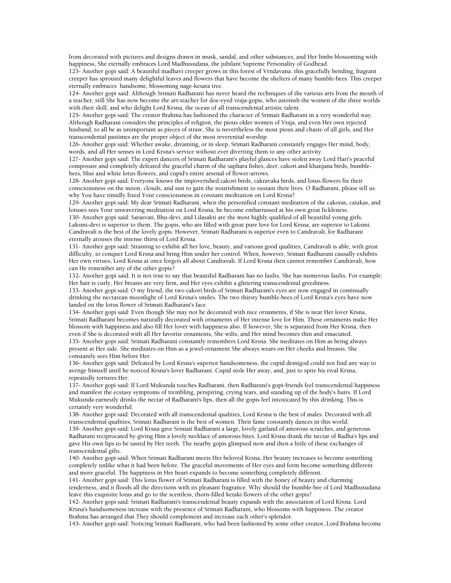from decorated with pictures and designs drawn in musk, sandal, and other substances, and Her limbs blossoming with happiness, She eternally embraces Lord Madhusudana, the jubilant Supreme Personality of Godhead.

123- Another gopi said: A beautiful madhavi creeper grows in this forest of Vrndavana. this gracefully bending, fragrant creeper has sprouted many delightful leaves and flowers that have become the shelters of many bumble-bees. This creeper eternally embraces handsome, blossoming nage-kesara tree.

124- Another gopi said: Although Srimati Radharani has never heard the techniques of the various arts from the mouth of a teacher, still She has now become the art-teacher for doe-eyed vraja-gopis, who astonish the women of the three worlds with their skill, and who delight Lord Krsna, the ocean of all transcendental artistic talent.

125- Another gopi said: The creator Brahma has fashioned the character of Srimati Radharani in a very wonderful way. Although Radharani considers the principles of religion, the pious older women of Vraja, and even Her own rejected husband, to all be as unimportant as pieces of straw, She is nevertheless the most pious and chaste of all girls, and Her transcendental pastimes are the proper object of the most reverential worship.

126- Another gopi said: Whether awake, dreaming, or in sleep, Srimati Radharani constantly engages Her mind, body, words, and all Her senses in Lord Krsna's service without ever diverting them to any other activity.

127- Another gopi said: The expert dancers of Srimati Radharani's playful glances have stolen away Lord Hari's peaceful composure and completely defeated the graceful charm of the saphara fishes, deer, cakori and khanjana birds, bumblebees, blue and white lotus flowers, and cupid's entire arsenal of flower-arrows.

128- Another gopi said: Everyone knows the impoverished cakori birds, cakravaka birds, and lotus flowers fix their consciousness on the moon, clouds, and sun to gain the nourishment to sustain their lives. O Radharani, please tell us why You have timidly fixed Your consciousness in constant meditation on Lord Krsna?

129- Another gopi said: My dear Srimati Radharani, when the personified constant meditation of the cakoras, catakas, and lotuses sees Your unwavering meditation on Lord Krsna, he become embarrassed at his own great fickleness.

130- Another gopi said: Sarasvati, Bhu-devi, and Lilasakti are the most highly qualified of all beautiful young girls. Laksmi-devi is superior to them. The gopis, who are filled with great pure love for Lord Krsna, are superior to Laksmi. Candravali is the best of the lovely gopis. However, Srimati Radharani is superior even to Candravali, for Radharani eternally arouses the intense thirst of Lord Krsna.

131- Another gopi said: Straining to exhibit all her love, beauty, and various good qualities, Candravali is able, with great difficulty, to conquer Lord Krsna and bring Him under her control. When, however, Srimati Radharani causally exhibits Her own virtues, Lord Krsna at once forgets all about Candravali. If Lord Krsna then cannot remember Candravali, how can He remember any of the other gopis?

132- Another gopi said: It is not true to say that beautiful Radharani has no faults. She has numerous faults. For example: Her hair is curly, Her breasts are very firm, and Her eyes exhibit a glittering transcendental greediness.

133- Another gopi said: O my friend, the two cakori birds of Srimati Radharani's eyes are now engaged in continually drinking the nectarean moonlight of Lord Krsna's smiles. The two thirsty bumble-bees of Lord Krsna's eyes have now landed on the lotus flower of Srimati Radharani's face.

134- Another gopi said: Even though She may not be decorated with nice ornaments, if She is near Her lover Krsna, Srimati Radharani becomes naturally decorated with ornaments of Her intense love for Him. These ornaments make Her blossom with happiness and also fill Her lover with happiness also. If however, She is separated from Her Krsna, then even if She is decorated with all Her favorite ornaments, She wilts, and Her mind becomes thin and emaciated. 135- Another gopi said: Srimati Radharani constantly remembers Lord Krsna. She meditates on Him as being always present at Her side. She meditates on Him as a jewel-ornament She always wears on Her cheeks and breasts. She constantly sees Him before Her.

136- Another gopi said: Defeated by Lord Krsna's superior handsomeness, the cupid demigod could not find any way to avenge himself until he noticed Krsna's lover Radharani. Cupid stole Her away, and, just to spite his rival Krsna, repeatedly tortures Her.

137- Another gopi said: If Lord Mukunda touches Radharani, then Radharani's gopi-friends feel transcendental happiness and manifest the ecstasy symptoms of trembling, perspiring, crying tears, and standing up of the body's hairs. If Lord Mukunda earnestly drinks the nectar of Radharani's lips, then all the gopis feel intoxicated by this drinking. This is certainly very wonderful.

138- Another gopi said: Decorated with all transcendental qualities, Lord Krsna is the best of males. Decorated with all transcendental qualities, Srimati Radharani is the best of women. Their fame constantly dances in this world.

139- Another gopi said: Lord Krsna gave Srimati Radharani a large, lovely garland of amorous scratches, and generous Radharani reciprocated by giving Him a lovely necklace of amorous bites. Lord Krsna drank the nectar of Radha's lips and gave His own lips to be tasted by Her teeth. The nearby gopis glimpsed now and then a little of these exchanges of transcendental gifts.

140- Another gopi said: When Srimati Radharani meets Her beloved Krsna, Her beauty increases to become something completely unlike what it had been before. The graceful movements of Her eyes and form become something different and more graceful. The happiness in Her heart expands to become something completely different.

141- Another gopi said: This lotus flower of Srimati Radharani is filled with the honey of beauty and charming tenderness, and it floods all the directions with its pleasant fragrance. Why should the bumble-bee of Lord Madhusudana leave this exquisite lotus and go to the scentless, thorn-filled ketaki flowers of the other gopis?

142- Another gopi said: Srimati Radharani's transcendental beauty expands with the association of Lord Krsna. Lord Krsna's handsomeness increase with the presence of Srimati Radharani, who blossoms with happiness. The creator Brahma has arranged that They should complement and increase each other's splendor.

143- Another gopi said: Noticing Srimati Radharani, who had been fashioned by some other creator, Lord Brahma become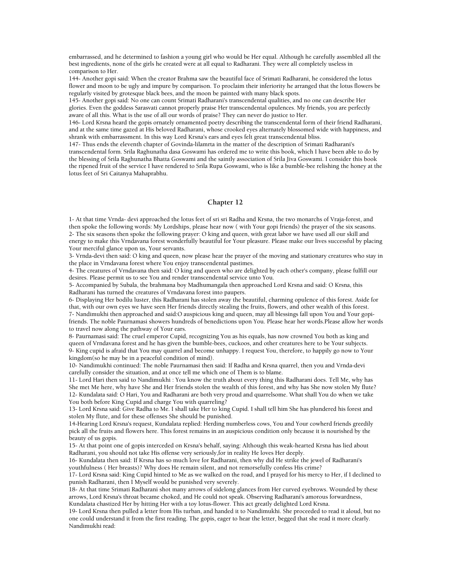embarrassed, and he determined to fashion a young girl who would be Her equal. Although he carefully assembled all the best ingredients, none of the girls he created were at all equal to Radharani. They were all completely useless in comparison to Her.

144- Another gopi said: When the creator Brahma saw the beautiful face of Srimati Radharani, he considered the lotus flower and moon to be ugly and impure by comparison. To proclaim their inferiority he arranged that the lotus flowers be regularly visited by grotesque black bees, and the moon be painted with many black spots.

145- Another gopi said: No one can count Srimati Radharani's transcendental qualities, and no one can describe Her glories. Even the goddess Sarasvati cannot properly praise Her transcendental opulences. My friends, you are perfectly aware of all this. What is the use of all our words of praise? They can never do justice to Her.

146- Lord Krsna heard the gopis ornately ornamented poetry describing the transcendental form of their friend Radharani, and at the same time gazed at His beloved Radharani, whose crooked eyes alternately blossomed wide with happiness, and shrank with embarrassment. In this way Lord Krsna's ears and eyes felt great transcendental bliss.

147- Thus ends the eleventh chapter of Govinda-lilamrta in the matter of the description of Srimati Radharani's transcendental form. Srila Raghunatha dasa Goswami has ordered me to write this book, which I have been able to do by the blessing of Srila Raghunatha Bhatta Goswami and the saintly association of Srila Jiva Goswami. I consider this book the ripened fruit of the service I have rendered to Srila Rupa Goswami, who is like a bumble-bee relishing the honey at the lotus feet of Sri Caitanya Mahaprabhu.

# **Chapter 12**

1- At that time Vrnda- devi approached the lotus feet of sri sri Radha and Krsna, the two monarchs of Vraja-forest, and then spoke the following words: My Lordships, please hear now ( with Your gopi friends) the prayer of the six seasons. 2- The six seasons then spoke the following prayer: O king and queen, with great labor we have used all our skill and energy to make this Vrndavana forest wonderfully beautiful for Your pleasure. Please make our lives successful by placing Your merciful glance upon us, Your servants.

3- Vrnda-devi then said: O king and queen, now please hear the prayer of the moving and stationary creatures who stay in the place in Vrndavana forest where You enjoy transcendental pastimes.

4- The creatures of Vrndavana then said: O king and queen who are delighted by each other's company, please fulfill our desires. Please permit us to see You and render transcendental service unto You.

5- Accompanied by Subala, the brahmana boy Madhumangala then approached Lord Krsna and said: O Krsna, this Radharani has turned the creatures of Vrndavana forest into paupers.

6- Displaying Her bodilu luster, this Radharani has stolen away the beautiful, charming opulence of this forest. Aside for that, with our own eyes we have seen Her friends directly stealing the fruits, flowers, and other wealth of this forest. 7- Nandimukhi then approached and said:O auspicious king and queen, may all blessings fall upon You and Your gopifriends. The noble Paurnamasi showers hundreds of benedictions upon You. Please hear her words.Please allow her words to travel now along the pathway of Your ears.

8- Paurnamasi said: The cruel emperor Cupid, recognizing You as his equals, has now crowned You both as king and queen of Vrndavana forest and he has given the bumble-bees, cuckoos, and other creatures here to be Your subjects. 9- King cupid is afraid that You may quarrel and become unhappy. I request You, therefore, to happily go now to Your kingdom(so he may be in a peaceful condition of mind).

10- Nandimukhi continued: The noble Paurnamasi then said: If Radha and Krsna quarrel, then you and Vrnda-devi carefully consider the situation, and at once tell me which one of Them is to blame.

11- Lord Hari then said to Nandimukhi : You know the truth about every thing this Radharani does. Tell Me, why has She met Me here, why have She and Her friends stolen the wealth of this forest, and why has She now stolen My flute? 12- Kundalata said: O Hari, You and Radharani are both very proud and quarrelsome. What shall You do when we take You both before King Cupid and charge You with quarreling?

13- Lord Krsna said: Give Radha to Me. I shall take Her to king Cupid. I shall tell him She has plundered his forest and stolen My flute, and for these offenses She should be punished.

14-Hearing Lord Krsna's request, Kundalata replied: Herding numberless cows, You and Your cowherd friends greedily pick all the fruits and flowers here. This forest remains in an auspicious condition only because it is nourished by the beauty of us gopis.

15- At that point one of gopis interceded on Krsna's behalf, saying: Although this weak-hearted Krsna has lied about Radharani, you should not take His offense very seriously,for in reality He loves Her deeply.

16- Kundalata then said: If Krsna has so much love for Radharani, then why did He strike the jewel of Radharani's youthfulness ( Her breasts)? Why does He remain silent, and not remorsefully confess His crime?

17- Lord Krsna said: King Cupid hinted to Me as we walked on the road, and I prayed for his mercy to Her, if I declined to punish Radharani, then I Myself would be punished very severely.

18- At that time Srimati Radharani shot many arrows of sidelong glances from Her curved eyebrows. Wounded by these arrows, Lord Krsna's throat became choked, and He could not speak. Observing Radharani's amorous forwardness, Kundalata chastized Her by hitting Her with a toy lotus-flower. This act greatly delighted Lord Krsna.

19- Lord Krsna then pulled a letter from His turban, and handed it to Nandimukhi. She proceeded to read it aloud, but no one could understand it from the first reading. The gopis, eager to hear the letter, begged that she read it more clearly. Nandimukhi read: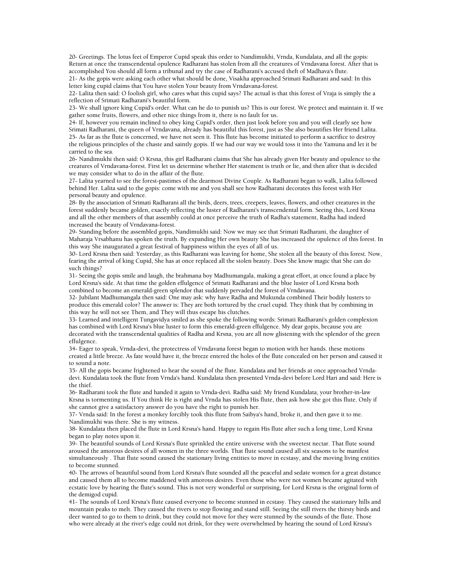20- Greetings. The lotus feet of Emperor Cupid speak this order to Nandimukhi, Vrnda, Kundalata, and all the gopis: Return at once the transcendental opulence Radharani has stolen from all the creatures of Vrndavana forest. After that is accomplished You should all form a tribunal and try the case of Radharani's accused theft of Madhava's flute.

21- As the gopis were asking each other what should be done, Visakha approached Srimati Radharani and said: In this letter king cupid claims that You have stolen Your beauty from Vrndavana-forest.

22- Lalita then said: O foolish girl, who cares what this cupid says? The actual is that this forest of Vraja is simply the a reflection of Srimati Radharani's beautiful form.

23- We shall ignore king Cupid's order. What can he do to punish us? This is our forest. We protect and maintain it. If we gather some fruits, flowers, and other nice things from it, there is no fault for us.

24- If, however you remain inclined to obey king Cupid's order, then just look before you and you will clearly see how Srimati Radharani, the queen of Vrndavana, already has beautiful this forest, just as She also beautifies Her friend Lalita. 25- As far as the flute is concerned, we have not seen it. This flute has become initiated to perform a sacrifice to destroy the religious principles of the chaste and saintly gopis. If we had our way we would toss it into the Yamuna and let it be carried to the sea.

26- Nandimukhi then said: O Krsna, this girl Radharani claims that She has already given Her beauty and opulence to the creatures of Vrndavana-forest. First let us determine whether Her statement is truth or lie, and then after that is decided we may consider what to do in the affair of the flute.

27- Lalita yearned to see the forest-pastimes of the dearmost Divine Couple. As Radharani began to walk, Lalita followed behind Her. Lalita said to the gopis: come with me and you shall see how Radharani decorates this forest with Her personal beauty and opulence.

28- By the association of Srimati Radharani all the birds, deers, trees, creepers, leaves, flowers, and other creatures in the forest suddenly became golden, exactly reflecting the luster of Radharani's transcendental form. Seeing this, Lord Krsna and all the other members of that assembly could at once perceive the truth of Radha's statement, Radha had indeed increased the beauty of Vrndavana-forest.

29- Standing before the assembled gopis, Nandimukhi said: Now we may see that Srimati Radharani, the daughter of Maharaja Vrsabhanu has spoken the truth. By expanding Her own beauty She has increased the opulence of this forest. In this way She inaugurated a great festival of happiness within the eyes of all of us.

30- Lord Krsna then said: Yesterday, as this Radharani was leaving for home, She stolen all the beauty of this forest. Now, fearing the arrival of king Cupid, She has at once replaced all the stolen beauty. Does She know magic that She can do such things?

31- Seeing the gopis smile and laugh, the brahmana boy Madhumangala, making a great effort, at once found a place by Lord Krsna's side. At that time the golden effulgence of Srimati Radharani and the blue luster of Lord Krsna both combined to become an emerald-green splendor that suddenly pervaded the forest of Vrndavana.

32- Jubilant Madhumangala then said: One may ask: why have Radha and Mukunda combined Their bodily lusters to produce this emerald color? The answer is: They are both tortured by the cruel cupid. They think that by combining in this way he will not see Them, and They will thus escape his clutches.

33- Learned and intelligent Tungavidya smiled as she spoke the following words: Srimati Radharani's golden complexion has combined with Lord Krsna's blue luster to form this emerald-green effulgence. My dear gopis, because you are decorated with the transcendental qualities of Radha and Krsna, you are all now glistening with the splendor of the green effulgence.

34- Eager to speak, Vrnda-devi, the protectress of Vrndavana forest began to motion with her hands. these motions created a little breeze. As fate would have it, the breeze entered the holes of the flute concealed on her person and caused it to sound a note.

35- All the gopis became frightened to hear the sound of the flute. Kundalata and her friends at once approached Vrndadevi. Kundalata took the flute from Vrnda's hand. Kundalata then presented Vrnda-devi before Lord Hari and said: Here is the thief.

36- Radharani took the flute and handed it again to Vrnda-devi. Radha said: My friend Kundalata, your brother-in-law Krsna is tormenting us. If You think He is right and Vrnda has stolen His flute, then ask how she got this flute. Only if she cannot give a satisfactory answer do you have the right to punish her.

37- Vrnda said: In the forest a monkey forcibly took this flute from Saibya's hand, broke it, and then gave it to me. Nandimukhi was there. She is my witness.

38- Kundalata then placed the flute in Lord Krsna's hand. Happy to regain His flute after such a long time, Lord Krsna began to play notes upon it.

39- The beautiful sounds of Lord Krsna's flute sprinkled the entire universe with the sweetest nectar. That flute sound aroused the amorous desires of all women in the three worlds. That flute sound caused all six seasons to be manifest simultaneously . That flute sound caused the stationary living entities to move in ecstasy, and the moving living entities to become stunned.

40- The arrows of beautiful sound from Lord Krsna's flute sounded all the peaceful and sedate women for a great distance and caused them all to become maddened with amorous desires. Even those who were not women became agitated with ecstatic love by hearing the flute's sound. This is not very wonderful or surprising, for Lord Krsna is the original form of the demigod cupid.

41- The sounds of Lord Krsna's flute caused everyone to become stunned in ecstasy. They caused the stationary hills and mountain peaks to melt. They caused the rivers to stop flowing and stand still. Seeing the still rivers the thirsty birds and deer wanted to go to them to drink, but they could not move for they were stunned by the sounds of the flute. Those who were already at the river's edge could not drink, for they were overwhelmed by hearing the sound of Lord Krsna's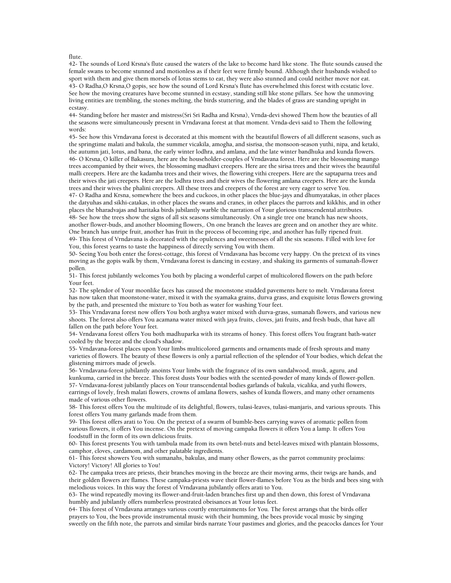#### flute.

42- The sounds of Lord Krsna's flute caused the waters of the lake to become hard like stone. The flute sounds caused the female swans to become stunned and motionless as if their feet were firmly bound. Although their husbands wished to sport with them and give them morsels of lotus stems to eat, they were also stunned and could neither move nor eat. 43- O Radha,O Krsna,O gopis, see how the sound of Lord Krsna's flute has overwhelmed this forest with ecstatic love. See how the moving creatures have become stunned in ecstasy, standing still like stone pillars. See how the unmoving living entities are trembling, the stones melting, the birds stuttering, and the blades of grass are standing upright in ecstasy.

44- Standing before her master and mistress(Sri Sri Radha and Krsna), Vrnda-devi showed Them how the beauties of all the seasons were simultaneously present in Vrndavana forest at that moment. Vrnda-devi said to Them the following words:

45- See how this Vrndavana forest is decorated at this moment with the beautiful flowers of all different seasons, such as the springtime malati and bakula, the summer vicakila, amogha, and sisrisa, the monsoon-season yuthi, nipa, and ketaki, the autumn jati, lotus, and bana, the early winter lodhra, and amlana, and the late winter bandhuka and kunda flowers. 46- O Krsna, O killer of Bakasura, here are the householder-couples of Vrndavana forest. Here are the blossoming mango trees accompanied by their wives, the blossoming madhavi creepers. Here are the sirisa trees and their wives the beautiful malli creepers. Here are the kadamba trees and their wives, the flowering vithi creepers. Here are the saptaparna trees and their wives the jati creepers. Here are the lodhra trees and their wives the flowering amlana creepers. Here are the kunda trees and their wives the phalini creepers. All these trees and creepers of the forest are very eager to serve You.

47- O Radha and Krsna, somewhere the bees and cuckoos, in other places the blue-jays and dhumyatakas, in other places the datyuhas and sikhi-catakas, in other places the swans and cranes, in other places the parrots and kikkhis, and in other places the bharadvajas and haritaka birds jubilantly warble the narration of Your glorious transcendental attributes. 48- See how the trees show the signs of all six seasons simultaneously. On a single tree one branch has new shoots, another flower-buds, and another blooming flowers,. On one branch the leaves are green and on another they are white. One branch has unripe fruit, another has fruit in the process of becoming ripe, and another has fully ripened fruit. 49- This forest of Vrndavana is decorated with the opulences and sweetnesses of all the six seasons. Filled with love for

You, this forest yearns to taste the happiness of directly serving You with them. 50- Seeing You both enter the forest-cottage, this forest of Vrndavana has become very happy. On the pretext of its vines

moving as the gopis walk by them, Vrndavana forest is dancing in ecstasy, and shaking its garments of sumanah-flower pollen.

51- This forest jubilantly welcomes You both by placing a wonderful carpet of multicolored flowers on the path before Your feet.

52- The splendor of Your moonlike faces has caused the moonstone studded pavements here to melt. Vrndavana forest has now taken that moonstone-water, mixed it with the syamaka grains, durva grass, and exquisite lotus flowers growing by the path, and presented the mixture to You both as water for washing Your feet.

53- This Vrndavana forest now offers You both arghya water mixed with durva-grass, sumanah flowers, and various new shoots. The forest also offers You acamana water mixed with jaya fruits, cloves, jati fruits, and fresh buds, that have all fallen on the path before Your feet.

54- Vrndavana forest offers You both madhuparka with its streams of honey. This forest offers You fragrant bath-water cooled by the breeze and the cloud's shadow.

55- Vrndavana-forest places upon Your limbs multicolored garments and ornaments made of fresh sprouts and many varieties of flowers. The beauty of these flowers is only a partial reflection of the splendor of Your bodies, which defeat the glistening mirrors made of jewels.

56- Vrndavana-forest jubilantly anoints Your limbs with the fragrance of its own sandalwood, musk, aguru, and kunkuma, carried in the breeze. This forest dusts Your bodies with the scented-powder of many kinds of flower-pollen. 57- Vrndavana-forest jubilantly places on Your transcendental bodies garlands of bakula, vicalika, and yuthi flowers, earrings of lovely, fresh malati flowers, crowns of amlana flowers, sashes of kunda flowers, and many other ornaments made of various other flowers.

58- This forest offers You the multitude of its delightful, flowers, tulasi-leaves, tulasi-manjaris, and various sprouts. This forest offers You many garlands made from them.

59- This forest offers arati to You. On the pretext of a swarm of bumble-bees carrying waves of aromatic pollen from various flowers, it offers You incense. On the pretext of moving campaka flowers it offers You a lamp. It offers You foodstuff in the form of its own delicious fruits.

60- This forest presents You with tambula made from its own betel-nuts and betel-leaves mixed with plantain blossoms, camphor, cloves, cardamom, and other palatable ingredients.

61- This forest showers You with sumanahs, bakulas, and many other flowers, as the parrot community proclaims: Victory! Victory! All glories to You!

62- The campaka trees are priests, their branches moving in the breeze are their moving arms, their twigs are hands, and their golden flowers are flames. These campaka-priests wave their flower-flames before You as the birds and bees sing with melodious voices. In this way the forest of Vrndavana jubilantly offers arati to You.

63- The wind repeatedly moving its flower-and-fruit-laden branches first up and then down, this forest of Vrndavana humbly and jubilantly offers numberless prostrated obeisances at Your lotus feet.

64- This forest of Vrndavana arranges various courtly entertainments for You. The forest arrangs that the birds offer prayers to You, the bees provide instrumental music with their humming, the bees provide vocal music by singing sweetly on the fifth note, the parrots and similar birds narrate Your pastimes and glories, and the peacocks dances for Your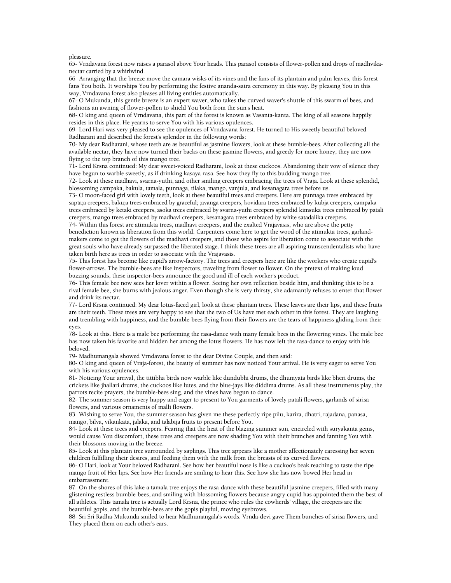#### pleasure.

65- Vrndavana forest now raises a parasol above Your heads. This parasol consists of flower-pollen and drops of madhvikanectar carried by a whirlwind.

66- Arranging that the breeze move the camara wisks of its vines and the fans of its plantain and palm leaves, this forest fans You both. It worships You by performing the festive ananda-satra ceremony in this way. By pleasing You in this way, Vrndavana forest also pleases all living entities automatically.

67- O Mukunda, this gentle breeze is an expert waver, who takes the curved waver's shuttle of this swarm of bees, and fashions an awning of flower-pollen to shield You both from the sun's heat.

68- O king and queen of Vrndavana, this part of the forest is known as Vasanta-kanta. The king of all seasons happily resides in this place. He yearns to serve You with his various opulences.

69- Lord Hari was very pleased to see the opulences of Vrndavana forest. He turned to His sweetly beautiful beloved Radharani and described the forest's splendor in the following words:

70- My dear Radharani, whose teeth are as beautiful as jasmine flowers, look at these bumble-bees. After collecting all the available nectar, they have now turned their backs on these jasmine flowers, and greedy for more honey, they are now flying to the top branch of this mango tree.

71- Lord Krsna continued: My dear sweet-voiced Radharani, look at these cuckoos. Abandoning their vow of silence they have begun to warble sweetly, as if drinking kasaya-rasa. See how they fly to this budding mango tree.

72- Look at these madhavi, svarna-yuthi, and other smiling creepers embracing the trees of Vraja. Look at these splendid, blossoming campaka, bakula, tamala, punnaga, tilaka, mango, vanjula, and kesanagara trees before us.

73- O moon-faced girl with lovely teeth, look at these beautiful trees and creepers. Here are punnaga trees embraced by sapta;a creepers, baku;a trees embraced by graceful; ;avanga creepers, kovidara trees embraced by kubja creepers, campaka trees embraced by ketaki creepers, asoka trees embraced by svarna-yuthi creepers splendid kimsuka trees embraced by patali creepers, mango trees embraced by madhavi creepers, kesanagara trees embraced by white satadalika creepers.

74- Within this forest are atimukta trees, madhavi creepers, and the exalted Vrajavasis, who are above the petty benediction known as liberation from this world. Carpenters come here to get the wood of the atimukta trees, garlandmakers come to get the flowers of the madhavi creepers, and those who aspire for liberation come to associate with the great souls who have already surpassed the liberated stage. I think these trees are all aspiring transcendentalists who have taken birth here as trees in order to associate with the Vrajavasis.

75- This forest has become like cupid's arrow-factory. The trees and creepers here are like the workers who create cupid's flower-arrows. The bumble-bees are like inspectors, traveling from flower to flower. On the pretext of making loud buzzing sounds, these inspector-bees announce the good and ill of each worker's product.

76- This female bee now sees her lover within a flower. Seeing her own reflection beside him, and thinking this to be a rival female bee, she burns with jealous anger. Even though she is very thirsty, she adamantly refuses to enter that flower and drink its nectar.

77- Lord Krsna continued: My dear lotus-faced girl, look at these plantain trees. These leaves are their lips, and these fruits are their teeth. These trees are very happy to see that the two of Us have met each other in this forest. They are laughing and trembling with happiness, and the bumble-bees flying from their flowers are the tears of happiness gliding from their eyes.

78- Look at this. Here is a male bee performing the rasa-dance with many female bees in the flowering vines. The male bee has now taken his favorite and hidden her among the lotus flowers. He has now left the rasa-dance to enjoy with his beloved.

79- Madhumangala showed Vrndavana forest to the dear Divine Couple, and then said:

80- O king and queen of Vraja-forest, the beauty of summer has now noticed Your arrival. He is very eager to serve You with his various opulences.

81- Noticing Your arrival, the tittibha birds now warble like dundubhi drums, the dhumyata birds like bheri drums, the crickets like jhallari drums, the cuckoos like lutes, and the blue-jays like diddima drums. As all these instruments play, the parrots recite prayers, the bumble-bees sing, and the vines have begun to dance.

82- The summer season is very happy and eager to present to You garments of lovely patali flowers, garlands of sirisa flowers, and various ornaments of malli flowers.

83- Wishing to serve You, the summer season has given me these perfectly ripe pilu, karira, dhatri, rajadana, panasa, mango, bilva, vikankata, jalaka, and talabija fruits to present before You.

84- Look at these trees and creepers. Fearing that the heat of the blazing summer sun, encircled with suryakanta gems, would cause You discomfort, these trees and creepers are now shading You with their branches and fanning You with their blossoms moving in the breeze.

85- Look at this plantain tree surrounded by saplings. This tree appears like a mother affectionately caressing her seven children fulfilling their desires, and feeding them with the milk from the breasts of its curved flowers.

86- O Hari, look at Your beloved Radharani. See how her beautiful nose is like a cuckoo's beak reaching to taste the ripe mango fruit of Her lips. See how Her friends are smiling to hear this. See how she has now bowed Her head in embarrassment.

87- On the shores of this lake a tamala tree enjoys the rasa-dance with these beautiful jasmine creepers, filled with many glistening restless bumble-bees, and smiling with blossoming flowers because angry cupid has appointed them the best of all athletes. This tamala tree is actually Lord Krsna, the prince who rules the cowherds' village, the creepers are the beautiful gopis, and the bumble-bees are the gopis playful, moving eyebrows.

88- Sri Sri Radha-Mukunda smiled to hear Madhumangala's words. Vrnda-devi gave Them bunches of sirisa flowers, and They placed them on each other's ears.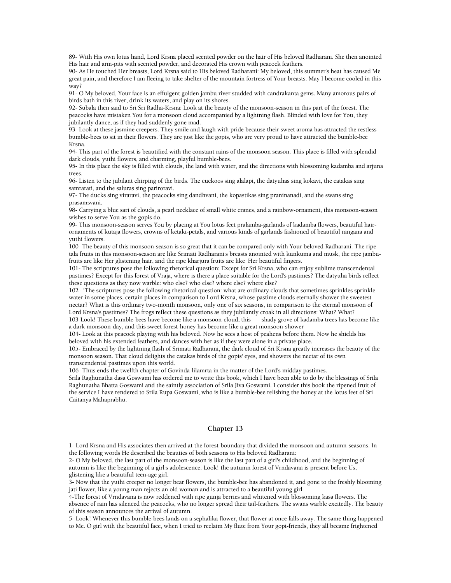89- With His own lotus hand, Lord Krsna placed scented powder on the hair of His beloved Radharani. She then anointed His hair and arm-pits with scented powder, and decorated His crown with peacock feathers.

90- As He touched Her breasts, Lord Krsna said to His beloved Radharani: My beloved, this summer's heat has caused Me great pain, and therefore I am fleeing to take shelter of the mountain fortress of Your breasts. May I become cooled in this way?

91- O My beloved, Your face is an effulgent golden jambu river studded with candrakanta gems. Many amorous pairs of birds bath in this river, drink its waters, and play on its shores.

92- Subala then said to Sri Sri Radha-Krsna: Look at the beauty of the monsoon-season in this part of the forest. The peacocks have mistaken You for a monsoon cloud accompanied by a lightning flash. Blinded with love for You, they jubilantly dance, as if they had suddenly gone mad.

93- Look at these jasmine creepers. They smile and laugh with pride because their sweet aroma has attracted the restless bumble-bees to sit in their flowers. They are just like the gopis, who are very proud to have attracted the bumble-bee Krsna.

94- This part of the forest is beautified with the constant rains of the monsoon season. This place is filled with splendid dark clouds, yuthi flowers, and charming, playful bumble-bees.

95- In this place the sky is filled with clouds, the land with water, and the directions with blossoming kadamba and arjuna trees.

96- Listen to the jubilant chirping of the birds. The cuckoos sing alalapi, the datyuhas sing kokavi, the catakas sing samrarati, and the saluras sing pariroravi.

97- The ducks sing viraravi, the peacocks sing dandhvani, the kopastikas sing praninanadi, and the swans sing prasamsvani.

98- Carrying a blue sari of clouds, a pearl necklace of small white cranes, and a rainbow-ornament, this monsoon-season wishes to serve You as the gopis do.

99- This monsoon-season serves You by placing at You lotus feet pralamba-garlands of kadamba flowers, beautiful hairornaments of kutaja flowers, crowns of ketaki-petals, and various kinds of garlands fashioned of beautiful rangana and yuthi flowers.

100- The beauty of this monsoon-season is so great that it can be compared only with Your beloved Radharani. The ripe tala fruits in this monsoon-season are like Srimati Radharani's breasts anointed with kunkuma and musk, the ripe jambufruits are like Her glistening hair, and the ripe kharjura fruits are like Her beautiful fingers.

101- The scriptures pose the following rhetorical question: Except for Sri Krsna, who can enjoy sublime transcendental pastimes? Except for this forest of Vraja, where is there a place suitable for the Lord's pastimes? The datyuha birds reflect these questions as they now warble: who else? who else? where else? where else?

102- "The scriptures pose the following rhetorical question: what are ordinary clouds that sometimes sprinkles sprinkle water in some places, certain places in comparison to Lord Krsna, whose pastime clouds eternally shower the sweetest nectar? What is this ordinary two-month monsoon, only one of six seasons, in comparison to the eternal monsoon of Lord Krsna's pastimes? The frogs reflect these questions as they jubilantly croak in all directions: What? What?

103-Look! These bumble-bees have become like a monsoon-cloud, this shady grove of kadamba trees has become like a dark monsoon-day, and this sweet forest-honey has become like a great monsoon-shower

104- Look at this peacock playing with his beloved. Now he sees a host of peahens before them. Now he shields his beloved with his extended feathers, and dances with her as if they were alone in a private place.

105- Embraced by the lightning flash of Srimati Radharani, the dark cloud of Sri Krsna greatly increases the beauty of the monsoon season. That cloud delights the catakas birds of the gopis' eyes, and showers the nectar of its own transcendental pastimes upon this world.

106- Thus ends the twelfth chapter of Govinda-lilamrta in the matter of the Lord's midday pastimes.

Srila Raghunatha dasa Goswami has ordered me to write this book, which I have been able to do by the blessings of Srila Raghunatha Bhatta Goswami and the saintly association of Srila Jiva Goswami. I consider this book the ripened fruit of the service I have rendered to Srila Rupa Goswami, who is like a bumble-bee relishing the honey at the lotus feet of Sri Caitanya Mahaprabhu.

### **Chapter 13**

1- Lord Krsna and His associates then arrived at the forest-boundary that divided the monsoon and autumn-seasons. In the following words He described the beauties of both seasons to His beloved Radharani:

2- O My beloved, the last part of the monsoon-season is like the last part of a girl's childhood, and the beginning of autumn is like the beginning of a girl's adolescence. Look! the autumn forest of Vrndavana is present before Us, glistening like a beautiful teen-age girl.

3- Now that the yuthi creeper no longer bear flowers, the bumble-bee has abandoned it, and gone to the freshly blooming jati flower, like a young man rejects an old woman and is attracted to a beautiful young girl.

4-The forest of Vrndavana is now reddened with ripe gunja berries and whitened with blossoming kasa flowers. The absence of rain has silenced the peacocks, who no longer spread their tail-feathers. The swans warble excitedly. The beauty of this season announces the arrival of autumn.

5- Look! Whenever this bumble-bees lands on a sephalika flower, that flower at once falls away. The same thing happened to Me. O girl with the beautiful face, when I tried to reclaim My flute from Your gopi-friends, they all became frightened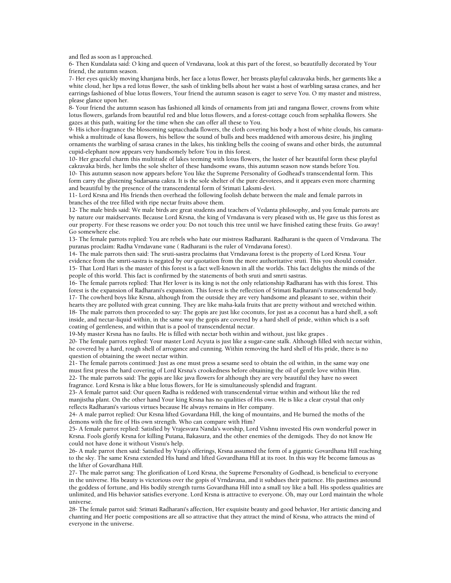and fled as soon as I approached.

6- Then Kundalata said: O king and queen of Vrndavana, look at this part of the forest, so beautifully decorated by Your friend, the autumn season.

7- Her eyes quickly moving khanjana birds, her face a lotus flower, her breasts playful cakravaka birds, her garments like a white cloud, her lips a red lotus flower, the sash of tinkling bells about her waist a host of warbling sarasa cranes, and her earrings fashioned of blue lotus flowers, Your friend the autumn season is eager to serve You. O my master and mistress, please glance upon her.

8- Your friend the autumn season has fashioned all kinds of ornaments from jati and rangana flower, crowns from white lotus flowers, garlands from beautiful red and blue lotus flowers, and a forest-cottage couch from sephalika flowers. She gazes at this path, waiting for the time when she can offer all these to You.

9- His ichor-fragrance the blossoming saptacchada flowers, the cloth covering his body a host of white clouds, his camarawhisk a multitude of kasa flowers, his bellow the sound of bulls and bees maddened with amorous desire, his jingling ornaments the warbling of sarasa cranes in the lakes, his tinkling bells the cooing of swans and other birds, the autumnal cupid-elephant now appears very handsomely before You in this forest.

10- Her graceful charm this multitude of lakes teeming with lotus flowers, the luster of her beautiful form these playful cakravaka birds, her limbs the sole shelter of these handsome swans, this autumn season now stands before You.

10- This autumn season now appears before You like the Supreme Personality of Godhead's transcendental form. This form carry the glistening Sudarsana cakra. It is the sole shelter of the pure devotees, and it appears even more charming and beautiful by the presence of the transcendental form of Srimati Laksmi-devi.

11- Lord Krsna and His friends then overhead the following foolish debate between the male and female parrots in branches of the tree filled with ripe nectar fruits above them.

12- The male birds said: We male birds are great students and teachers of Vedanta philosophy, and you female parrots are by nature our maidservants. Because Lord Krsna, the king of Vrndavana is very pleased with us, He gave us this forest as our property. For these reasons we order you: Do not touch this tree until we have finished eating these fruits. Go away! Go somewhere else.

13- The female parrots replied: You are rebels who hate our mistress Radharani. Radharani is the queen of Vrndavana. The puranas proclaim: Radha Vrndavane vane ( Radharani is the ruler of Vrndavana forest).

14- The male parrots then said: The sruti-sastra proclaims that Vrndavana forest is the property of Lord Krsna. Your evidence from the smrti-sastra is negated by our quotation from the more authoritative sruti. This you should consider. 15- That Lord Hari is the master of this forest is a fact well-known in all the worlds. This fact delights the minds of the people of this world. This fact is confirmed by the statements of both sruti and smrti sastras.

16- The female parrots replied: That Her lover is its king is not the only relationship Radharani has with this forest. This forest is the expansion of Radharani's expansion. This forest is the reflection of Srimati Radharani's transcendental body. 17- The cowherd boys like Krsna, although from the outside they are very handsome and pleasant to see, within their hearts they are polluted with great cunning. They are like maha-kala fruits that are pretty without and wretched within. 18- The male parrots then proceeded to say: The gopis are just like coconuts, for just as a coconut has a hard shell, a soft inside, and nectar-liquid within, in the same way the gopis are covered by a hard shell of pride, within which is a soft coating of gentleness, and within that is a pool of transcendental nectar.

19-My master Krsna has no faults. He is filled with nectar both within and without, just like grapes .

20- The female parrots replied: Your master Lord Acyuta is just like a sugar-cane stalk. Although filled with nectar within, he covered by a hard, rough shell of arrogance and cunning. Within removing the hard shell of His pride, there is no question of obtaining the sweet nectar within.

21- The female parrots continued: Just as one must press a sesame seed to obtain the oil within, in the same way one must first press the hard covering of Lord Krsna's crookedness before obtaining the oil of gentle love within Him. 22- The male parrots said: The gopis are like java flowers for although they are very beautiful they have no sweet fragrance. Lord Krsna is like a blue lotus flowers, for He is simultaneously splendid and fragrant.

23- A female parrot said: Our queen Radha is reddened with transcendental virtue within and without like the red manjistha plant. On the other hand Your king Krsna has no qualities of His own. He is like a clear crystal that only reflects Radharani's various virtues because He always remains in Her company.

24- A male parrot replied: Our Krsna lifted Govardana Hill, the king of mountains, and He burned the moths of the demons with the fire of His own strength. Who can compare with Him?

25- A female parrot replied: Satisfied by Vrajesvara Nanda's worship, Lord Vishnu invested His own wonderful power in Krsna. Fools glorify Krsna for killing Putana, Bakasura, and the other enemies of the demigods. They do not know He could not have done it without Visnu's help.

26- A male parrot then said: Satisfied by Vraja's offerings, Krsna assumed the form of a gigantic Govardhana Hill reaching to the sky. The same Krsna extended His hand and lifted Govardhana Hill at its root. In this way He become famous as the lifter of Govardhana Hill.

27- The male parrot sang: The glorification of Lord Krsna, the Supreme Personality of Godhead, is beneficial to everyone in the universe. His beauty is victorious over the gopis of Vrndavana, and it subdues their patience. His pastimes astound the goddess of fortune, and His bodily strength turns Govardhana Hill into a small toy like a ball. His spotless qualities are unlimited, and His behavior satisfies everyone. Lord Krsna is attractive to everyone. Oh, may our Lord maintain the whole universe.

28- The female parrot said: Srimati Radharani's affection, Her exquisite beauty and good behavior, Her artistic dancing and chanting and Her poetic compositions are all so attractive that they attract the mind of Krsna, who attracts the mind of everyone in the universe.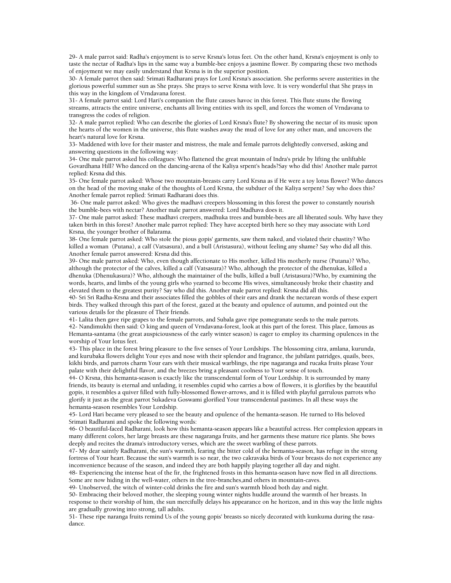29- A male parrot said: Radha's enjoyment is to serve Krsna's lotus feet. On the other hand, Krsna's enjoyment is only to taste the nectar of Radha's lips in the same way a bumble-bee enjoys a jasmine flower. By comparing these two methods of enjoyment we may easily understand that Krsna is in the superior position.

30- A female parrot then said: Srimati Radharani prays for Lord Krsna's association. She performs severe austerities in the glorious powerful summer sun as She prays. She prays to serve Krsna with love. It is very wonderful that She prays in this way in the kingdom of Vrndavana forest.

31- A female parrot said: Lord Hari's companion the flute causes havoc in this forest. This flute stuns the flowing streams, attracts the entire universe, enchants all living entities with its spell, and forces the women of Vrndavana to transgress the codes of religion.

32- A male parrot replied: Who can describe the glories of Lord Krsna's flute? By showering the nectar of its music upon the hearts of the women in the universe, this flute washes away the mud of love for any other man, and uncovers the heart's natural love for Krsna.

33- Maddened with love for their master and mistress, the male and female parrots delightedly conversed, asking and answering questions in the following way:

34- One male parrot asked his colleagues: Who flattened the great mountain of Indra's pride by lifting the unliftable Govardhana Hill? Who danced on the dancing-arena of the Kaliya srpent's heads?Say who did this! Another male parrot replied: Krsna did this.

35- One female parrot asked: Whose two mountain-breasts carry Lord Krsna as if He were a toy lotus flower? Who dances on the head of the moving snake of the thoughts of Lord Krsna, the subduer of the Kaliya serpent? Say who does this? Another female parrot replied: Srimati Radharani does this.

 36- One male parrot asked: Who gives the madhavi creepers blossoming in this forest the power to constantly nourish the bumble-bees with nectar? Another male parrot answered: Lord Madhava does it.

37- One male parrot asked: These madhavi creepers, madhuka trees and bumble-bees are all liberated souls. Why have they taken birth in this forest? Another male parrot replied: They have accepted birth here so they may associate with Lord Krsna, the younger brother of Balarama.

38- One female parrot asked: Who stole the pious gopis' garments, saw them naked, and violated their chastity? Who killed a woman (Putana), a calf (Vatsasura), and a bull (Aristasura), without feeling any shame? Say who did all this. Another female parrot answered: Krsna did this.

39- One male parrot asked: Who, even though affectionate to His mother, killed His motherly nurse (Putana)? Who, although the protector of the calves, killed a calf (Vatsasura)? Who, although the protector of the dhenukas, killed a dhenuka (Dhenukasura)? Who, although the maintainer of the bulls, killed a bull (Aristasura)?Who, by examining the words, hearts, and limbs of the young girls who yearned to become His wives, simultaneously broke their chastity and elevated them to the greatest purity? Say who did this. Another male parrot replied: Krsna did all this.

40- Sri Sri Radha-Krsna and their associates filled the gobbles of their ears and drank the nectarean words of these expert birds. They walked through this part of the forest, gazed at the beauty and opulence of autumn, and pointed out the various details for the pleasure of Their friends.

41- Lalita then gave ripe grapes to the female parrots, and Subala gave ripe pomegranate seeds to the male parrots. 42- Nandimukhi then said: O king and queen of Vrndavana-forest, look at this part of the forest. This place, famous as Hemanta-santama (the great auspiciousness of the early winter season) is eager to employ its charming opulences in the worship of Your lotus feet.

43- This place in the forest bring pleasure to the five senses of Your Lordships. The blossoming citra, amlana, kurunda, and kurubaka flowers delight Your eyes and nose with their splendor and fragrance, the jubilant patridges, quails, bees, kikhi birds, and parrots charm Your ears with their musical warblings, the ripe nagaranga and rucaka fruits please Your palate with their delightful flavor, and the breezes bring a pleasant coolness to Your sense of touch.

44- O Krsna, this hemanta-season is exactly like the transcendental form of Your Lordship. It is surrounded by many friends, its beauty is eternal and unfading, it resembles cupid who carries a bow of flowers, it is glorifies by the beautiful gopis, it resembles a quiver filled with fully-blossomed flower-arrows, and it is filled with playful garrulous parrots who glorify it just as the great parrot Sukadeva Goswami glorified Your transcendental pastimes. In all these ways the hemanta-season resembles Your Lordship.

45- Lord Hari became very pleased to see the beauty and opulence of the hemanta-season. He turned to His beloved Srimati Radharani and spoke the following words:

46- O beautiful-faced Radharani, look how this hemanta-season appears like a beautiful actress. Her complexion appears in many different colors, her large breasts are these nagaranga fruits, and her garments these mature rice plants. She bows deeply and recites the drama's introductory verses, which are the sweet warbling of these parrots.

47- My dear saintly Radharani, the sun's warmth, fearing the bitter cold of the hemanta-season, has refuge in the strong fortress of Your heart. Because the sun's warmth is so near, the two cakravaka birds of Your breasts do not experience any inconvenience because of the season, and indeed they are both happily playing together all day and night.

48- Experiencing the intense heat of the fir, the frightened frosts in this hemanta-season have now fled in all directions. Some are now hiding in the well-water, others in the tree-branches,and others in mountain-caves.

49- Unobserved, the witch of winter-cold drinks the fire and sun's warmth blood both day and night.

50- Embracing their beloved mother, the sleeping young winter nights huddle around the warmth of her breasts. In response to their worship of him, the sun mercifully delays his appearance on he horizon, and in this way the little nights are gradually growing into strong, tall adults.

51- These ripe naranga fruits remind Us of the young gopis' breasts so nicely decorated with kunkuma during the rasadance.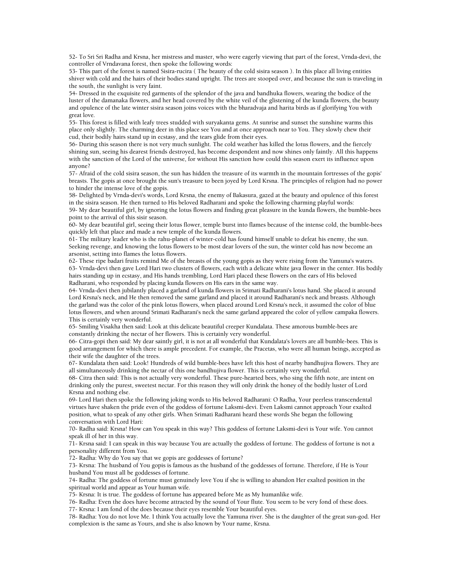52- To Sri Sri Radha and Krsna, her mistress and master, who were eagerly viewing that part of the forest, Vrnda-devi, the controller of Vrndavana forest, then spoke the following words:

53- This part of the forest is named Sisira-rucira ( The beauty of the cold sisira season ). In this place all living entities shiver with cold and the hairs of their bodies stand upright. The trees are stooped over, and because the sun is traveling in the south, the sunlight is very faint.

54- Dressed in the exquisite red garments of the splendor of the java and bandhuka flowers, wearing the bodice of the luster of the damanaka flowers, and her head covered by the white veil of the glistening of the kunda flowers, the beauty and opulence of the late winter sisira season joins voices with the bharadvaja and harita birds as if glorifying You with great love.

55- This forest is filled with leafy trees studded with suryakanta gems. At sunrise and sunset the sunshine warms this place only slightly. The charming deer in this place see You and at once approach near to You. They slowly chew their cud, their bodily hairs stand up in ecstasy, and the tears glide from their eyes.

56- During this season there is not very much sunlight. The cold weather has killed the lotus flowers, and the fiercely shining sun, seeing his dearest friends destroyed, has become despondent and now shines only faintly. All this happens with the sanction of the Lord of the universe, for without His sanction how could this season exert its influence upon anyone?

57- Afraid of the cold sisira season, the sun has hidden the treasure of its warmth in the mountain fortresses of the gopis' breasts. The gopis at once brought the sun's treasure to been joyed by Lord Krsna. The principles of religion had no power to hinder the intense love of the gopis.

58- Delighted by Vrnda-devi's words, Lord Krsna, the enemy of Bakasura, gazed at the beauty and opulence of this forest in the sisira season. He then turned to His beloved Radharani and spoke the following charming playful words:

59- My dear beautiful girl, by ignoring the lotus flowers and finding great pleasure in the kunda flowers, the bumble-bees point to the arrival of this sisir season.

60- My dear beautiful girl, seeing their lotus flower, temple burst into flames because of the intense cold, the bumble-bees quickly left that place and made a new temple of the kunda flowers.

61- The military leader who is the rahu-planet of winter-cold has found himself unable to defeat his enemy, the sun. Seeking revenge, and knowing the lotus flowers to be most dear lovers of the sun, the winter cold has now become an arsonist, setting into flames the lotus flowers.

62- These ripe badari fruits remind Me of the breasts of the young gopis as they were rising from the Yamuna's waters. 63- Vrnda-devi then gave Lord Hari two clusters of flowers, each with a delicate white java flower in the center. His bodily hairs standing up in ecstasy, and His hands trembling, Lord Hari placed these flowers on the ears of His beloved Radharani, who responded by placing kunda flowers on His ears in the same way.

64- Vrnda-devi then jubilantly placed a garland of kunda flowers in Srimati Radharani's lotus hand. She placed it around Lord Krsna's neck, and He then removed the same garland and placed it around Radharani's neck and breasts. Although the garland was the color of the pink lotus flowers, when placed around Lord Krsna's neck, it assumed the color of blue lotus flowers, and when around Srimati Radharani's neck the same garland appeared the color of yellow campaka flowers. This is certainly very wonderful.

65- Smiling Visakha then said: Look at this delicate beautiful creeper Kundalata. These amorous bumble-bees are constantly drinking the nectar of her flowers. This is certainly very wonderful.

66- Citra-gopi then said: My dear saintly girl, it is not at all wonderful that Kundalata's lovers are all bumble-bees. This is good arrangement for which there is ample precedent. For example, the Pracetas, who were all human beings, accepted as their wife the daughter of the trees.

67- Kundalata then said: Look! Hundreds of wild bumble-bees have left this host of nearby bandhujiva flowers. They are all simultaneously drinking the nectar of this one bandhujiva flower. This is certainly very wonderful.

68- Citra then said: This is not actually very wonderful. These pure-hearted bees, who sing the fifth note, are intent on drinking only the purest, sweetest nectar. For this reason they will only drink the honey of the bodily luster of Lord Krsna and nothing else.

69- Lord Hari then spoke the following joking words to His beloved Radharani: O Radha, Your peerless transcendental virtues have shaken the pride even of the goddess of fortune Laksmi-devi. Even Laksmi cannot approach Your exalted position, what to speak of any other girls. When Srimati Radharani heard these words She began the following conversation with Lord Hari:

70- Radha said: Krsna! How can You speak in this way? This goddess of fortune Laksmi-devi is Your wife. You cannot speak ill of her in this way.

71- Krsna said: I can speak in this way because You are actually the goddess of fortune. The goddess of fortune is not a personality different from You.

72- Radha: Why do You say that we gopis are goddesses of fortune?

73- Krsna: The husband of You gopis is famous as the husband of the goddesses of fortune. Therefore, if He is Your husband You must all be goddesses of fortune.

74- Radha: The goddess of fortune must genuinely love You if she is willing to abandon Her exalted position in the spiritual world and appear as Your human wife.

75- Krsna: It is true. The goddess of fortune has appeared before Me as My humanlike wife.

76- Radha: Even the does have become attracted by the sound of Your flute. You seem to be very fond of these does.

77- Krsna: I am fond of the does because their eyes resemble Your beautiful eyes.

78- Radha: You do not love Me. I think You actually love the Yamuna river. She is the daughter of the great sun-god. Her complexion is the same as Yours, and she is also known by Your name, Krsna.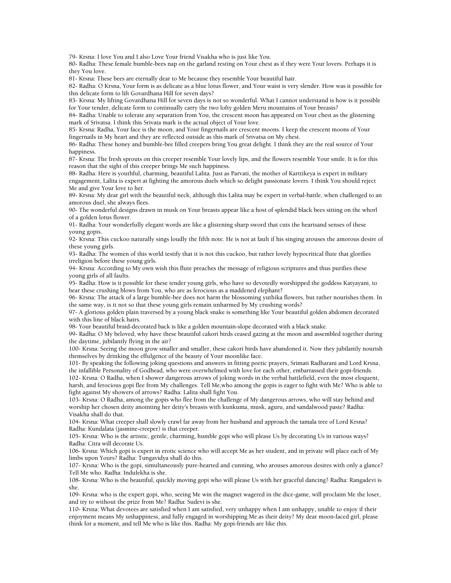79- Krsna: I love You and I also Love Your friend Visakha who is just like You.

80- Radha: These female bumble-bees nap on the garland resting on Your chest as if they were Your lovers. Perhaps it is they You love.

81- Krsna: These bees are eternally dear to Me because they resemble Your beautiful hair.

82- Radha: O Krsna, Your form is as delicate as a blue lotus flower, and Your waist is very slender. How was it possible for this delicate form to lift Govardhana Hill for seven days?

83- Krsna: My lifting Govardhana Hill for seven days is not so wonderful. What I cannot understand is how is it possible for Your tender, delicate form to continually carry the two lofty golden Meru mountains of Your breasts?

84- Radha: Unable to tolerate any separation from You, the crescent moon has appeared on Your chest as the glistening mark of Srivatsa. I think this Srivata mark is the actual object of Your love.

85- Krsna: Radha, Your face is the moon, and Your fingernails are crescent moons. I keep the crescent moons of Your fingernails in My heart and they are reflected outside as this mark of Srivatsa on My chest.

86- Radha: These honey and bumble-bee filled creepers bring You great delight. I think they are the real source of Your happiness.

87- Krsna: The fresh sprouts on this creeper resemble Your lovely lips, and the flowers resemble Your smile. It is for this reason that the sight of this creeper brings Me such happiness.

88- Radha: Here is youthful, charming, beautiful Lalita. Just as Parvati, the mother of Karttikeya is expert in military engagement, Lalita is expert at fighting the amorous duels which so delight passionate lovers. I think You should reject Me and give Your love to her.

89- Krsna: My dear girl with the beautiful neck, although this Lalita may be expert in verbal-battle, when challenged to an amorous duel, she always flees.

90- The wonderful designs drawn in musk on Your breasts appear like a host of splendid black bees sitting on the whorl of a golden lotus flower.

91- Radha: Your wonderfully elegant words are like a glistening sharp sword that cuts the heartsand senses of these young gopis.

92- Krsna: This cuckoo naturally sings loudly the fifth note. He is not at fault if his singing arouses the amorous desire of these young girls.

93- Radha: The women of this world testify that it is not this cuckoo, but rather lovely hypocritical flute that glorifies irreligion before these young girls.

94- Krsna: According to My own wish this flute preaches the message of religious scriptures and thus purifies these young girls of all faults.

95- Radha: How is it possible for these tender young girls, who have so devotedly worshipped the goddess Katyayani, to bear these crushing blows from You, who are as ferocious as a maddened elephant?

96- Krsna: The attack of a large bumble-bee does not harm the blossoming yuthika flowers, but rather nourishes them. In the same way, is it not so that these young girls remain unharmed by My crushing words?

97- A glorious golden plain traversed by a young black snake is something like Your beautiful golden abdomen decorated with this line of black hairs.

98- Your beautiful braid-decorated back is like a golden mountain-slope decorated with a black snake.

99- Radha: O My beloved, why have these beautiful cakori birds ceased gazing at the moon and assembled together during the daytime, jubilantly flying in the air?

100- Krsna: Seeing the moon grow smaller and smaller, these cakori birds have abandoned it. Now they jubilantly nourish themselves by drinking the effulgence of the beauty of Your moonlike face.

101- By speaking the following joking questions and answers in fitting poetic prayers, Srimati Radharani and Lord Krsna, the infallible Personality of Godhead, who were overwhelmed with love for each other, embarrassed their gopi-friends.

102- Krsna: O Radha, when I shower dangerous arrows of joking words in the verbal battlefield, even the most eloquent, harsh, and ferocious gopi flee from My challenges. Tell Me,who among the gopis is eager to fight with Me? Who is able to fight against My showers of arrows? Radha: Lalita shall fight You.

103- Krsna: O Radha, among the gopis who flee from the challenge of My dangerous arrows, who will stay behind and worship her chosen deity anointing her deity's breasts with kunkuma, musk, aguru, and sandalwood paste? Radha: Visakha shall do that.

104- Krsna: What creeper shall slowly crawl far away from her husband and approach the tamala tree of Lord Krsna? Radha: Kundalata (jasmine-creeper) is that creeper.

105- Krsna: Who is the artistic, gentle, charming, humble gopi who will please Us by decorating Us in various ways? Radha: Citra will decorate Us.

106- Krsna: Which gopi is expert in erotic science who will accept Me as her student, and in private will place each of My limbs upon Yours? Radha: Tungavidya shall do this.

107- Krsna: Who is the gopi, simultaneously pure-hearted and cunning, who arouses amorous desires with only a glance? Tell Me who. Radha: Indulekha is she.

108- Krsna: Who is the beautiful, quickly moving gopi who will please Us with her graceful dancing? Radha: Rangadevi is she.

109- Krsna: who is the expert gopi, who, seeing Me win the magnet wagered in the dice-game, will proclaim Me the loser, and try to without the prize from Me? Radha: Sudevi is she.

110- Krsna: What devotees are satisfied when I am satisfied, very unhappy when I am unhappy, unable to enjoy if their enjoyment means My unhappiness, and fully engaged in worshipping Me as their deity? My dear moon-faced girl, please think for a moment, and tell Me who is like this. Radha: My gopi-friends are like this.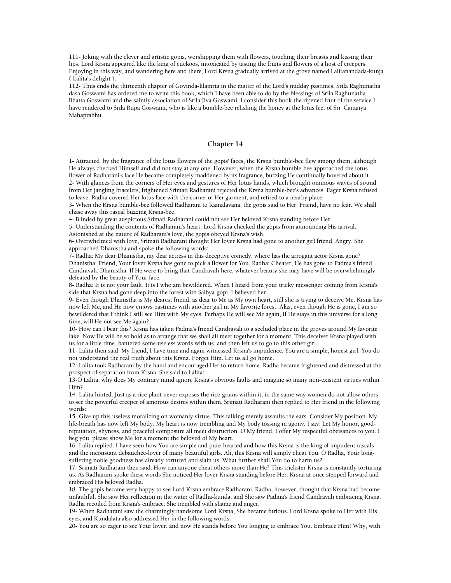111- Joking with the clever and artistic gopis, worshipping them with flowers, touching their breasts and kissing their lips, Lord Krsna appeared like the king of cuckoos, intoxicated by tasting the fruits and flowers of a host of creepers. Enjoying in this way, and wandering here and there, Lord Krsna gradually arrived at the grove named Lalitanandada-kunja ( Lalita's delight ).

112- Thus ends the thirteenth chapter of Govinda-lilamrta in the matter of the Lord's midday pastimes. Srila Raghunatha dasa Goswami has ordered me to write this book, which I have been able to do by the blessings of Srila Raghunatha Bhatta Goswami and the saintly association of Srila Jiva Goswami. I consider this book the ripened fruit of the service I have rendered to Srila Rupa Goswami, who is like a bumble-bee relishing the honey at the lotus feet of Sri Caitanya Mahaprabhu.

### **Chapter 14**

1- Attracted by the fragrance of the lotus flowers of the gopis' faces, the Krsna bumble-bee flew among them, although He always checked Himself and did not stay at any one. However, when the Krsna bumble-bee approached the lotus flower of Radharani's face He became completely maddened by its fragrance, buzzing He continually hovered about it. 2- With glances from the corners of Her eyes and gestures of Her lotus hands, which brought ominous waves of sound from Her jangling bracelets, frightened Srimati Radharani rejected the Krsna bumble-bee's advances. Eager Krsna refused to leave. Radha covered Her lotus face with the corner of Her garment, and retired to a nearby place.

3- When the Krsna bumble-bee followed Radharani to Kamalavana, the gopis said to Her: Friend, have no fear. We shall chase away this rascal buzzing Krsna-bee.

4- Blinded by great auspicious Srimati Radharani could not see Her beloved Krsna standing before Her.

5- Understanding the contents of Radharani's heart, Lord Krsna checked the gopis from announcing His arrival. Astonished at the nature of Radharani's love, the gopis obeyed Krsna's wish.

6- Overwhelmed with love, Srimati Radharani thought Her lover Krsna had gone to another girl friend. Angry, She approached Dhanistha and spoke the following words:

7- Radha: My dear Dhanistha, my dear actress in this deceptive comedy, where has the arrogant actor Krsna gone? Dhanistha: Friend, Your lover Krsna has gone to pick a flower for You. Radha: Cheater, He has gone to Padma's friend Candravali. Dhanistha: If He were to bring that Candravali here, whatever beauty she may have will be overwhelmingly defeated by the beauty of Your face.

8- Radha: It is not your fault. It is I who am bewildered. When I heard from your tricky messenger coming from Krsna's side that Krsna had gone deep into the forest with Saibya-gopi, I believed her.

9- Even though Dhanistha is My dearest friend, as dear to Me as My own heart, still she is trying to deceive Me. Krsna has now left Me, and He now enjoys pastimes with another girl in My favorite forest. Alas, even though He is gone, I am so bewildered that I think I still see Him with My eyes. Perhaps He will see Me again, If He stays in this universe for a long time, will He not see Me again?

10- How can I bear this? Krsna has taken Padma's friend Candravali to a secluded place in the groves around My favorite lake. Now He will be so bold as to arrange that we shall all meet together for a moment. This deceiver Krsna played with us for a little time, bantered some useless words with us, and then left us to go to this other girl.

11- Lalita then said: My friend, I have time and again witnessed Krsna's impudence. You are a simple, honest girl. You do not understand the real truth about this Krsna. Forget Him. Let us all go home.

12- Lalita took Radharani by the hand and encouraged Her to return home. Radha became frightened and distressed at the prospect of separation from Krsna. She said to Lalita:

13-O Lalita, why does My contrary mind ignore Krsna's obvious faults and imagine so many non-existent virtues within Him?

14- Lalita hinted: Just as a rice plant never exposes the rice-grains within it, in the same way women do not allow others to see the powerful creeper of amorous desires within them. Srimati Radharani then replied to Her friend in the following words:

15- Give up this useless moralizing on womanly virtue. This talking merely assaults the ears. Consider My position. My life-breath has now left My body. My heart is now trembling and My body tossing in agony. I say: Let My honor, goodreputation, shyness, and peaceful composure all meet destruction. O My friend, I offer My respectful obeisances to you. I beg you, please show Me for a moment the beloved of My heart.

16- Lalita replied: I have seen how You are simple and pure-hearted and how this Krsna is the king of impudent rascals and the inconstant debauchee-lover of many beautiful girls. Ah, this Krsna will simply cheat You. O Radha, Your longsuffering noble goodness has already tortured and slain us. What further shall You do to harm us?

17- Srimati Radharani then said: How can anyone cheat others more than He? This trickster Krsna is constantly torturing us. As Radharani spoke these words She noticed Her lover Krsna standing before Her. Krsna at once stepped forward and embraced His beloved Radha.

18- The gopis became very happy to see Lord Krsna embrace Radharani. Radha, however, thought that Krsna had become unfaithful. She saw Her reflection in the water of Radha-kunda, and She saw Padma's friend Candravali embracing Krsna. Radha recoiled from Krsna's embrace. She trembled with shame and anger.

19- When Radharani saw the charmingly handsome Lord Krsna, She became furious. Lord Krsna spoke to Her with His eyes, and Kundalata also addressed Her in the following words:

20- You are so eager to see Your lover, and now He stands before You longing to embrace You. Embrace Him! Why, with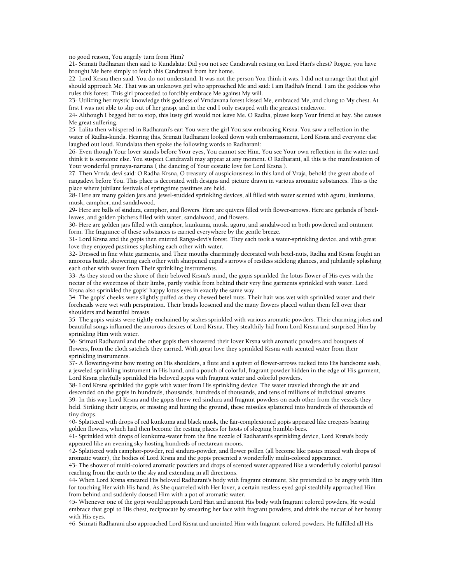no good reason, You angrily turn from Him?

21- Srimati Radharani then said to Kundalata: Did you not see Candravali resting on Lord Hari's chest? Rogue, you have brought Me here simply to fetch this Candravali from her home.

22- Lord Krsna then said: You do not understand. It was not the person You think it was. I did not arrange that that girl should approach Me. That was an unknown girl who approached Me and said: I am Radha's friend. I am the goddess who rules this forest. This girl proceeded to forcibly embrace Me against My will.

23- Utilizing her mystic knowledge this goddess of Vrndavana forest kissed Me, embraced Me, and clung to My chest. At first I was not able to slip out of her grasp, and in the end I only escaped with the greatest endeavor.

24- Although I begged her to stop, this lusty girl would not leave Me. O Radha, please keep Your friend at bay. She causes Me great suffering.

25- Lalita then whispered in Radharani's ear: You were the girl You saw embracing Krsna. You saw a reflection in the water of Radha-kunda. Hearing this, Srimati Radharani looked down with embarrassment, Lord Krsna and everyone else laughed out loud. Kundalata then spoke the following words to Radharani:

26- Even though Your lover stands before Your eyes, You cannot see Him. You see Your own reflection in the water and think it is someone else. You suspect Candravali may appear at any moment. O Radharani, all this is the manifestation of Your wonderful pranaya-nartana ( the dancing of Your ecstatic love for Lord Krsna ).

27- Then Vrnda-devi said: O Radha-Krsna, O treasury of auspiciousness in this land of Vraja, behold the great abode of rangadevi before You. This place is decorated with designs and picture drawn in various aromatic substances. This is the place where jubilant festivals of springtime pastimes are held.

28- Here are many golden jars and jewel-studded sprinkling devices, all filled with water scented with aguru, kunkuma, musk, camphor, and sandalwood.

29- Here are balls of sindura, camphor, and flowers. Here are quivers filled with flower-arrows. Here are garlands of betelleaves, and golden pitchers filled with water, sandalwood, and flowers.

30- Here are golden jars filled with camphor, kunkuma, musk, aguru, and sandalwood in both powdered and ointment form. The fragrance of these substances is carried everywhere by the gentle breeze.

31- Lord Krsna and the gopis then entered Ranga-devi's forest. They each took a water-sprinkling device, and with great love they enjoyed pastimes splashing each other with water.

32- Dressed in fine white garments, and Their mouths charmingly decorated with betel-nuts, Radha and Krsna fought an amorous battle, showering each other with sharpened cupid's arrows of restless sidelong glances, and jubilantly splashing each other with water from Their sprinkling instruments.

33- As they stood on the shore of their beloved Krsna's mind, the gopis sprinkled the lotus flower of His eyes with the nectar of the sweetness of their limbs, partly visible from behind their very fine garments sprinkled with water. Lord Krsna also sprinkled the gopis' happy lotus eyes in exactly the same way.

34- The gopis' cheeks were slightly puffed as they chewed betel-nuts. Their hair was wet with sprinkled water and their foreheads were wet with perspiration. Their braids loosened and the many flowers placed within them fell over their shoulders and beautiful breasts.

35- The gopis waists were tightly enchained by sashes sprinkled with various aromatic powders. Their charming jokes and beautiful songs inflamed the amorous desires of Lord Krsna. They stealthily hid from Lord Krsna and surprised Him by sprinkling Him with water.

36- Srimati Radharani and the other gopis then showered their lover Krsna with aromatic powders and bouquets of flowers, from the cloth satchels they carried. With great love they sprinkled Krsna with scented water from their sprinkling instruments.

37- A flowering-vine bow resting on His shoulders, a flute and a quiver of flower-arrows tucked into His handsome sash, a jeweled sprinkling instrument in His hand, and a pouch of colorful, fragrant powder hidden in the edge of His garment, Lord Krsna playfully sprinkled His beloved gopis with fragrant water and colorful powders.

38- Lord Krsna sprinkled the gopis with water from His sprinkling device. The water traveled through the air and descended on the gopis in hundreds, thousands, hundreds of thousands, and tens of millions of individual streams. 39- In this way Lord Krsna and the gopis threw red sindura and fragrant powders on each other from the vessels they held. Striking their targets, or missing and hitting the ground, these missiles splattered into hundreds of thousands of tiny drops.

40- Splattered with drops of red kunkuma and black musk, the fair-complexioned gopis appeared like creepers bearing golden flowers, which had then become the resting places for hosts of sleeping bumble-bees.

41- Sprinkled with drops of kunkuma-water from the fine nozzle of Radharani's sprinkling device, Lord Krsna's body appeared like an evening sky hosting hundreds of nectarean moons.

42- Splattered with camphor-powder, red sindura-powder, and flower pollen (all become like pastes mixed with drops of aromatic water), the bodies of Lord Krsna and the gopis presented a wonderfully multi-colored appearance.

43- The shower of multi-colored aromatic powders and drops of scented water appeared like a wonderfully colorful parasol reaching from the earth to the sky and extending in all directions.

44- When Lord Krsna smeared His beloved Radharani's body with fragrant ointment, She pretended to be angry with Him for touching Her with His hand. As She quarreled with Her lover, a certain restless-eyed gopi stealthily approached Him from behind and suddenly doused Him with a pot of aromatic water.

45- Whenever one of the gopi would approach Lord Hari and anoint His body with fragrant colored powders, He would embrace that gopi to His chest, reciprocate by smearing her face with fragrant powders, and drink the nectar of her beauty with His eyes.

46- Srimati Radharani also approached Lord Krsna and anointed Him with fragrant colored powders. He fulfilled all His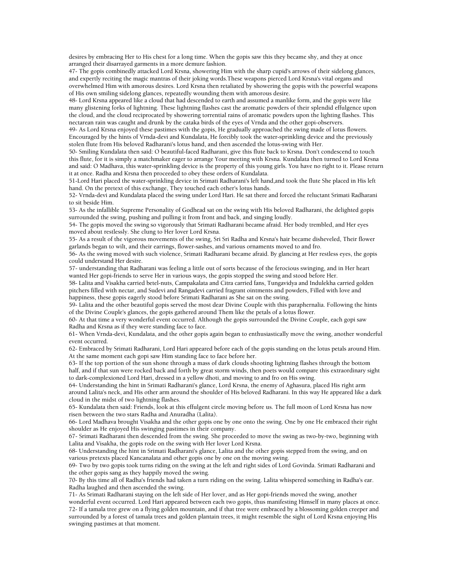desires by embracing Her to His chest for a long time. When the gopis saw this they became shy, and they at once arranged their disarrayed garments in a more demure fashion.

47- The gopis combinedly attacked Lord Krsna, showering Him with the sharp cupid's arrows of their sidelong glances, and expertly reciting the magic mantras of their joking words.These weapons pierced Lord Krsna's vital organs and overwhelmed Him with amorous desires. Lord Krsna then retaliated by showering the gopis with the powerful weapons of His own smiling sidelong glances, repeatedly wounding them with amorous desire.

48- Lord Krsna appeared like a cloud that had descended to earth and assumed a manlike form, and the gopis were like many glistening forks of lightning. These lightning flashes cast the aromatic powders of their splendid effulgence upon the cloud, and the cloud reciprocated by showering torrential rains of aromatic powders upon the lighting flashes. This nectarean rain was caught and drunk by the cataka birds of the eyes of Vrnda and the other gopi-observers.

49- As Lord Krsna enjoyed these pastimes with the gopis, He gradually approached the swing made of lotus flowers. Encouraged by the hints of Vrnda-devi and Kundalata, He forcibly took the water-sprinkling device and the previously stolen flute from His beloved Radharani's lotus hand, and then ascended the lotus-swing with Her.

50- Smiling Kundalata then said: O beautiful-faced Radharani, give this flute back to Krsna. Don't condescend to touch this flute, for it is simply a matchmaker eager to arrange Your meeting with Krsna. Kundalata then turned to Lord Krsna and said: O Madhava, this water-sprinkling device is the property of this young girls. You have no right to it. Please return it at once. Radha and Krsna then proceeded to obey these orders of Kundalata.

51-Lord Hari placed the water-sprinkling device in Srimati Radharani's left hand,and took the flute She placed in His left hand. On the pretext of this exchange, They touched each other's lotus hands.

52- Vrnda-devi and Kundalata placed the swing under Lord Hari. He sat there and forced the reluctant Srimati Radharani to sit beside Him.

53- As the infallible Supreme Personality of Godhead sat on the swing with His beloved Radharani, the delighted gopis surrounded the swing, pushing and pulling it from front and back, and singing loudly.

54- The gopis moved the swing so vigorously that Srimati Radharani became afraid. Her body trembled, and Her eyes moved about restlessly. She clung to Her lover Lord Krsna.

55- As a result of the vigorous movements of the swing, Sri Sri Radha and Krsna's hair became disheveled, Their flower garlands began to wilt, and their earrings, flower-sashes, and various ornaments moved to and fro.

56- As the swing moved with such violence, Srimati Radharani became afraid. By glancing at Her restless eyes, the gopis could understand Her desire.

57- understanding that Radharani was feeling a little out of sorts because of the ferocious swinging, and in Her heart wanted Her gopi-friends to serve Her in various ways, the gopis stopped the swing and stood before Her.

58- Lalita and Visakha carried betel-nuts, Campakalata and Citra carried fans, Tungavidya and Indulekha carried golden pitchers filled with nectar, and Sudevi and Rangadevi carried fragrant ointments and powders, Filled with love and happiness, these gopis eagerly stood before Srimati Radharani as She sat on the swing.

59- Lalita and the other beautiful gopis served the most dear Divine Couple with this paraphernalia. Following the hints of the Divine Couple's glances, the gopis gathered around Them like the petals of a lotus flower.

60- At that time a very wonderful event occurred. Although the gopis surrounded the Divine Couple, each gopi saw Radha and Krsna as if they were standing face to face.

61- When Vrnda-devi, Kundalata, and the other gopis again began to enthusiastically move the swing, another wonderful event occurred.

62- Embraced by Srimati Radharani, Lord Hari appeared before each of the gopis standing on the lotus petals around Him. At the same moment each gopi saw Him standing face to face before her.

63- If the top portion of the sun shone through a mass of dark clouds shooting lightning flashes through the bottom half, and if that sun were rocked back and forth by great storm winds, then poets would compare this extraordinary sight to dark-complexioned Lord Hari, dressed in a yellow dhoti, and moving to and fro on His swing.

64- Understanding the hint in Srimati Radharani's glance, Lord Krsna, the enemy of Aghasura, placed His right arm around Lalita's neck, and His other arm around the shoulder of His beloved Radharani. In this way He appeared like a dark cloud in the midst of two lightning flashes.

65- Kundalata then said: Friends, look at this effulgent circle moving before us. The full moon of Lord Krsna has now risen between the two stars Radha and Anuradha (Lalita).

66- Lord Madhava brought Visakha and the other gopis one by one onto the swing. One by one He embraced their right shoulder as He enjoyed His swinging pastimes in their company.

67- Srimati Radharani then descended from the swing. She proceeded to move the swing as two-by-two, beginning with Lalita and Visakha, the gopis rode on the swing with Her lover Lord Krsna.

68- Understanding the hint in Srimati Radharani's glance, Lalita and the other gopis stepped from the swing, and on various pretexts placed Kancanalata and other gopis one by one on the moving swing.

69- Two by two gopis took turns riding on the swing at the left and right sides of Lord Govinda. Srimati Radharani and the other gopis sang as they happily moved the swing.

70- By this time all of Radha's friends had taken a turn riding on the swing. Lalita whispered something in Radha's ear. Radha laughed and then ascended the swing.

71- As Srimati Radharani staying on the left side of Her lover, and as Her gopi-friends moved the swing, another

wonderful event occurred. Lord Hari appeared between each two gopis, thus manifesting Himself in many places at once. 72- If a tamala tree grew on a flying golden mountain, and if that tree were embraced by a blossoming golden creeper and surrounded by a forest of tamala trees and golden plantain trees, it might resemble the sight of Lord Krsna enjoying His swinging pastimes at that moment.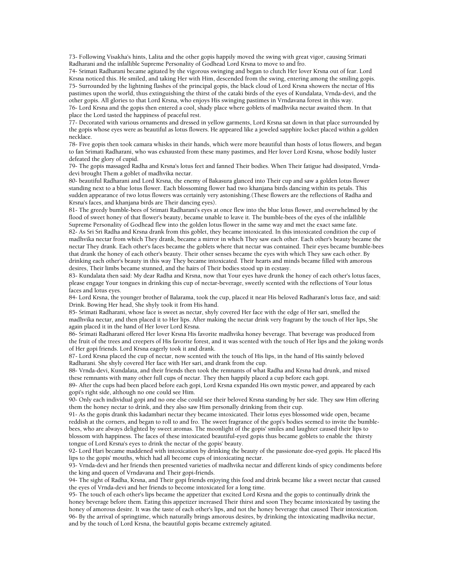73- Following Visakha's hints, Lalita and the other gopis happily moved the swing with great vigor, causing Srimati Radharani and the infallible Supreme Personality of Godhead Lord Krsna to move to and fro.

74- Srimati Radharani became agitated by the vigorous swinging and began to clutch Her lover Krsna out of fear. Lord Krsna noticed this. He smiled, and taking Her with Him, descended from the swing, entering among the smiling gopis. 75- Surrounded by the lightning flashes of the principal gopis, the black cloud of Lord Krsna showers the nectar of His pastimes upon the world, thus extinguishing the thirst of the cataki birds of the eyes of Kundalata, Vrnda-devi, and the other gopis. All glories to that Lord Krsna, who enjoys His swinging pastimes in Vrndavana forest in this way.

76- Lord Krsna and the gopis then entered a cool, shady place where goblets of madhvika nectar awaited them. In that place the Lord tasted the happiness of peaceful rest.

77- Decorated with various ornaments and dressed in yellow garments, Lord Krsna sat down in that place surrounded by the gopis whose eyes were as beautiful as lotus flowers. He appeared like a jeweled sapphire locket placed within a golden necklace.

78- Five gopis then took camara whisks in their hands, which were more beautiful than hosts of lotus flowers, and began to fan Srimati Radharani, who was exhausted from these many pastimes, and Her lover Lord Krsna, whose bodily luster defeated the glory of cupid.

79- The gopis massaged Radha and Krsna's lotus feet and fanned Their bodies. When Their fatigue had dissipated, Vrndadevi brought Them a goblet of madhvika nectar.

80- beautiful Radharani and Lord Krsna, the enemy of Bakasura glanced into Their cup and saw a golden lotus flower standing next to a blue lotus flower. Each blossoming flower had two khanjana birds dancing within its petals. This sudden appearance of two lotus flowers was certainly very astonishing.(These flowers are the reflections of Radha and Krsna's faces, and khanjana birds are Their dancing eyes).

81- The greedy bumble-bees of Srimati Radharani's eyes at once flew into the blue lotus flower, and overwhelmed by the flood of sweet honey of that flower's beauty, became unable to leave it. The bumble-bees of the eyes of the infallible Supreme Personality of Godhead flew into the golden lotus flower in the same way and met the exact same fate.

82- As Sri Sri Radha and Krsna drank from this goblet, they became intoxicated. In this intoxicated condition the cup of madhvika nectar from which They drank, became a mirror in which They saw each other. Each other's beauty became the nectar They drank. Each other's faces became the goblets where that nectar was contained. Their eyes became bumble-bees that drank the honey of each other's beauty. Their other senses became the eyes with which They saw each other. By drinking each other's beauty in this way They became intoxicated. Their hearts and minds became filled with amorous desires, Their limbs became stunned, and the hairs of Their bodies stood up in ecstasy.

83- Kundalata then said: My dear Radha and Krsna, now that Your eyes have drunk the honey of each other's lotus faces, please engage Your tongues in drinking this cup of nectar-beverage, sweetly scented with the reflections of Your lotus faces and lotus eyes.

84- Lord Krsna, the younger brother of Balarama, took the cup, placed it near His beloved Radharani's lotus face, and said: Drink. Bowing Her head, She shyly took it from His hand.

85- Srimati Radharani, whose face is sweet as nectar, shyly covered Her face with the edge of Her sari, smelled the madhvika nectar, and then placed it to Her lips. After making the nectar drink very fragrant by the touch of Her lips, She again placed it in the hand of Her lover Lord Krsna.

86- Srimati Radharani offered Her lover Krsna His favorite madhvika honey beverage. That beverage was produced from the fruit of the trees and creepers of His favorite forest, and it was scented with the touch of Her lips and the joking words of Her gopi friends. Lord Krsna eagerly took it and drank.

87- Lord Krsna placed the cup of nectar, now scented with the touch of His lips, in the hand of His saintly beloved Radharani. She shyly covered Her face with Her sari, and drank from the cup.

88- Vrnda-devi, Kundalata, and their friends then took the remnants of what Radha and Krsna had drunk, and mixed these remnants with many other full cups of nectar. They then happily placed a cup before each gopi.

89- After the cups had been placed before each gopi, Lord Krsna expanded His own mystic power, and appeared by each gopi's right side, although no one could see Him.

90- Only each individual gopi and no one else could see their beloved Krsna standing by her side. They saw Him offering them the honey nectar to drink, and they also saw Him personally drinking from their cup.

91- As the gopis drank this kadambari nectar they became intoxicated. Their lotus eyes blossomed wide open, became reddish at the corners, and began to roll to and fro. The sweet fragrance of the gopi's bodies seemed to invite the bumblebees, who are always delighted by sweet aromas. The moonlight of the gopis' smiles and laughter caused their lips to blossom with happiness. The faces of these intoxicated beautiful-eyed gopis thus became goblets to enable the thirsty tongue of Lord Krsna's eyes to drink the nectar of the gopis' beauty.

92- Lord Hari became maddened with intoxication by drinking the beauty of the passionate doe-eyed gopis. He placed His lips to the gopis' mouths, which had all become cups of intoxicating nectar.

93- Vrnda-devi and her friends then presented varieties of madhvika nectar and different kinds of spicy condiments before the king and queen of Vrndavana and Their gopi-friends.

94- The sight of Radha, Krsna, and Their gopi friends enjoying this food and drink became like a sweet nectar that caused the eyes of Vrnda-devi and her friends to become intoxicated for a long time.

95- The touch of each other's lips became the appetizer that excited Lord Krsna and the gopis to continually drink the honey beverage before them. Eating this appetizer increased Their thirst and soon They became intoxicated by tasting the honey of amorous desire. It was the taste of each other's lips, and not the honey beverage that caused Their intoxication. 96- By the arrival of springtime, which naturally brings amorous desires, by drinking the intoxicating madhvika nectar, and by the touch of Lord Krsna, the beautiful gopis became extremely agitated.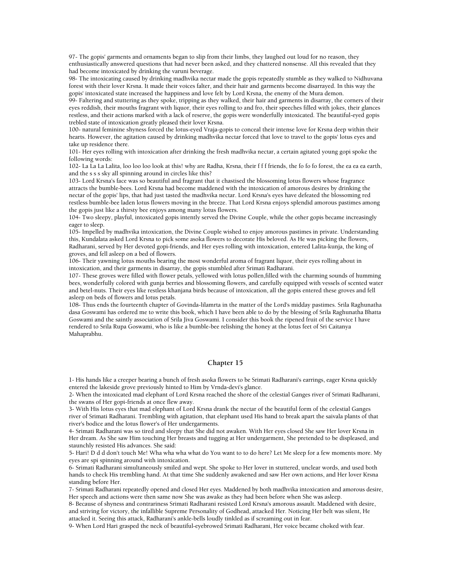97- The gopis' garments and ornaments began to slip from their limbs, they laughed out loud for no reason, they enthusiastically answered questions that had never been asked, and they chattered nonsense. All this revealed that they had become intoxicated by drinking the varuni beverage.

98- The intoxicating caused by drinking madhvika nectar made the gopis repeatedly stumble as they walked to Nidhuvana forest with their lover Krsna. It made their voices falter, and their hair and garments become disarrayed. In this way the gopis' intoxicated state increased the happiness and love felt by Lord Krsna, the enemy of the Mura demon.

99- Faltering and stuttering as they spoke, tripping as they walked, their hair and garments in disarray, the corners of their eyes reddish, their mouths fragrant with liquor, their eyes rolling to and fro, their speeches filled with jokes, their glances restless, and their actions marked with a lack of reserve, the gopis were wonderfully intoxicated. The beautiful-eyed gopis trebled state of intoxication greatly pleased their lover Krsna.

100- natural feminine shyness forced the lotus-eyed Vraja-gopis to conceal their intense love for Krsna deep within their hearts. However, the agitation caused by drinking madhvika nectar forced that love to travel to the gopis' lotus eyes and take up residence there.

101- Her eyes rolling with intoxication after drinking the fresh madhvika nectar, a certain agitated young gopi spoke the following words:

102- La La La Lalita, loo loo loo look at this! why are Radha, Krsna, their f f f friends, the fo fo fo forest, the ea ea ea earth, and the s s s sky all spinning around in circles like this?

103- Lord Krsna's face was so beautiful and fragrant that it chastised the blossoming lotus flowers whose fragrance attracts the bumble-bees. Lord Krsna had become maddened with the intoxication of amorous desires by drinking the nectar of the gopis' lips, that had just tasted the madhvika nectar. Lord Krsna's eyes have defeated the blossoming red restless bumble-bee laden lotus flowers moving in the breeze. That Lord Krsna enjoys splendid amorous pastimes among the gopis just like a thirsty bee enjoys among many lotus flowers.

104- Two sleepy, playful, intoxicated gopis intently served the Divine Couple, while the other gopis became increasingly eager to sleep.

105- Impelled by madhvika intoxication, the Divine Couple wished to enjoy amorous pastimes in private. Understanding this, Kundalata asked Lord Krsna to pick some asoka flowers to decorate His beloved. As He was picking the flowers, Radharani, served by Her devoted gopi-friends, and Her eyes rolling with intoxication, entered Lalita-kunja, the king of groves, and fell asleep on a bed of flowers.

106- Their yawning lotus mouths bearing the most wonderful aroma of fragrant liquor, their eyes rolling about in intoxication, and their garments in disarray, the gopis stumbled after Srimati Radharani.

107- These groves were filled with flower petals, yellowed with lotus pollen,filled with the charming sounds of humming bees, wonderfully colored with gunja berries and blossoming flowers, and carefully equipped with vessels of scented water and betel-nuts. Their eyes like restless khanjana birds because of intoxication, all the gopis entered these groves and fell asleep on beds of flowers and lotus petals.

108- Thus ends the fourteenth chapter of Govinda-lilamrta in the matter of the Lord's midday pastimes. Srila Raghunatha dasa Goswami has ordered me to write this book, which I have been able to do by the blessing of Srila Raghunatha Bhatta Goswami and the saintly association of Srila Jiva Goswami. I consider this book the ripened fruit of the service I have rendered to Srila Rupa Goswami, who is like a bumble-bee relishing the honey at the lotus feet of Sri Caitanya Mahaprabhu.

# **Chapter 15**

1- His hands like a creeper bearing a bunch of fresh asoka flowers to be Srimati Radharani's earrings, eager Krsna quickly entered the lakeside grove previously hinted to Him by Vrnda-devi's glance.

2- When the intoxicated mad elephant of Lord Krsna reached the shore of the celestial Ganges river of Srimati Radharani, the swans of Her gopi-friends at once flew away.

3- With His lotus eyes that mad elephant of Lord Krsna drank the nectar of the beautiful form of the celestial Ganges river of Srimati Radharani. Trembling with agitation, that elephant used His hand to break apart the saivala plants of that river's bodice and the lotus flower's of Her undergarments.

4- Srimati Radharani was so tired and sleepy that She did not awaken. With Her eyes closed She saw Her lover Krsna in Her dream. As She saw Him touching Her breasts and tugging at Her undergarment, She pretended to be displeased, and staunchly resisted His advances. She said:

5- Hari! D d d don't touch Me! Wha wha wha what do You want to to do here? Let Me sleep for a few moments more. My eyes are spi spinning around with intoxication.

6- Srimati Radharani simultaneously smiled and wept. She spoke to Her lover in stuttered, unclear words, and used both hands to check His trembling hand. At that time She suddenly awakened and saw Her own actions, and Her lover Krsna standing before Her.

7- Srimati Radharani repeatedly opened and closed Her eyes. Maddened by both madhvika intoxication and amorous desire, Her speech and actions were then same now She was awake as they had been before when She was asleep.

8- Because of shyness and contrariness Srimati Radharani resisted Lord Krsna's amorous assault. Maddened with desire, and striving for victory, the infallible Supreme Personality of Godhead, attacked Her. Noticing Her belt was silent, He attacked it. Seeing this attack, Radharani's ankle-bells loudly tinkled as if screaming out in fear.

9- When Lord Hari grasped the neck of beautiful-eyebrowed Srimati Radharani, Her voice became choked with fear.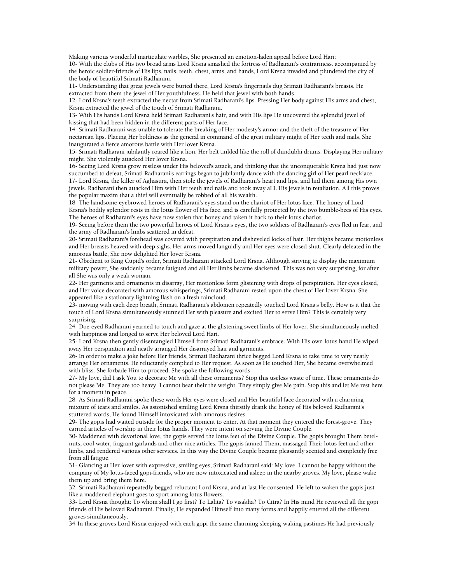Making various wonderful inarticulate warbles, She presented an emotion-laden appeal before Lord Hari:

10- With the clubs of His two broad arms Lord Krsna smashed the fortress of Radharani's contrariness. accompanied by the heroic soldier-friends of His lips, nails, teeth, chest, arms, and hands, Lord Krsna invaded and plundered the city of the body of beautiful Srimati Radharani.

11- Understanding that great jewels were buried there, Lord Krsna's fingernails dug Srimati Radharani's breasts. He extracted from them the jewel of Her youthfulness. He held that jewel with both hands.

12- Lord Krsna's teeth extracted the nectar from Srimati Radharani's lips. Pressing Her body against His arms and chest, Krsna extracted the jewel of the touch of Srimati Radharani.

13- With His hands Lord Krsna held Srimati Radharani's hair, and with His lips He uncovered the splendid jewel of kissing that had been hidden in the different parts of Her face.

14- Srimati Radharani was unable to tolerate the breaking of Her modesty's armor and the theft of the treasure of Her nectarean lips. Placing Her boldness as the general in command of the great military might of Her teeth and nails, She inaugurated a fierce amorous battle with Her lover Krsna.

15- Srimati Radharani jubilantly roared like a lion. Her belt tinkled like the roll of dundubhi drums. Displaying Her military might, She violently attacked Her lover Krsna.

16- Seeing Lord Krsna grow restless under His beloved's attack, and thinking that the unconquerable Krsna had just now succumbed to defeat, Srimati Radharani's earrings began to jubilantly dance with the dancing girl of Her pearl necklace. 17- Lord Krsna, the killer of Aghasura, then stole the jewels of Radharani's heart and lips, and hid them among His own jewels. Radharani then attacked Him with Her teeth and nails and took away aLL His jewels in retaliation. All this proves the popular maxim that a thief will eventually be robbed of all his wealth.

18- The handsome-eyebrowed heroes of Radharani's eyes stand on the chariot of Her lotus face. The honey of Lord Krsna's bodily splendor rests in the lotus flower of His face, and is carefully protected by the two bumble-bees of His eyes. The heroes of Radharani's eyes have now stolen that honey and taken it back to their lotus chariot.

19- Seeing before them the two powerful heroes of Lord Krsna's eyes, the two soldiers of Radharani's eyes fled in fear, and the army of Radharani's limbs scattered in defeat.

20- Srimati Radharani's forehead was covered with perspiration and disheveled locks of hair. Her thighs became motionless and Her breasts heaved with deep sighs. Her arms moved languidly and Her eyes were closed shut. Clearly defeated in the amorous battle, She now delighted Her lover Krsna.

21- Obedient to King Cupid's order, Srimati Radharani attacked Lord Krsna. Although striving to display the maximum military power, She suddenly became fatigued and all Her limbs became slackened. This was not very surprising, for after all She was only a weak woman.

22- Her garments and ornaments in disarray, Her motionless form glistening with drops of perspiration, Her eyes closed, and Her voice decorated with amorous whisperings, Srimati Radharani rested upon the chest of Her lover Krsna. She appeared like a stationary lightning flash on a fresh raincloud.

23- moving with each deep breath, Srimati Radharani's abdomen repeatedly touched Lord Krsna's belly. How is it that the touch of Lord Krsna simultaneously stunned Her with pleasure and excited Her to serve Him? This is certainly very surprising.

24- Doe-eyed Radharani yearned to touch and gaze at the glistening sweet limbs of Her lover. She simultaneously melted with happiness and longed to serve Her beloved Lord Hari.

25- Lord Krsna then gently disentangled Himself from Srimati Radharani's embrace. With His own lotus hand He wiped away Her perspiration and neatly arranged Her disarrayed hair and garments.

26- In order to make a joke before Her friends, Srimati Radharani thrice begged Lord Krsna to take time to very neatly arrange Her ornaments. He reluctantly complied to Her request. As soon as He touched Her, She became overwhelmed with bliss. She forbade Him to proceed. She spoke the following words:

27- My love, did I ask You to decorate Me with all these ornaments? Stop this useless waste of time. These ornaments do not please Me. They are too heavy. I cannot bear their the weight. They simply give Me pain. Stop this and let Me rest here for a moment in peace.

28- As Srimati Radharani spoke these words Her eyes were closed and Her beautiful face decorated with a charming mixture of tears and smiles. As astonished smiling Lord Krsna thirstily drank the honey of His beloved Radharani's stuttered words, He found Himself intoxicated with amorous desires.

29- The gopis had waited outside for the proper moment to enter. At that moment they entered the forest-grove. They carried articles of worship in their lotus hands. They were intent on serving the Divine Couple.

30- Maddened with devotional love, the gopis served the lotus feet of the Divine Couple. The gopis brought Them betelnuts, cool water, fragrant garlands and other nice articles. The gopis fanned Them, massaged Their lotus feet and other limbs, and rendered various other services. In this way the Divine Couple became pleasantly scented and completely free from all fatigue.

31- Glancing at Her lover with expressive, smiling eyes, Srimati Radharani said: My love, I cannot be happy without the company of My lotus-faced gopi-friends, who are now intoxicated and asleep in the nearby groves. My love, please wake them up and bring them here.

32- Srimati Radharani repeatedly begged reluctant Lord Krsna, and at last He consented. He left to waken the gopis just like a maddened elephant goes to sport among lotus flowers.

33- Lord Krsna thought: To whom shall I go first? To Lalita? To visakha? To Citra? In His mind He reviewed all the gopi friends of His beloved Radharani. Finally, He expanded Himself into many forms and happily entered all the different groves simultaneously.

34-In these groves Lord Krsna enjoyed with each gopi the same charming sleeping-waking pastimes He had previously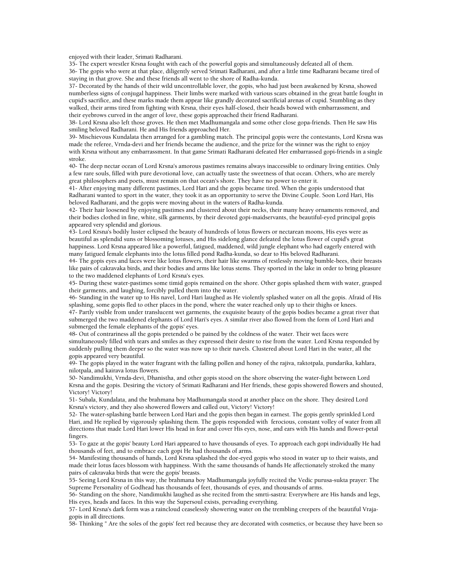enjoyed with their leader, Srimati Radharani.

35- The expert wrestler Krsna fought with each of the powerful gopis and simultaneously defeated all of them. 36- The gopis who were at that place, diligently served Srimati Radharani, and after a little time Radharani became tired of

staying in that grove. She and these friends all went to the shore of Radha-kunda.

37- Decorated by the hands of their wild uncontrollable lover, the gopis, who had just been awakened by Krsna, showed numberless signs of conjugal happiness. Their limbs were marked with various scars obtained in the great battle fought in cupid's sacrifice, and these marks made them appear like grandly decorated sacrificial arenas of cupid. Stumbling as they walked, their arms tired from fighting with Krsna, their eyes half-closed, their heads bowed with embarrassment, and their eyebrows curved in the anger of love, these gopis approached their friend Radharani.

38- Lord Krsna also left those groves. He then met Madhumangala and some other close gopa-friends. Then He saw His smiling beloved Radharani. He and His friends approached Her.

39- Mischievous Kundalata then arranged for a gambling match. The principal gopis were the contestants, Lord Krsna was made the referee, Vrnda-devi and her friends became the audience, and the prize for the winner was the right to enjoy with Krsna without any embarrassment. In that game Srimati Radharani defeated Her embarrassed gopi-friends in a single stroke.

40- The deep nectar ocean of Lord Krsna's amorous pastimes remains always inaccessible to ordinary living entities. Only a few rare souls, filled with pure devotional love, can actually taste the sweetness of that ocean. Others, who are merely great philosophers and poets, must remain on that ocean's shore. They have no power to enter it.

41- After enjoying many different pastimes, Lord Hari and the gopis became tired. When the gopis understood that Radharani wanted to sport in the water, they took it as an opportunity to serve the Divine Couple. Soon Lord Hari, His beloved Radharani, and the gopis were moving about in the waters of Radha-kunda.

42- Their hair loosened by enjoying pastimes and clustered about their necks, their many heavy ornaments removed, and their bodies clothed in fine, white, silk garments, by their devoted gopi-maidservants, the beautiful-eyed principal gopis appeared very splendid and glorious.

43- Lord Krsna's bodily luster eclipsed the beauty of hundreds of lotus flowers or nectarean moons, His eyes were as beautiful as splendid suns or blossoming lotuses, and His sidelong glance defeated the lotus flower of cupid's great happiness. Lord Krsna appeared like a powerful, fatigued, maddened, wild jungle elephant who had eagerly entered with many fatigued female elephants into the lotus filled pond Radha-kunda, so dear to His beloved Radharani.

44- The gopis eyes and faces were like lotus flowers, their hair like swarms of restlessly moving bumble-bees, their breasts like pairs of cakravaka birds, and their bodies and arms like lotus stems. They sported in the lake in order to bring pleasure to the two maddened elephants of Lord Krsna's eyes.

45- During these water-pastimes some timid gopis remained on the shore. Other gopis splashed them with water, grasped their garments, and laughing, forcibly pulled them into the water.

46- Standing in the water up to His navel, Lord Hari laughed as He violently splashed water on all the gopis. Afraid of His splashing, some gopis fled to other places in the pond, where the water reached only up to their thighs or knees.

47- Partly visible from under translucent wet garments, the exquisite beauty of the gopis bodies became a great river that submerged the two maddened elephants of Lord Hari's eyes. A similar river also flowed from the form of Lord Hari and submerged the female elephants of the gopis' eyes.

48- Out of contrariness all the gopis pretended o be pained by the coldness of the water. Their wet faces were simultaneously filled with tears and smiles as they expressed their desire to rise from the water. Lord Krsna responded by suddenly pulling them deeper so the water was now up to their navels. Clustered about Lord Hari in the water, all the gopis appeared very beautiful.

49- The gopis played in the water fragrant with the falling pollen and honey of the rajiva, raktotpala, pundarika, kahlara, nilotpala, and kairava lotus flowers.

50- Nandimukhi, Vrnda-devi, Dhanistha, and other gopis stood on the shore observing the water-fight between Lord Krsna and the gopis. Desiring the victory of Srimati Radharani and Her friends, these gopis showered flowers and shouted, Victory! Victory!

51- Subala, Kundalata, and the brahmana boy Madhumangala stood at another place on the shore. They desired Lord Krsna's victory, and they also showered flowers and called out, Victory! Victory!

52- The water-splashing battle between Lord Hari and the gopis then began in earnest. The gopis gently sprinkled Lord Hari, and He replied by vigorously splashing them. The gopis responded with ferocious, constant volley of water from all directions that made Lord Hari lower His head in fear and cover His eyes, nose, and ears with His hands and flower-petal fingers.

53- To gaze at the gopis' beauty Lord Hari appeared to have thousands of eyes. To approach each gopi individually He had thousands of feet, and to embrace each gopi He had thousands of arms.

54- Manifesting thousands of hands, Lord Krsna splashed the doe-eyed gopis who stood in water up to their waists, and made their lotus faces blossom with happiness. With the same thousands of hands He affectionately stroked the many pairs of cakravaka birds that were the gopis' breasts.

55- Seeing Lord Krsna in this way, the brahmana boy Madhumangala joyfully recited the Vedic purusa-sukta prayer: The Supreme Personality of Godhead has thousands of feet, thousands of eyes, and thousands of arms.

56- Standing on the shore, Nandimukhi laughed as she recited from the smrti-sastra: Everywhere are His hands and legs, His eyes, heads and faces. In this way the Supersoul exists, pervading everything.

57- Lord Krsna's dark form was a raincloud ceaselessly showering water on the trembling creepers of the beautiful Vrajagopis in all directions.

58- Thinking " Are the soles of the gopis' feet red because they are decorated with cosmetics, or because they have been so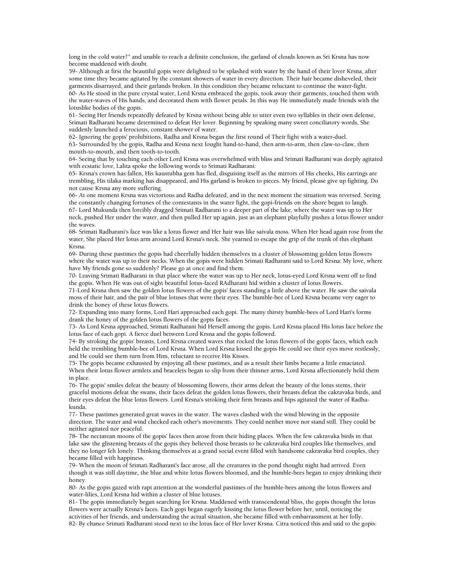long in the cold water?" and unable to reach a definite conclusion, the garland of clouds known as Sri Krsna has now become maddened with doubt.

59- Although at first the beautiful gopis were delighted to be splashed with water by the hand of their lover Krsna, after some time they became agitated by the constant showers of water in every direction. Their hair became disheveled, their garments disarrayed, and their garlands broken. In this condition they became reluctant to continue the water-fight. 60- As He stood in the pure crystal water, Lord Krsna embraced the gopis, took away their garments, touched them with the water-waves of His hands, and decorated them with flower petals. In this way He immediately made friends with the lotuslike bodies of the gopis.

61- Seeing Her friends repeatedly defeated by Krsna without being able to utter even two syllables in their own defense, Srimati Radharani became determined to defeat Her lover. Beginning by speaking many sweet conciliatory words, She suddenly launched a ferocious, constant shower of water.

62- Ignoring the gopis' prohibitions, Radha and Krsna began the first round of Their fight with a water-duel. 63- Surrounded by the gopis, Radha and Krsna next fought hand-to-hand, then arm-to-arm, then claw-to-claw, then mouth-to-mouth, and then tooth-to-tooth.

64- Seeing that by touching each other Lord Krsna was overwhelmed with bliss and Srimati Radharani was deeply agitated with ecstatic love, Lalita spoke the following words to Srimati Radharani:

65- Krsna's crown has fallen, His kaustubha gem has fled, disguising itself as the mirrors of His cheeks, His earrings are trembling, His tilaka marking has disappeared, and His garland is broken to pieces. My friend, please give up fighting. Do not cause Krsna any more suffering.

66- At one moment Krsna was victorious and Radha defeated, and in the next moment the situation was reversed. Seeing the constantly changing fortunes of the contestants in the water fight, the gopi-friends on the shore began to laugh.

67- Lord Mukunda then forcibly dragged Srimati Radharani to a deeper part of the lake, where the water was up to Her neck, pushed Her under the water, and then pulled Her up again, just as an elephant playfully pushes a lotus flower under the waves.

68- Srimati Radharani's face was like a lotus flower and Her hair was like saivala moss. When Her head again rose from the water, She placed Her lotus arm around Lord Krsna's neck. She yearned to escape the grip of the trunk of this elephant Krsna.

69- During these pastimes the gopis had cheerfully hidden themselves in a cluster of blossoming golden lotus flowers where the water was up to their necks. When the gopis were hidden Srimati Radharani said to Lord Krsna: My love, where have My friends gone so suddenly? Please go at once and find them.

70- Leaving Srimati Radharani in that place where the water was up to Her neck, lotus-eyed Lord Krsna went off to find the gopis. When He was out of sight beautiful lotus-faced RAdharani hid within a cluster of lotus flowers.

71-Lord Krsna then saw the golden lotus flowers of the gopis' faces standing a little above the water. He saw the saivala moss of their hair, and the pair of blue lotuses that were their eyes. The bumble-bee of Lord Krsna became very eager to drink the honey of these lotus flowers.

72- Expanding into many forms, Lord Hari approached each gopi. The many thirsty bumble-bees of Lord Hari's forms drank the honey of the golden lotus flowers of the gopis faces.

73- As Lord Krsna approached, Srimati Radharani hid Herself among the gopis. Lord Krsna placed His lotus face before the lotus face of each gopi. A fierce duel between Lord Krsna and the gopis followed.

74- By stroking the gopis' breasts, Lord Krsna created waves that rocked the lotus flowers of the gopis' faces, which each held the trembling bumble-bee of Lord Krsna. When Lord Krsna kissed the gopis He could see their eyes move restlessly, and He could see them turn from Him, reluctant to receive His Kisses.

75- The gopis became exhausted by enjoying all these pastimes, and as a result their limbs became a little emaciated. When their lotus flower armlets and bracelets began to slip from their thinner arms, Lord Krsna affectionately held them in place.

76- The gopis' smiles defeat the beauty of blossoming flowers, their arms defeat the beauty of the lotus stems, their graceful motions defeat the swans, their faces defeat the golden lotus flowers, their breasts defeat the cakravaka birds, and their eyes defeat the blue lotus flowers. Lord Krsna's stroking their firm breasts and hips agitated the water of Radhakunda.

77- These pastimes generated great waves in the water. The waves clashed with the wind blowing in the opposite direction. The water and wind checked each other's movements. They could neither move nor stand still. They could be neither agitated nor peaceful.

78- The nectarean moons of the gopis' faces then arose from their hiding places. When the few cakravaka birds in that lake saw the glistening breasts of the gopis they believed those breasts to be cakravaka bird couples like themselves, and they no longer felt lonely. Thinking themselves at a grand social event filled with handsome cakravaka bird couples, they became filled with happiness.

79- When the moon of Srimati Radharani's face arose, all the creatures in the pond thought night had arrived. Even though it was still daytime, the blue and white lotus flowers bloomed, and the bumble-bees began to enjoy drinking their honey.

80- As the gopis gazed with rapt attention at the wonderful pastimes of the bumble-bees among the lotus flowers and water-lilies, Lord Krsna hid within a cluster of blue lotuses.

81- The gopis immediately began searching for Krsna. Maddened with transcendental bliss, the gopis thought the lotus flowers were actually Krsna's faces. Each gopi began eagerly kissing the lotus flower before her, until, noticing the activities of her friends, and understanding the actual situation, she became filled with embarrassment at her folly. 82- By chance Srimati Radharani stood next to the lotus face of Her lover Krsna. Citra noticed this and said to the gopis: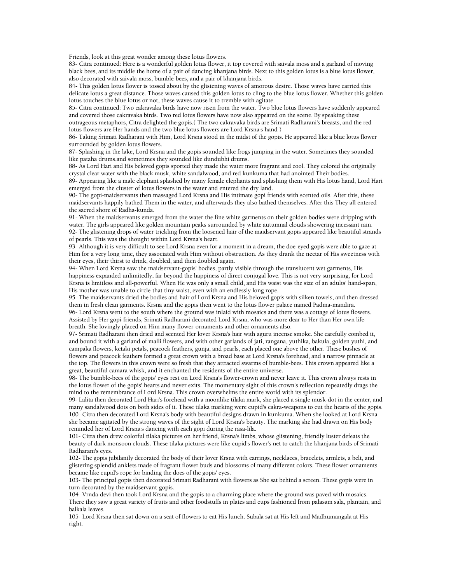Friends, look at this great wonder among these lotus flowers.

83- Citra continued: Here is a wonderful golden lotus flower, it top covered with saivala moss and a garland of moving black bees, and its middle the home of a pair of dancing khanjana birds. Next to this golden lotus is a blue lotus flower, also decorated with saivala moss, bumble-bees, and a pair of khanjana birds.

84- This golden lotus flower is tossed about by the glistening waves of amorous desire. Those waves have carried this delicate lotus a great distance. Those waves caused this golden lotus to cling to the blue lotus flower. Whether this golden lotus touches the blue lotus or not, these waves cause it to tremble with agitate.

85- Citra continued: Two cakravaka birds have now risen from the water. Two blue lotus flowers have suddenly appeared and covered those cakravaka birds. Two red lotus flowers have now also appeared on the scene. By speaking these outrageous metaphors, Citra delighted the gopis.( The two cakravaka birds are Srimati Radharani's breasts, and the red

lotus flowers are Her hands and the two blue lotus flowers are Lord Krsna's hand )

86- Taking Srimati Radharani with Him, Lord Krsna stood in the midst of the gopis. He appeared like a blue lotus flower surrounded by golden lotus flowers.

87- Splashing in the lake, Lord Krsna and the gopis sounded like frogs jumping in the water. Sometimes they sounded like pataha drums,and sometimes they sounded like dundubhi drums.

88- As Lord Hari and His beloved gopis sported they made the water more fragrant and cool. They colored the originally crystal clear water with the black musk, white sandalwood, and red kunkuma that had anointed Their bodies.

89- Appearing like a male elephant splashed by many female elephants and splashing them with His lotus hand, Lord Hari emerged from the cluster of lotus flowers in the water and entered the dry land.

90- The gopi-maidservants then massaged Lord Krsna and His intimate gopi friends with scented oils. After this, these maidservants happily bathed Them in the water, and afterwards they also bathed themselves. After this They all entered the sacred shore of Radha-kunda.

91- When the maidservants emerged from the water the fine white garments on their golden bodies were dripping with water. The girls appeared like golden mountain peaks surrounded by white autumnal clouds showering incessant rain. 92- The glistening drops of water trickling from the loosened hair of the maidservant gopis appeared like beautiful strands of pearls. This was the thought within Lord Krsna's heart.

93- Although it is very difficult to see Lord Krsna even for a moment in a dream, the doe-eyed gopis were able to gaze at Him for a very long time, they associated with Him without obstruction. As they drank the nectar of His sweetness with their eyes, their thirst to drink, doubled, and then doubled again.

94- When Lord Krsna saw the maidservant-gopis' bodies, partly visible through the translucent wet garments, His happiness expanded unlimitedly, far beyond the happiness of direct conjugal love. This is not very surprising, for Lord Krsna is limitless and all-powerful. When He was only a small child, and His waist was the size of an adults' hand-span, His mother was unable to circle that tiny waist, even with an endlessly long rope.

95- The maidservants dried the bodies and hair of Lord Krsna and His beloved gopis with silken towels, and then dressed them in fresh clean garments. Krsna and the gopis then went to the lotus flower palace named Padma-mandira. 96- Lord Krsna went to the south where the ground was inlaid with mosaics and there was a cottage of lotus flowers. Assisted by Her gopi-friends, Srimati Radharani decorated Lord Krsna, who was more dear to Her than Her own lifebreath. She lovingly placed on Him many flower-ornaments and other ornaments also.

97- Srimati Radharani then dried and scented Her lover Krsna's hair with aguru incense smoke. She carefully combed it, and bound it with a garland of malli flowers, and with other garlands of jati, rangana, yuthika, bakula, golden yuthi, and campaka flowers, ketaki petals, peacock feathers, gunja, and pearls, each placed one above the other. These bushes of flowers and peacock feathers formed a great crown with a broad base at Lord Krsna's forehead, and a narrow pinnacle at the top. The flowers in this crown were so fresh that they attracted swarms of bumble-bees. This crown appeared like a great, beautiful camara whisk, and it enchanted the residents of the entire universe.

98- The bumble-bees of the gopis' eyes rest on Lord Krsna's flower-crown and never leave it. This crown always rests in the lotus flower of the gopis' hearts and never exits. The momentary sight of this crown's reflection repeatedly drags the mind to the remembrance of Lord Krsna. This crown overwhelms the entire world with its splendor.

99- Lalita then decorated Lord Hari's forehead with a moonlike tilaka mark, she placed a single musk-dot in the center, and many sandalwood dots on both sides of it. These tilaka marking were cupid's cakra-weapons to cut the hearts of the gopis. 100- Citra then decorated Lord Krsna's body with beautiful designs drawn in kunkuma. When she looked at Lord Krsna she became agitated by the strong waves of the sight of Lord Krsna's beauty. The marking she had drawn on His body reminded her of Lord Krsna's dancing with each gopi during the rasa-lila.

101- Citra then drew colorful tilaka pictures on her friend, Krsna's limbs, whose glistening, friendly luster defeats the beauty of dark monsoon clouds. These tilaka pictures were like cupid's flower's net to catch the khanjana birds of Srimati Radharani's eyes.

102- The gopis jubilantly decorated the body of their lover Krsna with earrings, necklaces, bracelets, armlets, a belt, and glistering splendid anklets made of fragrant flower buds and blossoms of many different colors. These flower ornaments became like cupid's rope for binding the does of the gopis' eyes.

103- The principal gopis then decorated Srimati Radharani with flowers as She sat behind a screen. These gopis were in turn decorated by the maidservant-gopis.

104- Vrnda-devi then took Lord Krsna and the gopis to a charming place where the ground was paved with mosaics. There they saw a great variety of fruits and other foodstuffs in plates and cups fashioned from palasam sala, plantain, and balkala leaves.

105- Lord Krsna then sat down on a seat of flowers to eat His lunch. Subala sat at His left and Madhumangala at His right.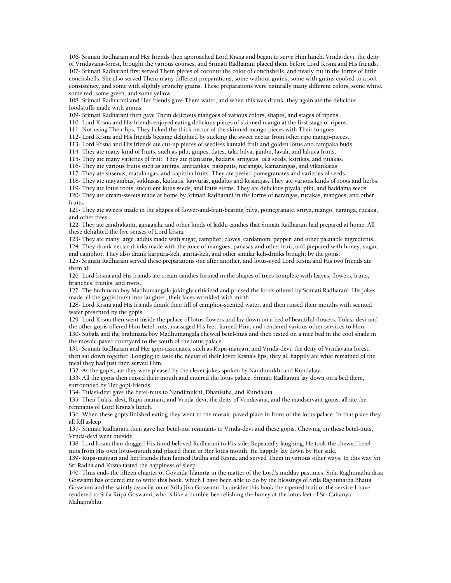106- Srimati Radharani and Her friends then approached Lord Krsna and began to serve Him lunch. Vrnda-devi, the deity of Vrndavana-forest, brought the various courses, and Srimati Radharani placed them before Lord Krsna and His friends. 107- Srimati Radharani first served Them pieces of coconut,the color of conchshells, and neatly cut in the forms of little conchshells. She also served Them many different preparations, some without grains, some with grains cooked to a soft consistency, and some with slightly crunchy grains. These preparations were naturally many different colors, some white, some red, some green, and some yellow.

108- Srimati Radharani and Her friends gave Them water, and when this was drunk, they again ate the delicious foodstuffs made with grains.

109- Srimati Radharani then gave Them delicious mangoes of various colors, shapes, and stages of ripens.

110- Lord Krsna and His friends enjoyed eating delicious pieces of skinned mango at the first stage of ripens.

111- Not using Their lips, They licked the thick nectar of the skinned mango pieces with Their tongues.

112- Lord Krsna and His friends became delighted by sucking the sweet nectar from other ripe mango-pieces.

113- Lord Krsna and His friends ate cut-up pieces of seedless kantaki fruit and golden lotus and campaka buds.

114- They ate many kind of fruits, such as pilu, grapes, dates, tala, bilva, jambu, lavali, and lakuca fruits.

115- They ate many varieties of fruit. They ate plantains, badaris, srngatas, tala seeds, ksirikas, and tutakas.

116- They ate various fruits such as anjiras, amrtankas, nasapatis, narangas, kamarangas, and vikankatas.

117- They ate susenas, matulangas, and kapittha fruits. They ate peeled pomegranates and varieties of seeds.

118- They ate mayambus, sukhasas, karkatis, karvuras, gudalus and kesarajas. They ate various kinds of roots and herbs.

119- They ate lotus roots, succulent lotus seeds, and lotus stems. They ate delicious piyala, pilu, and baddama seeds. 120- They ate cream-sweets made at home by Srimati Radharani in the forms of narangas, rucakas, mangoes, and other fruits.

121- They ate sweets made in the shapes of flower-and-fruit-bearing bilva, pomegranate, srirya, mango, naranga, rucaka, and other trees.

122- They ate candrakanti, gangajala, and other kinds of laddu candies that Srimati Radharani had prepared at home. All these delighted the five senses of Lord krsna.

123- They ate many large laddus made with sugar, camphor, cloves, cardamom, pepper, and other palatable ingredients.

124- They drank nectar drinks made with the juice of mangoes, panasas and other fruit, and prepared with honey, sugar, and camphor. They also drank karpura-keli, amrta-keli, and other similar keli-drinks brought by the gopis.

125- Srimati Radharani served these preparations one after another, and lotus-eyed Lord Krsna and His two friends ate them all.

126- Lord krsna and His friends ate cream-candies formed in the shapes of trees complete with leaves, flowers, fruits, branches, trunks, and roots.

127- The brahmana boy Madhumangala jokingly criticized and praised the foods offered by Srimati Radharani. His jokes made all the gopis burst into laughter, their faces wrinkled with mirth.

128- Lord Krsna and His friends drank their fill of camphor-scented water, and then rinsed their mouths with scented water presented by the gopis.

129- Lord Krsna then went inside the palace of lotus flowers and lay down on a bed of beautiful flowers. Tulasi-devi and the other gopis offered Him betel-nuts, massaged His feet, fanned Him, and rendered various other services to Him.

130- Subala and the brahmana boy Madhumangala chewed betel-nuts and then rested on a nice bed in the cool shade in the mosaic-paved courtyard to the south of the lotus palace.

131- Srimati Radharani and Her gopi-associates, such as Rupa-manjari, and Vrnda-devi, the deity of Vrndavana forest, then sat down together. Longing to taste the nectar of their lover Krsna's lips, they all happily ate what remained of the meal they had just then served Him.

132- As the gopis, ate they were pleased by the clever jokes spoken by Nandimukhi and Kundalata.

133- All the gopis then rinsed their mouth and entered the lotus palace. Srimati Radharani lay down on a bed there, surrounded by Her gopi-friends.

134- Tulasi-devi gave the betel-nuts to Nandimukhi, Dhanistha, and Kundalata.

135- Then Tulasi-devi, Rupa-manjari, and Vrnda-devi, the deity of Vrndavana, and the maidservant-gopis, all ate the remnants of Lord Krsna's lunch.

136- When these gopis finished eating they went to the mosaic-paved place in front of the lotus palace. In that place they all fell asleep

137- Srimati Radharani then gave her betel-nut remnants to Vrnda-devi and these gopis. Chewing on these betel-nuts, Vrnda-devi went outside.

138- Lord krsna then dragged His timid beloved Radharani to His side. Repeatedly laughing, He took the chewed betelnuts from His own lotus-mouth and placed them in Her lotus mouth. He happily lay down by Her side.

139- Rupa-manjari and her friends then fanned Radha and Krsna, and served Them in various other ways. In this way Sri Sri Radha and Krsna tasted the happiness of sleep.

140- Thus ends the fifteen chapter of Govinda-lilamrta in the matter of the Lord's midday pastimes. Srila Raghunatha dasa Goswami has ordered me to write this book, which I have been able to do by the blessings of Srila Raghunatha Bhatta Goswami and the saintly association of Srila Jiva Goswami. I consider this book the ripened fruit of the service I have rendered to Srila Rupa Goswami, who is like a bumble-bee relishing the honey at the lotus feet of Sri Caitanya Mahaprabhu.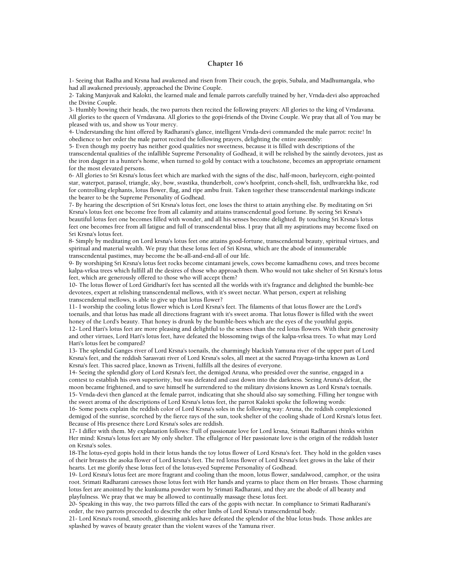### **Chapter 16**

1- Seeing that Radha and Krsna had awakened and risen from Their couch, the gopis, Subala, and Madhumangala, who had all awakened previously, approached the Divine Couple.

2- Taking Manjuvak and Kalokti, the learned male and female parrots carefully trained by her, Vrnda-devi also approached the Divine Couple.

3- Humbly bowing their heads, the two parrots then recited the following prayers: All glories to the king of Vrndavana. All glories to the queen of Vrndavana. All glories to the gopi-friends of the Divine Couple. We pray that all of You may be pleased with us, and show us Your mercy.

4- Understanding the hint offered by Radharani's glance, intelligent Vrnda-devi commanded the male parrot: recite! In obedience to her order the male parrot recited the following prayers, delighting the entire assembly:

5- Even though my poetry has neither good qualities nor sweetness, because it is filled with descriptions of the transcendental qualities of the infallible Supreme Personality of Godhead, it will be relished by the saintly devotees, just as the iron dagger in a hunter's home, when turned to gold by contact with a touchstone, becomes an appropriate ornament for the most elevated persons.

6- All glories to Sri Krsna's lotus feet which are marked with the signs of the disc, half-moon, barleycorn, eight-pointed star, waterpot, parasol, triangle, sky, bow, svastika, thunderbolt, cow's hoofprint, conch-shell, fish, urdhvarekha like, rod for controlling elephants, lotus flower, flag, and ripe ambu fruit. Taken together these transcendental markings indicate the bearer to be the Supreme Personality of Godhead.

7- By hearing the description of Sri Krsna's lotus feet, one loses the thirst to attain anything else. By meditating on Sri Krsna's lotus feet one become free from all calamity and attains transcendental good fortune. By seeing Sri Krsna's beautiful lotus feet one becomes filled with wonder, and all his senses become delighted. By touching Sri Krsna's lotus feet one becomes free from all fatigue and full of transcendental bliss. I pray that all my aspirations may become fixed on Sri Krsna's lotus feet.

8- Simply by meditating on Lord krsna's lotus feet one attains good-fortune, transcendental beauty, spiritual virtues, and spiritual and material wealth. We pray that these lotus feet of Sri Krsna, which are the abode of innumerable transcendental pastimes, may become the be-all-and-end-all of our life.

9- By worshiping Sri Krsna's lotus feet rocks become cintamani jewels, cows become kamadhenu cows, and trees become kalpa-vrksa trees which fulfill all the desires of those who approach them. Who would not take shelter of Sri Krsna's lotus feet, which are generously offered to those who will accept them?

10- The lotus flower of Lord Giridhari's feet has scented all the worlds with it's fragrance and delighted the bumble-bee devotees, expert at relishing transcendental mellows, with it's sweet nectar. What person, expert at relishing transcendental mellows, is able to give up that lotus flower?

11- I worship the cooling lotus flower which is Lord Krsna's feet. The filaments of that lotus flower are the Lord's toenails, and that lotus has made all directions fragrant with it's sweet aroma. That lotus flower is filled with the sweet honey of the Lord's beauty. That honey is drunk by the bumble-bees which are the eyes of the youthful gopis.

12- Lord Hari's lotus feet are more pleasing and delightful to the senses than the red lotus flowers. With their generosity and other virtues, Lord Hari's lotus feet, have defeated the blossoming twigs of the kalpa-vrksa trees. To what may Lord Hari's lotus feet be compared?

13- The splendid Ganges river of Lord Krsna's toenails, the charmingly blackish Yamuna river of the upper part of Lord Krsna's feet, and the reddish Sarasvati river of Lord Krsna's soles, all meet at the sacred Prayaga-tirtha known as Lord Krsna's feet. This sacred place, known as Triveni, fulfills all the desires of everyone.

14- Seeing the splendid glory of Lord Krsna's feet, the demigod Aruna, who presided over the sunrise, engaged in a contest to establish his own superiority, but was defeated and cast down into the darkness. Seeing Aruna's defeat, the moon became frightened, and to save himself he surrendered to the military divisions known as Lord Krsna's toenails. 15- Vrnda-devi then glanced at the female parrot, indicating that she should also say something. Filling her tongue with the sweet aroma of the descriptions of Lord Krsna's lotus feet, the parrot Kalokti spoke the following words:

16- Some poets explain the reddish color of Lord Krsna's soles in the following way: Aruna, the reddish complexioned demigod of the sunrise, scorched by the fierce rays of the sun, took shelter of the cooling shade of Lord Krsna's lotus feet. Because of His presence there Lord Krsna's soles are reddish.

17- I differ with them. My explanation follows: Full of passionate love for Lord krsna, Srimati Radharani thinks within Her mind: Krsna's lotus feet are My only shelter. The effulgence of Her passionate love is the origin of the reddish luster on Krsna's soles.

18-The lotus-eyed gopis hold in their lotus hands the toy lotus flower of Lord Krsna's feet. They hold in the golden vases of their breasts the asoka flower of Lord krsna's feet. The red lotus flower of Lord Krsna's feet grows in the lake of their hearts. Let me glorify these lotus feet of the lotus-eyed Supreme Personality of Godhead.

19- Lord Krsna's lotus feet are more fragrant and cooling than the moon, lotus flower, sandalwood, camphor, or the usira root. Srimati Radharani caresses those lotus feet with Her hands and yearns to place them on Her breasts. Those charming lotus feet are anointed by the kunkuma powder worn by Srimati Radharani, and they are the abode of all beauty and playfulness. We pray that we may be allowed to continually massage these lotus feet.

20- Speaking in this way, the two parrots filled the ears of the gopis with nectar. In compliance to Srimati Radharani's order, the two parrots proceeded to describe the other limbs of Lord Krsna's transcendental body.

21- Lord Krsna's round, smooth, glistening ankles have defeated the splendor of the blue lotus buds. Those ankles are splashed by waves of beauty greater than the violent waves of the Yamuna river.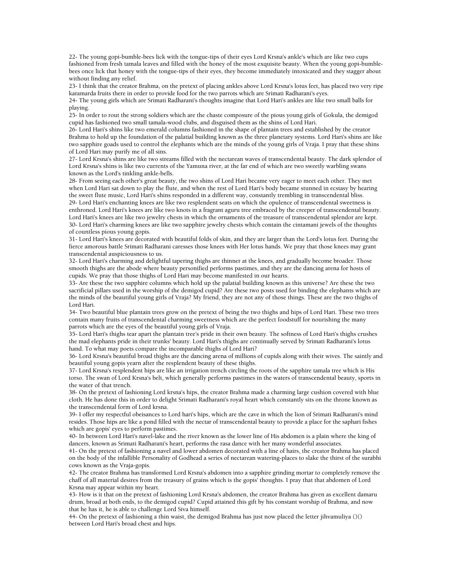22- The young gopi-bumble-bees lick with the tongue-tips of their eyes Lord Krsna's ankle's which are like two cups fashioned from fresh tamala leaves and filled with the honey of the most exquisite beauty. When the young gopi-bumblebees once lick that honey with the tongue-tips of their eyes, they become immediately intoxicated and they stagger about without finding any relief.

23- I think that the creator Brahma, on the pretext of placing ankles above Lord Krsna's lotus feet, has placed two very ripe karamarda fruits there in order to provide food for the two parrots which are Srimati Radharani's eyes.

24- The young girls which are Srimati Radharani's thoughts imagine that Lord Hari's ankles are like two small balls for playing.

25- In order to rout the strong soldiers which are the chaste composure of the pious young girls of Gokula, the demigod cupid has fashioned two small tamala-wood clubs, and disguised them as the shins of Lord Hari.

26- Lord Hari's shins like two emerald columns fashioned in the shape of plantain trees and established by the creator Brahma to hold up the foundation of the palatial building known as the three planetary systems. Lord Hari's shins are like two sapphire goads used to control the elephants which are the minds of the young girls of Vraja. I pray that these shins of Lord Hari may purify me of all sins.

27- Lord Krsna's shins are like two streams filled with the nectarean waves of transcendental beauty. The dark splendor of Lord Krsna's shins is like two currents of the Yamuna river, at the far end of which are two sweetly warbling swans known as the Lord's tinkling ankle-bells.

28- From seeing each other's great beauty, the two shins of Lord Hari became very eager to meet each other. They met when Lord Hari sat down to play the flute, and when the rest of Lord Hari's body became stunned in ecstasy by hearing the sweet flute music, Lord Hari's shins responded in a different way, constantly trembling in transcendental bliss. 29- Lord Hari's enchanting knees are like two resplendent seats on which the opulence of transcendental sweetness is enthroned. Lord Hari's knees are like two knots in a fragrant aguru tree embraced by the creeper of transcendental beauty. Lord Hari's knees are like two jewelry chests in which the ornaments of the treasure of transcendental splendor are kept. 30- Lord Hari's charming knees are like two sapphire jewelry chests which contain the cintamani jewels of the thoughts of countless pious young gopis.

31- Lord Hari's knees are decorated with beautiful folds of skin, and they are larger than the Lord's lotus feet. During the fierce amorous battle Srimati Radharani caresses those knees with Her lotus hands. We pray that those knees may grant transcendental auspiciousness to us.

32- Lord Hari's charming and delightful tapering thighs are thinner at the knees, and gradually become broader. Those smooth thighs are the abode where beauty personified performs pastimes, and they are the dancing arena for hosts of cupids. We pray that those thighs of Lord Hari may become manifested in our hearts.

33- Are these the two sapphire columns which hold up the palatial building known as this universe? Are these the two sacrificial pillars used in the worship of the demigod cupid? Are these two posts used for binding the elephants which are the minds of the beautiful young girls of Vraja? My friend, they are not any of those things. These are the two thighs of Lord Hari.

34- Two beautiful blue plantain trees grow on the pretext of being the two thighs and hips of Lord Hari. These two trees contain many fruits of transcendental charming sweetness which are the perfect foodstuff for nourishing the many parrots which are the eyes of the beautiful young girls of Vraja.

35- Lord Hari's thighs tear apart the plantain tree's pride in their own beauty. The softness of Lord Hari's thighs crushes the mad elephants pride in their trunks' beauty. Lord Hari's thighs are continually served by Srimati Radharani's lotus hand. To what may poets compare the incomparable thighs of Lord Hari?

36- Lord Krsna's beautiful broad thighs are the dancing arena of millions of cupids along with their wives. The saintly and beautiful young gopis yearn after the resplendent beauty of these thighs.

37- Lord Krsna's resplendent hips are like an irrigation trench circling the roots of the sapphire tamala tree which is His torso. The swan of Lord Krsna's belt, which generally performs pastimes in the waters of transcendental beauty, sports in the water of that trench.

38- On the pretext of fashioning Lord krsna's hips, the creator Brahma made a charming large cushion covered with blue cloth. He has done this in order to delight Srimati Radharani's royal heart which constantly sits on the throne known as the transcendental form of Lord krsna.

39- I offer my respectful obeisances to Lord hari's hips, which are the cave in which the lion of Srimati Radharani's mind resides. Those hips are like a pond filled with the nectar of transcendental beauty to provide a place for the saphari fishes which are gopis' eyes to perform pastimes.

40- In between Lord Hari's navel-lake and the river known as the lower line of His abdomen is a plain where the king of dancers, known as Srimati Radharani's heart, performs the rasa dance with her many wonderful associates.

41- On the pretext of fashioning a navel and lower abdomen decorated with a line of hairs, the creator Brahma has placed on the body of the infallible Personality of Godhead a series of nectarean watering-places to slake the thirst of the surabhi cows known as the Vraja-gopis.

42- The creator Brahma has transformed Lord Krsna's abdomen into a sapphire grinding mortar to completely remove the chaff of all material desires from the treasury of grains which is the gopis' thoughts. I pray that that abdomen of Lord Krsna may appear within my heart.

43- How is it that on the pretext of fashioning Lord Krsna's abdomen, the creator Brahma has given as excellent damaru drum, broad at both ends, to the demigod cupid? Cupid attained this gift by his constant worship of Brahma, and now that he has it, he is able to challenge Lord Siva himself.

44- On the pretext of fashioning a thin waist, the demigod Brahma has just now placed the letter jihvamuliya ()() between Lord Hari's broad chest and hips.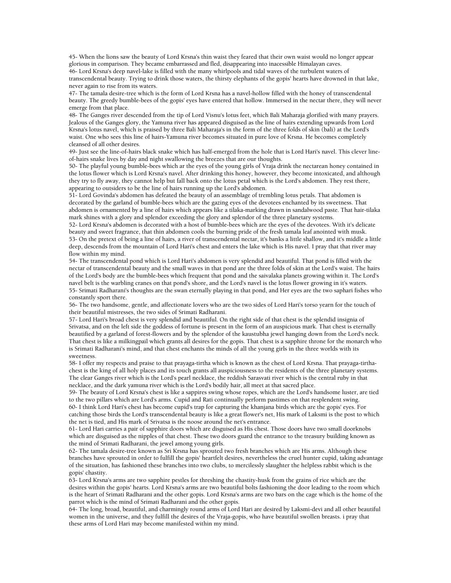45- When the lions saw the beauty of Lord Krsna's thin waist they feared that their own waist would no longer appear glorious in comparison. They became embarrassed and fled, disappearing into inacessible Himalayan caves.

46- Lord Krsna's deep navel-lake is filled with the many whirlpools and tidal waves of the turbulent waters of transcendental beauty. Trying to drink those waters, the thirsty elephants of the gopis' hearts have drowned in that lake, never again to rise from its waters.

47- The tamala desire-tree which is the form of Lord Krsna has a navel-hollow filled with the honey of transcendental beauty. The greedy bumble-bees of the gopis' eyes have entered that hollow. Immersed in the nectar there, they will never emerge from that place.

48- The Ganges river descended from the tip of Lord Visnu's lotus feet, which Bali Maharaja glorified with many prayers. Jealous of the Ganges glory, the Yamuna river has appeared disguised as the line of hairs extending upwards from Lord Krsna's lotus navel, which is praised by three Bali Maharaja's in the form of the three folds of skin (bali) at the Lord's waist. One who sees this line of hairs-Yamuna river becomes situated in pure love of Krsna. He becomes completely cleansed of all other desires.

49- Just see the line-of-hairs black snake which has half-emerged from the hole that is Lord Hari's navel. This clever lineof-hairs snake lives by day and night swallowing the breezes that are our thoughts.

50- The playful young bumble-bees which ar the eyes of the young girls of Vraja drink the nectarean honey contained in the lotus flower which is Lord Krsna's navel. After drinking this honey, however, they become intoxicated, and although they try to fly away, they cannot help but fall back onto the lotus petal which is the Lord's abdomen. They rest there, appearing to outsiders to be the line of hairs running up the Lord's abdomen.

51- Lord Govinda's abdomen has defeated the beauty of an assemblage of trembling lotus petals. That abdomen is decorated by the garland of bumble-bees which are the gazing eyes of the devotees enchanted by its sweetness. That abdomen is ornamented by a line of hairs which appears like a tilaka-marking drawn in sandalwood paste. That hair-tilaka mark shines with a glory and splendor exceeding the glory and splendor of the three planetary systems.

52- Lord Krsna's abdomen is decorated with a host of bumble-bees which are the eyes of the devotees. With it's delicate beauty and sweet fragrance, that thin abdomen cools the burning pride of the fresh tamala leaf anointed with musk. 53- On the pretext of being a line of hairs, a river of transcendental nectar, it's banks a little shallow, and it's middle a little deep, descends from the mountain of Lord Hari's chest and enters the lake which is His navel. I pray that that river may flow within my mind.

54- The transcendental pond which is Lord Hari's abdomen is very splendid and beautiful. That pond is filled with the nectar of transcendental beauty and the small waves in that pond are the three folds of skin at the Lord's waist. The hairs of the Lord's body are the bumble-bees which frequent that pond and the saivalaka planets growing within it. The Lord's navel belt is the warbling cranes on that pond's shore, and the Lord's navel is the lotus flower growing in it's waters. 55- Srimati Radharani's thoughts are the swan eternally playing in that pond, and Her eyes are the two saphari fishes who constantly sport there.

56- The two handsome, gentle, and affectionate lovers who are the two sides of Lord Hari's torso yearn for the touch of their beautiful mistresses, the two sides of Srimati Radharani.

57- Lord Hari's broad chest is very splendid and beautiful. On the right side of that chest is the splendid insignia of Srivatsa, and on the left side the goddess of fortune is present in the form of an auspicious mark. That chest is eternally beautified by a garland of forest-flowers and by the splendor of the kaustubha jewel hanging down from the Lord's neck. That chest is like a milkingpail which grants all desires for the gopis. That chest is a sapphire throne for the monarch who is Srimati Radharani's mind, and that chest enchants the minds of all the young girls in the three worlds with its sweetness.

58- I offer my respects and praise to that prayaga-tirtha which is known as the chest of Lord Krsna. That prayaga-tirthachest is the king of all holy places and its touch grants all auspiciousness to the residents of the three planetary systems. The clear Ganges river which is the Lord's pearl necklace, the reddish Sarasvati river which is the central ruby in that necklace, and the dark yamuna river which is the Lord's bodily hair, all meet at that sacred place.

59- The beauty of Lord Krsna's chest is like a sappires swing whose ropes, which are the Lord's handsome luster, are tied to the two pillars which are Lord's arms. Cupid and Rati continually perform pastimes on that resplendent swing. 60- I think Lord Hari's chest has become cupid's trap for capturing the khanjana birds which are the gopis' eyes. For catching those birds the Lord's transcendental beauty is like a great flower's net, His mark of Laksmi is the post to which the net is tied, and His mark of Srivatsa is the noose around the net's entrance.

61- Lord Hari carries a pair of sapphire doors which are disguised as His chest. Those doors have two small doorknobs which are disguised as the nipples of that chest. These two doors guard the entrance to the treasury building known as the mind of Srimati Radharani, the jewel among young girls.

62- The tamala desire-tree known as Sri Krsna has sprouted two fresh branches which are His arms. Although these branches have sprouted in order to fulfill the gopis' heartfelt desires, nevertheless the cruel hunter cupid, taking advantage of the situation, has fashioned these branches into two clubs, to mercilessly slaughter the helpless rabbit which is the gopis' chastity.

63- Lord Krsna's arms are two sapphire pestles for threshing the chastity-husk from the grains of rice which are the desires within the gopis' hearts. Lord Krsna's arms are two beautiful bolts fashioning the door leading to the room which is the heart of Srimati Radharani and the other gopis. Lord Krsna's arms are two bars on the cage which is the home of the parrot which is the mind of Srimati Radharani and the other gopis.

64- The long, broad, beautiful, and charmingly round arms of Lord Hari are desired by Laksmi-devi and all other beautiful women in the universe, and they fulfill the desires of the Vraja-gopis, who have beautiful swollen breasts. i pray that these arms of Lord Hari may become manifested within my mind.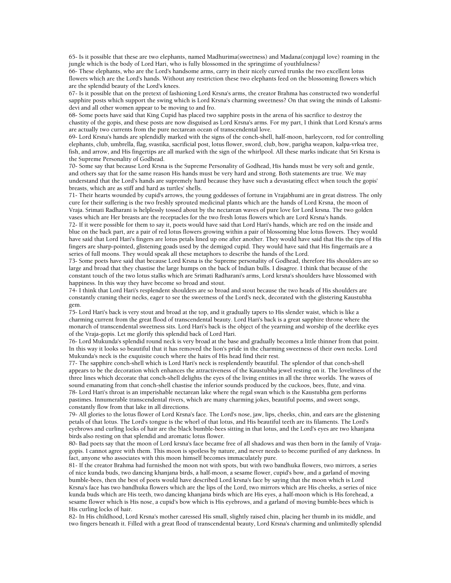65- Is it possible that these are two elephants, named Madhurima(sweetness) and Madana(conjugal love) roaming in the jungle which is the body of Lord Hari, who is fully blossomed in the springtime of youthfulness?

66- These elephants, who are the Lord's handsome arms, carry in their nicely curved trunks the two excellent lotus flowers which are the Lord's hands. Without any restriction these two elephants feed on the blossoming flowers which are the splendid beauty of the Lord's knees.

67- Is it possible that on the pretext of fashioning Lord Krsna's arms, the creator Brahma has constructed two wonderful sapphire posts which support the swing which is Lord Krsna's charming sweetness? On that swing the minds of Laksmidevi and all other women appear to be moving to and fro.

68- Some poets have said that King Cupid has placed two sapphire posts in the arena of his sacrifice to destroy the chastity of the gopis, and these posts are now disguised as Lord Krsna's arms. For my part, I think that Lord Krsna's arms are actually two currents from the pure nectarean ocean of transcendental love.

69- Lord Krsna's hands are splendidly marked with the signs of the conch-shell, half-moon, barleycorn, rod for controlling elephants, club, umbrella, flag, svastika, sacrificial post, lotus flower, sword, club, bow, parigha weapon, kalpa-vrksa tree, fish, and arrow, and His fingertips are all marked with the sign of the whirlpool. All these marks indicate that Sri Krsna is the Supreme Personality of Godhead.

70- Some say that because Lord Krsna is the Supreme Personality of Godhead, His hands must be very soft and gentle, and others say that for the same reason His hands must be very hard and strong. Both statements are true. We may understand that the Lord's hands are supremely hard because they have such a devastating effect when touch the gopis' breasts, which are as stiff and hard as turtles' shells.

71- Their hearts wounded by cupid's arrows, the young goddesses of fortune in Vrajabhumi are in great distress. The only cure for their suffering is the two freshly sprouted medicinal plants which are the hands of Lord Krsna, the moon of Vraja. Srimati Radharani is helplessly tossed about by the nectarean waves of pure love for Lord krsna. The two golden vases which are Her breasts are the receptacles for the two fresh lotus flowers which are Lord Krsna's hands.

72- If it were possible for them to say it, poets would have said that Lord Hari's hands, which are red on the inside and blue on the back part, are a pair of red lotus flowers growing within a pair of blossoming blue lotus flowers. They would have said that Lord Hari's fingers are lotus petals lined up one after another. They would have said that His the tips of His fingers are sharp-pointed, glistening goads used by the demigod cupid. They would have said that His fingernails are a series of full moons. They would speak all these metaphors to describe the hands of the Lord.

73- Some poets have said that because Lord Krsna is the Supreme personality of Godhead, therefore His shoulders are so large and broad that they chastise the large humps on the back of Indian bulls. I disagree. I think that because of the constant touch of the two lotus stalks which are Srimati Radharani's arms, Lord krsna's shoulders have blossomed with happiness. In this way they have become so broad and stout.

74- I think that Lord Hari's resplendent shoulders are so broad and stout because the two heads of His shoulders are constantly craning their necks, eager to see the sweetness of the Lord's neck, decorated with the glistering Kaustubha gem.

75- Lord Hari's back is very stout and broad at the top, and it gradually tapers to His slender waist, which is like a charming current from the great flood of transcendental beauty. Lord Hari's back is a great sapphire throne where the monarch of transcendental sweetness sits. Lord Hari's back is the object of the yearning and worship of the deerlike eyes of the Vraja-gopis. Let me glorify this splendid back of Lord Hari.

76- Lord Mukunda's splendid round neck is very broad at the base and gradually becomes a little thinner from that point. In this way it looks so beautiful that it has removed the lion's pride in the charming sweetness of their own necks. Lord Mukunda's neck is the exquisite couch where the hairs of His head find their rest.

77- The sapphire conch-shell which is Lord Hari's neck is resplendently beautiful. The splendor of that conch-shell appears to be the decoration which enhances the attractiveness of the Kaustubha jewel resting on it. The loveliness of the three lines which decorate that conch-shell delights the eyes of the living entities in all the three worlds. The waves of sound emanating from that conch-shell chastise the inferior sounds produced by the cuckoos, bees, flute, and vina. 78- Lord Hari's throat is an imperishable nectarean lake where the regal swan which is the Kaustubha gem performs pastimes. Innumerable transcendental rivers, which are many charming jokes, beautiful poems, and sweet songs, constantly flow from that lake in all directions.

79- All glories to the lotus flower of Lord Krsna's face. The Lord's nose, jaw, lips, cheeks, chin, and ears are the glistening petals of that lotus. The Lord's tongue is the whorl of that lotus, and His beautiful teeth are its filaments. The Lord's eyebrows and curling locks of hair are the black bumble-bees sitting in that lotus, and the Lord's eyes are two khanjana birds also resting on that splendid and aromatic lotus flower.

80- Bad poets say that the moon of Lord krsna's face became free of all shadows and was then born in the family of Vrajagopis. I cannot agree with them. This moon is spotless by nature, and never needs to become purified of any darkness. In fact, anyone who associates with this moon himself becomes immaculately pure.

81- If the creator Brahma had furnished the moon not with spots, but with two bandhuka flowers, two mirrors, a series of nice kunda buds, two dancing khanjana birds, a half-moon, a sesame flower, cupid's bow, and a garland of moving bumble-bees, then the best of poets would have described Lord krsna's face by saying that the moon which is Lord Krsna's face has two bandhuka flowers which are the lips of the Lord, two mirrors which are His cheeks, a series of nice kunda buds which are His teeth, two dancing khanjana birds which are His eyes, a half-moon which is His forehead, a sesame flower which is His nose, a cupid's bow which is His eyebrows, and a garland of moving bumble-bees which is His curling locks of hair.

82- In His childhood, Lord Krsna's mother caressed His small, slightly raised chin, placing her thumb in its middle, and two fingers beneath it. Filled with a great flood of transcendental beauty, Lord Krsna's charming and unlimitedly splendid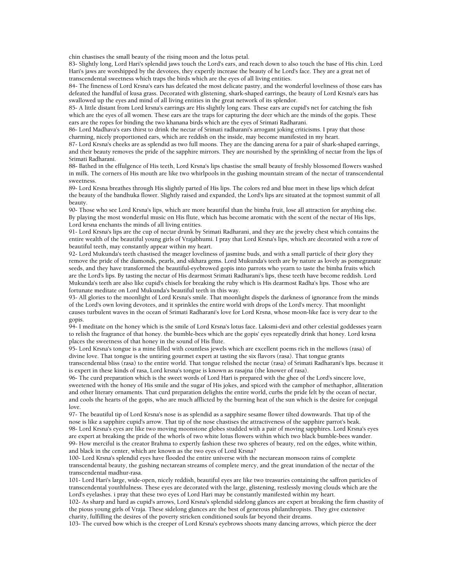chin chastises the small beauty of the rising moon and the lotus petal.

83- Slightly long, Lord Hari's splendid jaws touch the Lord's ears, and reach down to also touch the base of His chin. Lord Hari's jaws are worshipped by the devotees, they expertly increase the beauty of he Lord's face. They are a great net of transcendental sweetness which traps the birds which are the eyes of all living entities.

84- The fineness of Lord Krsna's ears has defeated the most delicate pastry, and the wonderful loveliness of those ears has defeated the handful of kusa grass. Decorated with glistening, shark-shaped earrings, the beauty of Lord Krsna's ears has swallowed up the eyes and mind of all living entities in the great network of its splendor.

85- A little distant from Lord krsna's earrings are His slightly long ears. These ears are cupid's net for catching the fish which are the eyes of all women. These ears are the traps for capturing the deer which are the minds of the gopis. These ears are the ropes for binding the two khanana birds which are the eyes of Srimati Radharani.

86- Lord Madhava's ears thirst to drink the nectar of Srimati radharani's arrogant joking criticisms. I pray that those charming, nicely proportioned ears, which are reddish on the inside, may become manifested in my heart.

87- Lord Krsna's cheeks are as splendid as two full moons. They are the dancing arena for a pair of shark-shaped earrings, and their beauty removes the pride of the sapphire mirrors. They are nourished by the sprinkling of nectar from the lips of Srimati Radharani.

88- Bathed in the effulgence of His teeth, Lord Krsna's lips chastise the small beauty of freshly blossomed flowers washed in milk. The corners of His mouth are like two whirlpools in the gushing mountain stream of the nectar of transcendental sweetness.

89- Lord Krsna breathes through His slightly parted of His lips. The colors red and blue meet in these lips which defeat the beauty of the bandhuka flower. Slightly raised and expanded, the Lord's lips are situated at the topmost summit of all beauty.

90- Those who see Lord Krsna's lips, which are more beautiful than the bimba fruit, lose all attraction for anything else. By playing the most wonderful music on His flute, which has become aromatic with the scent of the nectar of His lips, Lord krsna enchants the minds of all living entities.

91- Lord Krsna's lips are the cup of nectar drunk by Srimati Radharani, and they are the jewelry chest which contains the entire wealth of the beautiful young girls of Vrajabhumi. I pray that Lord Krsna's lips, which are decorated with a row of beautiful teeth, may constantly appear within my heart.

92- Lord Mukunda's teeth chastised the meager loveliness of jasmine buds, and with a small particle of their glory they remove the pride of the diamonds, pearls, and sikhara gems. Lord Mukunda's teeth are by nature as lovely as pomegranate seeds, and they have transformed the beautiful-eyebrowed gopis into parrots who yearn to taste the bimba fruits which are the Lord's lips. By tasting the nectar of His dearmost Srimati Radharani's lips, these teeth have become reddish. Lord Mukunda's teeth are also like cupid's chisels for breaking the ruby which is His dearmost Radha's lips. Those who are fortunate meditate on Lord Mukunda's beautiful teeth in this way.

93- All glories to the moonlight of Lord Krsna's smile. That moonlight dispels the darkness of ignorance from the minds of the Lord's own loving devotees, and it sprinkles the entire world with drops of the Lord's mercy. That moonlight causes turbulent waves in the ocean of Srimati Radharani's love for Lord Krsna, whose moon-like face is very dear to the gopis.

94- I meditate on the honey which is the smile of Lord Krsna's lotus face. Laksmi-devi and other celestial goddesses yearn to relish the fragrance of that honey. the bumble-bees which are the gopis' eyes repeatedly drink that honey. Lord krsna places the sweetness of that honey in the sound of His flute.

95- Lord Krsna's tongue is a mine filled with countless jewels which are excellent poems rich in the mellows (rasa) of divine love. That tongue is the untiring gourmet expert at tasting the six flavors (rasa). That tongue grants transcendental bliss (rasa) to the entire world. That tongue relished the nectar (rasa) of Srimati Radharani's lips. because it is expert in these kinds of rasa, Lord krsna's tongue is known as rasajna (the knower of rasa).

96- The curd preparation which is the sweet words of Lord Hari is prepared with the ghee of the Lord's sincere love, sweetened with the honey of His smile and the sugar of His jokes, and spiced with the camphor of methaphor, alliteration and other literary ornaments. That curd preparation delights the entire world, curbs the pride felt by the ocean of nectar, and cools the hearts of the gopis, who are much afflicted by the burning heat of the sun which is the desire for conjugal love.

97- The beautiful tip of Lord Krsna's nose is as splendid as a sapphire sesame flower tilted downwards. That tip of the nose is like a sapphire cupid's arrow. That tip of the nose chastises the attractiveness of the sapphire parrot's beak. 98- Lord Krsna's eyes are like two moving moonstone globes studded with a pair of moving sapphires. Lord Krsna's eyes are expert at breaking the pride of the whorls of two white lotus flowers within which two black bumble-bees wander. 99- How merciful is the creator Brahma to expertly fashion these two spheres of beauty, red on the edges, white within, and black in the center, which are known as the two eyes of Lord Krsna?

100- Lord Krsna's splendid eyes have flooded the entire universe with the nectarean monsoon rains of complete transcendental beauty, the gushing nectarean streams of complete mercy, and the great inundation of the nectar of the transcendental madhur-rasa.

101- Lord Hari's large, wide-open, nicely reddish, beautiful eyes are like two treasuries containing the saffron particles of transcendental youthfulness. These eyes are decorated with the large, glistening, restlessly moving clouds which are the Lord's eyelashes. i pray that these two eyes of Lord Hari may be constantly manifested within my heart.

102- As sharp and hard as cupid's arrows, Lord Krsna's splendid sidelong glances are expert at breaking the firm chastity of the pious young girls of Vraja. These sidelong glances are the best of generous philanthropists. They give extensive charity, fulfilling the desires of the poverty stricken conditioned souls far beyond their dreams.

103- The curved bow which is the creeper of Lord Krsna's eyebrows shoots many dancing arrows, which pierce the deer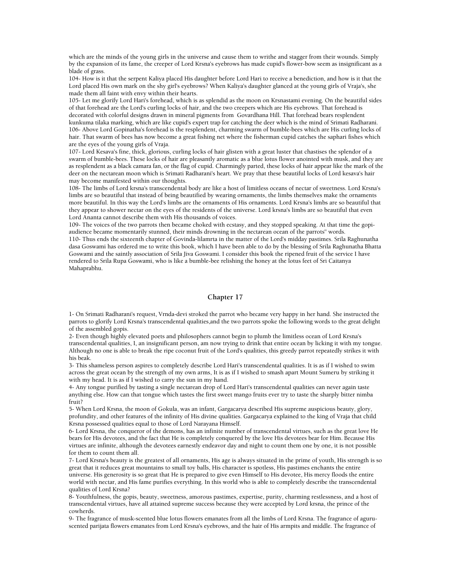which are the minds of the young girls in the universe and cause them to writhe and stagger from their wounds. Simply by the expansion of its fame, the creeper of Lord Krsna's eyebrows has made cupid's flower-bow seem as insignificant as a blade of grass.

104- How is it that the serpent Kaliya placed His daughter before Lord Hari to receive a benediction, and how is it that the Lord placed His own mark on the shy girl's eyebrows? When Kaliya's daughter glanced at the young girls of Vraja's, she made them all faint with envy within their hearts.

105- Let me glorify Lord Hari's forehead, which is as splendid as the moon on Krsnastami evening. On the beautiful sides of that forehead are the Lord's curling locks of hair, and the two creepers which are His eyebrows. That forehead is decorated with colorful designs drawn in mineral pigments from Govardhana Hill. That forehead bears resplendent kunkuma tilaka marking, which are like cupid's expert trap for catching the deer which is the mind of Srimati Radharani. 106- Above Lord Gopinatha's forehead is the resplendent, charming swarm of bumble-bees which are His curling locks of hair. That swarm of bees has now become a great fishing net where the fisherman cupid catches the saphari fishes which are the eyes of the young girls of Vraja.

107- Lord Kesava's fine, thick, glorious, curling locks of hair glisten with a great luster that chastises the splendor of a swarm of bumble-bees. These locks of hair are pleasantly aromatic as a blue lotus flower anointed with musk, and they are as resplendent as a black camara fan, or the flag of cupid. Charmingly parted, these locks of hair appear like the mark of the deer on the nectarean moon which is Srimati Radharani's heart. We pray that these beautiful locks of Lord kesava's hair may become manifested within our thoughts.

108- The limbs of Lord krsna's transcendental body are like a host of limitless oceans of nectar of sweetness. Lord Krsna's limbs are so beautiful that instead of being beautified by wearing ornaments, the limbs themselves make the ornaments more beautiful. In this way the Lord's limbs are the ornaments of His ornaments. Lord Krsna's limbs are so beautiful that they appear to shower nectar on the eyes of the residents of the universe. Lord krsna's limbs are so beautiful that even Lord Ananta cannot describe them with His thousands of voices.

109- The voices of the two parrots then became choked with ecstasy, and they stopped speaking. At that time the gopiaudience became momentarily stunned, their minds drowning in the nectarean ocean of the parrots'' words.

110- Thus ends the sixteenth chapter of Govinda-lilamrta in the matter of the Lord's midday pastimes. Srila Raghunatha dasa Goswami has ordered me to write this book, which I have been able to do by the blessing of Srila Raghunatha Bhatta Goswami and the saintly association of Srila Jiva Goswami. I consider this book the ripened fruit of the service I have rendered to Srila Rupa Goswami, who is like a bumble-bee relishing the honey at the lotus feet of Sri Caitanya Mahaprabhu.

## **Chapter 17**

1- On Srimati Radharani's request, Vrnda-devi stroked the parrot who became very happy in her hand. She instructed the parrots to glorify Lord Krsna's transcendental qualities,and the two parrots spoke the following words to the great delight of the assembled gopis.

2- Even though highly elevated poets and philosophers cannot begin to plumb the limitless ocean of Lord Krsna's transcendental qualities, I, an insignificant person, am now trying to drink that entire ocean by licking it with my tongue. Although no one is able to break the ripe coconut fruit of the Lord's qualities, this greedy parrot repeatedly strikes it with his beak.

3- This shameless person aspires to completely describe Lord Hari's transcendental qualities. It is as if I wished to swim across the great ocean by the strength of my own arms, It is as if I wished to smash apart Mount Sumeru by striking it with my head. It is as if I wished to carry the sun in my hand.

4- Any tongue purified by tasting a single nectarean drop of Lord Hari's transcendental qualities can never again taste anything else. How can that tongue which tastes the first sweet mango fruits ever try to taste the sharply bitter nimba fruit?

5- When Lord Krsna, the moon of Gokula, was an infant, Gargacarya described His supreme auspicious beauty, glory, profundity, and other features of the infinity of His divine qualities. Gargacarya explained to the king of Vraja that child Krsna possessed qualities equal to those of Lord Narayana Himself.

6- Lord Krsna, the conqueror of the demons, has an infinite number of transcendental virtues, such as the great love He bears for His devotees, and the fact that He is completely conquered by the love His devotees bear for Him. Because His virtues are infinite, although the devotees earnestly endeavor day and night to count them one by one, it is not possible for them to count them all.

7- Lord Krsna's beauty is the greatest of all ornaments, His age is always situated in the prime of youth, His strength is so great that it reduces great mountains to small toy balls, His character is spotless, His pastimes enchants the entire universe. His generosity is so great that He is prepared to give even Himself to His devotee, His mercy floods the entire world with nectar, and His fame purifies everything. In this world who is able to completely describe the transcendental qualities of Lord Krsna?

8- Youthfulness, the gopis, beauty, sweetness, amorous pastimes, expertise, purity, charming restlessness, and a host of transcendental virtues, have all attained supreme success because they were accepted by Lord krsna, the prince of the cowherds.

9- The fragrance of musk-scented blue lotus flowers emanates from all the limbs of Lord Krsna. The fragrance of aguruscented parijata flowers emanates from Lord Krsna's eyebrows, and the hair of His armpits and middle. The fragrance of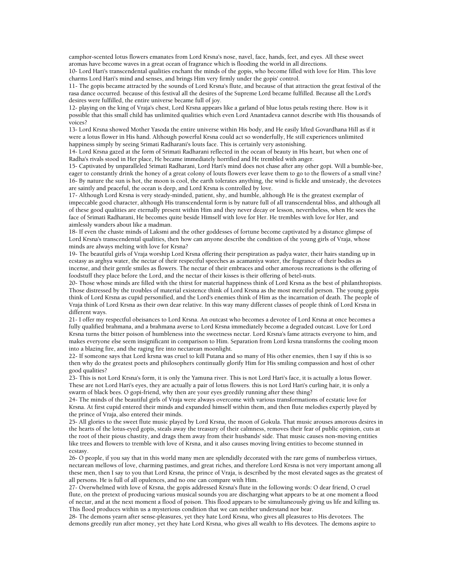camphor-scented lotus flowers emanates from Lord Krsna's nose, navel, face, hands, feet, and eyes. All these sweet aromas have become waves in a great ocean of fragrance which is flooding the world in all directions.

10- Lord Hari's transcendental qualities enchant the minds of the gopis, who become filled with love for Him. This love charms Lord Hari's mind and senses, and brings Him very firmly under the gopis' control.

11- The gopis became attracted by the sounds of Lord Krsna's flute, and because of that attraction the great festival of the rasa dance occurred. because of this festival all the desires of the Supreme Lord became fulfilled. Because all the Lord's desires were fulfilled, the entire universe became full of joy.

12- playing on the king of Vraja's chest, Lord Krsna appears like a garland of blue lotus petals resting there. How is it possible that this small child has unlimited qualities which even Lord Anantadeva cannot describe with His thousands of voices?

13- Lord Krsna showed Mother Yasoda the entire universe within His body, and He easily lifted Govardhana Hill as if it were a lotus flower in His hand. Although powerful Krsna could act so wonderfully, He still experiences unlimited happiness simply by seeing Srimati Radharani's louts face. This is certainly very astonishing.

14- Lord Krsna gazed at the form of Srimati Radharani reflected in the ocean of beauty in His heart, but when one of Radha's rivals stood in Her place, He became immediately horrified and He trembled with anger.

15- Captivated by unparalleled Srimati Radharani, Lord Hari's mind does not chase after any other gopi. Will a bumble-bee, eager to constantly drink the honey of a great colony of louts flowers ever leave them to go to the flowers of a small vine? 16- By nature the sun is hot, the moon is cool, the earth tolerates anything, the wind is fickle and unsteady, the devotees are saintly and peaceful, the ocean is deep, and Lord Krsna is controlled by love.

17- Although Lord Krsna is very steady-minded, patient, shy, and humble, although He is the greatest exemplar of impeccable good character, although His transcendental form is by nature full of all transcendental bliss, and although all of these good qualities are eternally present within Him and they never decay or lesson, nevertheless, when He sees the face of Srimati Radharani, He becomes quite beside Himself with love for Her. He trembles with love for Her, and aimlessly wanders about like a madman.

18- If even the chaste minds of Laksmi and the other goddesses of fortune become captivated by a distance glimpse of Lord Krsna's transcendental qualities, then how can anyone describe the condition of the young girls of Vraja, whose minds are always melting with love for Krsna?

19- The beautiful girls of Vraja worship Lord Krsna offering their perspiration as padya water, their hairs standing up in ecstasy as arghya water, the nectar of their respectful speeches as acamaniya water, the fragrance of their bodies as incense, and their gentle smiles as flowers. The nectar of their embraces and other amorous recreations is the offering of foodstuff they place before the Lord, and the nectar of their kisses is their offering of betel-nuts.

20- Those whose minds are filled with the thirst for material happiness think of Lord Krsna as the best of philanthropists. Those distressed by the troubles of material existence think of Lord Krsna as the most merciful person. The young gopis think of Lord Krsna as cupid personified, and the Lord's enemies think of Him as the incarnation of death. The people of Vraja think of Lord Krsna as their own dear relative. In this way many different classes of people think of Lord Krsna in different ways.

21- I offer my respectful obeisances to Lord Krsna. An outcast who becomes a devotee of Lord Krsna at once becomes a fully qualified brahmana, and a brahmana averse to Lord Krsna immediately become a degraded outcast. Love for Lord Krsna turns the bitter poison of humbleness into the sweetness nectar. Lord Krsna's fame attracts everyone to him, and makes everyone else seem insignificant in comparison to Him. Separation from Lord krsna transforms the cooling moon into a blazing fire, and the raging fire into nectarean moonlight.

22- If someone says that Lord krsna was cruel to kill Putana and so many of His other enemies, then I say if this is so then why do the greatest poets and philosophers continually glorify Him for His smiling compassion and host of other good qualities?

23- This is not Lord Krsna's form, it is only the Yamuna river. This is not Lord Hari's face, it is actually a lotus flower. These are not Lord Hari's eyes, they are actually a pair of lotus flowers. this is not Lord Hari's curling hair, it is only a swarm of black bees. O gopi-friend, why then are your eyes greedily running after these thing?

24- The minds of the beautiful girls of Vraja were always overcome with various transformations of ecstatic love for Krsna. At first cupid entered their minds and expanded himself within them, and then flute melodies expertly played by the prince of Vraja, also entered their minds.

25- All glories to the sweet flute music played by Lord Krsna, the moon of Gokula. That music arouses amorous desires in the hearts of the lotus-eyed gopis, steals away the treasury of their calmness, removes their fear of public opinion, cuts at the root of their pious chastity, and drags them away from their husbands' side. That music causes non-moving entities like trees and flowers to tremble with love of Krsna, and it also causes moving living entities to become stunned in ecstasy.

26- O people, if you say that in this world many men are splendidly decorated with the rare gems of numberless virtues, nectarean mellows of love, charming pastimes, and great riches, and therefore Lord Krsna is not very important among all these men, then I say to you that Lord Krsna, the prince of Vraja, is described by the most elevated sages as the greatest of all persons. He is full of all opulences, and no one can compare with Him.

27- Overwhelmed with love of Krsna, the gopis addressed Krsna's flute in the following words: O dear friend, O cruel flute, on the pretext of producing various musical sounds you are discharging what appears to be at one moment a flood of nectar, and at the next moment a flood of poison. This flood appears to be simultaneously giving us life and killing us. This flood produces within us a mysterious condition that we can neither understand nor bear.

28- The demons yearn after sense-pleasures, yet they hate Lord Krsna, who gives all pleasures to His devotees. The demons greedily run after money, yet they hate Lord Krsna, who gives all wealth to His devotees. The demons aspire to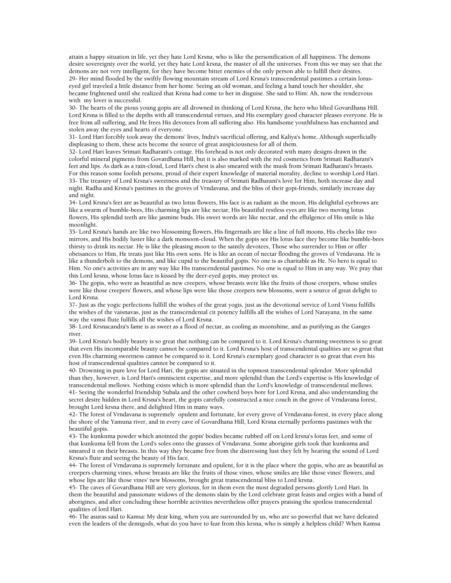attain a happy situation in life, yet they hate Lord Krsna, who is like the personification of all happiness. The demons desire sovereignty over the world, yet they hate Lord krsna, the master of all the universes. From this we may see that the demons are not very intelligent, for they have become bitter enemies of the only person able to fulfill their desires. 29- Her mind flooded by the swiftly flowing mountain stream of Lord Krsna's transcendental pastimes a certain lotuseyed girl traveled a little distance from her home. Seeing an old woman, and feeling a hand touch her shoulder, she became frightened until she realized that Krsna had come to her in disguise. She said to Him: Ah, now the rendezvous with my lover is successful.

30- The hearts of the pious young gopis are all drowned in thinking of Lord Krsna, the hero who lifted Govardhana Hill. Lord Krsna is filled to the depths with all transcendental virtues, and His exemplary good character pleases everyone. He is free from all suffering, and He frees His devotees from all suffering also. His handsome youthfulness has enchanted and stolen away the eyes and hearts of everyone.

31- Lord Hari forcibly took away the demons' lives, Indra's sacrificial offering, and Kaliya's home. Although superficially displeasing to them, these acts become the source of great auspiciousness for all of them.

32- Lord Hari leaves Srimati Radharani's cottage. His forehead is not only decorated with many designs drawn in the colorful mineral pigments from Govardhana Hill, but it is also marked with the red cosmetics from Srimati Radharani's feet and lips. As dark as a rain-cloud, Lord Hari's chest is also smeared with the musk from Srimati Radharani's breasts. For this reason some foolish persons, proud of their expert knowledge of material morality, decline to worship Lord Hari. 33- The treasury of Lord Krsna's sweetness and the treasury of Srimati Radharani's love for Him, both increase day and night. Radha and Krsna's pastimes in the groves of Vrndavana, and the bliss of their gopi-friends, similarly increase day and night.

34- Lord Krsna's feet are as beautiful as two lotus flowers, His face is as radiant as the moon, His delightful eyebrows are like a swarm of bumble-bees, His charming lips are like nectar, His beautiful restless eyes are like two moving lotus flowers, His splendid teeth are like jasmine buds. His sweet words are like nectar, and the effulgence of His smile is like moonlight.

35- Lord Krsna's hands are like two blossoming flowers, His fingernails are like a line of full moons, His cheeks like two mirrors, and His bodily luster like a dark monsoon-cloud. When the gopis see His lotus face they become like bumble-bees thirsty to drink its nectar. He is like the pleasing moon to the saintly devotees, Those who surrender to Him or offer obeisances to Him, He treats just like His own sons. He is like an ocean of nectar flooding the groves of Vrndavana. He is like a thunderbolt to the demons, and like cupid to the beautiful gopis. No one is as charitable as He. No hero is equal to Him. No one's activities are in any way like His transcendental pastimes. No one is equal to Him in any way. We pray that this Lord krsna, whose lotus face is kissed by the deer-eyed gopis, may protect us.

36- The gopis, who were as beautiful as new creepers, whose breasts were like the fruits of those creepers, whose smiles were like those creepers' flowers, and whose lips were like those creepers new blossoms, were a source of great delight to Lord Krsna.

37- Just as the yogic perfections fulfill the wishes of the great yogis, just as the devotional service of Lord Visnu fulfills the wishes of the vaisnavas, just as the transcendental cit potency fulfills all the wishes of Lord Narayana, in the same way the vamsi flute fulfills all the wishes of Lord Krsna.

38- Lord Krsnacandra's fame is as sweet as a flood of nectar, as cooling as moonshine, and as purifying as the Ganges river.

39- Lord Krsna's bodily beauty is so great that nothing can be compared to it. Lord Krsna's charming sweetness is so great that even His incomparable beauty cannot be compared to it. Lord Krsna's host of transcendental qualities are so great that even His charming sweetness cannot be compared to it. Lord Krsna's exemplary good character is so great that even his host of transcendental qualities cannot be compared to it.

40- Drowning in pure love for Lord Hari, the gopis are situated in the topmost transcendental splendor. More splendid than they, however, is Lord Hari's omniscient expertise, and more splendid than the Lord's expertise is His knowledge of transcendental mellows. Nothing exists which is more splendid than the Lord's knowledge of transcendental mellows. 41- Seeing the wonderful friendship Subala and the other cowherd boys bore for Lord Krsna, and also understanding the secret desire hidden in Lord Krsna's heart, the gopis carefully constructed a nice couch in the grove of Vrndavana forest, brought Lord krsna there, and delighted Him in many ways.

42- The forest of Vrndavana is supremely opulent and fortunate, for every grove of Vrndavana-forest, in every place along the shore of the Yamuna river, and in every cave of Govardhana Hill, Lord Krsna eternally performs pastimes with the beautiful gopis.

43- The kunkuma powder which anointed the gopis' bodies became rubbed off on Lord krsna's lotus feet, and some of that kunkuma fell from the Lord's soles onto the grasses of Vrndavana. Some aborigine girls took that kunkuma and smeared it on their breasts. In this way they became free from the distressing lust they felt by hearing the sound of Lord Krsna's flute and seeing the beauty of His face.

44- The forest of Vrndavana is supremely fortunate and opulent, for it is the place where the gopis, who are as beautiful as creepers charming vines, whose breasts are like the fruits of those vines, whose smiles are like those vines' flowers, and whose lips are like those vines' new blossoms, brought great transcendental bliss to Lord krsna.

45- The caves of Govardhana Hill are very glorious, for in them even the most degraded persons glorify Lord Hari. In them the beautiful and passionate widows of the demons slain by the Lord celebrate great feasts and orgies with a band of aborigines, and after concluding these horrible activities nevertheless offer prayers praising the spotless transcendental qualities of lord Hari.

46- The asuras said to Kamsa: My dear king, when you are surrounded by us, who are so powerful that we have defeated even the leaders of the demigods, what do you have to fear from this krsna, who is simply a helpless child? When Kamsa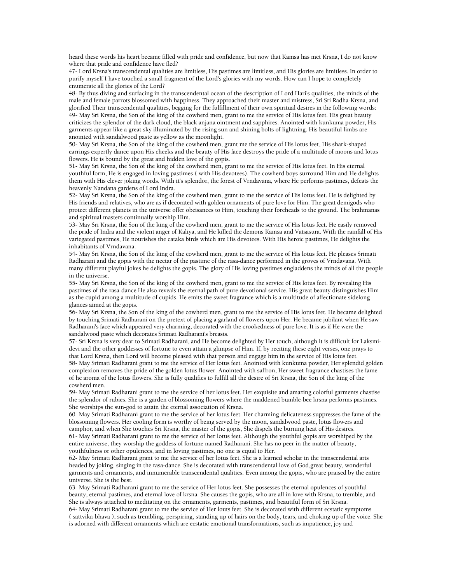heard these words his heart became filled with pride and confidence, but now that Kamsa has met Krsna, I do not know where that pride and confidence have fled?

47- Lord Krsna's transcendental qualities are limitless, His pastimes are limitless, and His glories are limitless. In order to purify myself I have touched a small fragment of the Lord's glories with my words. How can I hope to completely enumerate all the glories of the Lord?

48- By thus diving and surfacing in the transcendental ocean of the description of Lord Hari's qualities, the minds of the male and female parrots blossomed with happiness. They approached their master and mistress, Sri Sri Radha-Krsna, and glorified Their transcendental qualities, begging for the fulfillment of their own spiritual desires in the following words: 49- May Sri Krsna, the Son of the king of the cowherd men, grant to me the service of His lotus feet. His great beauty criticizes the splendor of the dark cloud, the black anjana ointment and sapphires. Anointed with kunkuma powder, His garments appear like a great sky illuminated by the rising sun and shining bolts of lightning. His beautiful limbs are anointed with sandalwood paste as yellow as the moonlight.

50- May Sri Krsna, the Son of the king of the cowherd men, grant me the service of His lotus feet, His shark-shaped earrings expertly dance upon His cheeks and the beauty of His face destroys the pride of a multitude of moons and lotus flowers. He is bound by the great and hidden love of the gopis.

51- May Sri Krsna, the Son of the king of the cowherd men, grant to me the service of His lotus feet. In His eternal youthful form, He is engaged in loving pastimes ( with His devotees). The cowherd boys surround Him and He delights them with His clever joking words. With it's splendor, the forest of Vrndavana, where He performs pastimes, defeats the heavenly Nandana gardens of Lord Indra.

52- May Sri Krsna, the Son of the king of the cowherd men, grant to me the service of His lotus feet. He is delighted by His friends and relatives, who are as if decorated with golden ornaments of pure love for Him. The great demigods who protect different planets in the universe offer obeisances to Him, touching their foreheads to the ground. The brahmanas and spiritual masters continually worship Him.

53- May Sri Krsna, the Son of the king of the cowherd men, grant to me the service of His lotus feet. He easily removed the pride of Indra and the violent anger of Kaliya, and He killed the demons Kamsa and Vatsasura. With the rainfall of His variegated pastimes, He nourishes the cataka birds which are His devotees. With His heroic pastimes, He delights the inhabitants of Vrndavana.

54- May Sri Krsna, the Son of the king of the cowherd men, grant to me the service of His lotus feet. He pleases Srimati Radharani and the gopis with the nectar of the pastime of the rasa-dance performed in the groves of Vrndavana. With many different playful jokes he delights the gopis. The glory of His loving pastimes engladdens the minds of all the people in the universe.

55- May Sri Krsna, the Son of the king of the cowherd men, grant to me the service of His lotus feet. By revealing His pastimes of the rasa-dance He also reveals the eternal path of pure devotional service. His great beauty distinguishes Him as the cupid among a multitude of cupids. He emits the sweet fragrance which is a multitude of affectionate sidelong glances aimed at the gopis.

56- May Sri Krsna, the Son of the king of the cowherd men, grant to me the service of His lotus feet. He became delighted by touching Srimati Radharani on the pretext of placing a garland of flowers upon Her. He became jubilant when He saw Radharani's face which appeared very charming, decorated with the crookedness of pure love. It is as if He were the sandalwood paste which decorates Srimati Radharani's breasts.

57- Sri Krsna is very dear to Srimati Radharani, and He become delighted by Her touch, although it is difficult for Laksmidevi and the other goddesses of fortune to even attain a glimpse of Him. If, by reciting these eight verses, one prays to that Lord Krsna, then Lord will become pleased with that person and engage him in the service of His lotus feet. 58- May Srimati Radharani grant to me the service of Her lotus feet. Anointed with kunkuma powder, Her splendid golden complexion removes the pride of the golden lotus flower. Anointed with saffron, Her sweet fragrance chastises the fame

of he aroma of the lotus flowers. She is fully qualifies to fulfill all the desire of Sri Krsna, the Son of the king of the cowherd men. 59- May Srimati Radharani grant to me the service of her lotus feet. Her exquisite and amazing colorful garments chastise

the splendor of rubies. She is a garden of blossoming flowers where the maddened bumble-bee krsna performs pastimes. She worships the sun-god to attain the eternal association of Krsna.

60- May Srimati Radharani grant to me the service of her lotus feet. Her charming delicateness suppresses the fame of the blossoming flowers. Her cooling form is worthy of being served by the moon, sandalwood paste, lotus flowers and camphor, and when She touches Sri Krsna, the master of the gopis, She dispels the burning heat of His desires.

61- May Srimati Radharani grant to me the service of her lotus feet. Although the youthful gopis are worshiped by the entire universe, they worship the goddess of fortune named Radharani. She has no peer in the matter of beauty, youthfulness or other opulences, and in loving pastimes, no one is equal to Her.

62- May Srimati Radharani grant to me the service of her lotus feet. She is a learned scholar in the transcendental arts headed by joking, singing in the rasa-dance. She is decorated with transcendental love of God,great beauty, wonderful garments and ornaments, and innumerable transcendental qualities. Even among the gopis, who are praised by the entire universe, She is the best.

63- May Srimati Radharani grant to me the service of Her lotus feet. She possesses the eternal opulences of youthful beauty, eternal pastimes, and eternal love of krsna. She causes the gopis, who are all in love with Krsna, to tremble, and She is always attached to meditating on the ornaments, garments, pastimes, and beautiful form of Sri Krsna. 64- May Srimati Radharani grant to me the service of Her louts feet. She is decorated with different ecstatic symptoms

( sattvika-bhava ), such as trembling, perspiring, standing up of hairs on the body, tears, and choking up of the voice. She is adorned with different ornaments which are ecstatic emotional transformations, such as impatience, joy and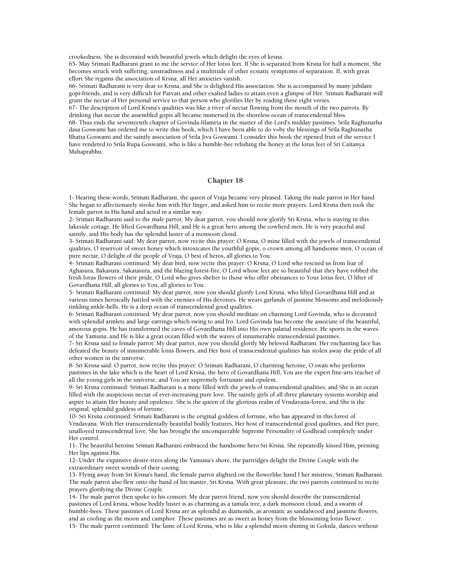crookedness. She is decorated with beautiful jewels which delight the eyes of krsna.

65- May Srimati Radharani grant to me the service of Her lotus feet. If She is separated from Krsna for half a moment, She becomes struck with suffering, unsteadiness and a multitude of other ecstatic symptoms of separation. If, with great effort She regains the association of Krsna, all Her anxieties vanish.

66- Srimati Radharani is very dear to Krsna, and She is delighted His association. She is accompanied by many jubilant gopi-friends, and is very difficult for Parvati and other exalted ladies to attain even a glimpse of Her. Srimati Radharani will grant the nectar of Her personal service to that person who glorifies Her by reading these eight verses.

67- The description of Lord Krsna's qualities was like a river of nectar flowing from the mouth of the two parrots. By drinking that nectar the assembled gopis all became immersed in the shoreless ocean of transcendental bliss. 68- Thus ends the seventeenth chapter of Govinda-lilamrta in the matter of the Lord's midday pastimes. Srila Raghunatha dasa Goswami has ordered me to write this book, which I have been able to do v=by the blessings of Srila Raghunatha Bhatta Goswami and the saintly association of Srila Jiva Goswami. I consider this book the ripened fruit of the service I have rendered to Srila Rupa Goswami, who is like a bumble-bee relishing the honey at the lotus feet of Sri Caitanya Mahaprabhu.

## **Chapter 18**

1- Hearing these words, Srimati Radharani, the queen of Vraja became very pleased. Taking the male parrot in Her hand She began to affectionately stroke him with Her finger, and asked him to recite more prayers. Lord Krsna then took the female parrot in His hand and acted in a similar way.

2- Srimati Radharani said to the male parrot: My dear parrot, you should now glorify Sri Krsna, who is staying in this lakeside cottage. He lifted Govardhana Hill, and He is a great hero among the cowherd men. He is very peaceful and saintly, and His body has the splendid luster of a monsoon cloud.

3- Srimati Radharani said: My dear parrot, now recite this prayer: O Krsna, O mine filled with the jewels of transcendental qualities, O reservoir of sweet honey which intoxicates the youthful gopis, o crown among all handsome men, O ocean of pure nectar, O delight of the people of Vraja, O best of heros, all glories to You.

4- Srimati Radharani continued: My dear bird, now recite this prayer: O Krsna, O Lord who rescued us from fear of Aghasura, Bakasura, Sakatasura, and the blazing forest-fire, O Lord whose feet are so beautiful that they have robbed the fresh lotus flowers of their pride, O Lord who gives shelter to those who offer obeisances to Your lotus feet, O lifter of Govardhana Hill, all glories to You, all glories to You.

5- Srimati Radharani continued: My dear parrot, now you should glorify Lord Krsna, who lifted Govardhana Hill and at various times heroically battled with the enemies of His devotees. He wears garlands of jasmine blossoms and melodiously tinkling ankle-bells. He is a deep ocean of transcendental good qualities.

6- Srimati Radharani continued: My dear parrot, now you should meditate on charming Lord Govinda, who is decorated with splendid armlets and large earrings which swing to and fro. Lord Govinda has become the associate of the beautiful, amorous gopis. He has transformed the caves of Govardhana Hill into His own palatial residence. He sports in the waves of the Yamuna, and He is like a great ocean filled with the waves of innumerable transcendental pastimes.

7- Sri Krsna said to female parrot: My dear parrot, now you should glorify My beloved Radharani. Her enchanting face has defeated the beauty of innumerable lotus flowers, and Her host of transcendental qualities has stolen away the pride of all other women in the universe.

8- Sri Krsna said: O parrot, now recite this prayer: O Srimati Radharani, O charming heroine, O swan who performs pastimes in the lake which is the heart of Lord Krsna, the hero of Govardhana Hill, You are the expert fine-arts teacher of all the young girls in the universe, and You are supremely fortunate and opulent.

9- Sri Krsna continued: Srimati Radharani is a mine filled with the jewels of transcendental qualities, and She is an ocean filled with the auspicious nectar of ever-increasing pure love. The saintly girls of all three planetary systems worship and aspire to attain Her beauty and opulence. She is the queen of the glorious realm of Vrndavana-forest, and She is the original, splendid goddess of fortune.

10- Sri Krsna continued: Srimati Radharani is the original goddess of fortune, who has appeared in this forest of Vrndavana. With Her transcendentally beautiful bodily features, Her host of transcendental good qualities, and Her pure, unalloyed transcendental love, She has brought the unconquerable Supreme Personality of Godhead completely under Her control.

11- The beautiful heroine Srimati Radharani embraced the handsome hero Sri Krsna. She repeatedly kissed Him, pressing Her lips against His.

12- Under the expansive desire-trees along the Yamuna's shore, the partridges delight the Divine Couple with the extraordinary sweet sounds of their cooing.

13- Flying away from Sri Krsna's hand, the female parrot alighted on the flowerlike hand f her mistress, Srimati Radharani. The male parrot also flew onto the hand of his master, Sri Krsna. With great pleasure, the two parrots continued to recite prayers glorifying the Divine Couple.

14- The male parrot then spoke to his consort: My dear parrot friend, now you should describe the transcendental pastimes of Lord krsna, whose bodily luster is as charming as a tamala tree, a dark monsoon cloud, and a swarm of bumble-bees. These pastimes of Lord Krsna are as splendid as diamonds, as aromatic as sandalwood and jasmine flowers, and as cooling as the moon and camphor. These pastimes are as sweet as honey from the blossoming lotus flower. 15- The male parrot continued: The fame of Lord Krsna, who is like a splendid moon shining in Gokula, dances without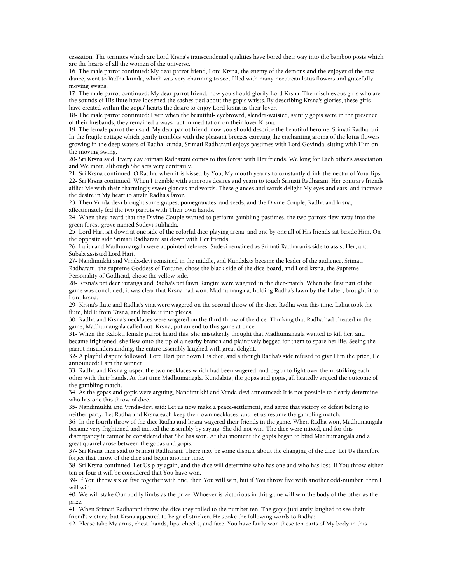cessation. The termites which are Lord Krsna's transcendental qualities have bored their way into the bamboo posts which are the hearts of all the women of the universe.

16- The male parrot continued: My dear parrot friend, Lord Krsna, the enemy of the demons and the enjoyer of the rasadance, went to Radha-kunda, which was very charming to see, filled with many nectarean lotus flowers and gracefully moving swans.

17- The male parrot continued: My dear parrot friend, now you should glorify Lord Krsna. The mischievous girls who are the sounds of His flute have loosened the sashes tied about the gopis waists. By describing Krsna's glories, these girls have created within the gopis' hearts the desire to enjoy Lord krsna as their lover.

18- The male parrot continued: Even when the beautiful- eyebrowed, slender-waisted, saintly gopis were in the presence of their husbands, they remained always rapt in meditation on their lover Krsna.

19- The female parrot then said: My dear parrot friend, now you should describe the beautiful heroine, Srimati Radharani. In the fragile cottage which gently trembles with the pleasant breezes carrying the enchanting aroma of the lotus flowers growing in the deep waters of Radha-kunda, Srimati Radharani enjoys pastimes with Lord Govinda, sitting with Him on the moving swing.

20- Sri Krsna said: Every day Srimati Radharani comes to this forest with Her friends. We long for Each other's association and We meet, although She acts very contrarily.

21- Sri Krsna continued: O Radha, when it is kissed by You, My mouth yearns to constantly drink the nectar of Your lips. 22- Sri Krsna continued: When I tremble with amorous desires and yearn to touch Srimati Radharani, Her contrary friends afflict Me with their charmingly sweet glances and words. These glances and words delight My eyes and ears, and increase the desire in My heart to attain Radha's favor.

23- Then Vrnda-devi brought some grapes, pomegranates, and seeds, and the Divine Couple, Radha and krsna, affectionately fed the two parrots with Their own hands.

24- When they heard that the Divine Couple wanted to perform gambling-pastimes, the two parrots flew away into the green forest-grove named Sudevi-sukhada.

25- Lord Hari sat down at one side of the colorful dice-playing arena, and one by one all of His friends sat beside Him. On the opposite side Srimati Radharani sat down with Her friends.

26- Lalita and Madhumangala were appointed referees. Sudevi remained as Srimati Radharani's side to assist Her, and Subala assisted Lord Hari.

27- Nandimukhi and Vrnda-devi remained in the middle, and Kundalata became the leader of the audience. Srimati Radharani, the supreme Goddess of Fortune, chose the black side of the dice-board, and Lord krsna, the Supreme Personality of Godhead, chose the yellow side.

28- Krsna's pet deer Suranga and Radha's pet fawn Rangini were wagered in the dice-match. When the first part of the game was concluded, it was clear that Krsna had won. Madhumangala, holding Radha's fawn by the halter, brought it to Lord krsna.

29- Krsna's flute and Radha's vina were wagered on the second throw of the dice. Radha won this time. Lalita took the flute, hid it from Krsna, and broke it into pieces.

30- Radha and Krsna's necklaces were wagered on the third throw of the dice. Thinking that Radha had cheated in the game, Madhumangala called out: Krsna, put an end to this game at once.

31- When the Kalokti female parrot heard this, she mistakenly thought that Madhumangala wanted to kill her, and became frightened, she flew onto the tip of a nearby branch and plaintively begged for them to spare her life. Seeing the parrot misunderstanding, the entire assembly laughed with great delight.

32- A playful dispute followed. Lord Hari put down His dice, and although Radha's side refused to give Him the prize, He announced: I am the winner.

33- Radha and Krsna grasped the two necklaces which had been wagered, and began to fight over them, striking each other with their hands. At that time Madhumangala, Kundalata, the gopas and gopis, all heatedly argued the outcome of the gambling match.

34- As the gopas and gopis were arguing, Nandimukhi and Vrnda-devi announced: It is not possible to clearly determine who has one this throw of dice.

35- Nandimukhi and Vrnda-devi said: Let us now make a peace-settlement, and agree that victory or defeat belong to neither party. Let Radha and Krsna each keep their own necklaces, and let us resume the gambling match.

36- In the fourth throw of the dice Radha and krsna wagered their friends in the game. When Radha won, Madhumangala became very frightened and incited the assembly by saying: She did not win. The dice were mixed, and for this discrepancy it cannot be considered that She has won. At that moment the gopis began to bind Madhumangala and a

great quarrel arose between the gopas and gopis. 37- Sri Krsna then said to Srimati Radharani: There may be some dispute about the changing of the dice. Let Us therefore

forget that throw of the dice and begin another time. 38- Sri Krsna continued: Let Us play again, and the dice will determine who has one and who has lost. If You throw either

ten or four it will be considered that You have won. 39- If You throw six or five together with one, then You will win, but if You throw five with another odd-number, then I will win.

40- We will stake Our bodily limbs as the prize. Whoever is victorious in this game will win the body of the other as the prize.

41- When Srimati Radharani threw the dice they rolled to the number ten. The gopis jubilantly laughed to see their friend's victory, but Krsna appeared to be grief-stricken. He spoke the following words to Radha:

42- Please take My arms, chest, hands, lips, cheeks, and face. You have fairly won these ten parts of My body in this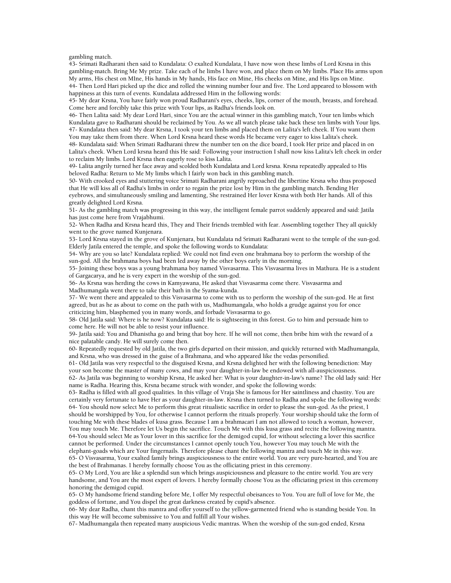gambling match.

43- Srimati Radharani then said to Kundalata: O exalted Kundalata, I have now won these limbs of Lord Krsna in this gambling-match. Bring Me My prize. Take each of he limbs I have won, and place them on My limbs. Place His arms upon My arms, His chest on MIne, His hands in My hands, His face on Mine, His cheeks on Mine, and His lips on Mine. 44- Then Lord Hari picked up the dice and rolled the winning number four and five. The Lord appeared to blossom with happiness at this turn of events. Kundalata addressed Him in the following words:

45- My dear Krsna, You have fairly won proud Radharani's eyes, cheeks, lips, corner of the mouth, breasts, and forehead. Come here and forcibly take this prize with Your lips, as Radha's friends look on.

46- Then Lalita said: My dear Lord Hari, since You are the actual winner in this gambling match, Your ten limbs which Kundalata gave to Radharani should be reclaimed by You. As we all watch please take back these ten limbs with Your lips. 47- Kundalata then said: My dear Krsna, I took your ten limbs and placed them on Lalita's left cheek. If You want them You may take them from there. When Lord Krsna heard these words He became very eager to kiss Lalita's cheek.

48- Kundalata said: When Srimati Radharani threw the number ten on the dice board, I took Her prize and placed in on Lalita's cheek. When Lord krsna heard this He said: Following your instruction I shall now kiss Lalita's left cheek in order to reclaim My limbs. Lord Krsna then eagerly rose to kiss Lalita.

49- Lalita angrily turned her face away and scolded both Kundalata and Lord krsna. Krsna repeatedly appealed to His beloved Radha: Return to Me My limbs which I fairly won back in this gambling match.

50- With crooked eyes and stuttering voice Srimati Radharani angrily reproached the libertine Krsna who thus proposed that He will kiss all of Radha's limbs in order to regain the prize lost by Him in the gambling match. Bending Her eyebrows, and simultaneously smiling and lamenting, She restrained Her lover Krsna with both Her hands. All of this greatly delighted Lord Krsna.

51- As the gambling match was progressing in this way, the intelligent female parrot suddenly appeared and said: Jatila has just come here from Vrajabhumi.

52- When Radha and Krsna heard this, They and Their friends trembled with fear. Assembling together They all quickly went to the grove named Kunjenara.

53- Lord Krsna stayed in the grove of Kunjenara, but Kundalata nd Srimati Radharani went to the temple of the sun-god. Elderly Jatila entered the temple, and spoke the following words to Kundalata:

54- Why are you so late? Kundalata replied: We could not find even one brahmana boy to perform the worship of the sun-god. All the brahmana boys had been led away by the other boys early in the morning.

55- Joining these boys was a young brahmana boy named Visvasarma. This Visvasarma lives in Mathura. He is a student of Gargacarya, and he is very expert in the worship of the sun-god.

56- As Krsna was herding the cows in Kamyawana, He asked that Visvasarma come there. Visvasarma and Madhumangala went there to take their bath in the Syama-kunda.

57- We went there and appealed to this Visvasarma to come with us to perform the worship of the sun-god. He at first agreed, but as he as about to come on the path with us, Madhumangala, who holds a grudge against you for once criticizing him, blasphemed you in many words, and forbade Visvasarma to go.

58- Old Jatila said: Where is he now? Kundalata said: He is sightseeing in this forest. Go to him and persuade him to come here. He will not be able to resist your influence.

59- Jatila said: You and Dhanistha go and bring that boy here. If he will not come, then bribe him with the reward of a nice palatable candy. He will surely come then.

60- Repeatedly requested by old Jatila, the two girls departed on their mission, and quickly returned with Madhumangala, and Krsna, who was dressed in the guise of a Brahmana, and who appeared like the vedas personified.

61- Old Jatila was very respectful to the disguised Krsna, and Krsna delighted her with the following benediction: May your son become the master of many cows, and may your daughter-in-law be endowed with all-auspiciousness. 62- As Jatila was beginning to worship Krsna, He asked her: What is your daughter-in-law's name? The old lady said: Her

name is Radha. Hearing this, Krsna became struck with wonder, and spoke the following words: 63- Radha is filled with all good qualities. In this village of Vraja She is famous for Her saintliness and chastity. You are

certainly very fortunate to have Her as your daughter-in-law. Krsna then turned to Radha and spoke the following words: 64- You should now select Me to perform this great ritualistic sacrifice in order to please the sun-god. As the priest, I should be worshipped by You, for otherwise I cannot perform the rituals properly. Your worship should take the form of touching Me with these blades of kusa grass. Because I am a brahmacari I am not allowed to touch a woman, however, You may touch Me. Therefore let Us begin the sacrifice. Touch Me with this kusa grass and recite the following mantra. 64-You should select Me as Your lover in this sacrifice for the demigod cupid, for without selecting a lover this sacrifice cannot be performed. Under the circumstances I cannot openly touch You, however You may touch Me with the

elephant-goads which are Your fingernails. Therefore please chant the following mantra and touch Me in this way. 65- O Visvasarma, Your exalted family brings auspiciousness to the entire world. You are very pure-hearted, and You are the best of Brahmanas. I hereby formally choose You as the officiating priest in this ceremony.

65- O My Lord, You are like a splendid sun which brings auspiciousness and pleasure to the entire world. You are very handsome, and You are the most expert of lovers. I hereby formally choose You as the officiating priest in this ceremony honoring the demigod cupid.

65- O My handsome friend standing before Me, I offer My respectful obeisances to You. You are full of love for Me, the goddess of fortune, and You dispel the great darkness created by cupid's absence.

66- My dear Radha, chant this mantra and offer yourself to the yellow-garmented friend who is standing beside You. In this way He will become submissive to You and fulfill all Your wishes.

67- Madhumangala then repeated many auspicious Vedic mantras. When the worship of the sun-god ended, Krsna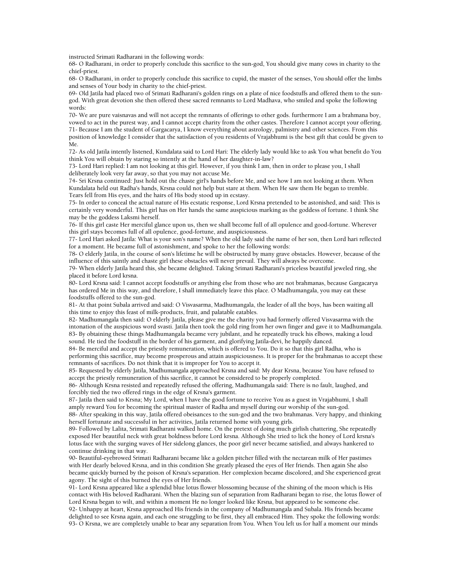instructed Srimati Radharani in the following words:

68- O Radharani, in order to properly conclude this sacrifice to the sun-god, You should give many cows in charity to the chief-priest.

68- O Radharani, in order to properly conclude this sacrifice to cupid, the master of the senses, You should offer the limbs and senses of Your body in charity to the chief-priest.

69- Old Jatila had placed two of Srimati Radharani's golden rings on a plate of nice foodstuffs and offered them to the sungod. With great devotion she then offered these sacred remnants to Lord Madhava, who smiled and spoke the following words:

70- We are pure vaisnavas and will not accept the remnants of offerings to other gods. furthermore I am a brahmana boy, vowed to act in the purest way, and I cannot accept charity from the other castes. Therefore I cannot accept your offering. 71- Because I am the student of Gargacarya, I know everything about astrology, palmistry and other sciences. From this position of knowledge I consider that the satisfaction of you residents of Vrajabhumi is the best gift that could be given to Me.

72- As old Jatila intently listened, Kundalata said to Lord Hari: The elderly lady would like to ask You what benefit do You think You will obtain by staring so intently at the hand of her daughter-in-law?

73- Lord Hari replied: I am not looking at this girl. However, if you think I am, then in order to please you, I shall deliberately look very far away, so that you may not accuse Me.

74- Sri Krsna continued: Just hold out the chaste girl's hands before Me, and see how I am not looking at them. When Kundalata held out Radha's hands, Krsna could not help but stare at them. When He saw them He began to tremble. Tears fell from His eyes, and the hairs of His body stood up in ecstasy.

75- In order to conceal the actual nature of His ecstatic response, Lord Krsna pretended to be astonished, and said: This is certainly very wonderful. This girl has on Her hands the same auspicious marking as the goddess of fortune. I think She may be the goddess Laksmi herself.

76- If this girl caste Her merciful glance upon us, then we shall become full of all opulence and good-fortune. Wherever this girl stays becomes full of all opulence, good-fortune, and auspiciousness.

77- Lord Hari asked Jatila: What is your son's name? When the old lady said the name of her son, then Lord hari reflected for a moment. He became full of astonishment, and spoke to her the following words:

78- O elderly Jatila, in the course of son's lifetime he will be obstructed by many grave obstacles. However, because of the influence of this saintly and chaste girl these obstacles will never prevail. They will always be overcome.

79- When elderly Jatila heard this, she became delighted. Taking Srimati Radharani's priceless beautiful jeweled ring, she placed it before Lord krsna.

80- Lord Krsna said: I cannot accept foodstuffs or anything else from those who are not brahmanas, because Gargacarya has ordered Me in this way, and therefore, I shall immediately leave this place. O Madhumangala, you may eat these foodstuffs offered to the sun-god.

81- At that point Subala arrived and said: O Visvasarma, Madhumangala, the leader of all the boys, has been waiting all this time to enjoy this feast of milk-products, fruit, and palatable eatables.

82- Madhumangala then said: O elderly Jatila, please give me the charity you had formerly offered Visvasarma with the intonation of the auspicious word svasti. Jatila then took the gold ring from her own finger and gave it to Madhumangala. 83- By obtaining these things Madhumangala became very jubilant, and he repeatedly truck his elbows, making a loud sound. He tied the foodstuff in the border of his garment, and glorifying Jatila-devi, he happily danced.

84- Be merciful and accept the priestly remuneration, which is offered to You. Do it so that this girl Radha, who is performing this sacrifice, may become prosperous and attain auspiciousness. It is proper for the brahmanas to accept these remnants of sacrifices. Do not think that it is improper for You to accept it.

85- Requested by elderly Jatila, Madhumangala approached Krsna and said: My dear Krsna, because You have refused to accept the priestly remuneration of this sacrifice, it cannot be considered to be properly completed.

86- Although Krsna resisted and repeatedly refused the offering, Madhumangala said: There is no fault, laughed, and forcibly tied the two offered rings in the edge of Krsna's garment.

87- Jatila then said to Krsna; My Lord, when I have the good fortune to receive You as a guest in Vrajabhumi, I shall amply reward You for becoming the spiritual master of Radha and myself during our worship of the sun-god.

88- After speaking in this way, Jatila offered obeisances to the sun-god and the two brahmanas. Very happy, and thinking herself fortunate and successful in her activities, Jatila returned home with young girls.

89- Followed by Lalita, Srimati Radharani walked home. On the pretext of doing much girlish chattering, She repeatedly exposed Her beautiful neck with great boldness before Lord krsna. Although She tried to lick the honey of Lord krsna's lotus face with the surging waves of Her sidelong glances, the poor girl never became satisfied, and always hankered to continue drinking in that way.

90- Beautiful-eyebrowed Srimati Radharani became like a golden pitcher filled with the nectarean milk of Her pastimes with Her dearly beloved Krsna, and in this condition She greatly pleased the eyes of Her friends. Then again She also became quickly burned by the poison of Krsna's separation. Her complexion became discolored, and She experienced great agony. The sight of this burned the eyes of Her friends.

91- Lord Krsna appeared like a splendid blue lotus flower blossoming because of the shining of the moon which is His contact with His beloved Radharani. When the blazing sun of separation from Radharani began to rise, the lotus flower of Lord Krsna began to wilt, and within a moment He no longer looked like Krsna, but appeared to be someone else.

92- Unhappy at heart, Krsna approached His friends in the company of Madhumangala and Subala. His friends became delighted to see Krsna again, and each one struggling to be first, they all embraced Him. They spoke the following words: 93- O Krsna, we are completely unable to bear any separation from You. When You left us for half a moment our minds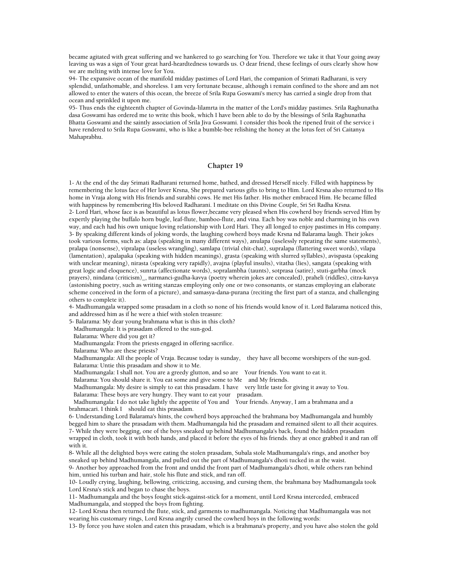became agitated with great suffering and we hankered to go searching for You. Therefore we take it that Your going away leaving us was a sign of Your great hard-heardtedness towards us. O dear friend, these feelings of ours clearly show how we are melting with intense love for You.

94- The expansive ocean of the manifold midday pastimes of Lord Hari, the companion of Srimati Radharani, is very splendid, unfathomable, and shoreless. I am very fortunate because, although i remain confined to the shore and am not allowed to enter the waters of this ocean, the breeze of Srila Rupa Goswami's mercy has carried a single drop from that ocean and sprinkled it upon me.

95- Thus ends the eighteenth chapter of Govinda-lilamrta in the matter of the Lord's midday pastimes. Srila Raghunatha dasa Goswami has ordered me to write this book, which I have been able to do by the blessings of Srila Raghunatha Bhatta Goswami and the saintly association of Srila Jiva Goswami. I consider this book the ripened fruit of the service i have rendered to Srila Rupa Goswami, who is like a bumble-bee relishing the honey at the lotus feet of Sri Caitanya Mahaprabhu.

## **Chapter 19**

1- At the end of the day Srimati Radharani returned home, bathed, and dressed Herself nicely. Filled with happiness by remembering the lotus face of Her lover Krsna, She prepared various gifts to bring to Him. Lord Krsna also returned to His home in Vraja along with His friends and surabhi cows. He met His father. His mother embraced Him. He became filled with happiness by remembering His beloved Radharani. I meditate on this Divine Couple, Sri Sri Radha Krsna. 2- Lord Hari, whose face is as beautiful as lotus flower,became very pleased when His cowherd boy friends served Him by expertly playing the buffalo horn bugle, leaf-flute, bamboo-flute, and vina. Each boy was noble and charming in his own way, and each had his own unique loving relationship with Lord Hari. They all longed to enjoy pastimes in His company. 3- By speaking different kinds of joking words, the laughing cowherd boys made Krsna nd Balarama laugh. Their jokes took various forms, such as: alapa (speaking in many different ways), anulapa (uselessly repeating the same statements), pralapa (nonsense), vipralapa (useless wrangling), samlapa (trivial chit-chat), supralapa (flattering sweet words), vilapa (lamentation), apalapaka (speaking with hidden meanings), grasta (speaking with slurred syllables), avispasta (speaking with unclear meaning), nirasta (speaking very rapidly), avajna (playful insults), vitatha (lies), sangata (speaking with great logic and eloquence), sunrta (affectionate words), sopralambha (taunts), sotprasa (satire), stuti-garbha (mock prayers), nindana (criticism)\_, narmanci-gudha-kavya (poetry wherein jokes are concealed), praheli (riddles), citra-kavya (astonishing poetry, such as writing stanzas employing only one or two consonants, or stanzas employing an elaborate scheme conceived in the form of a picture), and samasya-dana-purana (reciting the first part of a stanza, and challenging others to complete it).

4- Madhumangala wrapped some prasadam in a cloth so none of his friends would know of it. Lord Balarama noticed this, and addressed him as if he were a thief with stolen treasure:

5- Balarama: My dear young brahmana what is this in this cloth?

Madhumangala: It is prasadam offered to the sun-god.

Balarama: Where did you get it?

Madhumangala: From the priests engaged in offering sacrifice.

Balarama: Who are these priests?

 Madhumangala: All the people of Vraja. Because today is sunday, they have all become worshipers of the sun-god. Balarama: Untie this prasadam and show it to Me.

Madhumangala: I shall not. You are a greedy glutton, and so are Your friends. You want to eat it.

Balarama: You should share it. You eat some and give some to Me and My friends.

 Madhumangala: My desire is simply to eat this prasadam. I have very little taste for giving it away to You. Balarama: These boys are very hungry. They want to eat your prasadam.

 Madhumangala: I do not take lightly the appetite of You and Your friends. Anyway, I am a brahmana and a brahmacari. I think I should eat this prasadam.

6- Understanding Lord Balarama's hints, the cowherd boys approached the brahmana boy Madhumangala and humbly begged him to share the prasadam with them. Madhumangala hid the prasadam and remained silent to all their acquires. 7- While they were begging, one of the boys sneaked up behind Madhumangala's back, found the hidden prasadam wrapped in cloth, took it with both hands, and placed it before the eyes of his friends. they at once grabbed it and ran off with it.

8- While all the delighted boys were eating the stolen prasadam, Subala stole Madhumangala's rings, and another boy sneaked up behind Madhumangala, and pulled out the part of Madhumangala's dhoti tucked in at the waist. 9- Another boy approached from the front and undid the front part of Madhumangala's dhoti, while others ran behind him, untied his turban and hair, stole his flute and stick, and ran off.

10- Loudly crying, laughing, bellowing, criticizing, accusing, and cursing them, the brahmana boy Madhumangala took Lord Krsna's stick and began to chase the boys.

11- Madhumangala and the boys fought stick-against-stick for a moment, until Lord Krsna interceded, embraced Madhumangala, and stopped the boys from fighting.

12- Lord Krsna then returned the flute, stick, and garments to madhumangala. Noticing that Madhumangala was not wearing his customary rings, Lord Krsna angrily cursed the cowherd boys in the following words:

13- By force you have stolen and eaten this prasadam, which is a brahmana's property, and you have also stolen the gold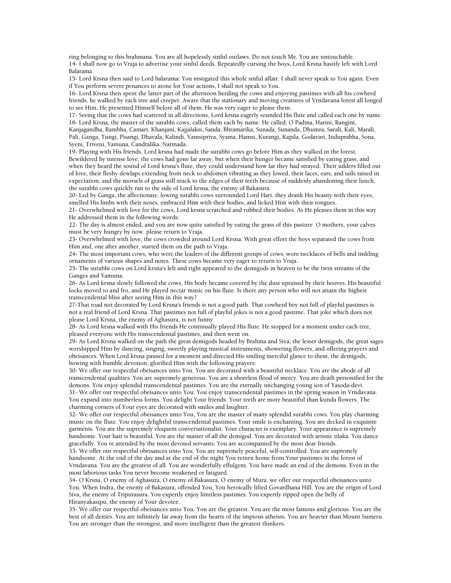ring belonging to this brahmana. You are all hopelessly sinful outlaws. Do not touch Me. You are untouchable. 14- I shall now go to Vraja to advertise your sinful deeds. Repeatedly cursing the boys, Lord Krsna hastily left with Lord Balarama.

15- Lord Krsna then said to Lord balarama: You instigated this whole sinful affair. I shall never speak to You again. Even if You perform severe penances to atone for Your actions, I shall not speak to You.

16- Lord Krsna then spent the latter part of the afternoon herding the cows and enjoying pastimes with all his cowherd friends. he walked by each tree and creeper. Aware that the stationary and moving creatures of Vrndavana forest all longed to see Him, He presented Himself before all of them. He was very eager to please them.

17- Seeing that the cows had scattered in all directions, Lord krsna eagerly sounded His flute and called each one by name. 18- Lord Krsna, the master of the surabhi cows, called them each by name. He called: O Padma, Harini, Rangini,

Kanjagandha, Rambha, Camari, Khanjani, Kajjalaksi, Sanda, Bhramarika, Sunada, Sunanda, Dhumra, Sarali, Kali, Marali, Pali, Ganga, Tungi, Pisangi, Dhavala, Kalindi, Vamsipriya, Syama, Hamsi, Kurangi, Kapila, Godavari, Induprabha, Sona, Syeni, Triveni, Yamuna, Candralika, Narmada.

19- Playing with His friends, Lord krsna had made the surabhi cows go before Him as they walked in the forest.

Bewildered by intense love, the cows had gone far away, but when their hunger became satisfied by eating grass, and when they heard the sound of Lord krsna's flute, they could understand how far they had strayed. Their udders filled out of love, their fleshy dewlaps extending from neck to abdomen vibrating as they lowed, their faces, ears, and tails raised in expectation, and the morsels of grass still stuck to the edges of their teeth because of suddenly abandoning their lunch, the surabhi cows quickly ran to the side of Lord krsna, the enemy of Bakasura.

20- Led by Ganga, the affectionate, lowing surabhi cows surrounded Lord Hari. they drank His beauty with their eyes, smelled His limbs with their noses, embraced Him with their bodies, and licked Him with their tongues.

21- Overwhelmed with love for the cows, Lord krsna scratched and rubbed their bodies. As He pleases them in this way He addressed them in the following words:

22- The day is almost ended, and you are now quite satisfied by eating the grass of this pasture. O mothers, your calves must be very hungry by now. please return to Vraja.

23- Overwhelmed with love, the cows crowded around Lord Krsna. With great effort the boys separated the cows from Him and, one after another, started them on the path to Vraja.

24- The most important cows, who were the leaders of the different groups of cows, wore necklaces of bells and tinkling ornaments of various shapes and notes. These cows became very eager to return to Vraja.

25- The surabhi cows on Lord krsna's left and right appeared to the demigods in heaven to be the twin streams of the Ganges and Yamuna.

26- As Lord krsna slowly followed the cows, His body became covered by the dust upraised by their hooves. His beautiful locks moved to and fro, and He played nectar music on his flute. Is there any person who will not attain the highest transcendental bliss after seeing Him in this way?

27-That road not decorated by Lord Krsna's friends is not a good path. That cowherd boy not full of playful pastimes is not a real friend of Lord Krsna. That pastimes not full of playful jokes is not a good pastime. That joke which does not please Lord Krsna, the enemy of Aghasura, is not funny.

28- As Lord krsna walked with His friends He continually played His flute. He stopped for a moment under each tree, pleased everyone with His transcendental pastimes, and then went on.

29- As Lord Krsna walked on the path the great demigods headed by Brahma and Siva, the lesser demigods, the great sages worshipped Him by dancing, singing, sweetly playing musical instruments, showering flowers, and offering prayers and obeisances. When Lord krsna paused for a moment and directed His smiling merciful glance to them, the demigods, bowing with humble devotion, glorified Him with the following prayers:

30- We offer our respectful obeisances unto You. You are decorated with a beautiful necklace. You are the abode of all transcendental qualities. You are supremely generous. You are a shoreless flood of mercy. You are death personified for the demons. You enjoy splendid transcendental pastimes. You are the eternally unchanging young son of Yasoda-devi. 31- We offer our respectful obeisances unto You. You enjoy transcendental pastimes in the spring season in Vrndavana. You expand into numberless forms. You delight Your friends. Your teeth are more beautiful than kunda flowers. The charming corners of Your eyes are decorated with smiles and laughter.

32- We offer our respectful obeisances unto You, You are the master of many splendid surabhi cows. You play charming music on the flute. You enjoy delightful transcendental pastimes. Your smile is enchanting. You are decked in exquisite garments. You are the supremely eloquent conversationalist. Your character is exemplary. Your appearance is supremely handsome. Your hair is beautiful. You are the master of all the demigod. You are decorated with artistic tilaka. You dance gracefully. You re attended by the most devoted servants. You are accompanied by the most dear friends.

33- We offer our respectful obeisances unto You. You are supremely peaceful, self-controlled. You are supremely handsome. At the end of the day and at the end of the night You return home from Your pastimes in the forest of Vrndavana. You are the greatest of all. You are wonderfully effulgent. You have made an end of the demons. Even in the most laborious tasks You never become weakened or fatigued.

34- O Krsna, O enemy of Aghasura, O enemy of Bakasura, O enemy of Mura, we offer our respectful obeisances unto You. When Indra, the enemy of Bakasura, offended You, You heroically lifted Govardhana Hill. You are the origin of Lord Siva, the enemy of Tripurasura. You expertly enjoy limitless pastimes. You expertly ripped open the belly of Hiranyakasipu, the enemy of Your devotee.

35- We offer our respectful obeisances unto You. You are the greatest. You are the most famous and glorious. You are the best of all deities. You are infinitely far away from the hearts of the impious atheists. You are heavier than Mount Sumeru. You are stronger than the strongest, and more intelligent than the greatest thinkers.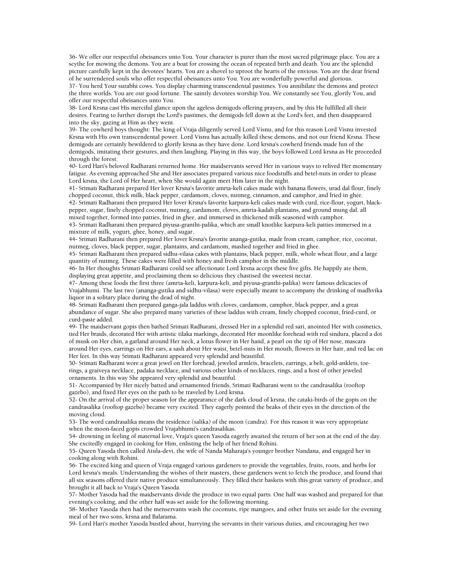36- We offer our respectful obeisances unto You. Your character is purer than the most sacred pilgrimage place. You are a scythe for mowing the demons. You are a boat for crossing the ocean of repeated birth and death. You are the splendid picture carefully kept in the devotees' hearts. You are a shovel to uproot the hearts of the envious. You are the dear friend of he surrendered souls who offer respectful obeisances unto You. You are wonderfully powerful and glorious.

37- You herd Your surabhi cows. You display charming transcendental pastimes. You annihilate the demons and protect the three worlds. You are our good fortune. The saintly devotees worship You. We constantly see You, glorify You, and offer our respectful obeisances unto You.

38- Lord Krsna cast His merciful glance upon the ageless demigods offering prayers, and by this He fulfilled all their desires. Fearing to further disrupt the Lord's pastimes, the demigods fell down at the Lord's feet, and then disappeared into the sky, gazing at Him as they went.

39- The cowherd boys thought: The king of Vraja diligently served Lord Visnu, and for this reason Lord Visnu invested Krsna with His own transcendental power. Lord Visnu has actually killed these demons, and not our friend Krsna. These demigods are certainly bewildered to glorify krsna as they have done. Lord krsna's cowherd friends made fun of the demigods, imitating their gestures, and then laughing. Playing in this way, the boys followed Lord krsna as He proceeded through the forest.

40- Lord Hari's beloved Radharani returned home. Her maidservants served Her in various ways to relived Her momentary fatigue. As evening approached She and Her associates prepared various nice foodstuffs and betel-nuts in order to please Lord krsna, the Lord of Her heart, when She would again meet Him later in the night.

41- Srimati Radharani prepared Her lover Krsna's favorite amrta-keli cakes made with banana flowers, urad dal flour, finely chopped coconut, thick milk, black pepper, cardamom, cloves, nutmeg, cinnamon, and camphor, and fried in ghee.

42- Srimati Radharani then prepared Her lover Krsna's favorite karpura-keli cakes made with curd, rice-flour, yogurt, blackpepper, sugar, finely chopped coconut, nutmeg, cardamom, cloves, amrta-kadali plantains, and ground mung dal. all mixed together, formed into patties, fried in ghee, and immersed in thickened milk seasoned with camphor.

43- Srimati Radharani then prepared piyusa-granthi-palika, which are small knotlike karpura-keli patties immersed in a mixture of milk, yogurt, ghee, honey, and sugar.

44- Srimati Radharani then prepared Her lover Krsna's favorite ananga-gutika, made from cream, camphor, rice, coconut, nutmeg, cloves, black pepper, sugar, plantains, and cardamom, mashed together and fried in ghee.

45- Srimati Radharani then prepared sidhu-vilasa cakes with plantains, black pepper, milk, whole wheat flour, and a large quantity of nutmeg. These cakes were filled with honey and fresh camphor in the middle.

46- In Her thoughts Srimati Radharani could see affectionate Lord krsna accept these five gifts. He happily ate them, displaying great appetite, and proclaiming them so delicious they chastised the sweetest nectar.

47- Among these foods the first three (amrta-keli, karpura-keli, and piyusa-granthi-palika) were famous delicacies of Vrajabhumi. The last two (ananga-gutika and sidhu-vilasa) were especially meant to accompany the drinking of madhvika liquor in a solitary place during the dead of night.

48- Srimati Radharani then prepared ganga-jala laddus with cloves, cardamom, camphor, black pepper, and a great abundance of sugar. She also prepared many varieties of these laddus with cream, finely chopped coconut, fried-curd, or curd-paste added.

49- The maidservant gopis then bathed Srimati Radharani, dressed Her in a splendid red sari, anointed Her with cosmetics, tied Her braids, decorated Her with artistic tilaka markings, decorated Her moonlike forehead with red sindura, placed a dot of musk on Her chin, a garland around Her neck, a lotus flower in Her hand, a pearl on the tip of Her nose, mascara around Her eyes, earrings on Her ears, a sash about Her waist, betel-nuts in Her mouth, flowers in Her hair, and red lac on Her feet. In this way Srimati Radharani appeared very splendid and beautiful.

50- Srimati Radharani wore a great jewel on Her forehead, jeweled armlets, bracelets, earrings, a belt, gold-anklets, toerings, a graiveya necklace, padaka necklace, and various other kinds of necklaces, rings, and a host of other jeweled ornaments. In this way She appeared very splendid and beautiful.

51- Accompanied by Her nicely batted and ornamented friends, Srimati Radharani went to the candrasalika (rooftop gazebo), and fixed Her eyes on the path to be traveled by Lord krsna.

52- On the arrival of the proper season for the appearance of the dark cloud of krsna, the cataki-birds of the gopis on the candrasalika (rooftop gazebo) became very excited. They eagerly pointed the beaks of their eyes in the direction of the moving cloud.

53- The word candrasalika means the residence (salika) of the moon (candra). For this reason it was very appropriate when the moon-faced gopis crowded Vrajabhumi's candrasalikas.

54- drowning in feeling of maternal love, Vraja's queen Yasoda eagerly awaited the return of her son at the end of the day. She excitedly engaged in cooking for Him, enlisting the help of her friend Rohini.

55- Queen Yasoda then called Atula-devi, the wife of Nanda Maharaja's younger brother Nandana, and engaged her in cooking along with Rohini.

56- The excited king and queen of Vraja engaged various gardeners to provide the vegetables, fruits, roots, and herbs for Lord krsna's meals. Understanding the wishes of their masters, these gardeners went to fetch the produce, and found that all six seasons offered their native produce simultaneously. They filled their baskets with this great variety of produce, and brought it all back to Vraja's Queen Yasoda.

57- Mother Yasoda had the maidservants divide the produce in two equal parts. One half was washed and prepared for that evening's cooking, and the other half was set aside for the following morning.

58- Mother Yasoda then had the menservants wash the coconuts, ripe mangoes, and other fruits set aside for the evening meal of her two sons, krsna and Balarama.

59- Lord Hari's mother Yasoda bustled about, hurrying the servants in their various duties, and encouraging her two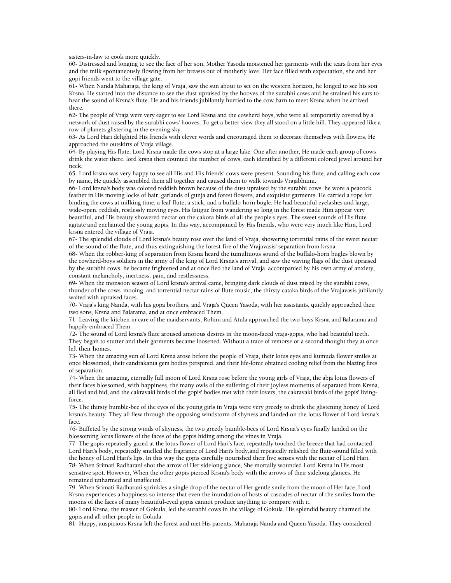sisters-in-law to cook more quickly.

60- Distressed and longing to see the face of her son, Mother Yasoda moistened her garments with the tears from her eyes and the milk spontaneously flowing from her breasts out of motherly love. Her face filled with expectation, she and her gopi friends went to the village gate.

61- When Nanda Maharaja, the king of Vraja, saw the sun about to set on the western horizon, he longed to see his son Krsna. He started into the distance to see the dust upraised by the hooves of the surabhi cows and he strained his ears to hear the sound of Krsna's flute. He and his friends jubilantly hurried to the cow barn to meet Krsna when he arrived there.

62- The people of Vraja were very eager to see Lord Krsna and the cowherd boys, who were all temporarily covered by a network of dust raised by the surabhi cows' hooves. To get a better view they all stood on a little hill. They appeared like a row of planets glistering in the evening sky.

63- As Lord Hari delighted His friends with clever words and encouraged them to decorate themselves with flowers, He approached the outskirts of Vraja village.

64- By playing His flute, Lord Krsna made the cows stop at a large lake. One after another, He made each group of cows drink the water there. lord krsna then counted the number of cows, each identified by a different colored jewel around her neck.

65- Lord krsna was very happy to see all His and His friends' cows were present. Sounding his flute, and calling each cow by name, He quickly assembled them all together and caused them to walk towards Vrajabhumi.

66- Lord krsna's body was colored reddish brown because of the dust upraised by the surabhi cows. he wore a peacock feather in His moving locks of hair, garlands of gunja and forest flowers, and exquisite garments. He carried a rope for binding the cows at milking time, a leaf-flute, a stick, and a buffalo-horn bugle. He had beautiful eyelashes and large, wide-open, reddish, restlessly moving eyes. His fatigue from wandering so long in the forest made Him appear very beautiful, and His beauty showered nectar on the cakora birds of all the people's eyes. The sweet sounds of His flute agitate and enchanted the young gopis. In this way, accompanied by His friends, who were very much like Him, Lord krsna entered the village of Vraja.

67- The splendid clouds of Lord krsna's beauty rose over the land of Vraja, showering torrential rains of the sweet nectar of the sound of the flute, and thus extinguishing the forest-fire of the Vrajavasis' separation from krsna.

68- When the robber-king of separation from Krsna heard the tumultuous sound of the buffalo-horn bugles blown by the cowherd-boys soldiers in the army of the king of Lord Krsna's arrival, and saw the waving flags of the dust upraised by the surabhi cows, he became frightened and at once fled the land of Vraja, accompanied by his own army of anxiety, constant melancholy, inertness, pain, and restlessness.

69- When the monsoon season of Lord krsna's arrival came, bringing dark clouds of dust raised by the surabhi cows, thunder of the cows' mooing, and torrential nectar rains of flute music, the thirsty cataka birds of the Vrajavasis jubilantly waited with upraised faces.

70- Vraja's king Nanda, with his gopa brothers, and Vraja's Queen Yasoda, with her assistants, quickly approached their two sons, Krsna and Balarama, and at once embraced Them.

71- Leaving the kitchen in care of the maidservants, Rohini and Atula approached the two boys Krsna and Balarama and happily embraced Them.

72- The sound of Lord krsna's flute aroused amorous desires in the moon-faced vraja-gopis, who had beautiful teeth. They began to stutter and their garments became loosened. Without a trace of remorse or a second thought they at once left their homes.

73- When the amazing sun of Lord Krsna arose before the people of Vraja, their lotus eyes and kumuda flower smiles at once blossomed, their candrakanta gem bodies perspired, and their life-force obtained cooling relief from the blazing fires of separation.

74- When the amazing, eternally full moon of Lord Krsna rose before the young girls of Vraja, the abja lotus flowers of their faces blossomed, with happiness, the many owls of the suffering of their joyless moments of separated from Krsna, all fled and hid, and the cakravaki birds of the gopis' bodies met with their lovers, the cakravaki birds of the gopis' livingforce.

75- The thirsty bumble-bee of the eyes of the young girls in Vraja were very greedy to drink the glistening honey of Lord krsna's beauty. They all flew through the opposing windstorm of shyness and landed on the lotus flower of Lord krsna's face.

76- Buffeted by the strong winds of shyness, the two greedy bumble-bees of Lord Krsna's eyes finally landed on the blossoming lotus flowers of the faces of the gopis hiding among the vines in Vraja.

77- The gopis repeatedly gazed at the lotus flower of Lord Hari's face, repeatedly touched the breeze that had contacted Lord Hari's body, repeatedly smelled the fragrance of Lord Hari's body,and repeatedly relished the flute-sound filled with the honey of Lord Hari's lips. In this way the gopis carefully nourished their five senses with the nectar of Lord Hari. 78- When Srimati Radharani shot the arrow of Her sidelong glance, She mortally wounded Lord Krsna in His most sensitive spot. However, When the other gopis pierced Krsna's body with the arrows of their sidelong glances, He remained unharmed and unaffected.

79- When Srimati Radharani sprinkles a single drop of the nectar of Her gentle smile from the moon of Her face, Lord Krsna experiences a happiness so intense that even the inundation of hosts of cascades of nectar of the smiles from the moons of the faces of many beautiful-eyed gopis cannot produce anything to compare with it.

80- Lord Krsna, the master of Gokula, led the surabhi cows in the village of Gokula. His splendid beauty charmed the gopis and all other people in Gokula.

81- Happy, auspicious Krsna left the forest and met His parents, Maharaja Nanda and Queen Yasoda. They considered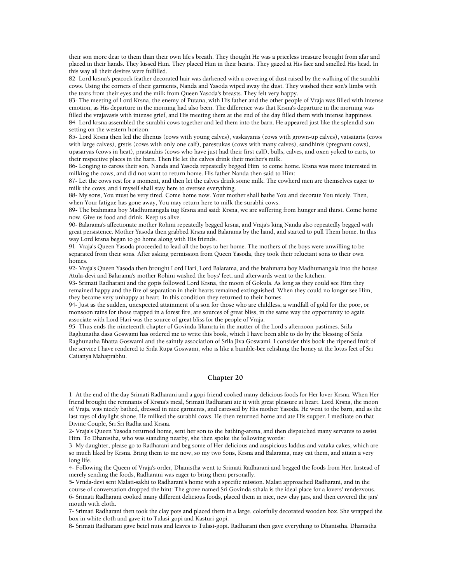their son more dear to them than their own life's breath. They thought He was a priceless treasure brought from afar and placed in their hands. They kissed Him. They placed Him in their hearts. They gazed at His face and smelled His head. In this way all their desires were fulfilled.

82- Lord krsna's peacock feather decorated hair was darkened with a covering of dust raised by the walking of the surabhi cows. Using the corners of their garments, Nanda and Yasoda wiped away the dust. They washed their son's limbs with the tears from their eyes and the milk from Queen Yasoda's breasts. They felt very happy.

83- The meeting of Lord Krsna, the enemy of Putana, with His father and the other people of Vraja was filled with intense emotion, as His departure in the morning had also been. The difference was that Krsna's departure in the morning was filled the vrajavasis with intense grief, and His meeting them at the end of the day filled them with intense happiness. 84- Lord krsna assembled the surabhi cows together and led them into the barn. He appeared just like the splendid sun setting on the western horizon.

85- Lord Krsna then led the dhenus (cows with young calves), vaskayanis (cows with grown-up calves), vatsataris (cows with large calves), grstis (cows with only one calf), parestukas (cows with many calves), sandhinis (pregnant cows), upasaryas (cows in heat), prastauhis (cows who have just had their first calf), bulls, calves, and oxen yoked to carts, to their respective places in the barn. Then He let the calves drink their mother's milk.

86- Longing to caress their son, Nanda and Yasoda repeatedly begged Him to come home. Krsna was more interested in milking the cows, and did not want to return home. His father Nanda then said to Him:

87- Let the cows rest for a moment, and then let the calves drink some milk. The cowherd men are themselves eager to milk the cows, and i myself shall stay here to oversee everything.

88- My sons, You must be very tired. Come home now. Your mother shall bathe You and decorate You nicely. Then, when Your fatigue has gone away, You may return here to milk the surabhi cows.

89- The brahmana boy Madhumangala tug Krsna and said: Krsna, we are suffering from hunger and thirst. Come home now. Give us food and drink. Keep us alive.

90- Balarama's affectionate mother Rohini repeatedly begged krsna, and Vraja's king Nanda also repeatedly begged with great persistence. Mother Yasoda then grabbed Krsna and Balarama by the hand, and started to pull Them home. In this way Lord krsna began to go home along with His friends.

91- Vraja's Queen Yasoda proceeded to lead all the boys to her home. The mothers of the boys were unwilling to be separated from their sons. After asking permission from Queen Yasoda, they took their reluctant sons to their own homes.

92- Vraja's Queen Yasoda then brought Lord Hari, Lord Balarama, and the brahmana boy Madhumangala into the house. Atula-devi and Balarama's mother Rohini washed the boys' feet, and afterwards went to the kitchen.

93- Srimati Radharani and the gopis followed Lord Krsna, the moon of Gokula. As long as they could see Him they remained happy and the fire of separation in their hearts remained extinguished. When they could no longer see Him, they became very unhappy at heart. In this condition they returned to their homes.

94- Just as the sudden, unexpected attainment of a son for those who are childless, a windfall of gold for the poor, or monsoon rains for those trapped in a forest fire, are sources of great bliss, in the same way the opportunity to again associate with Lord Hari was the source of great bliss for the people of Vraja.

95- Thus ends the nineteenth chapter of Govinda-lilamrta in the matter of the Lord's afternoon pastimes. Srila Raghunatha dasa Goswami has ordered me to write this book, which I have been able to do by the blessing of Srila Raghunatha Bhatta Goswami and the saintly association of Srila Jiva Goswami. I consider this book the ripened fruit of the service I have rendered to Srila Rupa Goswami, who is like a bumble-bee relishing the honey at the lotus feet of Sri Caitanya Mahaprabhu.

## **Chapter 20**

1- At the end of the day Srimati Radharani and a gopi-friend cooked many delicious foods for Her lover Krsna. When Her friend brought the remnants of Krsna's meal, Srimati Radharani ate it with great pleasure at heart. Lord Krsna, the moon of Vraja, was nicely bathed, dressed in nice garments, and caressed by His mother Yasoda. He went to the barn, and as the last rays of daylight shone, He milked the surabhi cows. He then returned home and ate His supper. I meditate on that Divine Couple, Sri Sri Radha and Krsna.

2- Vraja's Queen Yasoda returned home, sent her son to the bathing-arena, and then dispatched many servants to assist Him. To Dhanistha, who was standing nearby, she then spoke the following words:

3- My daughter, please go to Radharani and beg some of Her delicious and auspicious laddus and vataka cakes, which are so much liked by Krsna. Bring them to me now, so my two Sons, Krsna and Balarama, may eat them, and attain a very long life.

4- Following the Queen of Vraja's order, Dhanistha went to Srimati Radharani and begged the foods from Her. Instead of merely sending the foods, Radharani was eager to bring them personally.

5- Vrnda-devi sent Malati-sakhi to Radharani's home with a specific mission. Malati approached Radharani, and in the course of conversation dropped the hint: The grove named Sri Govinda-sthala is the ideal place for a lovers' rendezvous. 6- Srimati Radharani cooked many different delicious foods, placed them in nice, new clay jars, and then covered the jars' mouth with cloth.

7- Srimati Radharani then took the clay pots and placed them in a large, colorfully decorated wooden box. She wrapped the box in white cloth and gave it to Tulasi-gopi and Kasturi-gopi.

8- Srimati Radharani gave betel nuts and leaves to Tulasi-gopi. Radharani then gave everything to Dhanistha. Dhanistha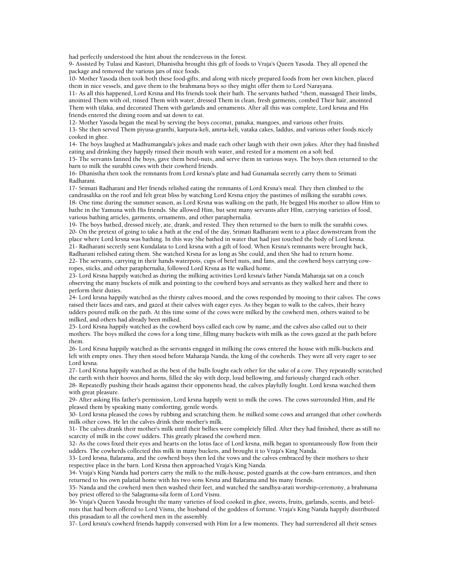had perfectly understood the hint about the rendezvous in the forest.

9- Assisted by Tulasi and Kasturi, Dhanistha brought this gift of foods to Vraja's Queen Yasoda. They all opened the package and removed the various jars of nice foods.

10- Mother Yasoda then took both these food-gifts, and along with nicely prepared foods from her own kitchen, placed them in nice vessels, and gave them to the brahmana boys so they might offer them to Lord Narayana.

11- As all this happened, Lord Krsna and His friends took their bath. The servants bathed \*them, massaged Their limbs, anointed Them with oil, rinsed Them with water, dressed Them in clean, fresh garments, combed Their hair, anointed Them with tilaka, and decorated Them with garlands and ornaments. After all this was complete, Lord krsna and His friends entered the dining room and sat down to eat.

12- Mother Yasoda began the meal by serving the boys coconut, panaka, mangoes, and various other fruits.

13- She then served Them piyusa-granthi, karpura-keli, amrta-keli, vataka cakes, laddus, and various other foods nicely cooked in ghee.

14- The boys laughed at Madhumangala's jokes and made each other laugh with their own jokes. After they had finished eating and drinking they happily rinsed their mouth with water, and rested for a moment on a soft bed.

15- The servants fanned the boys, gave them betel-nuts, and serve them in various ways. The boys then returned to the barn to milk the surabhi cows with their cowherd friends.

16- Dhanistha then took the remnants from Lord krsna's plate and had Gunamala secretly carry them to Srimati Radharani.

17- Srimati Radharani and Her friends relished eating the remnants of Lord Krsna's meal. They then climbed to the candrasalika on the roof and felt great bliss by watching Lord Krsna enjoy the pastimes of milking the surabhi cows. 18- One time during the summer season, as Lord Krsna was walking on the path, He begged His mother to allow Him to bathe in the Yamuna with His friends. She allowed Him, but sent many servants after HIm, carrying varieties of food, various bathing articles, garments, ornaments, and other paraphernalia.

19- The boys bathed, dressed nicely, ate, drank, and rested. They then returned to the barn to milk the surabhi cows. 20- On the pretext of going to take a bath at the end of the day, Srimati Radharani went to a place downstream from the place where Lord krsna was bathing. In this way She bathed in water that had just touched the body of Lord krsna. 21- Radharani secretly sent Kundalata to Lord krsna with a gift of food. When Krsna's remnants were brought back, Radharani relished eating them. She watched Krsna for as long as She could, and then She had to return home.

22- The servants, carrying in their hands waterpots, cups of betel nuts, and fans, and the cowherd boys carrying cowropes, sticks, and other paraphernalia, followed Lord Krsna as He walked home.

23- Lord Krsna happily watched as during the milking activities Lord krsna's father Nanda Maharaja sat on a couch observing the many buckets of milk and pointing to the cowherd boys and servants as they walked here and there to perform their duties.

24- Lord krsna happily watched as the thirsty calves mooed, and the cows responded by mooing to their calves. The cows raised their faces and ears, and gazed at their calves with eager eyes. As they began to walk to the calves, their heavy udders poured milk on the path. At this time some of the cows were milked by the cowherd men, others waited to be milked, and others had already been milked.

25- Lord Krsna happily watched as the cowherd boys called each cow by name, and the calves also called out to their mothers. The boys milked the cows for a long time, filling many buckets with milk as the cows gazed at the path before them.

26- Lord Krsna happily watched as the servants engaged in milking the cows entered the house with milk-buckets and left with empty ones. They then stood before Maharaja Nanda, the king of the cowherds. They were all very eager to see Lord krsna.

27- Lord Krsna happily watched as the best of the bulls fought each other for the sake of a cow. They repeatedly scratched the earth with their hooves and horns, filled the sky with deep, loud bellowing, and furiously charged each other.

28- Repeatedly pushing their heads against their opponents head, the calves playfully fought. Lord krsna watched them with great pleasure.

29- After asking His father's permission, Lord krsna happily went to milk the cows. The cows surrounded Him, and He pleased them by speaking many comforting, gentle words.

30- Lord krsna pleased the cows by rubbing and scratching them. he milked some cows and arranged that other cowherds milk other cows. He let the calves drink their mother's milk.

31- The calves drank their mother's milk until their bellies were completely filled. After they had finished, there as still no scarcity of milk in the cows' udders. This greatly pleased the cowherd men.

32- As the cows fixed their eyes and hearts on the lotus face of Lord krsna, milk began to spontaneously flow from their udders. The cowherds collected this milk in many buckets, and brought it to Vraja's King Nanda.

33- Lord krsna, Balarama, and the cowherd boys then led the vows and the calves embraced by their mothers to their respective place in the barn. Lord Krsna then approached Vraja's King Nanda.

34- Vraja's King Nanda had porters carry the milk to the milk-house, posted guards at the cow-barn entrances, and then returned to his own palatial home with his two sons Krsna and Balarama and his many friends.

35- Nanda and the cowherd men then washed their feet, and watched the sandhya-arati worship-ceremony, a brahmana boy priest offered to the Salagrama-sila form of Lord Visnu.

36- Vraja's Queen Yasoda brought the many varieties of food cooked in ghee, sweets, fruits, garlands, scents, and betelnuts that had been offered to Lord Visnu, the husband of the goddess of fortune. Vraja's King Nanda happily distributed this prasadam to all the cowherd men in the assembly.

37- Lord krsna's cowherd friends happily conversed with Him for a few moments. They had surrendered all their senses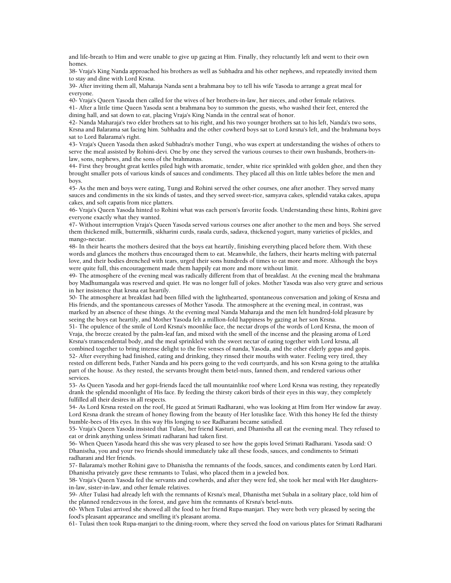and life-breath to Him and were unable to give up gazing at Him. Finally, they reluctantly left and went to their own homes.

38- Vraja's King Nanda approached his brothers as well as Subhadra and his other nephews, and repeatedly invited them to stay and dine with Lord Krsna.

39- After inviting them all, Maharaja Nanda sent a brahmana boy to tell his wife Yasoda to arrange a great meal for everyone.

40- Vraja's Queen Yasoda then called for the wives of her brothers-in-law, her nieces, and other female relatives. 41- After a little time Queen Yasoda sent a brahmana boy to summon the guests, who washed their feet, entered the dining hall, and sat down to eat, placing Vraja's King Nanda in the central seat of honor.

42- Nanda Maharaja's two elder brothers sat to his right, and his two younger brothers sat to his left, Nanda's two sons, Krsna and Balarama sat facing him. Subhadra and the other cowherd boys sat to Lord krsna's left, and the brahmana boys sat to Lord Balarama's right.

43- Vraja's Queen Yasoda then asked Subhadra's mother Tungi, who was expert at understanding the wishes of others to serve the meal assisted by Rohini-devi. One by one they served the various courses to their own husbands, brothers-inlaw, sons, nephews, and the sons of the brahmanas.

44- First they brought great kettles piled high with aromatic, tender, white rice sprinkled with golden ghee, and then they brought smaller pots of various kinds of sauces and condiments. They placed all this on little tables before the men and boys.

45- As the men and boys were eating, Tungi and Rohini served the other courses, one after another. They served many sauces and condiments in the six kinds of tastes, and they served sweet-rice, samyava cakes, splendid vataka cakes, apupa cakes, and soft capatis from nice platters.

46- Vraja's Queen Yasoda hinted to Rohini what was each person's favorite foods. Understanding these hints, Rohini gave everyone exactly what they wanted.

47- Without interruption Vraja's Queen Yasoda served various courses one after another to the men and boys. She served them thickened milk, buttermilk, sikharini curds, rasala curds, sadava, thickened yogurt, many varieties of pickles, and mango-nectar.

48- In their hearts the mothers desired that the boys eat heartily, finishing everything placed before them. With these words and glances the mothers thus encouraged them to eat. Meanwhile, the fathers, their hearts melting with paternal love, and their bodies drenched with tears, urged their sons hundreds of times to eat more and more. Although the boys were quite full, this encouragement made them happily eat more and more without limit.

49- The atmosphere of the evening meal was radically different from that of breakfast. At the evening meal the brahmana boy Madhumangala was reserved and quiet. He was no longer full of jokes. Mother Yasoda was also very grave and serious in her insistence that krsna eat heartily.

50- The atmosphere at breakfast had been filled with the lighthearted, spontaneous conversation and joking of Krsna and His friends, and the spontaneous caresses of Mother Yasoda. The atmosphere at the evening meal, in contrast, was marked by an absence of these things. At the evening meal Nanda Maharaja and the men felt hundred-fold pleasure by seeing the boys eat heartily, and Mother Yasoda felt a million-fold happiness by gazing at her son Krsna.

51- The opulence of the smile of Lord Krsna's moonlike face, the nectar drops of the words of Lord Krsna, the moon of Vraja, the breeze created by the palm-leaf fan, and mixed with the smell of the incense and the pleasing aroma of Lord Krsna's transcendental body, and the meal sprinkled with the sweet nectar of eating together with Lord krsna, all combined together to bring intense delight to the five senses of nanda, Yasoda, and the other elderly gopas and gopis. 52- After everything had finished, eating and drinking, they rinsed their mouths with water. Feeling very tired, they rested on different beds, Father Nanda and his peers going to the vedi courtyards, and his son Krsna going to the attalika part of the house. As they rested, the servants brought them betel-nuts, fanned them, and rendered various other services.

53- As Queen Yasoda and her gopi-friends faced the tall mountainlike roof where Lord Krsna was resting, they repeatedly drank the splendid moonlight of His face. By feeding the thirsty cakori birds of their eyes in this way, they completely fulfilled all their desires in all respects.

54- As Lord Krsna rested on the roof, He gazed at Srimati Radharani, who was looking at Him from Her window far away. Lord Krsna drank the stream of honey flowing from the beauty of Her lotuslike face. With this honey He fed the thirsty bumble-bees of His eyes. In this way His longing to see Radharani became satisfied.

55- Vraja's Queen Yasoda insisted that Tulasi, her friend Kasturi, and Dhanistha all eat the evening meal. They refused to eat or drink anything unless Srimati radharani had taken first.

56- When Queen Yasoda heard this she was very pleased to see how the gopis loved Srimati Radharani. Yasoda said: O Dhanistha, you and your two friends should immediately take all these foods, sauces, and condiments to Srimati radharani and Her friends.

57- Balarama's mother Rohini gave to Dhanistha the remnants of the foods, sauces, and condiments eaten by Lord Hari. Dhanistha privately gave these remnants to Tulasi, who placed them in a jeweled box.

58- Vraja's Queen Yasoda fed the servants and cowherds, and after they were fed, she took her meal with Her daughtersin-law, sister-in-law, and other female relatives.

59- After Tulasi had already left with the remnants of Krsna's meal, Dhanistha met Subala in a solitary place, told him of the planned rendezvous in the forest, and gave him the remnants of Krsna's betel-nuts.

60- When Tulasi arrived she showed all the food to her friend Rupa-manjari. They were both very pleased by seeing the food's pleasant appearance and smelling it's pleasant aroma.

61- Tulasi then took Rupa-manjari to the dining-room, where they served the food on various plates for Srimati Radharani